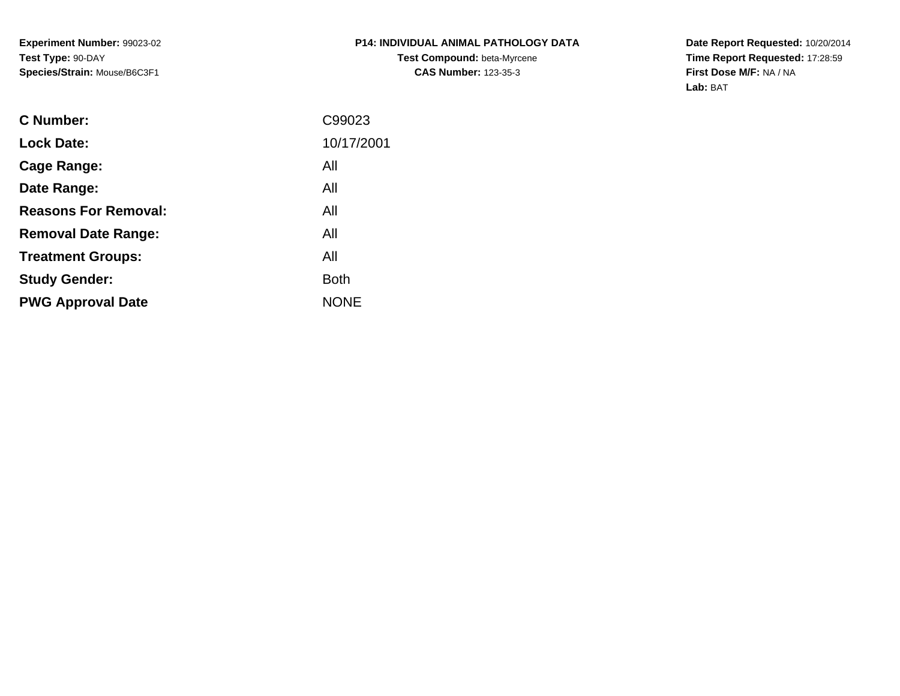**Experiment Number:** 99023-02**Test Type:** 90-DAY**Species/Strain:** Mouse/B6C3F1

## **P14: INDIVIDUAL ANIMAL PATHOLOGY DATATest Compound:** beta-Myrcene**CAS Number:** 123-35-3

**Date Report Requested:** 10/20/2014 **Time Report Requested:** 17:28:59**First Dose M/F:** NA / NA**Lab:** BAT

| <b>C</b> Number:            | C99023      |
|-----------------------------|-------------|
| <b>Lock Date:</b>           | 10/17/2001  |
| Cage Range:                 | All         |
| Date Range:                 | All         |
| <b>Reasons For Removal:</b> | All         |
| <b>Removal Date Range:</b>  | All         |
| <b>Treatment Groups:</b>    | All         |
| <b>Study Gender:</b>        | <b>Both</b> |
| <b>PWG Approval Date</b>    | <b>NONE</b> |
|                             |             |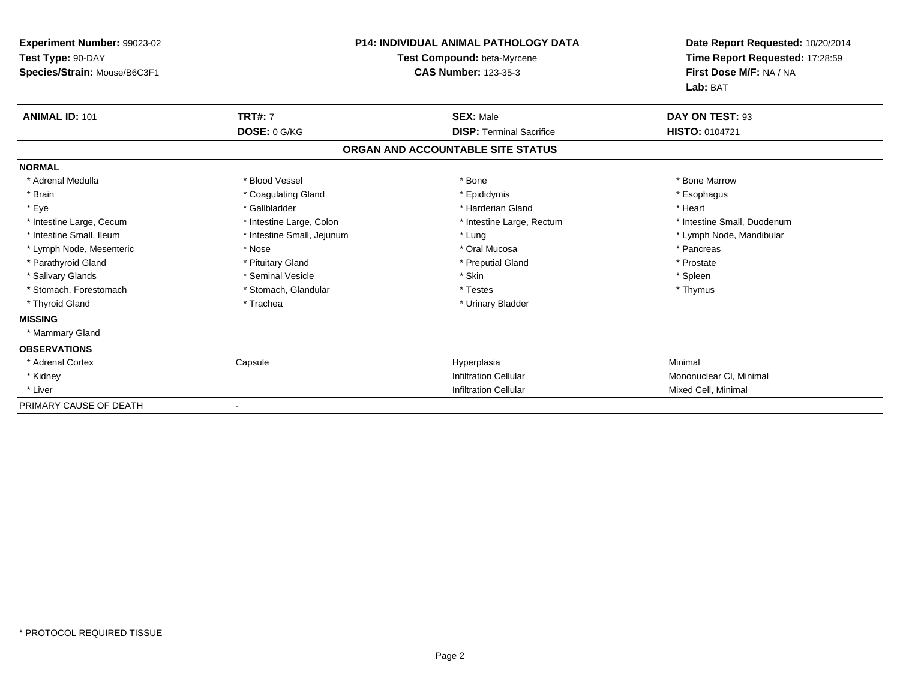| Experiment Number: 99023-02  | <b>P14: INDIVIDUAL ANIMAL PATHOLOGY DATA</b><br>Test Compound: beta-Myrcene |                                   | Date Report Requested: 10/20/2014<br>Time Report Requested: 17:28:59 |
|------------------------------|-----------------------------------------------------------------------------|-----------------------------------|----------------------------------------------------------------------|
| Test Type: 90-DAY            |                                                                             |                                   |                                                                      |
| Species/Strain: Mouse/B6C3F1 |                                                                             | <b>CAS Number: 123-35-3</b>       | First Dose M/F: NA / NA                                              |
|                              |                                                                             |                                   | Lab: BAT                                                             |
| <b>ANIMAL ID: 101</b>        | <b>TRT#: 7</b>                                                              | <b>SEX: Male</b>                  | DAY ON TEST: 93                                                      |
|                              | DOSE: 0 G/KG                                                                | <b>DISP: Terminal Sacrifice</b>   | <b>HISTO: 0104721</b>                                                |
|                              |                                                                             | ORGAN AND ACCOUNTABLE SITE STATUS |                                                                      |
| <b>NORMAL</b>                |                                                                             |                                   |                                                                      |
| * Adrenal Medulla            | * Blood Vessel                                                              | * Bone                            | * Bone Marrow                                                        |
| * Brain                      | * Coagulating Gland                                                         | * Epididymis                      | * Esophagus                                                          |
| * Eye                        | * Gallbladder                                                               | * Harderian Gland                 | * Heart                                                              |
| * Intestine Large, Cecum     | * Intestine Large, Colon                                                    | * Intestine Large, Rectum         | * Intestine Small, Duodenum                                          |
| * Intestine Small, Ileum     | * Intestine Small, Jejunum                                                  | * Lung                            | * Lymph Node, Mandibular                                             |
| * Lymph Node, Mesenteric     | * Nose                                                                      | * Oral Mucosa                     | * Pancreas                                                           |
| * Parathyroid Gland          | * Pituitary Gland                                                           | * Preputial Gland                 | * Prostate                                                           |
| * Salivary Glands            | * Seminal Vesicle                                                           | * Skin                            | * Spleen                                                             |
| * Stomach, Forestomach       | * Stomach, Glandular                                                        | * Testes                          | * Thymus                                                             |
| * Thyroid Gland              | * Trachea                                                                   | * Urinary Bladder                 |                                                                      |
| <b>MISSING</b>               |                                                                             |                                   |                                                                      |
| * Mammary Gland              |                                                                             |                                   |                                                                      |
| <b>OBSERVATIONS</b>          |                                                                             |                                   |                                                                      |
| * Adrenal Cortex             | Capsule                                                                     | Hyperplasia                       | Minimal                                                              |
| * Kidney                     |                                                                             | <b>Infiltration Cellular</b>      | Mononuclear CI, Minimal                                              |
| * Liver                      |                                                                             | <b>Infiltration Cellular</b>      | Mixed Cell, Minimal                                                  |
| PRIMARY CAUSE OF DEATH       |                                                                             |                                   |                                                                      |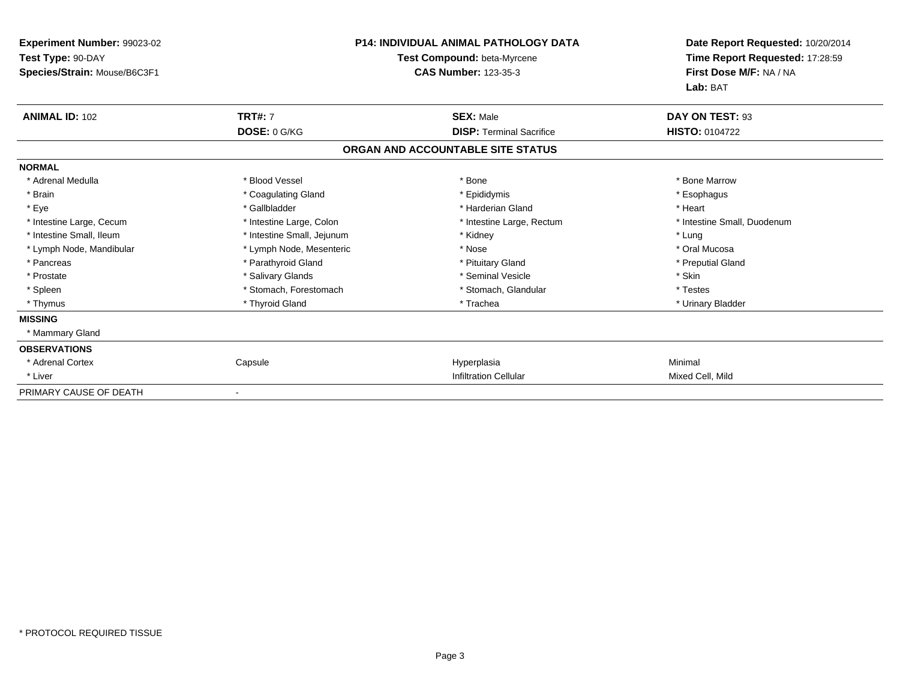| <b>Experiment Number: 99023-02</b><br>Test Type: 90-DAY<br>Species/Strain: Mouse/B6C3F1 |                            | <b>P14: INDIVIDUAL ANIMAL PATHOLOGY DATA</b><br>Test Compound: beta-Myrcene<br><b>CAS Number: 123-35-3</b> | Date Report Requested: 10/20/2014<br>Time Report Requested: 17:28:59<br>First Dose M/F: NA / NA<br>Lab: BAT |
|-----------------------------------------------------------------------------------------|----------------------------|------------------------------------------------------------------------------------------------------------|-------------------------------------------------------------------------------------------------------------|
| <b>ANIMAL ID: 102</b>                                                                   | <b>TRT#: 7</b>             | <b>SEX: Male</b>                                                                                           | DAY ON TEST: 93                                                                                             |
|                                                                                         | DOSE: 0 G/KG               | <b>DISP: Terminal Sacrifice</b>                                                                            | <b>HISTO: 0104722</b>                                                                                       |
|                                                                                         |                            | ORGAN AND ACCOUNTABLE SITE STATUS                                                                          |                                                                                                             |
| <b>NORMAL</b>                                                                           |                            |                                                                                                            |                                                                                                             |
| * Adrenal Medulla                                                                       | * Blood Vessel             | * Bone                                                                                                     | * Bone Marrow                                                                                               |
| * Brain                                                                                 | * Coagulating Gland        | * Epididymis                                                                                               | * Esophagus                                                                                                 |
| * Eye                                                                                   | * Gallbladder              | * Harderian Gland                                                                                          | * Heart                                                                                                     |
| * Intestine Large, Cecum                                                                | * Intestine Large, Colon   | * Intestine Large, Rectum                                                                                  | * Intestine Small, Duodenum                                                                                 |
| * Intestine Small, Ileum                                                                | * Intestine Small, Jejunum | * Kidney                                                                                                   | * Lung                                                                                                      |
| * Lymph Node, Mandibular                                                                | * Lymph Node, Mesenteric   | * Nose                                                                                                     | * Oral Mucosa                                                                                               |
| * Pancreas                                                                              | * Parathyroid Gland        | * Pituitary Gland                                                                                          | * Preputial Gland                                                                                           |
| * Prostate                                                                              | * Salivary Glands          | * Seminal Vesicle                                                                                          | * Skin                                                                                                      |
| * Spleen                                                                                | * Stomach, Forestomach     | * Stomach, Glandular                                                                                       | * Testes                                                                                                    |
| * Thymus                                                                                | * Thyroid Gland            | * Trachea                                                                                                  | * Urinary Bladder                                                                                           |
| <b>MISSING</b>                                                                          |                            |                                                                                                            |                                                                                                             |
| * Mammary Gland                                                                         |                            |                                                                                                            |                                                                                                             |
| <b>OBSERVATIONS</b>                                                                     |                            |                                                                                                            |                                                                                                             |
| * Adrenal Cortex                                                                        | Capsule                    | Hyperplasia                                                                                                | Minimal                                                                                                     |
| * Liver                                                                                 |                            | <b>Infiltration Cellular</b>                                                                               | Mixed Cell, Mild                                                                                            |
| PRIMARY CAUSE OF DEATH                                                                  |                            |                                                                                                            |                                                                                                             |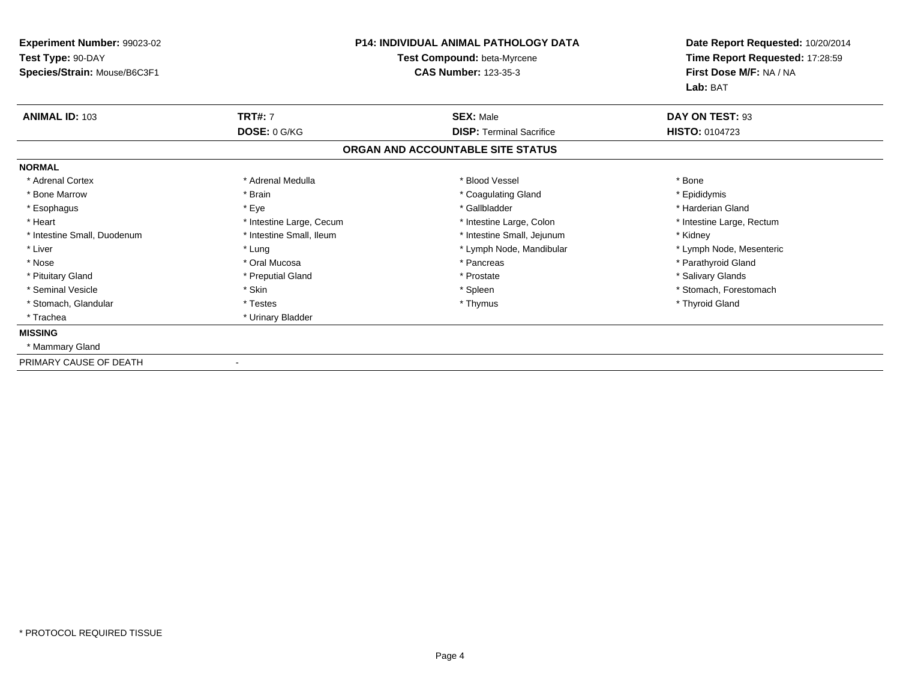| Experiment Number: 99023-02  | <b>P14: INDIVIDUAL ANIMAL PATHOLOGY DATA</b><br>Test Compound: beta-Myrcene |                                   | Date Report Requested: 10/20/2014 |  |
|------------------------------|-----------------------------------------------------------------------------|-----------------------------------|-----------------------------------|--|
| Test Type: 90-DAY            |                                                                             |                                   | Time Report Requested: 17:28:59   |  |
| Species/Strain: Mouse/B6C3F1 |                                                                             | <b>CAS Number: 123-35-3</b>       | First Dose M/F: NA / NA           |  |
|                              |                                                                             |                                   | Lab: BAT                          |  |
| <b>ANIMAL ID: 103</b>        | <b>TRT#: 7</b>                                                              | <b>SEX: Male</b>                  | DAY ON TEST: 93                   |  |
|                              | DOSE: 0 G/KG                                                                | <b>DISP: Terminal Sacrifice</b>   | <b>HISTO: 0104723</b>             |  |
|                              |                                                                             | ORGAN AND ACCOUNTABLE SITE STATUS |                                   |  |
| <b>NORMAL</b>                |                                                                             |                                   |                                   |  |
| * Adrenal Cortex             | * Adrenal Medulla                                                           | * Blood Vessel                    | * Bone                            |  |
| * Bone Marrow                | * Brain                                                                     | * Coagulating Gland               | * Epididymis                      |  |
| * Esophagus                  | * Eye                                                                       | * Gallbladder                     | * Harderian Gland                 |  |
| * Heart                      | * Intestine Large, Cecum                                                    | * Intestine Large, Colon          | * Intestine Large, Rectum         |  |
| * Intestine Small, Duodenum  | * Intestine Small, Ileum                                                    | * Intestine Small, Jejunum        | * Kidney                          |  |
| * Liver                      | * Lung                                                                      | * Lymph Node, Mandibular          | * Lymph Node, Mesenteric          |  |
| * Nose                       | * Oral Mucosa                                                               | * Pancreas                        | * Parathyroid Gland               |  |
| * Pituitary Gland            | * Preputial Gland                                                           | * Prostate                        | * Salivary Glands                 |  |
| * Seminal Vesicle            | * Skin                                                                      | * Spleen                          | * Stomach, Forestomach            |  |
| * Stomach, Glandular         | * Testes                                                                    | * Thymus                          | * Thyroid Gland                   |  |
| * Trachea                    | * Urinary Bladder                                                           |                                   |                                   |  |
| <b>MISSING</b>               |                                                                             |                                   |                                   |  |
| * Mammary Gland              |                                                                             |                                   |                                   |  |
| PRIMARY CAUSE OF DEATH       |                                                                             |                                   |                                   |  |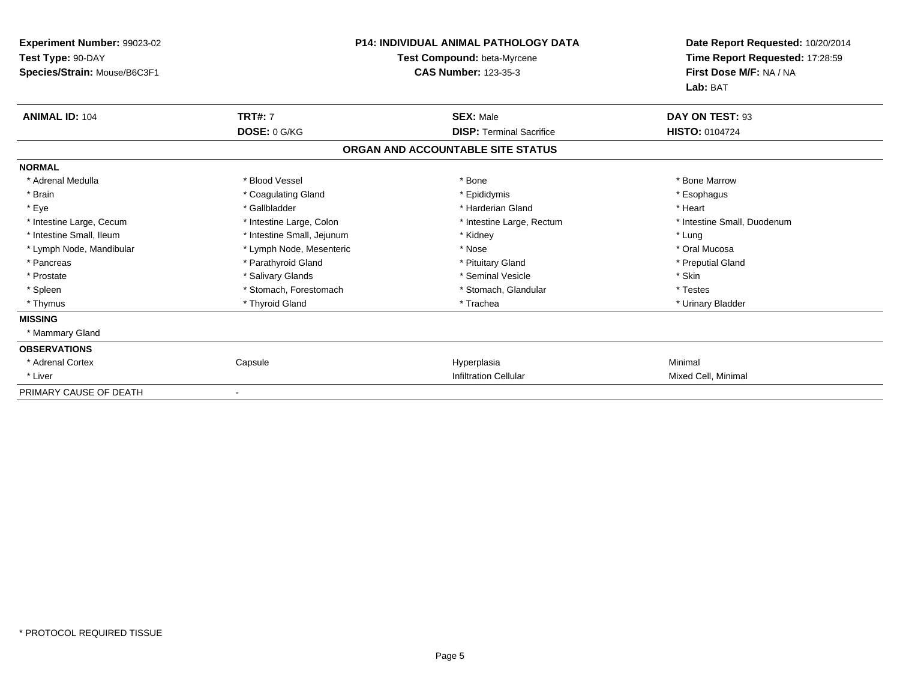| <b>Experiment Number: 99023-02</b><br>Test Type: 90-DAY<br>Species/Strain: Mouse/B6C3F1 |                            | <b>P14: INDIVIDUAL ANIMAL PATHOLOGY DATA</b><br>Test Compound: beta-Myrcene<br><b>CAS Number: 123-35-3</b> | Date Report Requested: 10/20/2014<br>Time Report Requested: 17:28:59<br>First Dose M/F: NA / NA<br>Lab: BAT |
|-----------------------------------------------------------------------------------------|----------------------------|------------------------------------------------------------------------------------------------------------|-------------------------------------------------------------------------------------------------------------|
| <b>ANIMAL ID: 104</b>                                                                   | <b>TRT#: 7</b>             | <b>SEX: Male</b>                                                                                           | DAY ON TEST: 93                                                                                             |
|                                                                                         | DOSE: 0 G/KG               | <b>DISP: Terminal Sacrifice</b>                                                                            | <b>HISTO: 0104724</b>                                                                                       |
|                                                                                         |                            | ORGAN AND ACCOUNTABLE SITE STATUS                                                                          |                                                                                                             |
| <b>NORMAL</b>                                                                           |                            |                                                                                                            |                                                                                                             |
| * Adrenal Medulla                                                                       | * Blood Vessel             | * Bone                                                                                                     | * Bone Marrow                                                                                               |
| * Brain                                                                                 | * Coagulating Gland        | * Epididymis                                                                                               | * Esophagus                                                                                                 |
| * Eye                                                                                   | * Gallbladder              | * Harderian Gland                                                                                          | * Heart                                                                                                     |
| * Intestine Large, Cecum                                                                | * Intestine Large, Colon   | * Intestine Large, Rectum                                                                                  | * Intestine Small, Duodenum                                                                                 |
| * Intestine Small, Ileum                                                                | * Intestine Small, Jejunum | * Kidney                                                                                                   | * Lung                                                                                                      |
| * Lymph Node, Mandibular                                                                | * Lymph Node, Mesenteric   | * Nose                                                                                                     | * Oral Mucosa                                                                                               |
| * Pancreas                                                                              | * Parathyroid Gland        | * Pituitary Gland                                                                                          | * Preputial Gland                                                                                           |
| * Prostate                                                                              | * Salivary Glands          | * Seminal Vesicle                                                                                          | * Skin                                                                                                      |
| * Spleen                                                                                | * Stomach, Forestomach     | * Stomach, Glandular                                                                                       | * Testes                                                                                                    |
| * Thymus                                                                                | * Thyroid Gland            | * Trachea                                                                                                  | * Urinary Bladder                                                                                           |
| <b>MISSING</b>                                                                          |                            |                                                                                                            |                                                                                                             |
| * Mammary Gland                                                                         |                            |                                                                                                            |                                                                                                             |
| <b>OBSERVATIONS</b>                                                                     |                            |                                                                                                            |                                                                                                             |
| * Adrenal Cortex                                                                        | Capsule                    | Hyperplasia                                                                                                | Minimal                                                                                                     |
| * Liver                                                                                 |                            | <b>Infiltration Cellular</b>                                                                               | Mixed Cell, Minimal                                                                                         |
| PRIMARY CAUSE OF DEATH                                                                  |                            |                                                                                                            |                                                                                                             |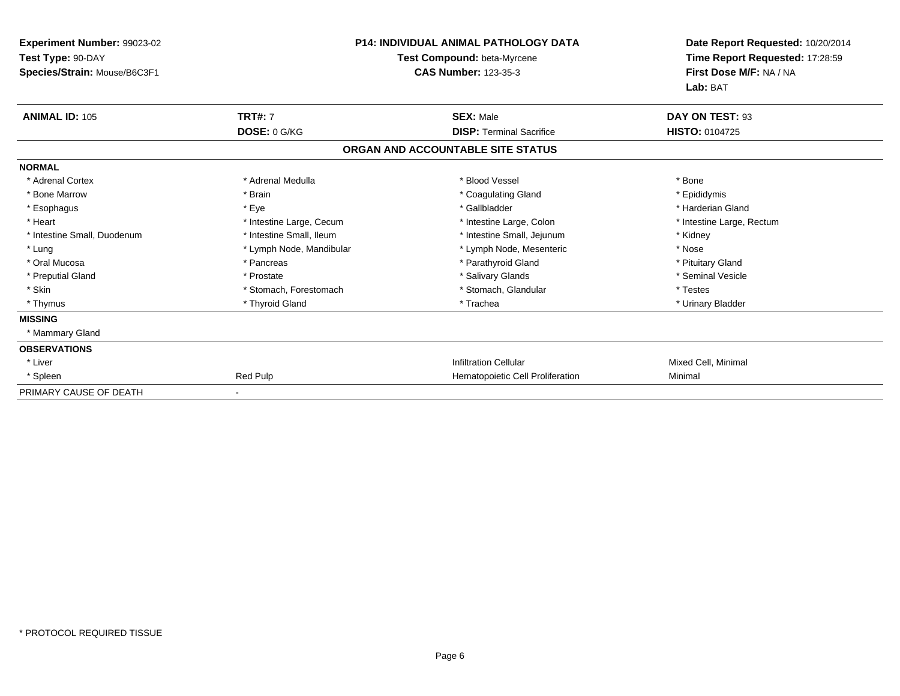| <b>Experiment Number: 99023-02</b><br>Test Type: 90-DAY<br>Species/Strain: Mouse/B6C3F1 |                          | <b>P14: INDIVIDUAL ANIMAL PATHOLOGY DATA</b><br>Test Compound: beta-Myrcene<br><b>CAS Number: 123-35-3</b> | Date Report Requested: 10/20/2014<br>Time Report Requested: 17:28:59<br>First Dose M/F: NA / NA<br>Lab: BAT |
|-----------------------------------------------------------------------------------------|--------------------------|------------------------------------------------------------------------------------------------------------|-------------------------------------------------------------------------------------------------------------|
| <b>ANIMAL ID: 105</b>                                                                   | <b>TRT#: 7</b>           | <b>SEX: Male</b>                                                                                           | DAY ON TEST: 93                                                                                             |
|                                                                                         | DOSE: 0 G/KG             | <b>DISP: Terminal Sacrifice</b>                                                                            | <b>HISTO: 0104725</b>                                                                                       |
|                                                                                         |                          | ORGAN AND ACCOUNTABLE SITE STATUS                                                                          |                                                                                                             |
| <b>NORMAL</b>                                                                           |                          |                                                                                                            |                                                                                                             |
| * Adrenal Cortex                                                                        | * Adrenal Medulla        | * Blood Vessel                                                                                             | * Bone                                                                                                      |
| * Bone Marrow                                                                           | * Brain                  | * Coagulating Gland                                                                                        | * Epididymis                                                                                                |
| * Esophagus                                                                             | * Eye                    | * Gallbladder                                                                                              | * Harderian Gland                                                                                           |
| * Heart                                                                                 | * Intestine Large, Cecum | * Intestine Large, Colon                                                                                   | * Intestine Large, Rectum                                                                                   |
| * Intestine Small, Duodenum                                                             | * Intestine Small, Ileum | * Intestine Small, Jejunum                                                                                 | * Kidney                                                                                                    |
| * Lung                                                                                  | * Lymph Node, Mandibular | * Lymph Node, Mesenteric                                                                                   | * Nose                                                                                                      |
| * Oral Mucosa                                                                           | * Pancreas               | * Parathyroid Gland                                                                                        | * Pituitary Gland                                                                                           |
| * Preputial Gland                                                                       | * Prostate               | * Salivary Glands                                                                                          | * Seminal Vesicle                                                                                           |
| * Skin                                                                                  | * Stomach, Forestomach   | * Stomach, Glandular                                                                                       | * Testes                                                                                                    |
| * Thymus                                                                                | * Thyroid Gland          | * Trachea                                                                                                  | * Urinary Bladder                                                                                           |
| <b>MISSING</b>                                                                          |                          |                                                                                                            |                                                                                                             |
| * Mammary Gland                                                                         |                          |                                                                                                            |                                                                                                             |
| <b>OBSERVATIONS</b>                                                                     |                          |                                                                                                            |                                                                                                             |
| * Liver                                                                                 |                          | <b>Infiltration Cellular</b>                                                                               | Mixed Cell, Minimal                                                                                         |
| * Spleen                                                                                | Red Pulp                 | Hematopoietic Cell Proliferation                                                                           | Minimal                                                                                                     |
| PRIMARY CAUSE OF DEATH                                                                  |                          |                                                                                                            |                                                                                                             |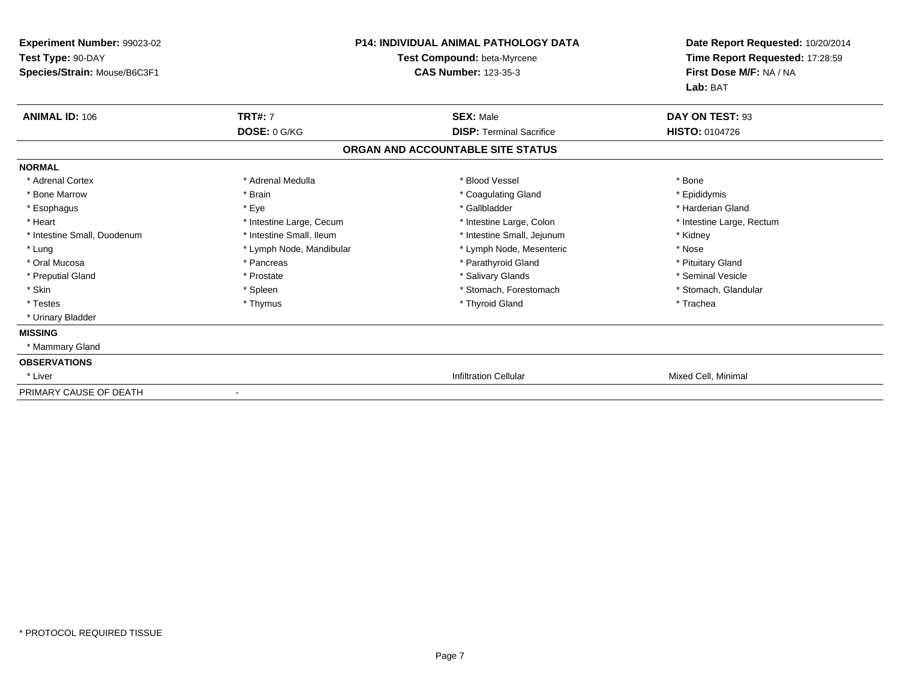| Experiment Number: 99023-02  |                                    | <b>P14: INDIVIDUAL ANIMAL PATHOLOGY DATA</b> | Date Report Requested: 10/20/2014 |
|------------------------------|------------------------------------|----------------------------------------------|-----------------------------------|
| Test Type: 90-DAY            | <b>Test Compound: beta-Myrcene</b> |                                              | Time Report Requested: 17:28:59   |
| Species/Strain: Mouse/B6C3F1 |                                    | <b>CAS Number: 123-35-3</b>                  | First Dose M/F: NA / NA           |
|                              |                                    |                                              | Lab: BAT                          |
| <b>ANIMAL ID: 106</b>        | <b>TRT#: 7</b>                     | <b>SEX: Male</b>                             | DAY ON TEST: 93                   |
|                              | DOSE: 0 G/KG                       | <b>DISP: Terminal Sacrifice</b>              | <b>HISTO: 0104726</b>             |
|                              |                                    | ORGAN AND ACCOUNTABLE SITE STATUS            |                                   |
| <b>NORMAL</b>                |                                    |                                              |                                   |
| * Adrenal Cortex             | * Adrenal Medulla                  | * Blood Vessel                               | * Bone                            |
| * Bone Marrow                | * Brain                            | * Coagulating Gland                          | * Epididymis                      |
| * Esophagus                  | * Eye                              | * Gallbladder                                | * Harderian Gland                 |
| * Heart                      | * Intestine Large, Cecum           | * Intestine Large, Colon                     | * Intestine Large, Rectum         |
| * Intestine Small, Duodenum  | * Intestine Small, Ileum           | * Intestine Small, Jejunum                   | * Kidney                          |
| * Lung                       | * Lymph Node, Mandibular           | * Lymph Node, Mesenteric                     | * Nose                            |
| * Oral Mucosa                | * Pancreas                         | * Parathyroid Gland                          | * Pituitary Gland                 |
| * Preputial Gland            | * Prostate                         | * Salivary Glands                            | * Seminal Vesicle                 |
| * Skin                       | * Spleen                           | * Stomach, Forestomach                       | * Stomach, Glandular              |
| * Testes                     | * Thymus                           | * Thyroid Gland                              | * Trachea                         |
| * Urinary Bladder            |                                    |                                              |                                   |
| <b>MISSING</b>               |                                    |                                              |                                   |
| * Mammary Gland              |                                    |                                              |                                   |
| <b>OBSERVATIONS</b>          |                                    |                                              |                                   |
| * Liver                      |                                    | <b>Infiltration Cellular</b>                 | Mixed Cell, Minimal               |
| PRIMARY CAUSE OF DEATH       | $\blacksquare$                     |                                              |                                   |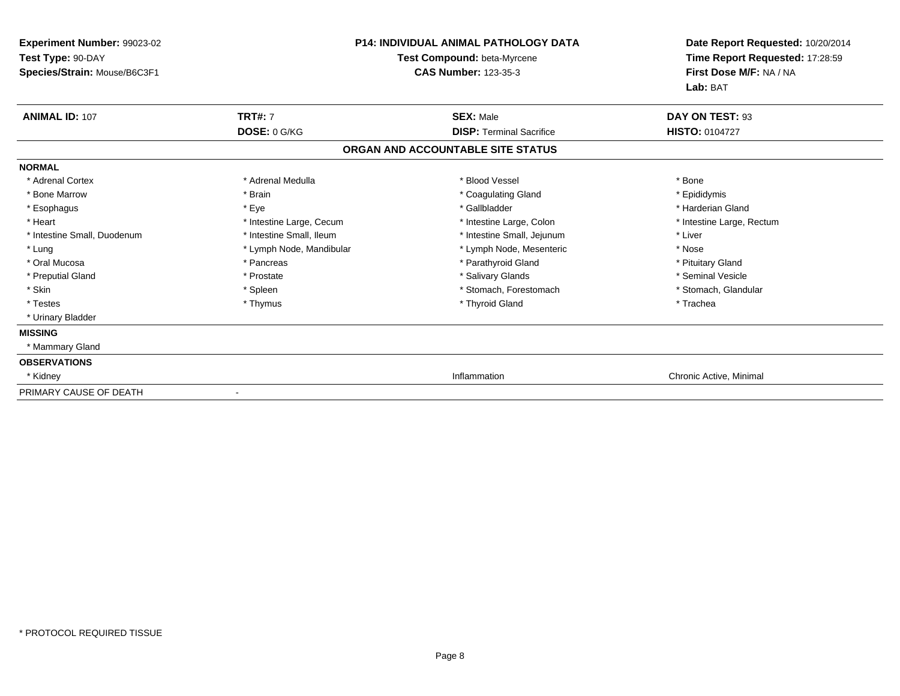| Experiment Number: 99023-02  |                          | <b>P14: INDIVIDUAL ANIMAL PATHOLOGY DATA</b> | Date Report Requested: 10/20/2014<br>Time Report Requested: 17:28:59 |
|------------------------------|--------------------------|----------------------------------------------|----------------------------------------------------------------------|
| Test Type: 90-DAY            |                          | <b>Test Compound: beta-Myrcene</b>           |                                                                      |
| Species/Strain: Mouse/B6C3F1 |                          | <b>CAS Number: 123-35-3</b>                  | First Dose M/F: NA / NA                                              |
|                              |                          |                                              | Lab: BAT                                                             |
| <b>ANIMAL ID: 107</b>        | <b>TRT#: 7</b>           | <b>SEX: Male</b>                             | DAY ON TEST: 93                                                      |
|                              | DOSE: 0 G/KG             | <b>DISP: Terminal Sacrifice</b>              | <b>HISTO: 0104727</b>                                                |
|                              |                          | ORGAN AND ACCOUNTABLE SITE STATUS            |                                                                      |
| <b>NORMAL</b>                |                          |                                              |                                                                      |
| * Adrenal Cortex             | * Adrenal Medulla        | * Blood Vessel                               | * Bone                                                               |
| * Bone Marrow                | * Brain                  | * Coagulating Gland                          | * Epididymis                                                         |
| * Esophagus                  | * Eye                    | * Gallbladder                                | * Harderian Gland                                                    |
| * Heart                      | * Intestine Large, Cecum | * Intestine Large, Colon                     | * Intestine Large, Rectum                                            |
| * Intestine Small, Duodenum  | * Intestine Small, Ileum | * Intestine Small, Jejunum                   | * Liver                                                              |
| * Lung                       | * Lymph Node, Mandibular | * Lymph Node, Mesenteric                     | * Nose                                                               |
| * Oral Mucosa                | * Pancreas               | * Parathyroid Gland                          | * Pituitary Gland                                                    |
| * Preputial Gland            | * Prostate               | * Salivary Glands                            | * Seminal Vesicle                                                    |
| * Skin                       | * Spleen                 | * Stomach, Forestomach                       | * Stomach, Glandular                                                 |
| * Testes                     | * Thymus                 | * Thyroid Gland                              | * Trachea                                                            |
| * Urinary Bladder            |                          |                                              |                                                                      |
| <b>MISSING</b>               |                          |                                              |                                                                      |
| * Mammary Gland              |                          |                                              |                                                                      |
| <b>OBSERVATIONS</b>          |                          |                                              |                                                                      |
| * Kidney                     |                          | Inflammation                                 | Chronic Active, Minimal                                              |
| PRIMARY CAUSE OF DEATH       | $\blacksquare$           |                                              |                                                                      |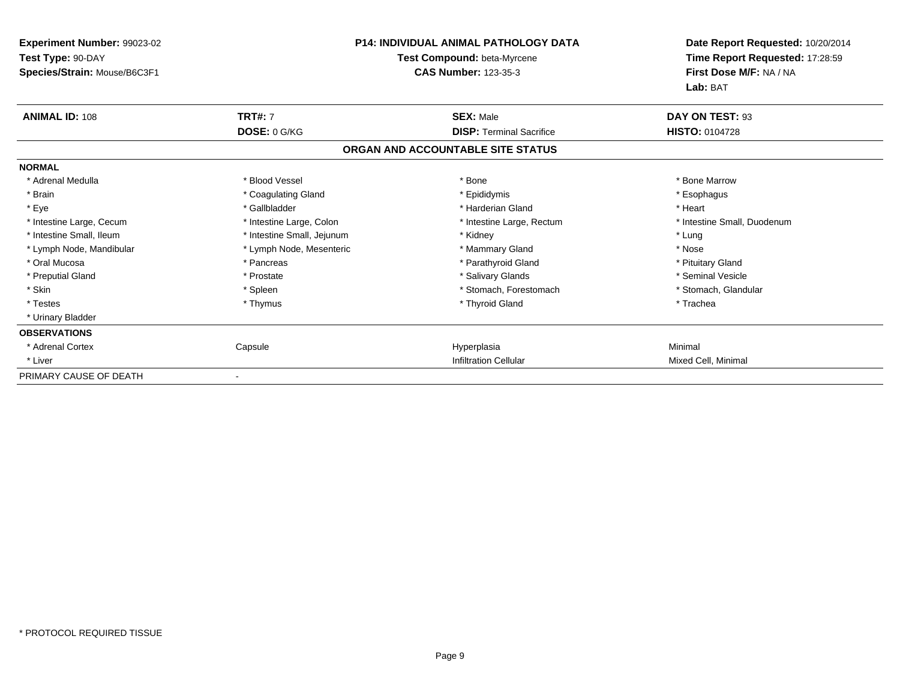| Experiment Number: 99023-02  |                             | <b>P14: INDIVIDUAL ANIMAL PATHOLOGY DATA</b> | Date Report Requested: 10/20/2014 |
|------------------------------|-----------------------------|----------------------------------------------|-----------------------------------|
| Test Type: 90-DAY            | Test Compound: beta-Myrcene |                                              | Time Report Requested: 17:28:59   |
| Species/Strain: Mouse/B6C3F1 |                             | <b>CAS Number: 123-35-3</b>                  | First Dose M/F: NA / NA           |
|                              |                             |                                              | Lab: BAT                          |
| <b>ANIMAL ID: 108</b>        | <b>TRT#: 7</b>              | <b>SEX: Male</b>                             | DAY ON TEST: 93                   |
|                              | DOSE: 0 G/KG                | <b>DISP: Terminal Sacrifice</b>              | <b>HISTO: 0104728</b>             |
|                              |                             | ORGAN AND ACCOUNTABLE SITE STATUS            |                                   |
| <b>NORMAL</b>                |                             |                                              |                                   |
| * Adrenal Medulla            | * Blood Vessel              | * Bone                                       | * Bone Marrow                     |
| * Brain                      | * Coagulating Gland         | * Epididymis                                 | * Esophagus                       |
| * Eye                        | * Gallbladder               | * Harderian Gland                            | * Heart                           |
| * Intestine Large, Cecum     | * Intestine Large, Colon    | * Intestine Large, Rectum                    | * Intestine Small, Duodenum       |
| * Intestine Small, Ileum     | * Intestine Small, Jejunum  | * Kidney                                     | * Lung                            |
| * Lymph Node, Mandibular     | * Lymph Node, Mesenteric    | * Mammary Gland                              | * Nose                            |
| * Oral Mucosa                | * Pancreas                  | * Parathyroid Gland                          | * Pituitary Gland                 |
| * Preputial Gland            | * Prostate                  | * Salivary Glands                            | * Seminal Vesicle                 |
| * Skin                       | * Spleen                    | * Stomach, Forestomach                       | * Stomach, Glandular              |
| * Testes                     | * Thymus                    | * Thyroid Gland                              | * Trachea                         |
| * Urinary Bladder            |                             |                                              |                                   |
| <b>OBSERVATIONS</b>          |                             |                                              |                                   |
| * Adrenal Cortex             | Capsule                     | Hyperplasia                                  | Minimal                           |
| * Liver                      |                             | <b>Infiltration Cellular</b>                 | Mixed Cell, Minimal               |
| PRIMARY CAUSE OF DEATH       |                             |                                              |                                   |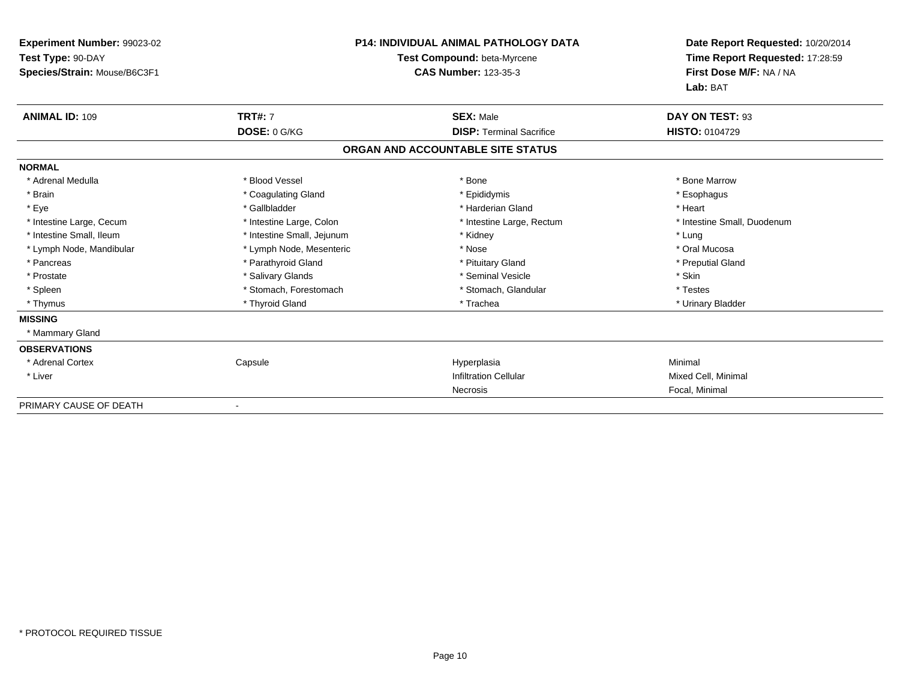| <b>Experiment Number: 99023-02</b> | <b>P14: INDIVIDUAL ANIMAL PATHOLOGY DATA</b> |                                   | Date Report Requested: 10/20/2014 |
|------------------------------------|----------------------------------------------|-----------------------------------|-----------------------------------|
| Test Type: 90-DAY                  |                                              | Test Compound: beta-Myrcene       | Time Report Requested: 17:28:59   |
| Species/Strain: Mouse/B6C3F1       |                                              | <b>CAS Number: 123-35-3</b>       | First Dose M/F: NA / NA           |
|                                    |                                              |                                   | Lab: BAT                          |
| <b>ANIMAL ID: 109</b>              | <b>TRT#: 7</b>                               | <b>SEX: Male</b>                  | DAY ON TEST: 93                   |
|                                    | DOSE: 0 G/KG                                 | <b>DISP:</b> Terminal Sacrifice   | <b>HISTO: 0104729</b>             |
|                                    |                                              | ORGAN AND ACCOUNTABLE SITE STATUS |                                   |
| <b>NORMAL</b>                      |                                              |                                   |                                   |
| * Adrenal Medulla                  | * Blood Vessel                               | * Bone                            | * Bone Marrow                     |
| * Brain                            | * Coagulating Gland                          | * Epididymis                      | * Esophagus                       |
| * Eye                              | * Gallbladder                                | * Harderian Gland                 | * Heart                           |
| * Intestine Large, Cecum           | * Intestine Large, Colon                     | * Intestine Large, Rectum         | * Intestine Small, Duodenum       |
| * Intestine Small, Ileum           | * Intestine Small, Jejunum                   | * Kidney                          | * Lung                            |
| * Lymph Node, Mandibular           | * Lymph Node, Mesenteric                     | * Nose                            | * Oral Mucosa                     |
| * Pancreas                         | * Parathyroid Gland                          | * Pituitary Gland                 | * Preputial Gland                 |
| * Prostate                         | * Salivary Glands                            | * Seminal Vesicle                 | * Skin                            |
| * Spleen                           | * Stomach, Forestomach                       | * Stomach, Glandular              | * Testes                          |
| * Thymus                           | * Thyroid Gland                              | * Trachea                         | * Urinary Bladder                 |
| <b>MISSING</b>                     |                                              |                                   |                                   |
| * Mammary Gland                    |                                              |                                   |                                   |
| <b>OBSERVATIONS</b>                |                                              |                                   |                                   |
| * Adrenal Cortex                   | Capsule                                      | Hyperplasia                       | Minimal                           |
| * Liver                            |                                              | <b>Infiltration Cellular</b>      | Mixed Cell, Minimal               |
|                                    |                                              | Necrosis                          | Focal, Minimal                    |
| PRIMARY CAUSE OF DEATH             |                                              |                                   |                                   |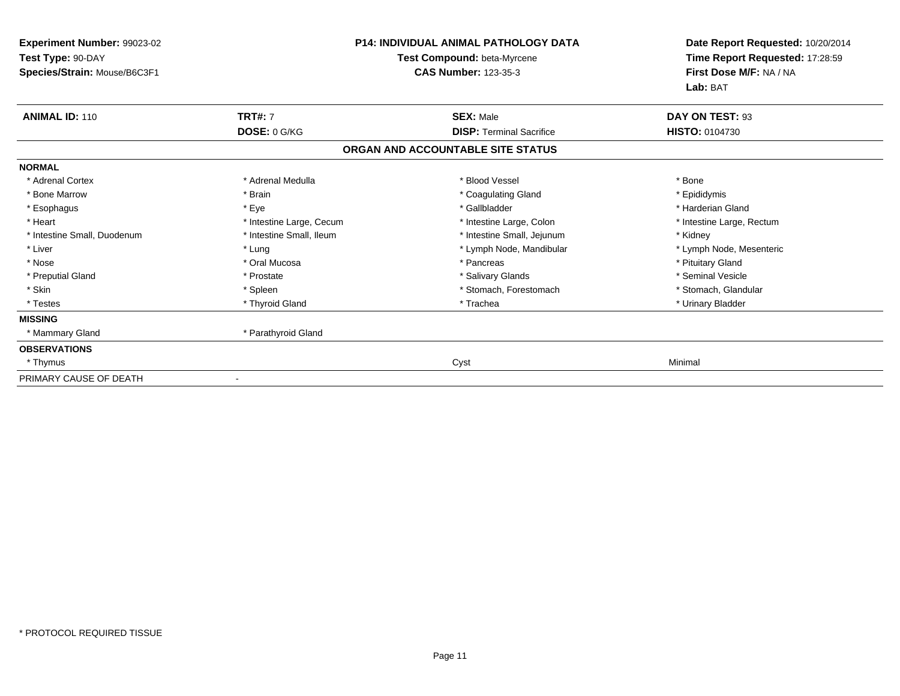| Experiment Number: 99023-02<br>Test Type: 90-DAY<br>Species/Strain: Mouse/B6C3F1 |                          | P14: INDIVIDUAL ANIMAL PATHOLOGY DATA<br>Test Compound: beta-Myrcene<br><b>CAS Number: 123-35-3</b> | Date Report Requested: 10/20/2014<br>Time Report Requested: 17:28:59<br>First Dose M/F: NA / NA<br>Lab: BAT |
|----------------------------------------------------------------------------------|--------------------------|-----------------------------------------------------------------------------------------------------|-------------------------------------------------------------------------------------------------------------|
| <b>ANIMAL ID: 110</b>                                                            | <b>TRT#: 7</b>           | <b>SEX: Male</b>                                                                                    | DAY ON TEST: 93                                                                                             |
|                                                                                  | DOSE: 0 G/KG             | <b>DISP: Terminal Sacrifice</b>                                                                     | <b>HISTO: 0104730</b>                                                                                       |
|                                                                                  |                          | ORGAN AND ACCOUNTABLE SITE STATUS                                                                   |                                                                                                             |
| <b>NORMAL</b>                                                                    |                          |                                                                                                     |                                                                                                             |
| * Adrenal Cortex                                                                 | * Adrenal Medulla        | * Blood Vessel                                                                                      | * Bone                                                                                                      |
| * Bone Marrow                                                                    | * Brain                  | * Coagulating Gland                                                                                 | * Epididymis                                                                                                |
| * Esophagus                                                                      | * Eye                    | * Gallbladder                                                                                       | * Harderian Gland                                                                                           |
| * Heart                                                                          | * Intestine Large, Cecum | * Intestine Large, Colon                                                                            | * Intestine Large, Rectum                                                                                   |
| * Intestine Small, Duodenum                                                      | * Intestine Small, Ileum | * Intestine Small, Jejunum                                                                          | * Kidney                                                                                                    |
| * Liver                                                                          | * Lung                   | * Lymph Node, Mandibular                                                                            | * Lymph Node, Mesenteric                                                                                    |
| * Nose                                                                           | * Oral Mucosa            | * Pancreas                                                                                          | * Pituitary Gland                                                                                           |
| * Preputial Gland                                                                | * Prostate               | * Salivary Glands                                                                                   | * Seminal Vesicle                                                                                           |
| * Skin                                                                           | * Spleen                 | * Stomach, Forestomach                                                                              | * Stomach, Glandular                                                                                        |
| * Testes                                                                         | * Thyroid Gland          | * Trachea                                                                                           | * Urinary Bladder                                                                                           |
| <b>MISSING</b>                                                                   |                          |                                                                                                     |                                                                                                             |
| * Mammary Gland                                                                  | * Parathyroid Gland      |                                                                                                     |                                                                                                             |
| <b>OBSERVATIONS</b>                                                              |                          |                                                                                                     |                                                                                                             |
| * Thymus                                                                         |                          | Cyst                                                                                                | Minimal                                                                                                     |
| PRIMARY CAUSE OF DEATH                                                           | $\blacksquare$           |                                                                                                     |                                                                                                             |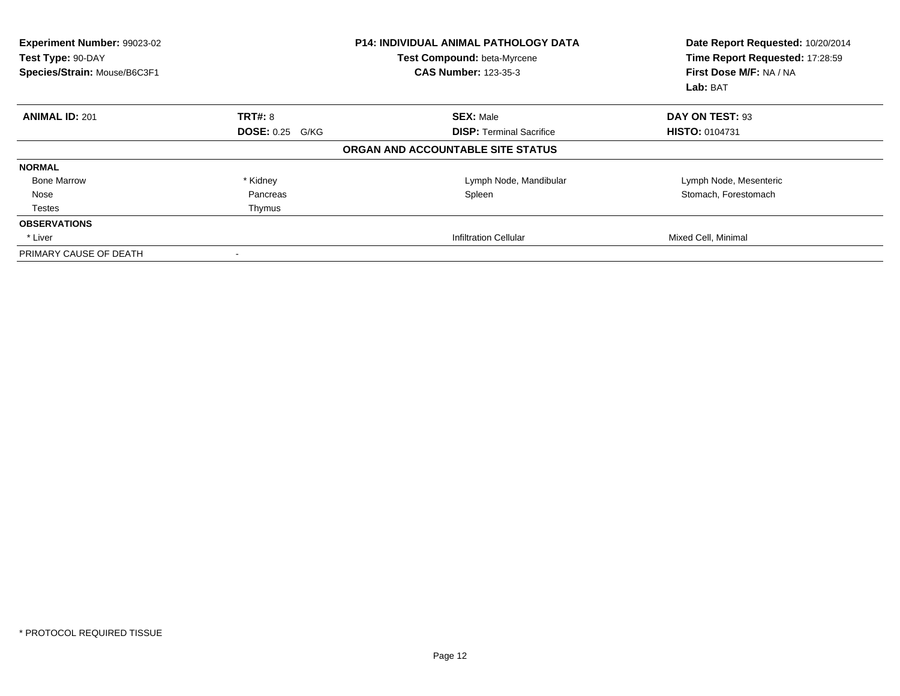| Experiment Number: 99023-02<br>Test Type: 90-DAY<br>Species/Strain: Mouse/B6C3F1 |                        | <b>P14: INDIVIDUAL ANIMAL PATHOLOGY DATA</b><br>Test Compound: beta-Myrcene<br><b>CAS Number: 123-35-3</b> | Date Report Requested: 10/20/2014<br>Time Report Requested: 17:28:59<br>First Dose M/F: NA / NA<br>Lab: BAT |
|----------------------------------------------------------------------------------|------------------------|------------------------------------------------------------------------------------------------------------|-------------------------------------------------------------------------------------------------------------|
| <b>ANIMAL ID: 201</b>                                                            | <b>TRT#: 8</b>         | <b>SEX: Male</b>                                                                                           | DAY ON TEST: 93                                                                                             |
|                                                                                  | <b>DOSE: 0.25 G/KG</b> | <b>DISP: Terminal Sacrifice</b>                                                                            | <b>HISTO: 0104731</b>                                                                                       |
|                                                                                  |                        | ORGAN AND ACCOUNTABLE SITE STATUS                                                                          |                                                                                                             |
| <b>NORMAL</b>                                                                    |                        |                                                                                                            |                                                                                                             |
| <b>Bone Marrow</b>                                                               | * Kidney               | Lymph Node, Mandibular                                                                                     | Lymph Node, Mesenteric                                                                                      |
| Nose                                                                             | Pancreas               | Spleen                                                                                                     | Stomach, Forestomach                                                                                        |
| Testes                                                                           | Thymus                 |                                                                                                            |                                                                                                             |
| <b>OBSERVATIONS</b>                                                              |                        |                                                                                                            |                                                                                                             |
| * Liver                                                                          |                        | <b>Infiltration Cellular</b>                                                                               | Mixed Cell, Minimal                                                                                         |
| PRIMARY CAUSE OF DEATH                                                           | $\blacksquare$         |                                                                                                            |                                                                                                             |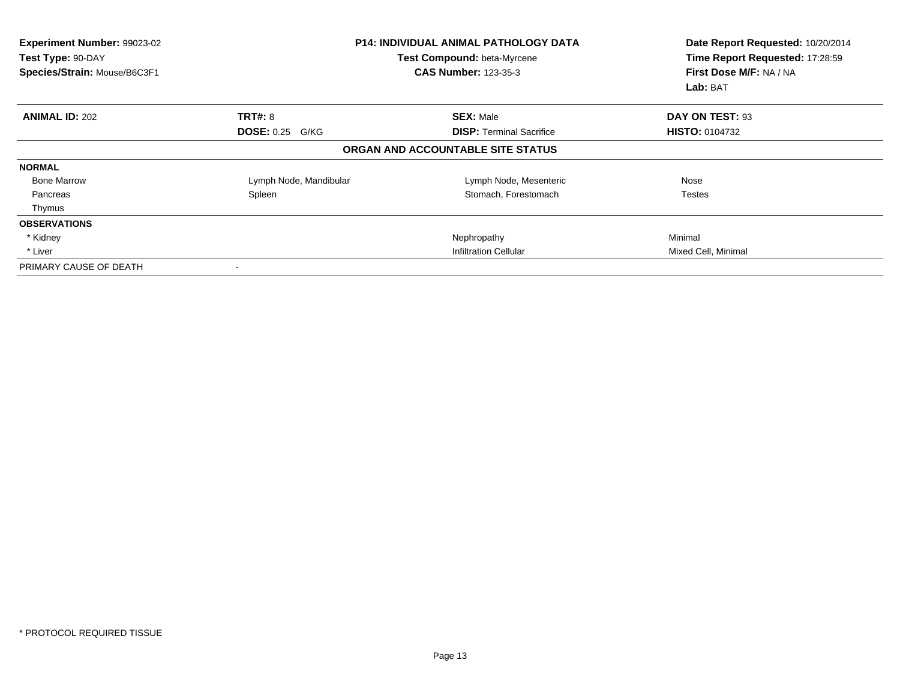| Experiment Number: 99023-02<br>Test Type: 90-DAY<br>Species/Strain: Mouse/B6C3F1 |                        | <b>P14: INDIVIDUAL ANIMAL PATHOLOGY DATA</b><br>Test Compound: beta-Myrcene<br><b>CAS Number: 123-35-3</b> | Date Report Requested: 10/20/2014<br>Time Report Requested: 17:28:59<br>First Dose M/F: NA / NA<br>Lab: BAT |
|----------------------------------------------------------------------------------|------------------------|------------------------------------------------------------------------------------------------------------|-------------------------------------------------------------------------------------------------------------|
| <b>ANIMAL ID: 202</b>                                                            | <b>TRT#: 8</b>         | <b>SEX: Male</b>                                                                                           | DAY ON TEST: 93                                                                                             |
|                                                                                  | <b>DOSE: 0.25 G/KG</b> | <b>DISP: Terminal Sacrifice</b>                                                                            | <b>HISTO: 0104732</b>                                                                                       |
|                                                                                  |                        | ORGAN AND ACCOUNTABLE SITE STATUS                                                                          |                                                                                                             |
| <b>NORMAL</b>                                                                    |                        |                                                                                                            |                                                                                                             |
| <b>Bone Marrow</b>                                                               | Lymph Node, Mandibular | Lymph Node, Mesenteric                                                                                     | Nose                                                                                                        |
| Pancreas                                                                         | Spleen                 | Stomach, Forestomach                                                                                       | Testes                                                                                                      |
| Thymus                                                                           |                        |                                                                                                            |                                                                                                             |
| <b>OBSERVATIONS</b>                                                              |                        |                                                                                                            |                                                                                                             |
| * Kidney                                                                         |                        | Nephropathy                                                                                                | Minimal                                                                                                     |
| * Liver                                                                          |                        | Infiltration Cellular                                                                                      | Mixed Cell, Minimal                                                                                         |
| PRIMARY CAUSE OF DEATH                                                           |                        |                                                                                                            |                                                                                                             |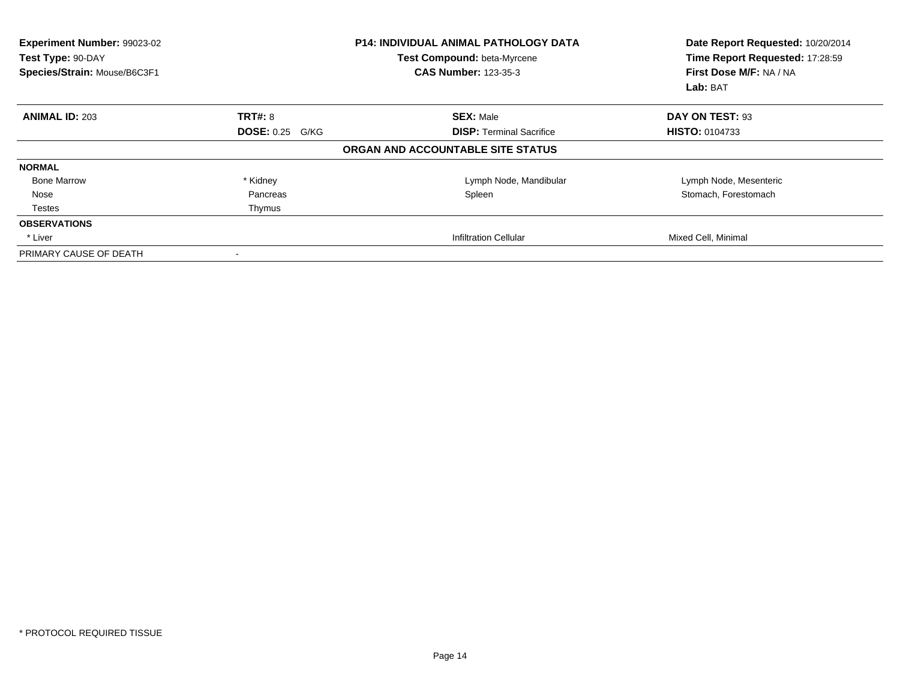| <b>Experiment Number: 99023-02</b><br>Test Type: 90-DAY<br>Species/Strain: Mouse/B6C3F1 |                          | <b>P14: INDIVIDUAL ANIMAL PATHOLOGY DATA</b><br>Test Compound: beta-Myrcene<br><b>CAS Number: 123-35-3</b> | Date Report Requested: 10/20/2014<br>Time Report Requested: 17:28:59<br>First Dose M/F: NA / NA<br>Lab: BAT |
|-----------------------------------------------------------------------------------------|--------------------------|------------------------------------------------------------------------------------------------------------|-------------------------------------------------------------------------------------------------------------|
| <b>ANIMAL ID: 203</b>                                                                   | <b>TRT#: 8</b>           | <b>SEX: Male</b>                                                                                           | DAY ON TEST: 93                                                                                             |
|                                                                                         | <b>DOSE: 0.25 G/KG</b>   | <b>DISP:</b> Terminal Sacrifice                                                                            | <b>HISTO: 0104733</b>                                                                                       |
|                                                                                         |                          | ORGAN AND ACCOUNTABLE SITE STATUS                                                                          |                                                                                                             |
| <b>NORMAL</b>                                                                           |                          |                                                                                                            |                                                                                                             |
| <b>Bone Marrow</b>                                                                      | * Kidney                 | Lymph Node, Mandibular                                                                                     | Lymph Node, Mesenteric                                                                                      |
| Nose                                                                                    | Pancreas                 | Spleen                                                                                                     | Stomach, Forestomach                                                                                        |
| Testes                                                                                  | Thymus                   |                                                                                                            |                                                                                                             |
| <b>OBSERVATIONS</b>                                                                     |                          |                                                                                                            |                                                                                                             |
| * Liver                                                                                 |                          | <b>Infiltration Cellular</b>                                                                               | Mixed Cell, Minimal                                                                                         |
| PRIMARY CAUSE OF DEATH                                                                  | $\overline{\phantom{a}}$ |                                                                                                            |                                                                                                             |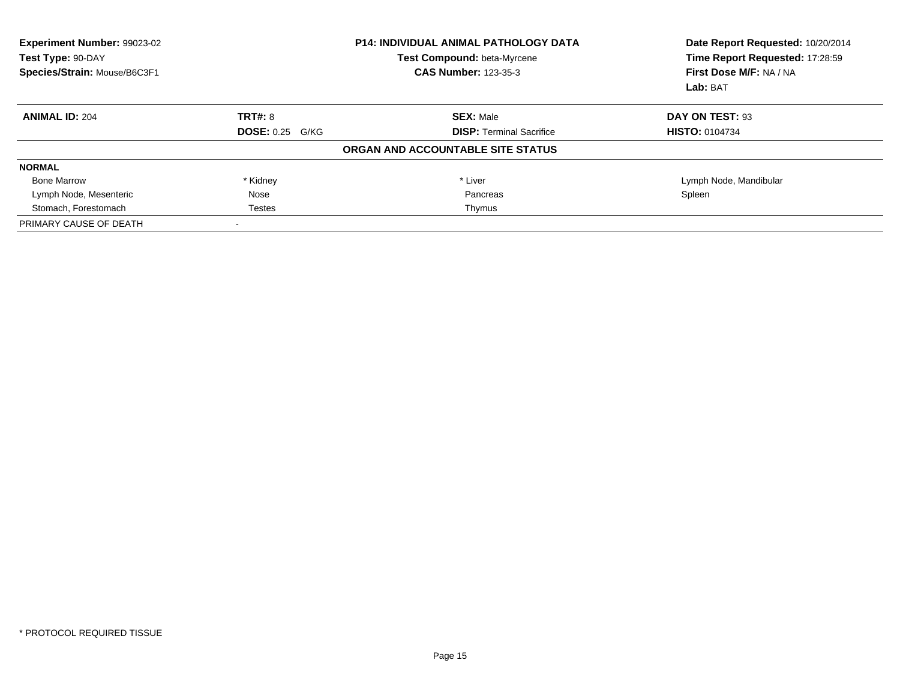| Experiment Number: 99023-02<br>Test Type: 90-DAY<br>Species/Strain: Mouse/B6C3F1 | <b>P14: INDIVIDUAL ANIMAL PATHOLOGY DATA</b><br>Test Compound: beta-Myrcene<br><b>CAS Number: 123-35-3</b> |                                   | Date Report Requested: 10/20/2014<br>Time Report Requested: 17:28:59<br>First Dose M/F: NA / NA<br>Lab: BAT |
|----------------------------------------------------------------------------------|------------------------------------------------------------------------------------------------------------|-----------------------------------|-------------------------------------------------------------------------------------------------------------|
| <b>ANIMAL ID: 204</b>                                                            | <b>TRT#: 8</b>                                                                                             | <b>SEX: Male</b>                  | DAY ON TEST: 93                                                                                             |
|                                                                                  | <b>DOSE: 0.25 G/KG</b>                                                                                     | <b>DISP:</b> Terminal Sacrifice   | <b>HISTO: 0104734</b>                                                                                       |
|                                                                                  |                                                                                                            | ORGAN AND ACCOUNTABLE SITE STATUS |                                                                                                             |
| <b>NORMAL</b>                                                                    |                                                                                                            |                                   |                                                                                                             |
| <b>Bone Marrow</b>                                                               | * Kidney                                                                                                   | * Liver                           | Lymph Node, Mandibular                                                                                      |
| Lymph Node, Mesenteric                                                           | Nose                                                                                                       | Pancreas                          | Spleen                                                                                                      |
| Stomach, Forestomach                                                             | Testes                                                                                                     | Thymus                            |                                                                                                             |
| PRIMARY CAUSE OF DEATH                                                           |                                                                                                            |                                   |                                                                                                             |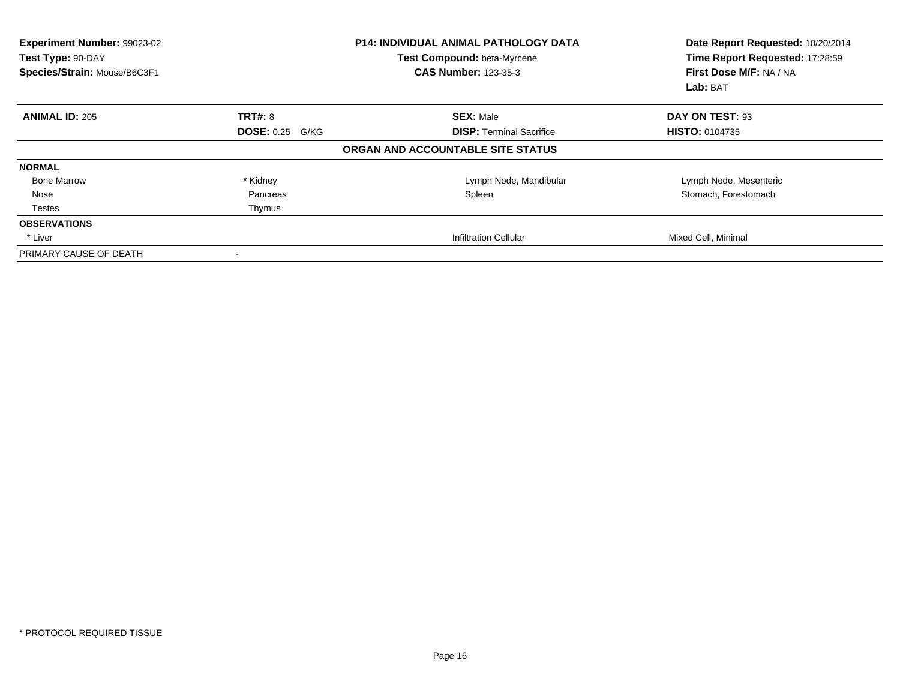| Experiment Number: 99023-02<br>Test Type: 90-DAY<br>Species/Strain: Mouse/B6C3F1 |                        | <b>P14: INDIVIDUAL ANIMAL PATHOLOGY DATA</b><br>Test Compound: beta-Myrcene<br><b>CAS Number: 123-35-3</b> | Date Report Requested: 10/20/2014<br>Time Report Requested: 17:28:59<br>First Dose M/F: NA / NA<br>Lab: BAT |
|----------------------------------------------------------------------------------|------------------------|------------------------------------------------------------------------------------------------------------|-------------------------------------------------------------------------------------------------------------|
| <b>ANIMAL ID: 205</b>                                                            | <b>TRT#: 8</b>         | <b>SEX: Male</b>                                                                                           | DAY ON TEST: 93                                                                                             |
|                                                                                  | <b>DOSE: 0.25 G/KG</b> | <b>DISP: Terminal Sacrifice</b>                                                                            | <b>HISTO: 0104735</b>                                                                                       |
|                                                                                  |                        | ORGAN AND ACCOUNTABLE SITE STATUS                                                                          |                                                                                                             |
| <b>NORMAL</b>                                                                    |                        |                                                                                                            |                                                                                                             |
| <b>Bone Marrow</b>                                                               | * Kidney               | Lymph Node, Mandibular                                                                                     | Lymph Node, Mesenteric                                                                                      |
| Nose                                                                             | Pancreas               | Spleen                                                                                                     | Stomach, Forestomach                                                                                        |
| Testes                                                                           | Thymus                 |                                                                                                            |                                                                                                             |
| <b>OBSERVATIONS</b>                                                              |                        |                                                                                                            |                                                                                                             |
| * Liver                                                                          |                        | <b>Infiltration Cellular</b>                                                                               | Mixed Cell, Minimal                                                                                         |
| PRIMARY CAUSE OF DEATH                                                           | $\blacksquare$         |                                                                                                            |                                                                                                             |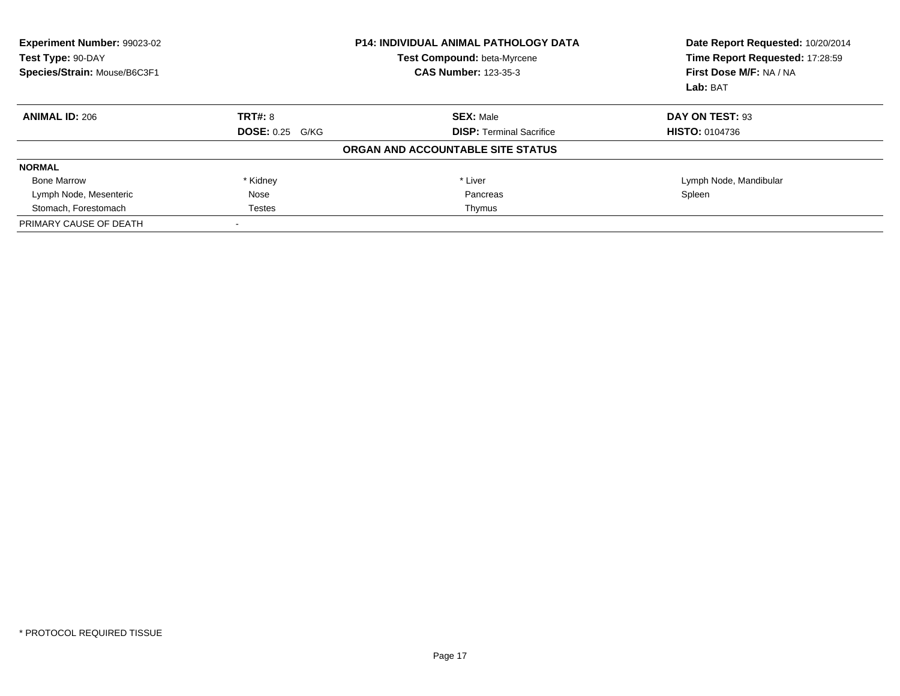| Experiment Number: 99023-02<br>Test Type: 90-DAY<br>Species/Strain: Mouse/B6C3F1 | <b>P14: INDIVIDUAL ANIMAL PATHOLOGY DATA</b><br>Test Compound: beta-Myrcene<br><b>CAS Number: 123-35-3</b> |                                   | Date Report Requested: 10/20/2014<br>Time Report Requested: 17:28:59<br>First Dose M/F: NA / NA<br>Lab: BAT |
|----------------------------------------------------------------------------------|------------------------------------------------------------------------------------------------------------|-----------------------------------|-------------------------------------------------------------------------------------------------------------|
| <b>ANIMAL ID: 206</b>                                                            | <b>TRT#: 8</b>                                                                                             | <b>SEX: Male</b>                  | DAY ON TEST: 93                                                                                             |
|                                                                                  | <b>DOSE: 0.25 G/KG</b>                                                                                     | <b>DISP:</b> Terminal Sacrifice   | <b>HISTO: 0104736</b>                                                                                       |
|                                                                                  |                                                                                                            | ORGAN AND ACCOUNTABLE SITE STATUS |                                                                                                             |
| <b>NORMAL</b>                                                                    |                                                                                                            |                                   |                                                                                                             |
| <b>Bone Marrow</b>                                                               | * Kidney                                                                                                   | * Liver                           | Lymph Node, Mandibular                                                                                      |
| Lymph Node, Mesenteric                                                           | Nose                                                                                                       | Pancreas                          | Spleen                                                                                                      |
| Stomach, Forestomach                                                             | Testes                                                                                                     | Thymus                            |                                                                                                             |
| PRIMARY CAUSE OF DEATH                                                           |                                                                                                            |                                   |                                                                                                             |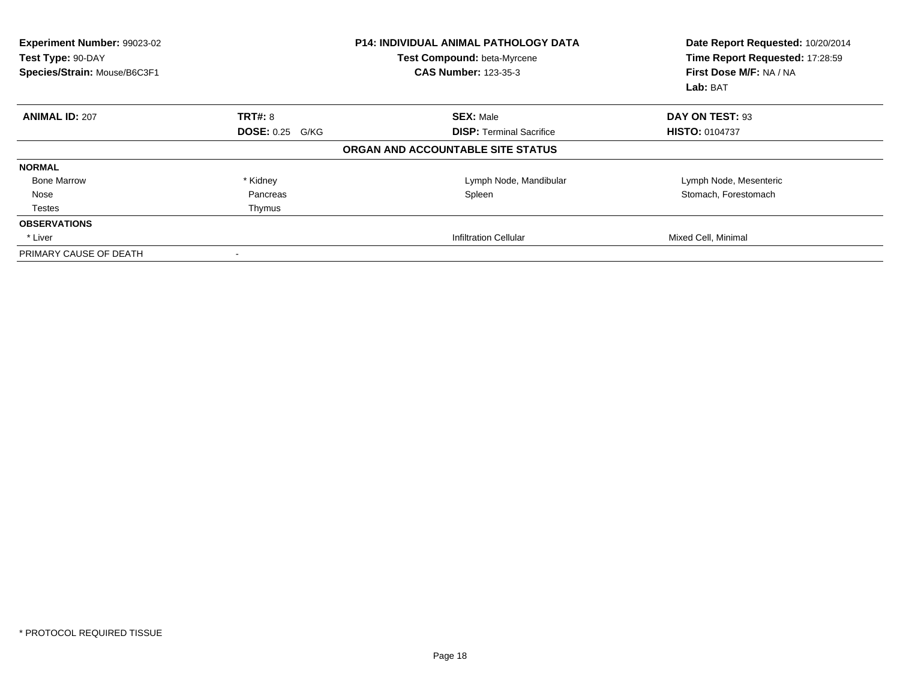| Experiment Number: 99023-02<br>Test Type: 90-DAY<br>Species/Strain: Mouse/B6C3F1 |                        | <b>P14: INDIVIDUAL ANIMAL PATHOLOGY DATA</b><br>Test Compound: beta-Myrcene<br><b>CAS Number: 123-35-3</b> | Date Report Requested: 10/20/2014<br>Time Report Requested: 17:28:59<br>First Dose M/F: NA / NA<br>Lab: BAT |
|----------------------------------------------------------------------------------|------------------------|------------------------------------------------------------------------------------------------------------|-------------------------------------------------------------------------------------------------------------|
| <b>ANIMAL ID: 207</b>                                                            | <b>TRT#: 8</b>         | <b>SEX: Male</b>                                                                                           | DAY ON TEST: 93                                                                                             |
|                                                                                  | <b>DOSE: 0.25 G/KG</b> | <b>DISP: Terminal Sacrifice</b>                                                                            | <b>HISTO: 0104737</b>                                                                                       |
|                                                                                  |                        | ORGAN AND ACCOUNTABLE SITE STATUS                                                                          |                                                                                                             |
| <b>NORMAL</b>                                                                    |                        |                                                                                                            |                                                                                                             |
| <b>Bone Marrow</b>                                                               | * Kidney               | Lymph Node, Mandibular                                                                                     | Lymph Node, Mesenteric                                                                                      |
| Nose                                                                             | Pancreas               | Spleen                                                                                                     | Stomach, Forestomach                                                                                        |
| Testes                                                                           | Thymus                 |                                                                                                            |                                                                                                             |
| <b>OBSERVATIONS</b>                                                              |                        |                                                                                                            |                                                                                                             |
| * Liver                                                                          |                        | <b>Infiltration Cellular</b>                                                                               | Mixed Cell, Minimal                                                                                         |
| PRIMARY CAUSE OF DEATH                                                           | $\blacksquare$         |                                                                                                            |                                                                                                             |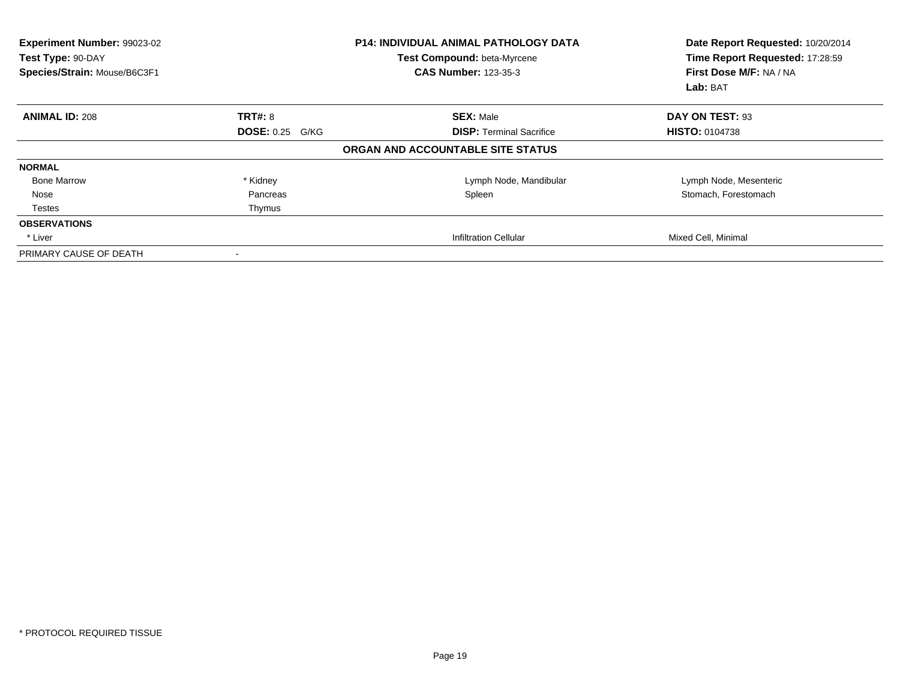| Experiment Number: 99023-02<br>Test Type: 90-DAY<br>Species/Strain: Mouse/B6C3F1 |                        | <b>P14: INDIVIDUAL ANIMAL PATHOLOGY DATA</b><br>Test Compound: beta-Myrcene<br><b>CAS Number: 123-35-3</b> | Date Report Requested: 10/20/2014<br>Time Report Requested: 17:28:59<br>First Dose M/F: NA / NA<br>Lab: BAT |
|----------------------------------------------------------------------------------|------------------------|------------------------------------------------------------------------------------------------------------|-------------------------------------------------------------------------------------------------------------|
| <b>ANIMAL ID: 208</b>                                                            | <b>TRT#: 8</b>         | <b>SEX: Male</b>                                                                                           | DAY ON TEST: 93                                                                                             |
|                                                                                  | <b>DOSE: 0.25 G/KG</b> | <b>DISP: Terminal Sacrifice</b>                                                                            | <b>HISTO: 0104738</b>                                                                                       |
|                                                                                  |                        | ORGAN AND ACCOUNTABLE SITE STATUS                                                                          |                                                                                                             |
| <b>NORMAL</b>                                                                    |                        |                                                                                                            |                                                                                                             |
| <b>Bone Marrow</b>                                                               | * Kidney               | Lymph Node, Mandibular                                                                                     | Lymph Node, Mesenteric                                                                                      |
| Nose                                                                             | Pancreas               | Spleen                                                                                                     | Stomach, Forestomach                                                                                        |
| Testes                                                                           | Thymus                 |                                                                                                            |                                                                                                             |
| <b>OBSERVATIONS</b>                                                              |                        |                                                                                                            |                                                                                                             |
| * Liver                                                                          |                        | <b>Infiltration Cellular</b>                                                                               | Mixed Cell, Minimal                                                                                         |
| PRIMARY CAUSE OF DEATH                                                           | $\blacksquare$         |                                                                                                            |                                                                                                             |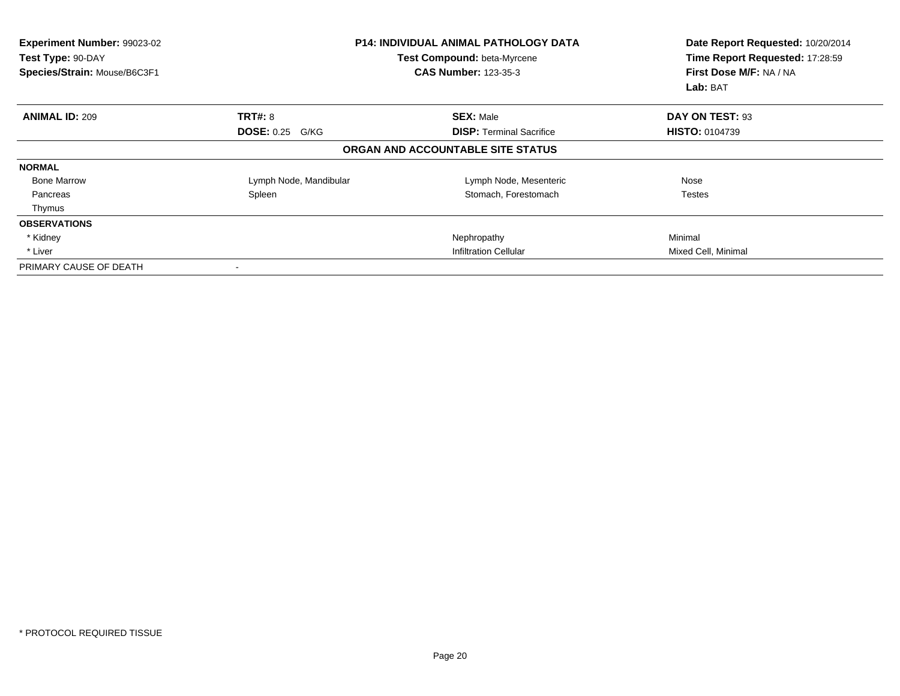| Experiment Number: 99023-02<br>Test Type: 90-DAY<br>Species/Strain: Mouse/B6C3F1 |                        | <b>P14: INDIVIDUAL ANIMAL PATHOLOGY DATA</b><br>Test Compound: beta-Myrcene<br><b>CAS Number: 123-35-3</b> | Date Report Requested: 10/20/2014<br>Time Report Requested: 17:28:59<br>First Dose M/F: NA / NA<br>Lab: BAT |
|----------------------------------------------------------------------------------|------------------------|------------------------------------------------------------------------------------------------------------|-------------------------------------------------------------------------------------------------------------|
| <b>ANIMAL ID: 209</b>                                                            | <b>TRT#: 8</b>         | <b>SEX: Male</b>                                                                                           | DAY ON TEST: 93                                                                                             |
|                                                                                  | <b>DOSE: 0.25 G/KG</b> | <b>DISP: Terminal Sacrifice</b>                                                                            | <b>HISTO: 0104739</b>                                                                                       |
|                                                                                  |                        | ORGAN AND ACCOUNTABLE SITE STATUS                                                                          |                                                                                                             |
| <b>NORMAL</b>                                                                    |                        |                                                                                                            |                                                                                                             |
| <b>Bone Marrow</b>                                                               | Lymph Node, Mandibular | Lymph Node, Mesenteric                                                                                     | Nose                                                                                                        |
| Pancreas                                                                         | Spleen                 | Stomach, Forestomach                                                                                       | Testes                                                                                                      |
| Thymus                                                                           |                        |                                                                                                            |                                                                                                             |
| <b>OBSERVATIONS</b>                                                              |                        |                                                                                                            |                                                                                                             |
| * Kidney                                                                         |                        | Nephropathy                                                                                                | Minimal                                                                                                     |
| * Liver                                                                          |                        | Infiltration Cellular                                                                                      | Mixed Cell, Minimal                                                                                         |
| PRIMARY CAUSE OF DEATH                                                           |                        |                                                                                                            |                                                                                                             |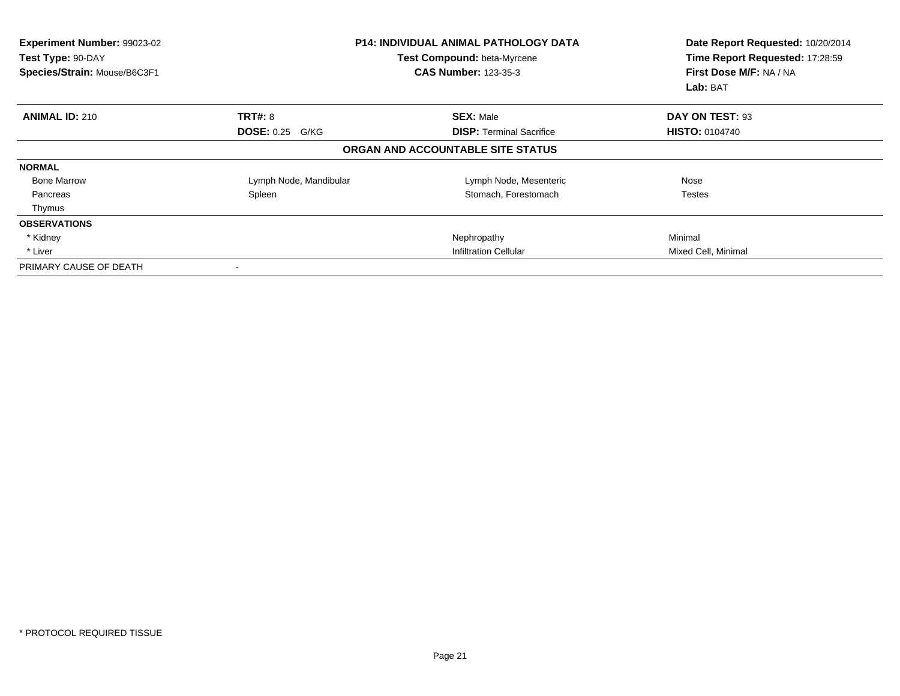| Experiment Number: 99023-02<br>Test Type: 90-DAY<br>Species/Strain: Mouse/B6C3F1 |                        | <b>P14: INDIVIDUAL ANIMAL PATHOLOGY DATA</b><br>Test Compound: beta-Myrcene<br><b>CAS Number: 123-35-3</b> | Date Report Requested: 10/20/2014<br>Time Report Requested: 17:28:59<br>First Dose M/F: NA / NA<br>Lab: BAT |
|----------------------------------------------------------------------------------|------------------------|------------------------------------------------------------------------------------------------------------|-------------------------------------------------------------------------------------------------------------|
| <b>ANIMAL ID: 210</b>                                                            | <b>TRT#: 8</b>         | <b>SEX: Male</b>                                                                                           | DAY ON TEST: 93                                                                                             |
|                                                                                  | <b>DOSE: 0.25 G/KG</b> | <b>DISP:</b> Terminal Sacrifice                                                                            | <b>HISTO: 0104740</b>                                                                                       |
|                                                                                  |                        | ORGAN AND ACCOUNTABLE SITE STATUS                                                                          |                                                                                                             |
| <b>NORMAL</b>                                                                    |                        |                                                                                                            |                                                                                                             |
| <b>Bone Marrow</b>                                                               | Lymph Node, Mandibular | Lymph Node, Mesenteric                                                                                     | Nose                                                                                                        |
| Pancreas                                                                         | Spleen                 | Stomach, Forestomach                                                                                       | <b>Testes</b>                                                                                               |
| Thymus                                                                           |                        |                                                                                                            |                                                                                                             |
| <b>OBSERVATIONS</b>                                                              |                        |                                                                                                            |                                                                                                             |
| * Kidney                                                                         |                        | Nephropathy                                                                                                | Minimal                                                                                                     |
| * Liver                                                                          |                        | <b>Infiltration Cellular</b>                                                                               | Mixed Cell, Minimal                                                                                         |
| PRIMARY CAUSE OF DEATH                                                           |                        |                                                                                                            |                                                                                                             |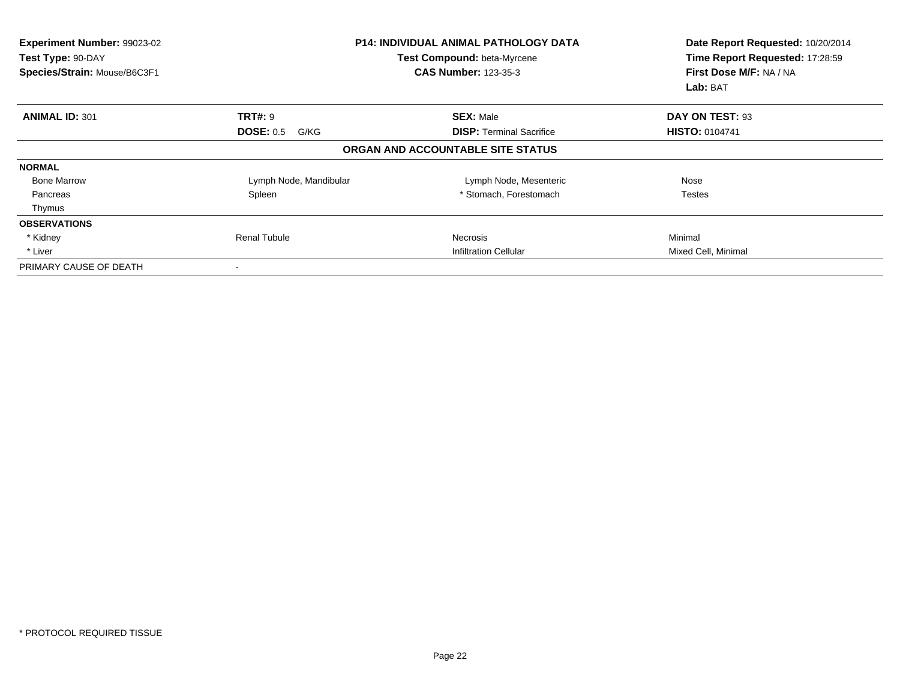| Experiment Number: 99023-02<br>Test Type: 90-DAY<br>Species/Strain: Mouse/B6C3F1 |                          | <b>P14: INDIVIDUAL ANIMAL PATHOLOGY DATA</b><br>Test Compound: beta-Myrcene<br><b>CAS Number: 123-35-3</b> | Date Report Requested: 10/20/2014<br>Time Report Requested: 17:28:59<br>First Dose M/F: NA / NA<br>Lab: BAT |
|----------------------------------------------------------------------------------|--------------------------|------------------------------------------------------------------------------------------------------------|-------------------------------------------------------------------------------------------------------------|
| <b>ANIMAL ID: 301</b>                                                            | <b>TRT#: 9</b>           | <b>SEX: Male</b>                                                                                           | DAY ON TEST: 93                                                                                             |
|                                                                                  | <b>DOSE: 0.5</b><br>G/KG | <b>DISP:</b> Terminal Sacrifice                                                                            | <b>HISTO: 0104741</b>                                                                                       |
|                                                                                  |                          | ORGAN AND ACCOUNTABLE SITE STATUS                                                                          |                                                                                                             |
| <b>NORMAL</b>                                                                    |                          |                                                                                                            |                                                                                                             |
| <b>Bone Marrow</b>                                                               | Lymph Node, Mandibular   | Lymph Node, Mesenteric                                                                                     | Nose                                                                                                        |
| Pancreas                                                                         | Spleen                   | * Stomach, Forestomach                                                                                     | Testes                                                                                                      |
| Thymus                                                                           |                          |                                                                                                            |                                                                                                             |
| <b>OBSERVATIONS</b>                                                              |                          |                                                                                                            |                                                                                                             |
| * Kidney                                                                         | Renal Tubule             | Necrosis                                                                                                   | Minimal                                                                                                     |
| * Liver                                                                          |                          | <b>Infiltration Cellular</b>                                                                               | Mixed Cell, Minimal                                                                                         |
| PRIMARY CAUSE OF DEATH                                                           |                          |                                                                                                            |                                                                                                             |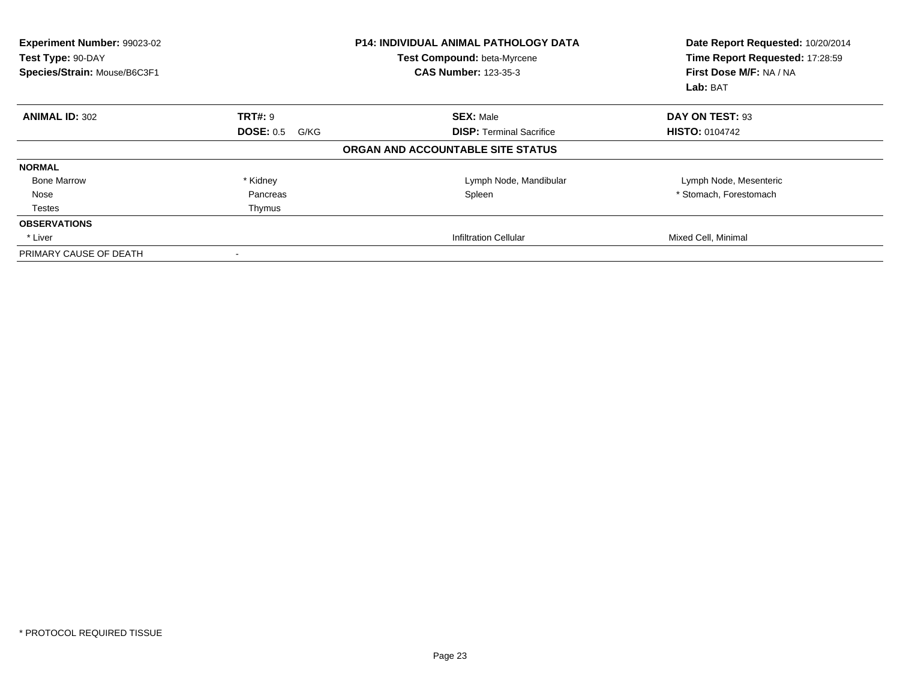| <b>Experiment Number: 99023-02</b><br>Test Type: 90-DAY<br>Species/Strain: Mouse/B6C3F1 |                          | <b>P14: INDIVIDUAL ANIMAL PATHOLOGY DATA</b><br>Test Compound: beta-Myrcene<br><b>CAS Number: 123-35-3</b> | Date Report Requested: 10/20/2014<br>Time Report Requested: 17:28:59<br>First Dose M/F: NA / NA<br>Lab: BAT |
|-----------------------------------------------------------------------------------------|--------------------------|------------------------------------------------------------------------------------------------------------|-------------------------------------------------------------------------------------------------------------|
| <b>ANIMAL ID: 302</b>                                                                   | <b>TRT#: 9</b>           | <b>SEX: Male</b>                                                                                           | DAY ON TEST: 93                                                                                             |
|                                                                                         | <b>DOSE: 0.5</b><br>G/KG | <b>DISP: Terminal Sacrifice</b>                                                                            | <b>HISTO: 0104742</b>                                                                                       |
|                                                                                         |                          | ORGAN AND ACCOUNTABLE SITE STATUS                                                                          |                                                                                                             |
| <b>NORMAL</b>                                                                           |                          |                                                                                                            |                                                                                                             |
| <b>Bone Marrow</b>                                                                      | * Kidney                 | Lymph Node, Mandibular                                                                                     | Lymph Node, Mesenteric                                                                                      |
| Nose                                                                                    | Pancreas                 | Spleen                                                                                                     | * Stomach, Forestomach                                                                                      |
| <b>Testes</b>                                                                           | Thymus                   |                                                                                                            |                                                                                                             |
| <b>OBSERVATIONS</b>                                                                     |                          |                                                                                                            |                                                                                                             |
| * Liver                                                                                 |                          | <b>Infiltration Cellular</b>                                                                               | Mixed Cell, Minimal                                                                                         |
| PRIMARY CAUSE OF DEATH                                                                  |                          |                                                                                                            |                                                                                                             |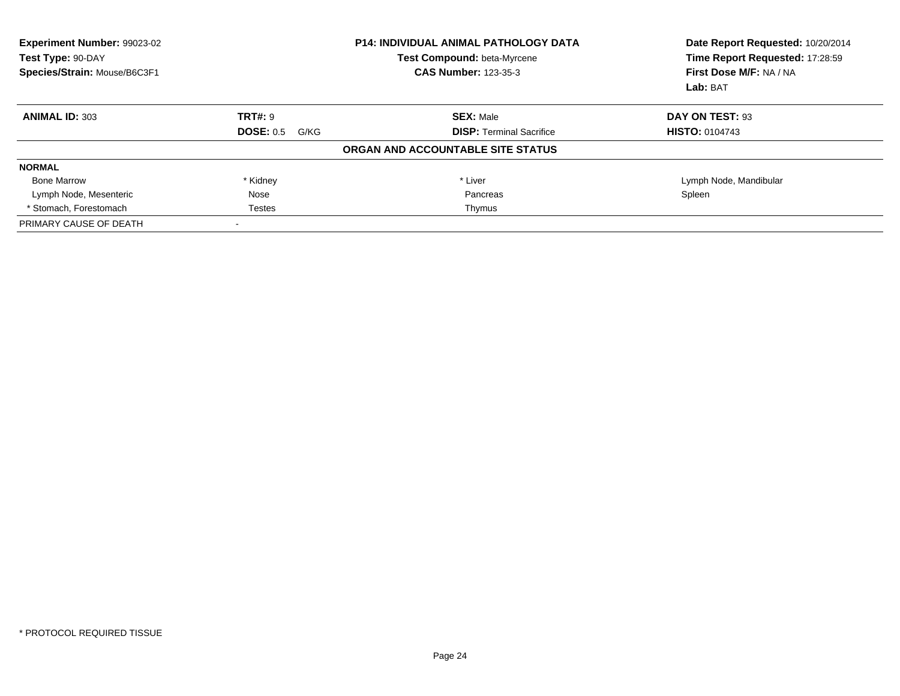| <b>Experiment Number: 99023-02</b><br>Test Type: 90-DAY<br>Species/Strain: Mouse/B6C3F1 | <b>P14: INDIVIDUAL ANIMAL PATHOLOGY DATA</b><br>Test Compound: beta-Myrcene<br><b>CAS Number: 123-35-3</b> |                                   | Date Report Requested: 10/20/2014<br>Time Report Requested: 17:28:59<br>First Dose M/F: NA / NA<br>Lab: BAT |
|-----------------------------------------------------------------------------------------|------------------------------------------------------------------------------------------------------------|-----------------------------------|-------------------------------------------------------------------------------------------------------------|
| <b>ANIMAL ID: 303</b>                                                                   | <b>TRT#: 9</b>                                                                                             | <b>SEX: Male</b>                  | DAY ON TEST: 93                                                                                             |
|                                                                                         | <b>DOSE: 0.5</b><br>G/KG                                                                                   | <b>DISP:</b> Terminal Sacrifice   | <b>HISTO: 0104743</b>                                                                                       |
|                                                                                         |                                                                                                            | ORGAN AND ACCOUNTABLE SITE STATUS |                                                                                                             |
| <b>NORMAL</b>                                                                           |                                                                                                            |                                   |                                                                                                             |
| <b>Bone Marrow</b>                                                                      | * Kidney                                                                                                   | * Liver                           | Lymph Node, Mandibular                                                                                      |
| Lymph Node, Mesenteric                                                                  | Nose                                                                                                       | Pancreas                          | Spleen                                                                                                      |
| * Stomach, Forestomach                                                                  | <b>Testes</b>                                                                                              | Thymus                            |                                                                                                             |
| PRIMARY CAUSE OF DEATH                                                                  |                                                                                                            |                                   |                                                                                                             |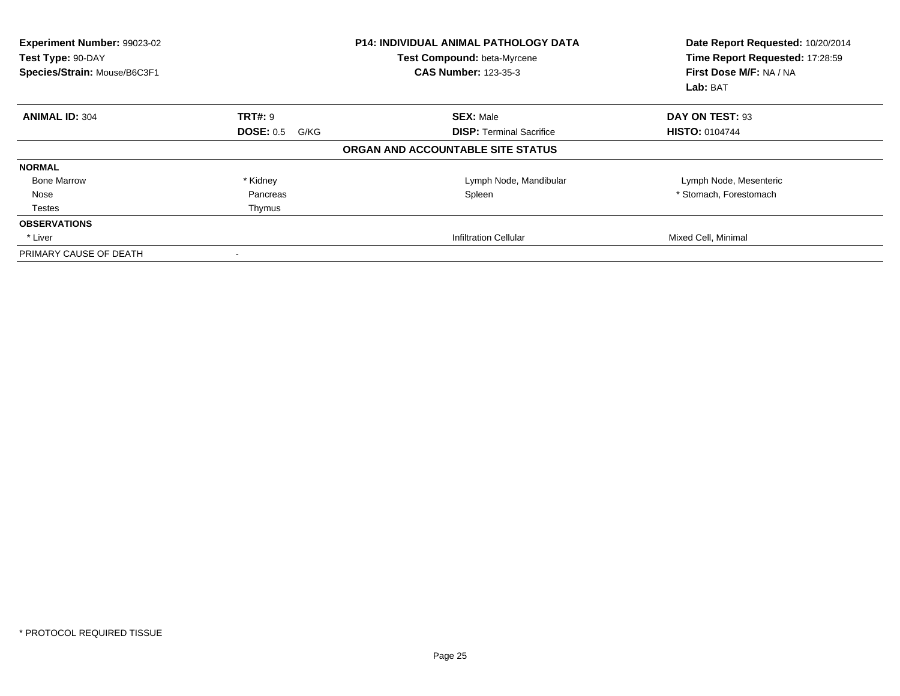| <b>Experiment Number: 99023-02</b><br>Test Type: 90-DAY<br>Species/Strain: Mouse/B6C3F1 |                          | <b>P14: INDIVIDUAL ANIMAL PATHOLOGY DATA</b><br>Test Compound: beta-Myrcene<br><b>CAS Number: 123-35-3</b> | Date Report Requested: 10/20/2014<br>Time Report Requested: 17:28:59<br>First Dose M/F: NA / NA<br>Lab: BAT |
|-----------------------------------------------------------------------------------------|--------------------------|------------------------------------------------------------------------------------------------------------|-------------------------------------------------------------------------------------------------------------|
| <b>ANIMAL ID: 304</b>                                                                   | <b>TRT#: 9</b>           | <b>SEX: Male</b>                                                                                           | DAY ON TEST: 93                                                                                             |
|                                                                                         | <b>DOSE: 0.5</b><br>G/KG | <b>DISP: Terminal Sacrifice</b>                                                                            | <b>HISTO: 0104744</b>                                                                                       |
|                                                                                         |                          | ORGAN AND ACCOUNTABLE SITE STATUS                                                                          |                                                                                                             |
| <b>NORMAL</b>                                                                           |                          |                                                                                                            |                                                                                                             |
| <b>Bone Marrow</b>                                                                      | * Kidney                 | Lymph Node, Mandibular                                                                                     | Lymph Node, Mesenteric                                                                                      |
| Nose                                                                                    | Pancreas                 | Spleen                                                                                                     | * Stomach, Forestomach                                                                                      |
| <b>Testes</b>                                                                           | Thymus                   |                                                                                                            |                                                                                                             |
| <b>OBSERVATIONS</b>                                                                     |                          |                                                                                                            |                                                                                                             |
| * Liver                                                                                 |                          | <b>Infiltration Cellular</b>                                                                               | Mixed Cell, Minimal                                                                                         |
| PRIMARY CAUSE OF DEATH                                                                  |                          |                                                                                                            |                                                                                                             |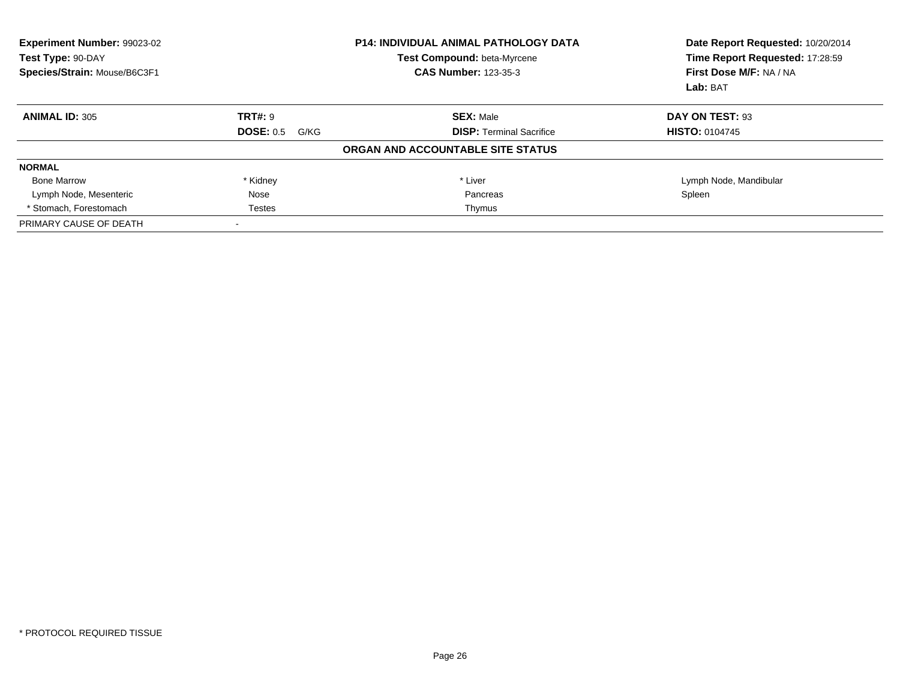| <b>Experiment Number: 99023-02</b><br>Test Type: 90-DAY<br>Species/Strain: Mouse/B6C3F1 | <b>P14: INDIVIDUAL ANIMAL PATHOLOGY DATA</b><br>Test Compound: beta-Myrcene<br><b>CAS Number: 123-35-3</b> |                                   | Date Report Requested: 10/20/2014<br>Time Report Requested: 17:28:59<br>First Dose M/F: NA / NA<br>Lab: BAT |
|-----------------------------------------------------------------------------------------|------------------------------------------------------------------------------------------------------------|-----------------------------------|-------------------------------------------------------------------------------------------------------------|
| <b>ANIMAL ID: 305</b>                                                                   | <b>TRT#: 9</b>                                                                                             | <b>SEX: Male</b>                  | DAY ON TEST: 93                                                                                             |
|                                                                                         | <b>DOSE: 0.5</b><br>G/KG                                                                                   | <b>DISP:</b> Terminal Sacrifice   | <b>HISTO: 0104745</b>                                                                                       |
|                                                                                         |                                                                                                            | ORGAN AND ACCOUNTABLE SITE STATUS |                                                                                                             |
| <b>NORMAL</b>                                                                           |                                                                                                            |                                   |                                                                                                             |
| <b>Bone Marrow</b>                                                                      | * Kidney                                                                                                   | * Liver                           | Lymph Node, Mandibular                                                                                      |
| Lymph Node, Mesenteric                                                                  | Nose                                                                                                       | Pancreas                          | Spleen                                                                                                      |
| * Stomach, Forestomach                                                                  | <b>Testes</b>                                                                                              | Thymus                            |                                                                                                             |
| PRIMARY CAUSE OF DEATH                                                                  |                                                                                                            |                                   |                                                                                                             |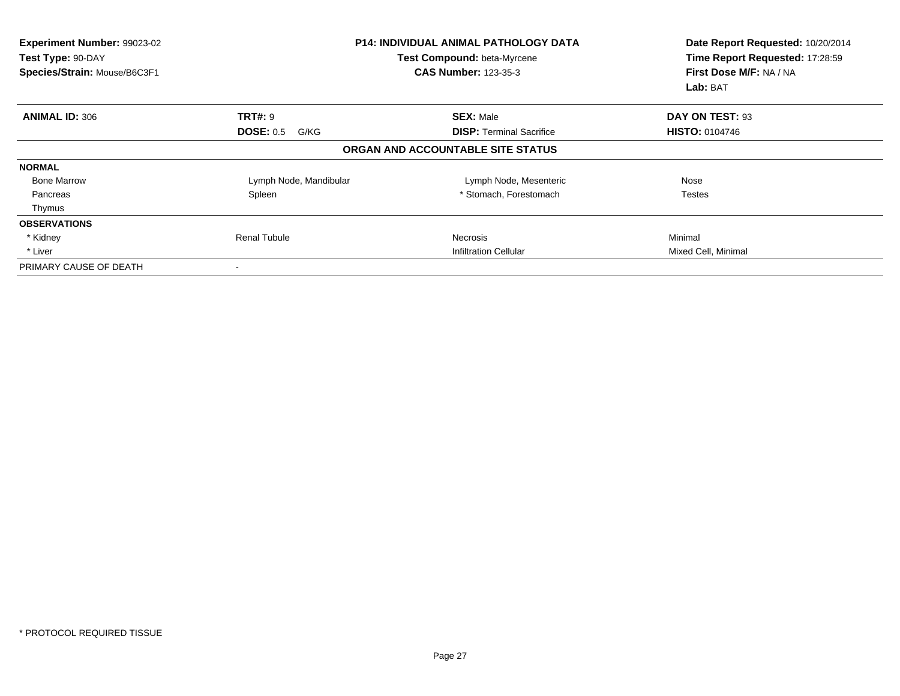| Experiment Number: 99023-02<br>Test Type: 90-DAY<br>Species/Strain: Mouse/B6C3F1 |                          | <b>P14: INDIVIDUAL ANIMAL PATHOLOGY DATA</b><br>Test Compound: beta-Myrcene<br><b>CAS Number: 123-35-3</b> | Date Report Requested: 10/20/2014<br>Time Report Requested: 17:28:59<br>First Dose M/F: NA / NA<br>Lab: BAT |
|----------------------------------------------------------------------------------|--------------------------|------------------------------------------------------------------------------------------------------------|-------------------------------------------------------------------------------------------------------------|
| <b>ANIMAL ID: 306</b>                                                            | <b>TRT#: 9</b>           | <b>SEX: Male</b>                                                                                           | DAY ON TEST: 93                                                                                             |
|                                                                                  | <b>DOSE: 0.5</b><br>G/KG | <b>DISP: Terminal Sacrifice</b>                                                                            | <b>HISTO: 0104746</b>                                                                                       |
|                                                                                  |                          | ORGAN AND ACCOUNTABLE SITE STATUS                                                                          |                                                                                                             |
| <b>NORMAL</b>                                                                    |                          |                                                                                                            |                                                                                                             |
| <b>Bone Marrow</b>                                                               | Lymph Node, Mandibular   | Lymph Node, Mesenteric                                                                                     | Nose                                                                                                        |
| Pancreas                                                                         | Spleen                   | * Stomach, Forestomach                                                                                     | Testes                                                                                                      |
| Thymus                                                                           |                          |                                                                                                            |                                                                                                             |
| <b>OBSERVATIONS</b>                                                              |                          |                                                                                                            |                                                                                                             |
| * Kidney                                                                         | <b>Renal Tubule</b>      | Necrosis                                                                                                   | Minimal                                                                                                     |
| * Liver                                                                          |                          | <b>Infiltration Cellular</b>                                                                               | Mixed Cell, Minimal                                                                                         |
| PRIMARY CAUSE OF DEATH                                                           |                          |                                                                                                            |                                                                                                             |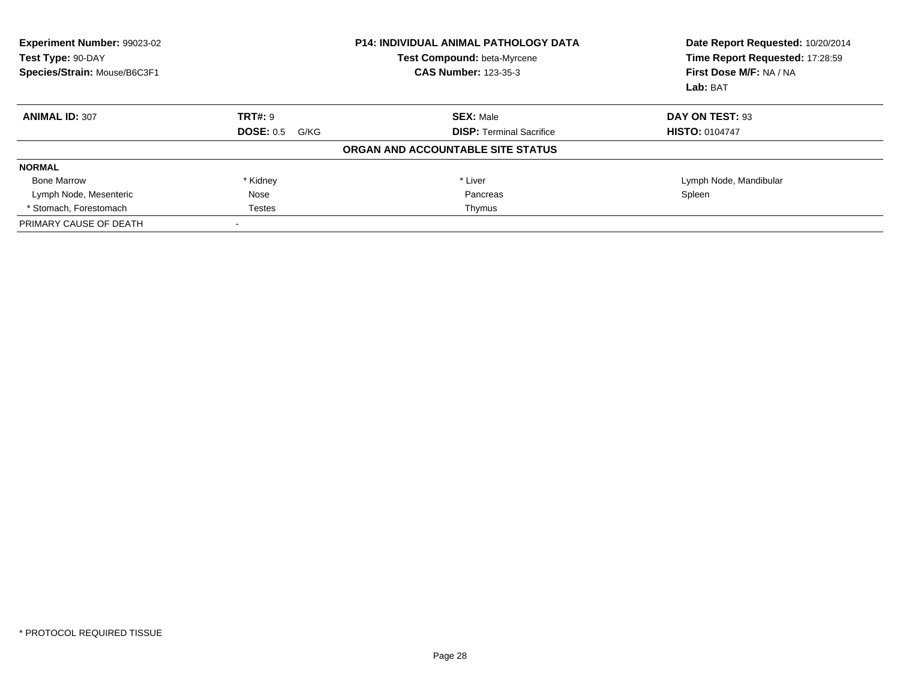| <b>Experiment Number: 99023-02</b><br><b>P14: INDIVIDUAL ANIMAL PATHOLOGY DATA</b><br>Test Compound: beta-Myrcene<br>Test Type: 90-DAY<br>Species/Strain: Mouse/B6C3F1<br><b>CAS Number: 123-35-3</b> |                          | Date Report Requested: 10/20/2014<br>Time Report Requested: 17:28:59<br>First Dose M/F: NA / NA<br>Lab: BAT |                        |
|-------------------------------------------------------------------------------------------------------------------------------------------------------------------------------------------------------|--------------------------|-------------------------------------------------------------------------------------------------------------|------------------------|
| <b>ANIMAL ID: 307</b>                                                                                                                                                                                 | <b>TRT#: 9</b>           | <b>SEX: Male</b>                                                                                            | DAY ON TEST: 93        |
|                                                                                                                                                                                                       | <b>DOSE: 0.5</b><br>G/KG | <b>DISP:</b> Terminal Sacrifice                                                                             | <b>HISTO: 0104747</b>  |
|                                                                                                                                                                                                       |                          | ORGAN AND ACCOUNTABLE SITE STATUS                                                                           |                        |
| <b>NORMAL</b>                                                                                                                                                                                         |                          |                                                                                                             |                        |
| <b>Bone Marrow</b>                                                                                                                                                                                    | * Kidney                 | * Liver                                                                                                     | Lymph Node, Mandibular |
| Lymph Node, Mesenteric                                                                                                                                                                                | Nose                     | Pancreas                                                                                                    | Spleen                 |
| * Stomach, Forestomach                                                                                                                                                                                | <b>Testes</b>            | Thymus                                                                                                      |                        |
| PRIMARY CAUSE OF DEATH                                                                                                                                                                                |                          |                                                                                                             |                        |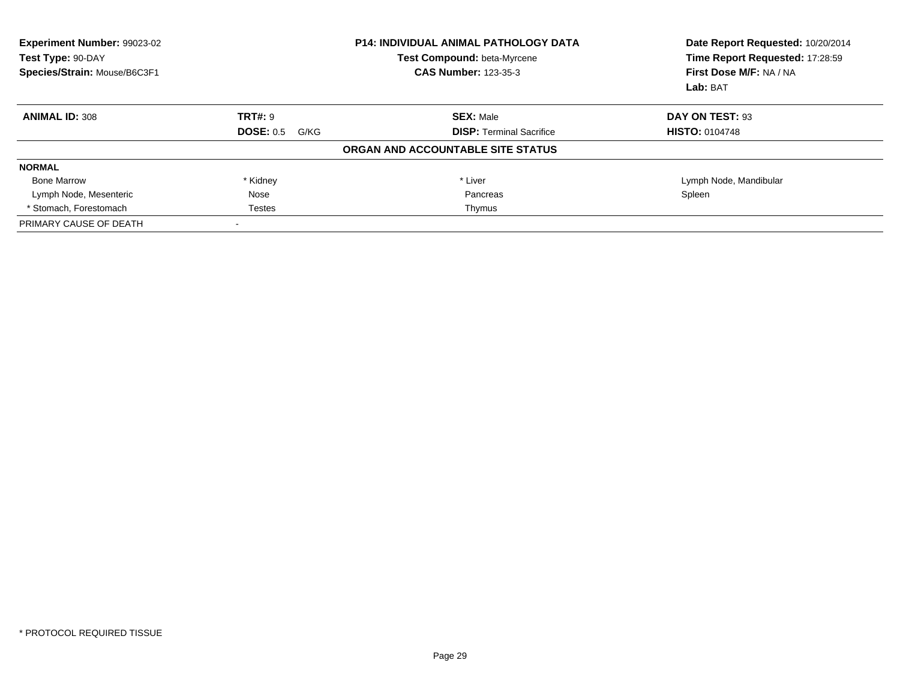| <b>Experiment Number: 99023-02</b><br>Test Type: 90-DAY<br>Species/Strain: Mouse/B6C3F1 | <b>P14: INDIVIDUAL ANIMAL PATHOLOGY DATA</b><br>Test Compound: beta-Myrcene<br><b>CAS Number: 123-35-3</b> |                                   | Date Report Requested: 10/20/2014<br>Time Report Requested: 17:28:59<br>First Dose M/F: NA / NA<br>Lab: BAT |
|-----------------------------------------------------------------------------------------|------------------------------------------------------------------------------------------------------------|-----------------------------------|-------------------------------------------------------------------------------------------------------------|
| <b>ANIMAL ID: 308</b>                                                                   | <b>TRT#: 9</b>                                                                                             | <b>SEX: Male</b>                  | DAY ON TEST: 93                                                                                             |
|                                                                                         | <b>DOSE: 0.5</b><br>G/KG                                                                                   | <b>DISP:</b> Terminal Sacrifice   | <b>HISTO: 0104748</b>                                                                                       |
|                                                                                         |                                                                                                            | ORGAN AND ACCOUNTABLE SITE STATUS |                                                                                                             |
| <b>NORMAL</b>                                                                           |                                                                                                            |                                   |                                                                                                             |
| <b>Bone Marrow</b>                                                                      | * Kidney                                                                                                   | * Liver                           | Lymph Node, Mandibular                                                                                      |
| Lymph Node, Mesenteric                                                                  | Nose                                                                                                       | Pancreas                          | Spleen                                                                                                      |
| * Stomach, Forestomach                                                                  | <b>Testes</b>                                                                                              | Thymus                            |                                                                                                             |
| PRIMARY CAUSE OF DEATH                                                                  |                                                                                                            |                                   |                                                                                                             |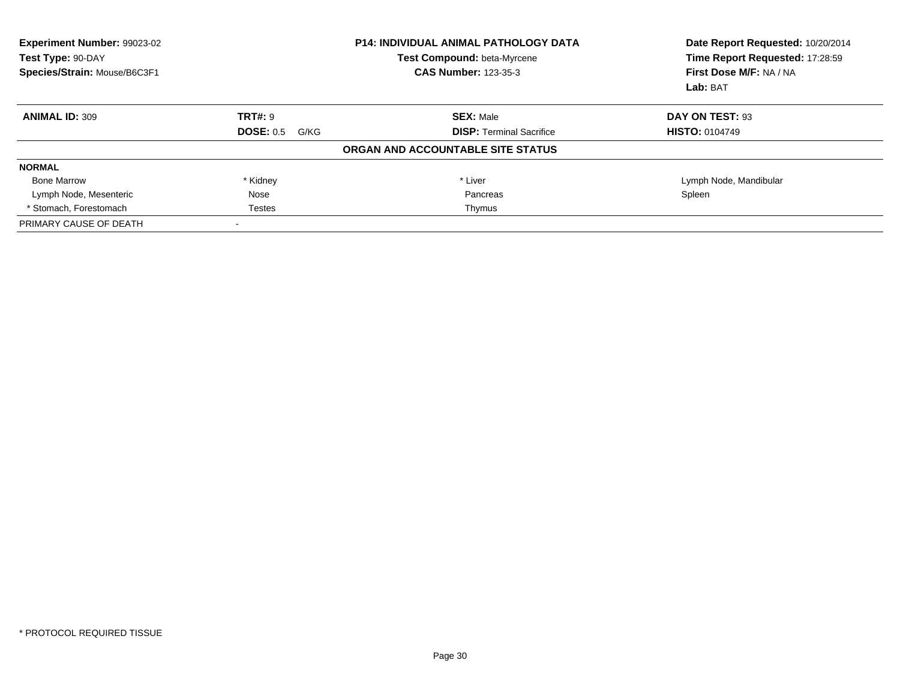| <b>Experiment Number: 99023-02</b><br>Test Type: 90-DAY<br>Species/Strain: Mouse/B6C3F1 | <b>P14: INDIVIDUAL ANIMAL PATHOLOGY DATA</b><br>Test Compound: beta-Myrcene<br><b>CAS Number: 123-35-3</b> |                                   | Date Report Requested: 10/20/2014<br>Time Report Requested: 17:28:59<br>First Dose M/F: NA / NA<br>Lab: BAT |
|-----------------------------------------------------------------------------------------|------------------------------------------------------------------------------------------------------------|-----------------------------------|-------------------------------------------------------------------------------------------------------------|
| <b>ANIMAL ID: 309</b>                                                                   | <b>TRT#: 9</b>                                                                                             | <b>SEX: Male</b>                  | DAY ON TEST: 93                                                                                             |
|                                                                                         | <b>DOSE: 0.5</b><br>G/KG                                                                                   | <b>DISP:</b> Terminal Sacrifice   | <b>HISTO: 0104749</b>                                                                                       |
|                                                                                         |                                                                                                            | ORGAN AND ACCOUNTABLE SITE STATUS |                                                                                                             |
| <b>NORMAL</b>                                                                           |                                                                                                            |                                   |                                                                                                             |
| <b>Bone Marrow</b>                                                                      | * Kidney                                                                                                   | * Liver                           | Lymph Node, Mandibular                                                                                      |
| Lymph Node, Mesenteric                                                                  | Nose                                                                                                       | Pancreas                          | Spleen                                                                                                      |
| * Stomach, Forestomach                                                                  | <b>Testes</b>                                                                                              | Thymus                            |                                                                                                             |
| PRIMARY CAUSE OF DEATH                                                                  |                                                                                                            |                                   |                                                                                                             |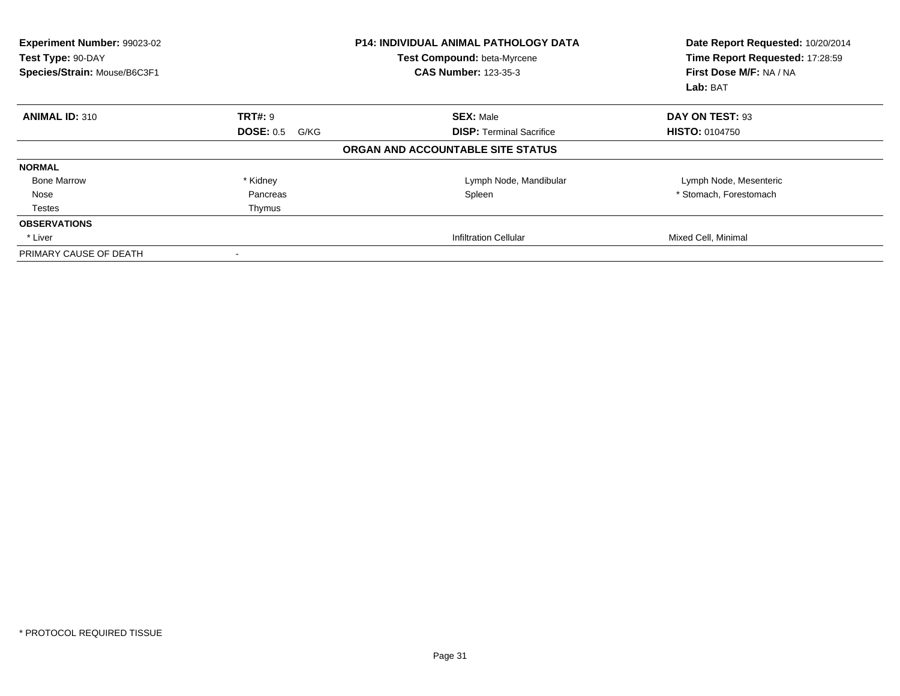| <b>Experiment Number: 99023-02</b><br>Test Type: 90-DAY<br>Species/Strain: Mouse/B6C3F1 |                          | <b>P14: INDIVIDUAL ANIMAL PATHOLOGY DATA</b><br>Test Compound: beta-Myrcene<br><b>CAS Number: 123-35-3</b> | Date Report Requested: 10/20/2014<br>Time Report Requested: 17:28:59<br>First Dose M/F: NA / NA<br>Lab: BAT |
|-----------------------------------------------------------------------------------------|--------------------------|------------------------------------------------------------------------------------------------------------|-------------------------------------------------------------------------------------------------------------|
| <b>ANIMAL ID: 310</b>                                                                   | <b>TRT#: 9</b>           | <b>SEX: Male</b>                                                                                           | DAY ON TEST: 93                                                                                             |
|                                                                                         | <b>DOSE: 0.5</b><br>G/KG | <b>DISP: Terminal Sacrifice</b>                                                                            | <b>HISTO: 0104750</b>                                                                                       |
|                                                                                         |                          | ORGAN AND ACCOUNTABLE SITE STATUS                                                                          |                                                                                                             |
| <b>NORMAL</b>                                                                           |                          |                                                                                                            |                                                                                                             |
| <b>Bone Marrow</b>                                                                      | * Kidney                 | Lymph Node, Mandibular                                                                                     | Lymph Node, Mesenteric                                                                                      |
| Nose                                                                                    | Pancreas                 | Spleen                                                                                                     | * Stomach, Forestomach                                                                                      |
| <b>Testes</b>                                                                           | Thymus                   |                                                                                                            |                                                                                                             |
| <b>OBSERVATIONS</b>                                                                     |                          |                                                                                                            |                                                                                                             |
| * Liver                                                                                 |                          | <b>Infiltration Cellular</b>                                                                               | Mixed Cell, Minimal                                                                                         |
| PRIMARY CAUSE OF DEATH                                                                  |                          |                                                                                                            |                                                                                                             |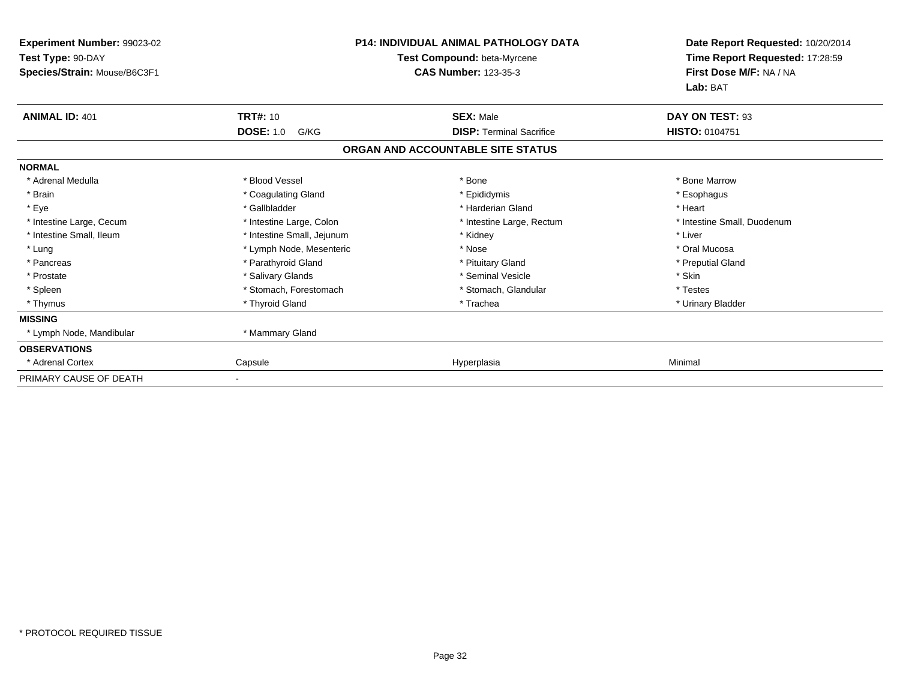| Experiment Number: 99023-02<br>Test Type: 90-DAY<br>Species/Strain: Mouse/B6C3F1 |                            | <b>P14: INDIVIDUAL ANIMAL PATHOLOGY DATA</b><br>Test Compound: beta-Myrcene<br><b>CAS Number: 123-35-3</b> | Date Report Requested: 10/20/2014<br>Time Report Requested: 17:28:59<br>First Dose M/F: NA / NA<br>Lab: BAT |
|----------------------------------------------------------------------------------|----------------------------|------------------------------------------------------------------------------------------------------------|-------------------------------------------------------------------------------------------------------------|
| <b>ANIMAL ID: 401</b>                                                            | <b>TRT#: 10</b>            | <b>SEX: Male</b>                                                                                           | DAY ON TEST: 93                                                                                             |
|                                                                                  | <b>DOSE: 1.0</b><br>G/KG   | <b>DISP: Terminal Sacrifice</b>                                                                            | <b>HISTO: 0104751</b>                                                                                       |
|                                                                                  |                            | ORGAN AND ACCOUNTABLE SITE STATUS                                                                          |                                                                                                             |
| <b>NORMAL</b>                                                                    |                            |                                                                                                            |                                                                                                             |
| * Adrenal Medulla                                                                | * Blood Vessel             | * Bone                                                                                                     | * Bone Marrow                                                                                               |
| * Brain                                                                          | * Coagulating Gland        | * Epididymis                                                                                               | * Esophagus                                                                                                 |
| * Eye                                                                            | * Gallbladder              | * Harderian Gland                                                                                          | * Heart                                                                                                     |
| * Intestine Large, Cecum                                                         | * Intestine Large, Colon   | * Intestine Large, Rectum                                                                                  | * Intestine Small, Duodenum                                                                                 |
| * Intestine Small, Ileum                                                         | * Intestine Small, Jejunum | * Kidney                                                                                                   | * Liver                                                                                                     |
| * Lung                                                                           | * Lymph Node, Mesenteric   | * Nose                                                                                                     | * Oral Mucosa                                                                                               |
| * Pancreas                                                                       | * Parathyroid Gland        | * Pituitary Gland                                                                                          | * Preputial Gland                                                                                           |
| * Prostate                                                                       | * Salivary Glands          | * Seminal Vesicle                                                                                          | * Skin                                                                                                      |
| * Spleen                                                                         | * Stomach, Forestomach     | * Stomach, Glandular                                                                                       | * Testes                                                                                                    |
| * Thymus                                                                         | * Thyroid Gland            | * Trachea                                                                                                  | * Urinary Bladder                                                                                           |
| <b>MISSING</b>                                                                   |                            |                                                                                                            |                                                                                                             |
| * Lymph Node, Mandibular                                                         | * Mammary Gland            |                                                                                                            |                                                                                                             |
| <b>OBSERVATIONS</b>                                                              |                            |                                                                                                            |                                                                                                             |
| * Adrenal Cortex                                                                 | Capsule                    | Hyperplasia                                                                                                | Minimal                                                                                                     |
| PRIMARY CAUSE OF DEATH                                                           |                            |                                                                                                            |                                                                                                             |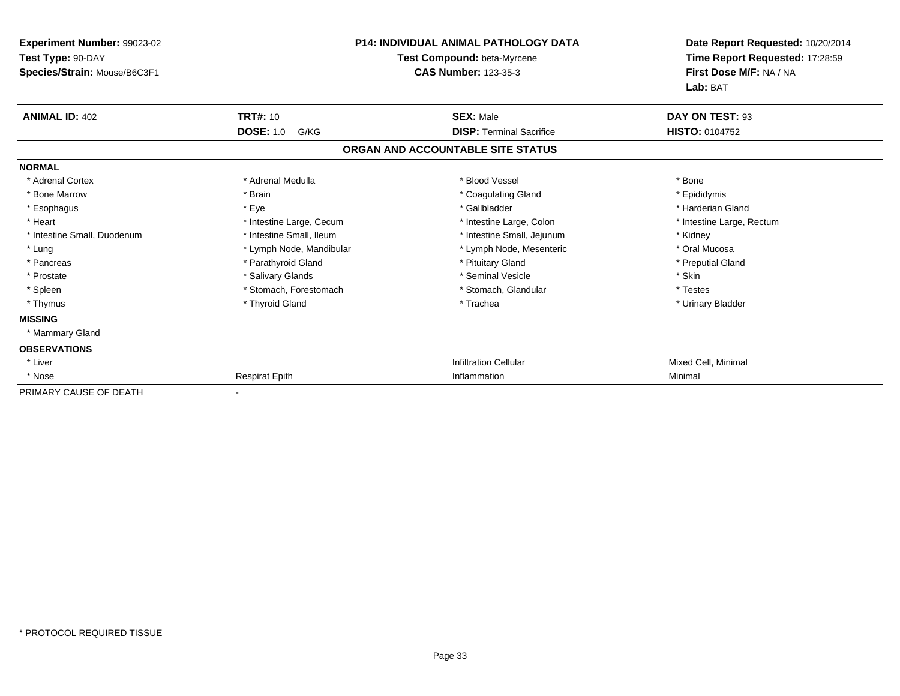| Experiment Number: 99023-02<br>Test Type: 90-DAY<br>Species/Strain: Mouse/B6C3F1 |                          | <b>P14: INDIVIDUAL ANIMAL PATHOLOGY DATA</b><br>Test Compound: beta-Myrcene<br><b>CAS Number: 123-35-3</b> | Date Report Requested: 10/20/2014<br>Time Report Requested: 17:28:59<br>First Dose M/F: NA / NA<br>Lab: BAT |
|----------------------------------------------------------------------------------|--------------------------|------------------------------------------------------------------------------------------------------------|-------------------------------------------------------------------------------------------------------------|
| <b>ANIMAL ID: 402</b>                                                            | <b>TRT#: 10</b>          | <b>SEX: Male</b>                                                                                           | DAY ON TEST: 93                                                                                             |
|                                                                                  | <b>DOSE: 1.0</b><br>G/KG | <b>DISP: Terminal Sacrifice</b>                                                                            | <b>HISTO: 0104752</b>                                                                                       |
|                                                                                  |                          | ORGAN AND ACCOUNTABLE SITE STATUS                                                                          |                                                                                                             |
| <b>NORMAL</b>                                                                    |                          |                                                                                                            |                                                                                                             |
| * Adrenal Cortex                                                                 | * Adrenal Medulla        | * Blood Vessel                                                                                             | * Bone                                                                                                      |
| * Bone Marrow                                                                    | * Brain                  | * Coagulating Gland                                                                                        | * Epididymis                                                                                                |
| * Esophagus                                                                      | * Eye                    | * Gallbladder                                                                                              | * Harderian Gland                                                                                           |
| * Heart                                                                          | * Intestine Large, Cecum | * Intestine Large, Colon                                                                                   | * Intestine Large, Rectum                                                                                   |
| * Intestine Small, Duodenum                                                      | * Intestine Small, Ileum | * Intestine Small, Jejunum                                                                                 | * Kidney                                                                                                    |
| * Lung                                                                           | * Lymph Node, Mandibular | * Lymph Node, Mesenteric                                                                                   | * Oral Mucosa                                                                                               |
| * Pancreas                                                                       | * Parathyroid Gland      | * Pituitary Gland                                                                                          | * Preputial Gland                                                                                           |
| * Prostate                                                                       | * Salivary Glands        | * Seminal Vesicle                                                                                          | * Skin                                                                                                      |
| * Spleen                                                                         | * Stomach, Forestomach   | * Stomach, Glandular                                                                                       | * Testes                                                                                                    |
| * Thymus                                                                         | * Thyroid Gland          | * Trachea                                                                                                  | * Urinary Bladder                                                                                           |
| <b>MISSING</b>                                                                   |                          |                                                                                                            |                                                                                                             |
| * Mammary Gland                                                                  |                          |                                                                                                            |                                                                                                             |
| <b>OBSERVATIONS</b>                                                              |                          |                                                                                                            |                                                                                                             |
| * Liver                                                                          |                          | <b>Infiltration Cellular</b>                                                                               | Mixed Cell, Minimal                                                                                         |
| * Nose                                                                           | <b>Respirat Epith</b>    | Inflammation                                                                                               | Minimal                                                                                                     |
| PRIMARY CAUSE OF DEATH                                                           |                          |                                                                                                            |                                                                                                             |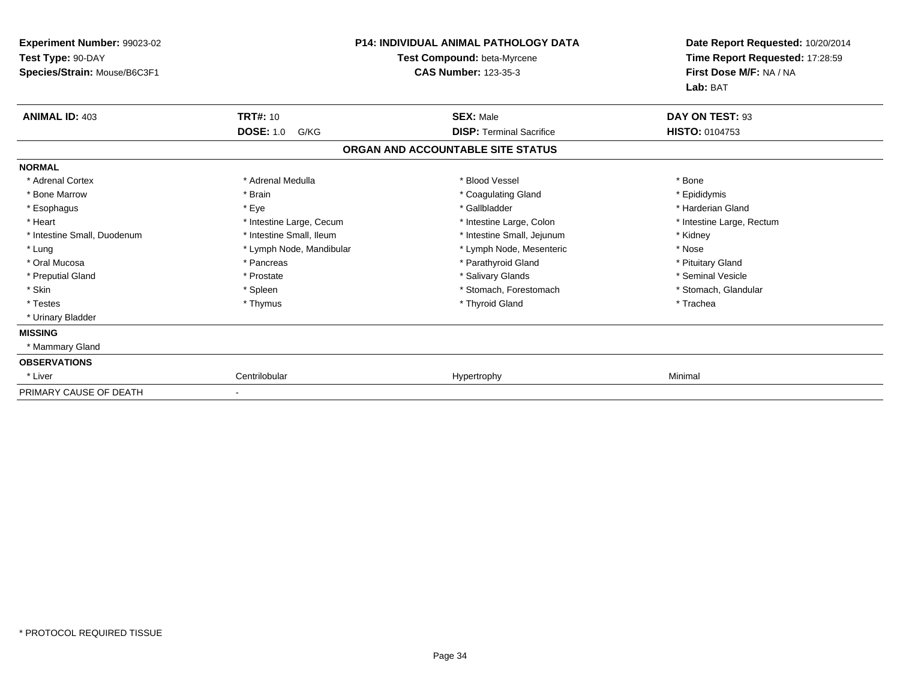| Experiment Number: 99023-02<br>Test Type: 90-DAY<br>Species/Strain: Mouse/B6C3F1 |                          | <b>P14: INDIVIDUAL ANIMAL PATHOLOGY DATA</b><br><b>Test Compound: beta-Myrcene</b><br><b>CAS Number: 123-35-3</b> | Date Report Requested: 10/20/2014<br>Time Report Requested: 17:28:59<br>First Dose M/F: NA / NA<br>Lab: BAT |
|----------------------------------------------------------------------------------|--------------------------|-------------------------------------------------------------------------------------------------------------------|-------------------------------------------------------------------------------------------------------------|
| <b>ANIMAL ID: 403</b>                                                            | <b>TRT#: 10</b>          | <b>SEX: Male</b>                                                                                                  | DAY ON TEST: 93                                                                                             |
|                                                                                  | <b>DOSE: 1.0</b><br>G/KG | <b>DISP: Terminal Sacrifice</b>                                                                                   | <b>HISTO: 0104753</b>                                                                                       |
|                                                                                  |                          | ORGAN AND ACCOUNTABLE SITE STATUS                                                                                 |                                                                                                             |
| <b>NORMAL</b>                                                                    |                          |                                                                                                                   |                                                                                                             |
| * Adrenal Cortex                                                                 | * Adrenal Medulla        | * Blood Vessel                                                                                                    | * Bone                                                                                                      |
| * Bone Marrow                                                                    | * Brain                  | * Coagulating Gland                                                                                               | * Epididymis                                                                                                |
| * Esophagus                                                                      | * Eye                    | * Gallbladder                                                                                                     | * Harderian Gland                                                                                           |
| * Heart                                                                          | * Intestine Large, Cecum | * Intestine Large, Colon                                                                                          | * Intestine Large, Rectum                                                                                   |
| * Intestine Small, Duodenum                                                      | * Intestine Small, Ileum | * Intestine Small, Jejunum                                                                                        | * Kidney                                                                                                    |
| * Lung                                                                           | * Lymph Node, Mandibular | * Lymph Node, Mesenteric                                                                                          | * Nose                                                                                                      |
| * Oral Mucosa                                                                    | * Pancreas               | * Parathyroid Gland                                                                                               | * Pituitary Gland                                                                                           |
| * Preputial Gland                                                                | * Prostate               | * Salivary Glands                                                                                                 | * Seminal Vesicle                                                                                           |
| * Skin                                                                           | * Spleen                 | * Stomach, Forestomach                                                                                            | * Stomach, Glandular                                                                                        |
| * Testes                                                                         | * Thymus                 | * Thyroid Gland                                                                                                   | * Trachea                                                                                                   |
| * Urinary Bladder                                                                |                          |                                                                                                                   |                                                                                                             |
| <b>MISSING</b>                                                                   |                          |                                                                                                                   |                                                                                                             |
| * Mammary Gland                                                                  |                          |                                                                                                                   |                                                                                                             |
| <b>OBSERVATIONS</b>                                                              |                          |                                                                                                                   |                                                                                                             |
| * Liver                                                                          | Centrilobular            | Hypertrophy                                                                                                       | Minimal                                                                                                     |
| PRIMARY CAUSE OF DEATH                                                           |                          |                                                                                                                   |                                                                                                             |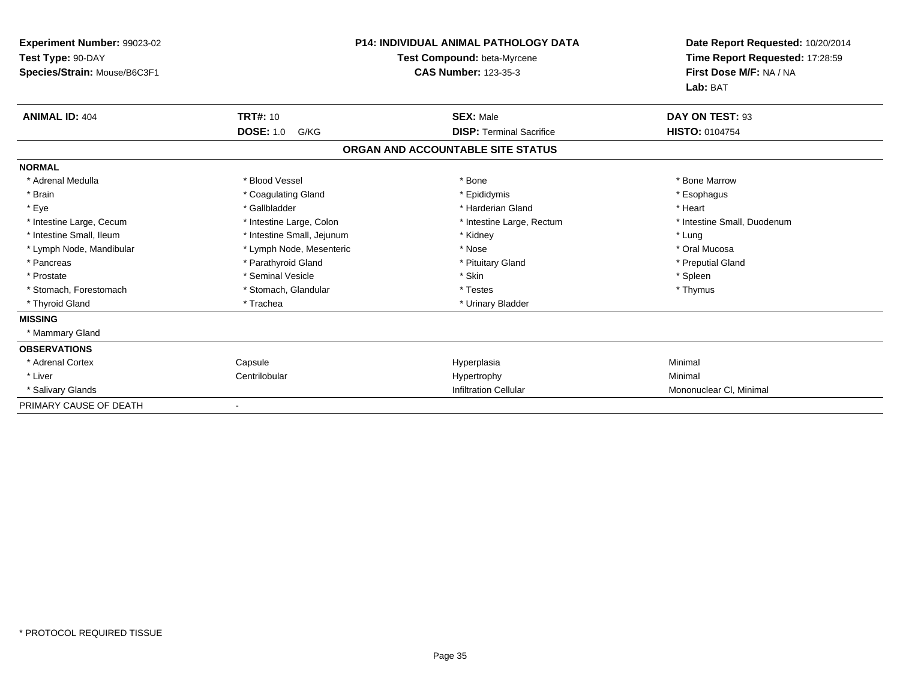| Experiment Number: 99023-02<br>Test Type: 90-DAY<br>Species/Strain: Mouse/B6C3F1 |                            | <b>P14: INDIVIDUAL ANIMAL PATHOLOGY DATA</b><br>Test Compound: beta-Myrcene<br><b>CAS Number: 123-35-3</b> | Date Report Requested: 10/20/2014<br>Time Report Requested: 17:28:59<br>First Dose M/F: NA / NA<br>Lab: BAT |
|----------------------------------------------------------------------------------|----------------------------|------------------------------------------------------------------------------------------------------------|-------------------------------------------------------------------------------------------------------------|
| <b>ANIMAL ID: 404</b>                                                            | <b>TRT#: 10</b>            | <b>SEX: Male</b>                                                                                           | DAY ON TEST: 93                                                                                             |
|                                                                                  | <b>DOSE: 1.0</b><br>G/KG   | <b>DISP: Terminal Sacrifice</b>                                                                            | HISTO: 0104754                                                                                              |
|                                                                                  |                            | ORGAN AND ACCOUNTABLE SITE STATUS                                                                          |                                                                                                             |
| <b>NORMAL</b>                                                                    |                            |                                                                                                            |                                                                                                             |
| * Adrenal Medulla                                                                | * Blood Vessel             | * Bone                                                                                                     | * Bone Marrow                                                                                               |
| * Brain                                                                          | * Coagulating Gland        | * Epididymis                                                                                               | * Esophagus                                                                                                 |
| * Eye                                                                            | * Gallbladder              | * Harderian Gland                                                                                          | * Heart                                                                                                     |
| * Intestine Large, Cecum                                                         | * Intestine Large, Colon   | * Intestine Large, Rectum                                                                                  | * Intestine Small, Duodenum                                                                                 |
| * Intestine Small, Ileum                                                         | * Intestine Small, Jejunum | * Kidney                                                                                                   | * Lung                                                                                                      |
| * Lymph Node, Mandibular                                                         | * Lymph Node, Mesenteric   | * Nose                                                                                                     | * Oral Mucosa                                                                                               |
| * Pancreas                                                                       | * Parathyroid Gland        | * Pituitary Gland                                                                                          | * Preputial Gland                                                                                           |
| * Prostate                                                                       | * Seminal Vesicle          | * Skin                                                                                                     | * Spleen                                                                                                    |
| * Stomach, Forestomach                                                           | * Stomach, Glandular       | * Testes                                                                                                   | * Thymus                                                                                                    |
| * Thyroid Gland                                                                  | * Trachea                  | * Urinary Bladder                                                                                          |                                                                                                             |
| <b>MISSING</b>                                                                   |                            |                                                                                                            |                                                                                                             |
| * Mammary Gland                                                                  |                            |                                                                                                            |                                                                                                             |
| <b>OBSERVATIONS</b>                                                              |                            |                                                                                                            |                                                                                                             |
| * Adrenal Cortex                                                                 | Capsule                    | Hyperplasia                                                                                                | Minimal                                                                                                     |
| * Liver                                                                          | Centrilobular              | Hypertrophy                                                                                                | Minimal                                                                                                     |
| * Salivary Glands                                                                |                            | <b>Infiltration Cellular</b>                                                                               | Mononuclear CI, Minimal                                                                                     |
| PRIMARY CAUSE OF DEATH                                                           |                            |                                                                                                            |                                                                                                             |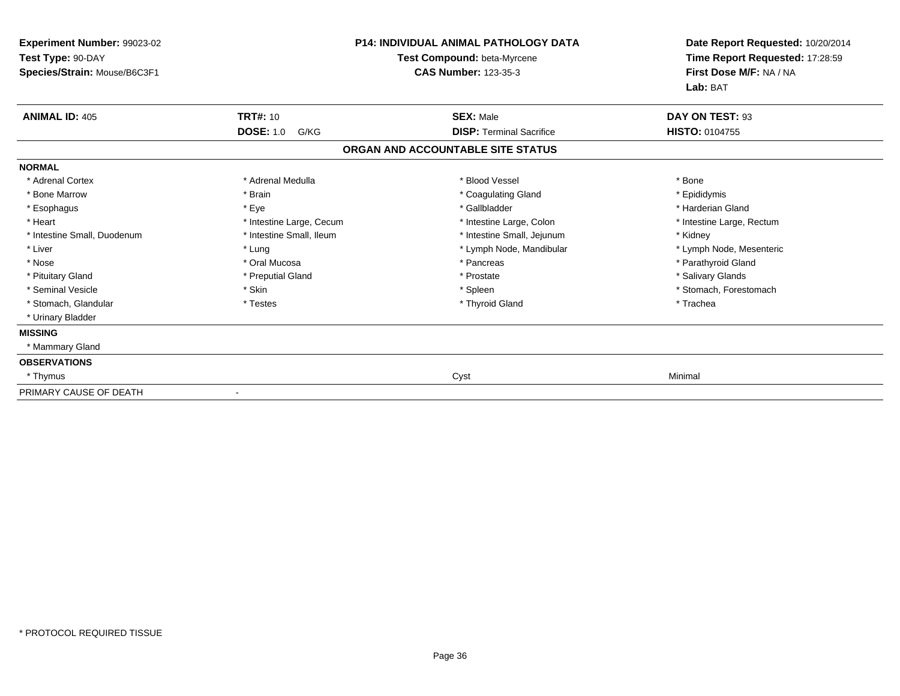| Experiment Number: 99023-02<br>Test Type: 90-DAY<br>Species/Strain: Mouse/B6C3F1 | <b>P14: INDIVIDUAL ANIMAL PATHOLOGY DATA</b><br>Test Compound: beta-Myrcene<br><b>CAS Number: 123-35-3</b> |                                   | Date Report Requested: 10/20/2014<br>Time Report Requested: 17:28:59<br>First Dose M/F: NA / NA<br>Lab: BAT |
|----------------------------------------------------------------------------------|------------------------------------------------------------------------------------------------------------|-----------------------------------|-------------------------------------------------------------------------------------------------------------|
| <b>ANIMAL ID: 405</b>                                                            | <b>TRT#: 10</b>                                                                                            | <b>SEX: Male</b>                  | DAY ON TEST: 93                                                                                             |
|                                                                                  | <b>DOSE: 1.0</b><br>G/KG                                                                                   | <b>DISP: Terminal Sacrifice</b>   | <b>HISTO: 0104755</b>                                                                                       |
|                                                                                  |                                                                                                            | ORGAN AND ACCOUNTABLE SITE STATUS |                                                                                                             |
| <b>NORMAL</b>                                                                    |                                                                                                            |                                   |                                                                                                             |
| * Adrenal Cortex                                                                 | * Adrenal Medulla                                                                                          | * Blood Vessel                    | * Bone                                                                                                      |
| * Bone Marrow                                                                    | * Brain                                                                                                    | * Coagulating Gland               | * Epididymis                                                                                                |
| * Esophagus                                                                      | * Eye                                                                                                      | * Gallbladder                     | * Harderian Gland                                                                                           |
| * Heart                                                                          | * Intestine Large, Cecum                                                                                   | * Intestine Large, Colon          | * Intestine Large, Rectum                                                                                   |
| * Intestine Small, Duodenum                                                      | * Intestine Small, Ileum                                                                                   | * Intestine Small, Jejunum        | * Kidney                                                                                                    |
| * Liver                                                                          | * Lung                                                                                                     | * Lymph Node, Mandibular          | * Lymph Node, Mesenteric                                                                                    |
| * Nose                                                                           | * Oral Mucosa                                                                                              | * Pancreas                        | * Parathyroid Gland                                                                                         |
| * Pituitary Gland                                                                | * Preputial Gland                                                                                          | * Prostate                        | * Salivary Glands                                                                                           |
| * Seminal Vesicle                                                                | * Skin                                                                                                     | * Spleen                          | * Stomach, Forestomach                                                                                      |
| * Stomach, Glandular                                                             | * Testes                                                                                                   | * Thyroid Gland                   | * Trachea                                                                                                   |
| * Urinary Bladder                                                                |                                                                                                            |                                   |                                                                                                             |
| <b>MISSING</b>                                                                   |                                                                                                            |                                   |                                                                                                             |
| * Mammary Gland                                                                  |                                                                                                            |                                   |                                                                                                             |
| <b>OBSERVATIONS</b>                                                              |                                                                                                            |                                   |                                                                                                             |
| * Thymus                                                                         |                                                                                                            | Cyst                              | Minimal                                                                                                     |
| PRIMARY CAUSE OF DEATH                                                           |                                                                                                            |                                   |                                                                                                             |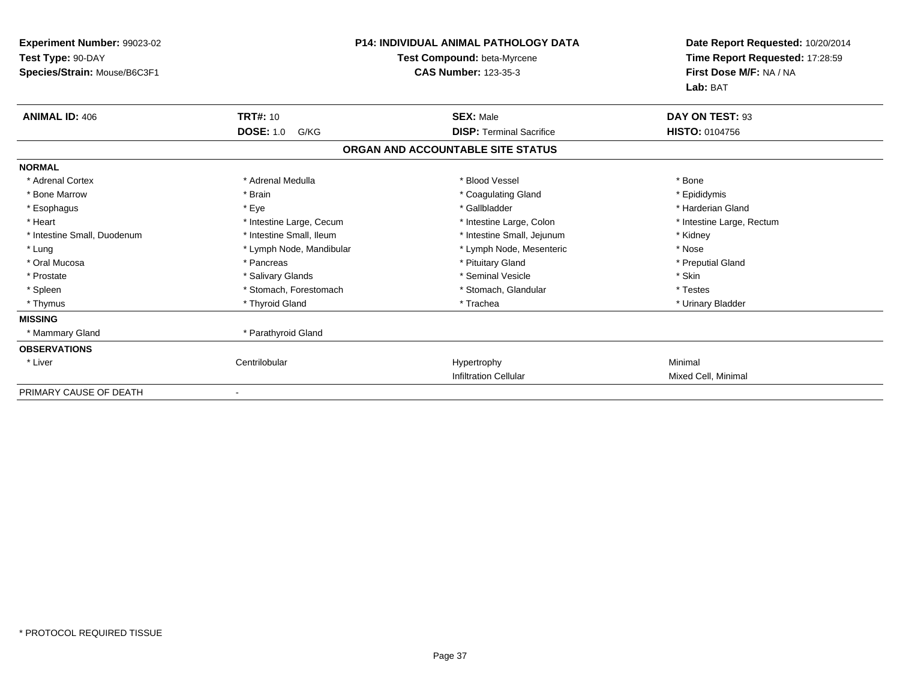| Experiment Number: 99023-02<br>Test Type: 90-DAY<br>Species/Strain: Mouse/B6C3F1 |                          | <b>P14: INDIVIDUAL ANIMAL PATHOLOGY DATA</b><br>Test Compound: beta-Myrcene<br><b>CAS Number: 123-35-3</b> | Date Report Requested: 10/20/2014<br>Time Report Requested: 17:28:59<br>First Dose M/F: NA / NA<br>Lab: BAT |
|----------------------------------------------------------------------------------|--------------------------|------------------------------------------------------------------------------------------------------------|-------------------------------------------------------------------------------------------------------------|
| <b>ANIMAL ID: 406</b>                                                            | <b>TRT#: 10</b>          | <b>SEX: Male</b>                                                                                           | DAY ON TEST: 93                                                                                             |
|                                                                                  | <b>DOSE: 1.0</b><br>G/KG | <b>DISP:</b> Terminal Sacrifice                                                                            | <b>HISTO: 0104756</b>                                                                                       |
|                                                                                  |                          | ORGAN AND ACCOUNTABLE SITE STATUS                                                                          |                                                                                                             |
| <b>NORMAL</b>                                                                    |                          |                                                                                                            |                                                                                                             |
| * Adrenal Cortex                                                                 | * Adrenal Medulla        | * Blood Vessel                                                                                             | * Bone                                                                                                      |
| * Bone Marrow                                                                    | * Brain                  | * Coagulating Gland                                                                                        | * Epididymis                                                                                                |
| * Esophagus                                                                      | * Eye                    | * Gallbladder                                                                                              | * Harderian Gland                                                                                           |
| * Heart                                                                          | * Intestine Large, Cecum | * Intestine Large, Colon                                                                                   | * Intestine Large, Rectum                                                                                   |
| * Intestine Small, Duodenum                                                      | * Intestine Small, Ileum | * Intestine Small, Jejunum                                                                                 | * Kidney                                                                                                    |
| * Lung                                                                           | * Lymph Node, Mandibular | * Lymph Node, Mesenteric                                                                                   | * Nose                                                                                                      |
| * Oral Mucosa                                                                    | * Pancreas               | * Pituitary Gland                                                                                          | * Preputial Gland                                                                                           |
| * Prostate                                                                       | * Salivary Glands        | * Seminal Vesicle                                                                                          | * Skin                                                                                                      |
| * Spleen                                                                         | * Stomach, Forestomach   | * Stomach, Glandular                                                                                       | * Testes                                                                                                    |
| * Thymus                                                                         | * Thyroid Gland          | * Trachea                                                                                                  | * Urinary Bladder                                                                                           |
| <b>MISSING</b>                                                                   |                          |                                                                                                            |                                                                                                             |
| * Mammary Gland                                                                  | * Parathyroid Gland      |                                                                                                            |                                                                                                             |
| <b>OBSERVATIONS</b>                                                              |                          |                                                                                                            |                                                                                                             |
| * Liver                                                                          | Centrilobular            | Hypertrophy                                                                                                | Minimal                                                                                                     |
|                                                                                  |                          | <b>Infiltration Cellular</b>                                                                               | Mixed Cell, Minimal                                                                                         |
| PRIMARY CAUSE OF DEATH                                                           |                          |                                                                                                            |                                                                                                             |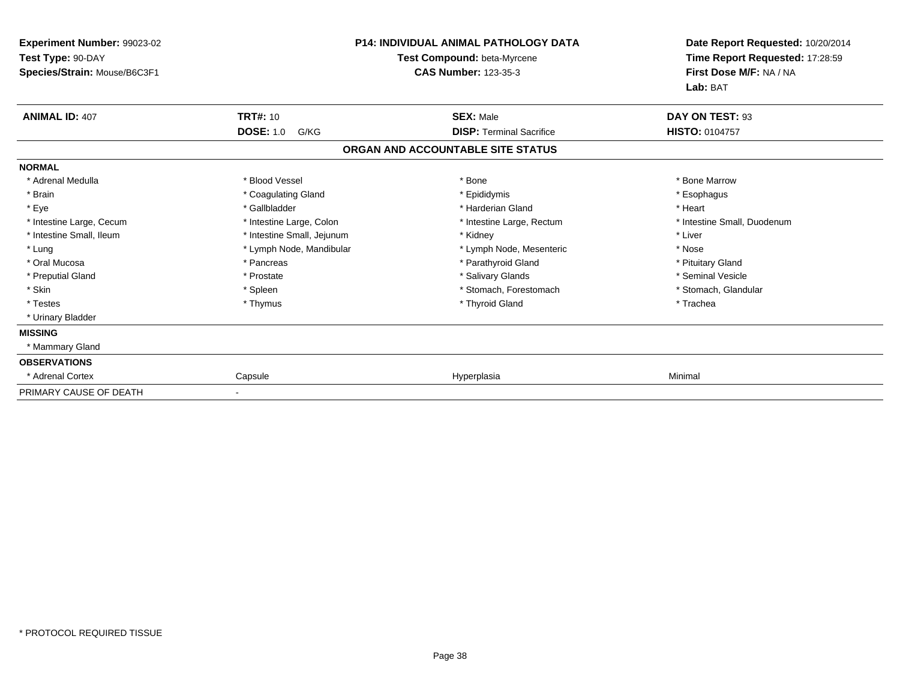| Experiment Number: 99023-02<br>Test Type: 90-DAY<br>Species/Strain: Mouse/B6C3F1 |                            | <b>P14: INDIVIDUAL ANIMAL PATHOLOGY DATA</b><br>Test Compound: beta-Myrcene<br><b>CAS Number: 123-35-3</b> | Date Report Requested: 10/20/2014<br>Time Report Requested: 17:28:59<br>First Dose M/F: NA / NA<br>Lab: BAT |
|----------------------------------------------------------------------------------|----------------------------|------------------------------------------------------------------------------------------------------------|-------------------------------------------------------------------------------------------------------------|
| <b>ANIMAL ID: 407</b>                                                            | <b>TRT#: 10</b>            | <b>SEX: Male</b>                                                                                           | DAY ON TEST: 93                                                                                             |
|                                                                                  | <b>DOSE: 1.0</b><br>G/KG   | <b>DISP: Terminal Sacrifice</b>                                                                            | <b>HISTO: 0104757</b>                                                                                       |
|                                                                                  |                            | ORGAN AND ACCOUNTABLE SITE STATUS                                                                          |                                                                                                             |
| <b>NORMAL</b>                                                                    |                            |                                                                                                            |                                                                                                             |
| * Adrenal Medulla                                                                | * Blood Vessel             | * Bone                                                                                                     | * Bone Marrow                                                                                               |
| * Brain                                                                          | * Coagulating Gland        | * Epididymis                                                                                               | * Esophagus                                                                                                 |
| * Eye                                                                            | * Gallbladder              | * Harderian Gland                                                                                          | * Heart                                                                                                     |
| * Intestine Large, Cecum                                                         | * Intestine Large, Colon   | * Intestine Large, Rectum                                                                                  | * Intestine Small, Duodenum                                                                                 |
| * Intestine Small, Ileum                                                         | * Intestine Small, Jejunum | * Kidney                                                                                                   | * Liver                                                                                                     |
| * Lung                                                                           | * Lymph Node, Mandibular   | * Lymph Node, Mesenteric                                                                                   | * Nose                                                                                                      |
| * Oral Mucosa                                                                    | * Pancreas                 | * Parathyroid Gland                                                                                        | * Pituitary Gland                                                                                           |
| * Preputial Gland                                                                | * Prostate                 | * Salivary Glands                                                                                          | * Seminal Vesicle                                                                                           |
| * Skin                                                                           | * Spleen                   | * Stomach, Forestomach                                                                                     | * Stomach, Glandular                                                                                        |
| * Testes                                                                         | * Thymus                   | * Thyroid Gland                                                                                            | * Trachea                                                                                                   |
| * Urinary Bladder                                                                |                            |                                                                                                            |                                                                                                             |
| <b>MISSING</b>                                                                   |                            |                                                                                                            |                                                                                                             |
| * Mammary Gland                                                                  |                            |                                                                                                            |                                                                                                             |
| <b>OBSERVATIONS</b>                                                              |                            |                                                                                                            |                                                                                                             |
| * Adrenal Cortex                                                                 | Capsule                    | Hyperplasia                                                                                                | Minimal                                                                                                     |
| PRIMARY CAUSE OF DEATH                                                           |                            |                                                                                                            |                                                                                                             |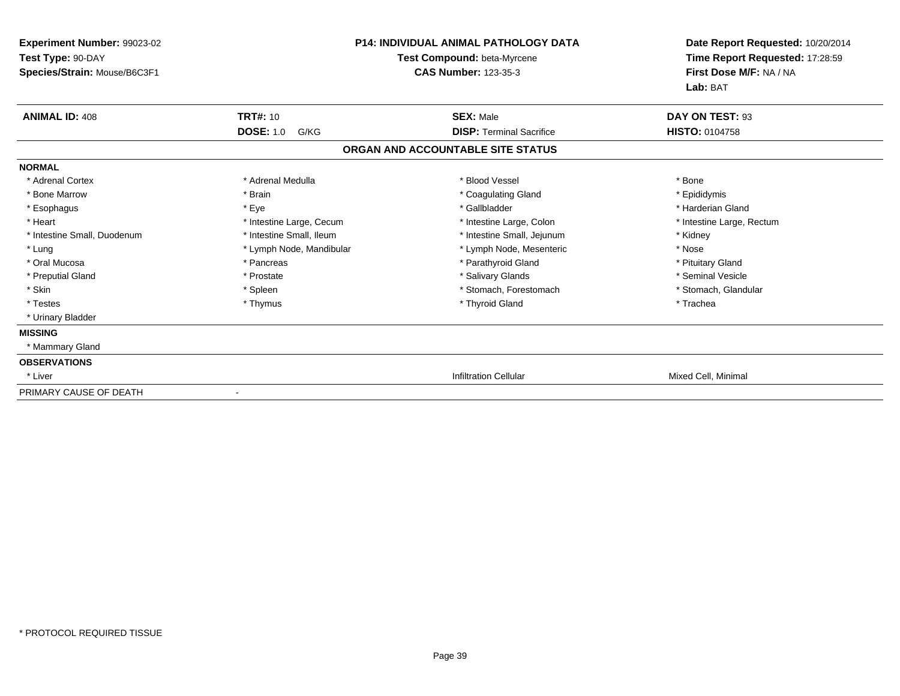| <b>Experiment Number: 99023-02</b><br>Test Type: 90-DAY<br>Species/Strain: Mouse/B6C3F1 |                          | <b>P14: INDIVIDUAL ANIMAL PATHOLOGY DATA</b><br>Test Compound: beta-Myrcene<br><b>CAS Number: 123-35-3</b> | Date Report Requested: 10/20/2014<br>Time Report Requested: 17:28:59<br>First Dose M/F: NA / NA<br>Lab: BAT |
|-----------------------------------------------------------------------------------------|--------------------------|------------------------------------------------------------------------------------------------------------|-------------------------------------------------------------------------------------------------------------|
| <b>ANIMAL ID: 408</b>                                                                   | <b>TRT#: 10</b>          | <b>SEX: Male</b>                                                                                           | DAY ON TEST: 93                                                                                             |
|                                                                                         | <b>DOSE: 1.0</b><br>G/KG | <b>DISP: Terminal Sacrifice</b>                                                                            | <b>HISTO: 0104758</b>                                                                                       |
|                                                                                         |                          | ORGAN AND ACCOUNTABLE SITE STATUS                                                                          |                                                                                                             |
| <b>NORMAL</b>                                                                           |                          |                                                                                                            |                                                                                                             |
| * Adrenal Cortex                                                                        | * Adrenal Medulla        | * Blood Vessel                                                                                             | * Bone                                                                                                      |
| * Bone Marrow                                                                           | * Brain                  | * Coagulating Gland                                                                                        | * Epididymis                                                                                                |
| * Esophagus                                                                             | * Eye                    | * Gallbladder                                                                                              | * Harderian Gland                                                                                           |
| * Heart                                                                                 | * Intestine Large, Cecum | * Intestine Large, Colon                                                                                   | * Intestine Large, Rectum                                                                                   |
| * Intestine Small, Duodenum                                                             | * Intestine Small, Ileum | * Intestine Small, Jejunum                                                                                 | * Kidney                                                                                                    |
| * Lung                                                                                  | * Lymph Node, Mandibular | * Lymph Node, Mesenteric                                                                                   | * Nose                                                                                                      |
| * Oral Mucosa                                                                           | * Pancreas               | * Parathyroid Gland                                                                                        | * Pituitary Gland                                                                                           |
| * Preputial Gland                                                                       | * Prostate               | * Salivary Glands                                                                                          | * Seminal Vesicle                                                                                           |
| * Skin                                                                                  | * Spleen                 | * Stomach. Forestomach                                                                                     | * Stomach, Glandular                                                                                        |
| * Testes                                                                                | * Thymus                 | * Thyroid Gland                                                                                            | * Trachea                                                                                                   |
| * Urinary Bladder                                                                       |                          |                                                                                                            |                                                                                                             |
| <b>MISSING</b>                                                                          |                          |                                                                                                            |                                                                                                             |
| * Mammary Gland                                                                         |                          |                                                                                                            |                                                                                                             |
| <b>OBSERVATIONS</b>                                                                     |                          |                                                                                                            |                                                                                                             |
| * Liver                                                                                 |                          | <b>Infiltration Cellular</b>                                                                               | Mixed Cell, Minimal                                                                                         |
| PRIMARY CAUSE OF DEATH                                                                  |                          |                                                                                                            |                                                                                                             |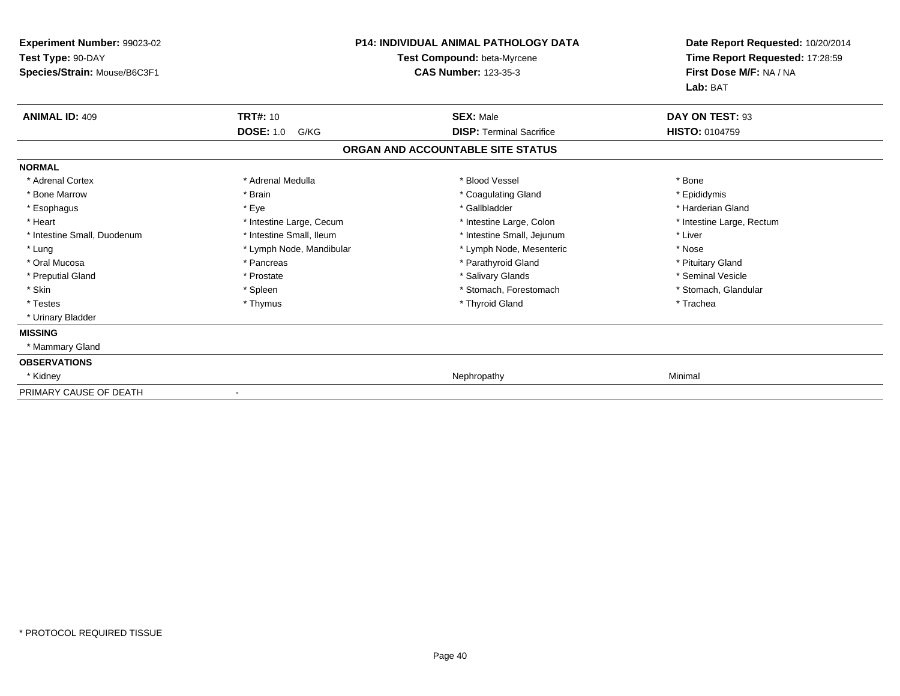| <b>Experiment Number: 99023-02</b><br>Test Type: 90-DAY<br>Species/Strain: Mouse/B6C3F1 |                          | <b>P14: INDIVIDUAL ANIMAL PATHOLOGY DATA</b><br>Test Compound: beta-Myrcene<br><b>CAS Number: 123-35-3</b> | Date Report Requested: 10/20/2014<br>Time Report Requested: 17:28:59<br>First Dose M/F: NA / NA<br>Lab: BAT |
|-----------------------------------------------------------------------------------------|--------------------------|------------------------------------------------------------------------------------------------------------|-------------------------------------------------------------------------------------------------------------|
| <b>ANIMAL ID: 409</b>                                                                   | <b>TRT#: 10</b>          | <b>SEX: Male</b>                                                                                           | DAY ON TEST: 93                                                                                             |
|                                                                                         | <b>DOSE: 1.0</b><br>G/KG | <b>DISP: Terminal Sacrifice</b>                                                                            | <b>HISTO: 0104759</b>                                                                                       |
|                                                                                         |                          | ORGAN AND ACCOUNTABLE SITE STATUS                                                                          |                                                                                                             |
| <b>NORMAL</b>                                                                           |                          |                                                                                                            |                                                                                                             |
| * Adrenal Cortex                                                                        | * Adrenal Medulla        | * Blood Vessel                                                                                             | * Bone                                                                                                      |
| * Bone Marrow                                                                           | * Brain                  | * Coagulating Gland                                                                                        | * Epididymis                                                                                                |
| * Esophagus                                                                             | * Eye                    | * Gallbladder                                                                                              | * Harderian Gland                                                                                           |
| * Heart                                                                                 | * Intestine Large, Cecum | * Intestine Large, Colon                                                                                   | * Intestine Large, Rectum                                                                                   |
| * Intestine Small, Duodenum                                                             | * Intestine Small, Ileum | * Intestine Small, Jejunum                                                                                 | * Liver                                                                                                     |
| * Lung                                                                                  | * Lymph Node, Mandibular | * Lymph Node, Mesenteric                                                                                   | * Nose                                                                                                      |
| * Oral Mucosa                                                                           | * Pancreas               | * Parathyroid Gland                                                                                        | * Pituitary Gland                                                                                           |
| * Preputial Gland                                                                       | * Prostate               | * Salivary Glands                                                                                          | * Seminal Vesicle                                                                                           |
| * Skin                                                                                  | * Spleen                 | * Stomach, Forestomach                                                                                     | * Stomach, Glandular                                                                                        |
| * Testes                                                                                | * Thymus                 | * Thyroid Gland                                                                                            | * Trachea                                                                                                   |
| * Urinary Bladder                                                                       |                          |                                                                                                            |                                                                                                             |
| <b>MISSING</b>                                                                          |                          |                                                                                                            |                                                                                                             |
| * Mammary Gland                                                                         |                          |                                                                                                            |                                                                                                             |
| <b>OBSERVATIONS</b>                                                                     |                          |                                                                                                            |                                                                                                             |
| * Kidney                                                                                |                          | Nephropathy                                                                                                | Minimal                                                                                                     |
| PRIMARY CAUSE OF DEATH                                                                  |                          |                                                                                                            |                                                                                                             |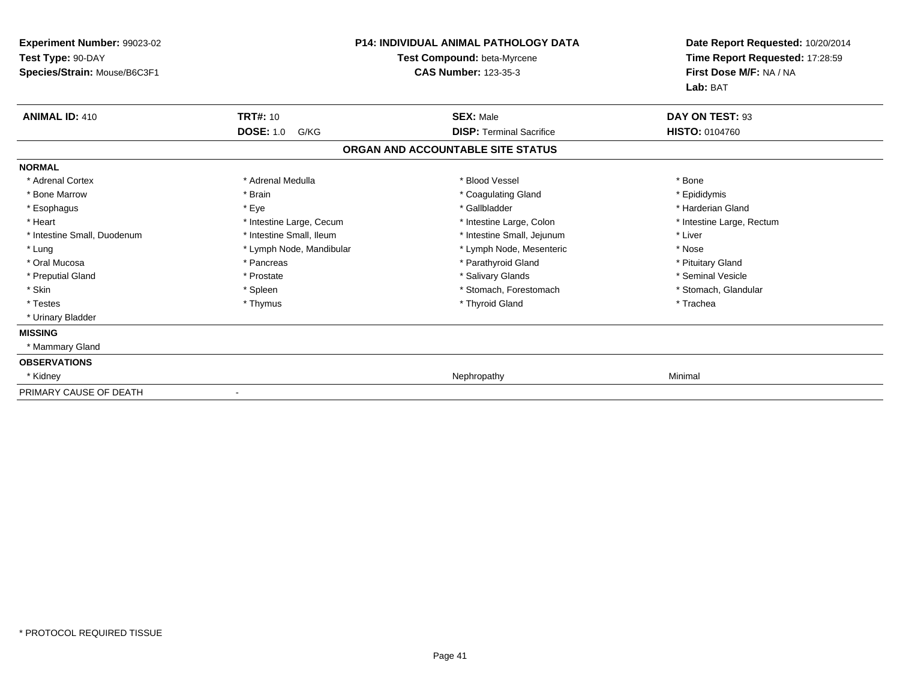| <b>Experiment Number: 99023-02</b><br>Test Type: 90-DAY<br>Species/Strain: Mouse/B6C3F1 |                          | <b>P14: INDIVIDUAL ANIMAL PATHOLOGY DATA</b><br>Test Compound: beta-Myrcene<br><b>CAS Number: 123-35-3</b> | Date Report Requested: 10/20/2014<br>Time Report Requested: 17:28:59<br>First Dose M/F: NA / NA<br>Lab: BAT |
|-----------------------------------------------------------------------------------------|--------------------------|------------------------------------------------------------------------------------------------------------|-------------------------------------------------------------------------------------------------------------|
| <b>ANIMAL ID: 410</b>                                                                   | <b>TRT#: 10</b>          | <b>SEX: Male</b>                                                                                           | DAY ON TEST: 93                                                                                             |
|                                                                                         | <b>DOSE: 1.0</b><br>G/KG | <b>DISP: Terminal Sacrifice</b>                                                                            | <b>HISTO: 0104760</b>                                                                                       |
|                                                                                         |                          | ORGAN AND ACCOUNTABLE SITE STATUS                                                                          |                                                                                                             |
| <b>NORMAL</b>                                                                           |                          |                                                                                                            |                                                                                                             |
| * Adrenal Cortex                                                                        | * Adrenal Medulla        | * Blood Vessel                                                                                             | * Bone                                                                                                      |
| * Bone Marrow                                                                           | * Brain                  | * Coagulating Gland                                                                                        | * Epididymis                                                                                                |
| * Esophagus                                                                             | * Eye                    | * Gallbladder                                                                                              | * Harderian Gland                                                                                           |
| * Heart                                                                                 | * Intestine Large, Cecum | * Intestine Large, Colon                                                                                   | * Intestine Large, Rectum                                                                                   |
| * Intestine Small, Duodenum                                                             | * Intestine Small, Ileum | * Intestine Small, Jejunum                                                                                 | * Liver                                                                                                     |
| * Lung                                                                                  | * Lymph Node, Mandibular | * Lymph Node, Mesenteric                                                                                   | * Nose                                                                                                      |
| * Oral Mucosa                                                                           | * Pancreas               | * Parathyroid Gland                                                                                        | * Pituitary Gland                                                                                           |
| * Preputial Gland                                                                       | * Prostate               | * Salivary Glands                                                                                          | * Seminal Vesicle                                                                                           |
| * Skin                                                                                  | * Spleen                 | * Stomach, Forestomach                                                                                     | * Stomach, Glandular                                                                                        |
| * Testes                                                                                | * Thymus                 | * Thyroid Gland                                                                                            | * Trachea                                                                                                   |
| * Urinary Bladder                                                                       |                          |                                                                                                            |                                                                                                             |
| <b>MISSING</b>                                                                          |                          |                                                                                                            |                                                                                                             |
| * Mammary Gland                                                                         |                          |                                                                                                            |                                                                                                             |
| <b>OBSERVATIONS</b>                                                                     |                          |                                                                                                            |                                                                                                             |
| * Kidney                                                                                |                          | Nephropathy                                                                                                | Minimal                                                                                                     |
| PRIMARY CAUSE OF DEATH                                                                  |                          |                                                                                                            |                                                                                                             |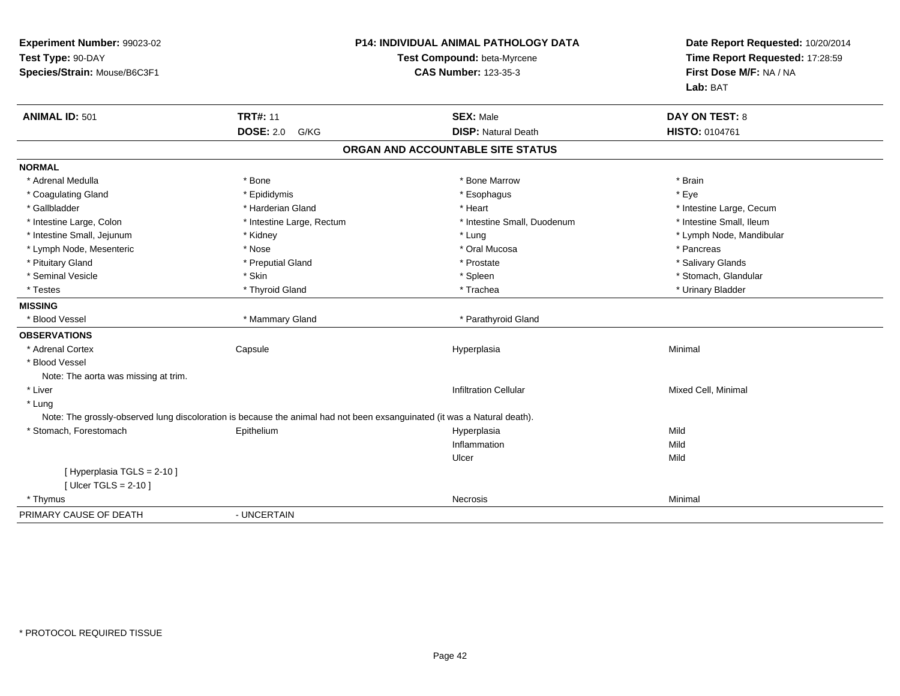| Experiment Number: 99023-02<br>Test Type: 90-DAY<br>Species/Strain: Mouse/B6C3F1 |                                                                                                                          | <b>P14: INDIVIDUAL ANIMAL PATHOLOGY DATA</b><br>Test Compound: beta-Myrcene<br><b>CAS Number: 123-35-3</b> | Date Report Requested: 10/20/2014<br>Time Report Requested: 17:28:59<br>First Dose M/F: NA / NA<br>Lab: BAT |
|----------------------------------------------------------------------------------|--------------------------------------------------------------------------------------------------------------------------|------------------------------------------------------------------------------------------------------------|-------------------------------------------------------------------------------------------------------------|
| <b>ANIMAL ID: 501</b>                                                            | <b>TRT#: 11</b>                                                                                                          | <b>SEX: Male</b>                                                                                           | <b>DAY ON TEST: 8</b>                                                                                       |
|                                                                                  | <b>DOSE: 2.0</b><br>G/KG                                                                                                 | <b>DISP: Natural Death</b>                                                                                 | HISTO: 0104761                                                                                              |
|                                                                                  |                                                                                                                          | ORGAN AND ACCOUNTABLE SITE STATUS                                                                          |                                                                                                             |
| <b>NORMAL</b>                                                                    |                                                                                                                          |                                                                                                            |                                                                                                             |
| * Adrenal Medulla                                                                | * Bone                                                                                                                   | * Bone Marrow                                                                                              | * Brain                                                                                                     |
| * Coagulating Gland                                                              | * Epididymis                                                                                                             | * Esophagus                                                                                                | * Eye                                                                                                       |
| * Gallbladder                                                                    | * Harderian Gland                                                                                                        | * Heart                                                                                                    | * Intestine Large, Cecum                                                                                    |
| * Intestine Large, Colon                                                         | * Intestine Large, Rectum                                                                                                | * Intestine Small, Duodenum                                                                                | * Intestine Small, Ileum                                                                                    |
| * Intestine Small, Jejunum                                                       | * Kidney                                                                                                                 | * Lung                                                                                                     | * Lymph Node, Mandibular                                                                                    |
| * Lymph Node, Mesenteric                                                         | * Nose                                                                                                                   | * Oral Mucosa                                                                                              | * Pancreas                                                                                                  |
| * Pituitary Gland                                                                | * Preputial Gland                                                                                                        | * Prostate                                                                                                 | * Salivary Glands                                                                                           |
| * Seminal Vesicle                                                                | * Skin                                                                                                                   | * Spleen                                                                                                   | * Stomach, Glandular                                                                                        |
| * Testes                                                                         | * Thyroid Gland                                                                                                          | * Trachea                                                                                                  | * Urinary Bladder                                                                                           |
| <b>MISSING</b>                                                                   |                                                                                                                          |                                                                                                            |                                                                                                             |
| * Blood Vessel                                                                   | * Mammary Gland                                                                                                          | * Parathyroid Gland                                                                                        |                                                                                                             |
| <b>OBSERVATIONS</b>                                                              |                                                                                                                          |                                                                                                            |                                                                                                             |
| * Adrenal Cortex                                                                 | Capsule                                                                                                                  | Hyperplasia                                                                                                | Minimal                                                                                                     |
| * Blood Vessel                                                                   |                                                                                                                          |                                                                                                            |                                                                                                             |
| Note: The aorta was missing at trim.                                             |                                                                                                                          |                                                                                                            |                                                                                                             |
| * Liver                                                                          |                                                                                                                          | <b>Infiltration Cellular</b>                                                                               | Mixed Cell, Minimal                                                                                         |
| * Lung                                                                           |                                                                                                                          |                                                                                                            |                                                                                                             |
|                                                                                  | Note: The grossly-observed lung discoloration is because the animal had not been exsanguinated (it was a Natural death). |                                                                                                            |                                                                                                             |
| * Stomach, Forestomach                                                           | Epithelium                                                                                                               | Hyperplasia                                                                                                | Mild                                                                                                        |
|                                                                                  |                                                                                                                          | Inflammation                                                                                               | Mild                                                                                                        |
|                                                                                  |                                                                                                                          | Ulcer                                                                                                      | Mild                                                                                                        |
| [ Hyperplasia TGLS = 2-10 ]                                                      |                                                                                                                          |                                                                                                            |                                                                                                             |
| [ Ulcer TGLS = $2-10$ ]                                                          |                                                                                                                          |                                                                                                            |                                                                                                             |
| * Thymus                                                                         |                                                                                                                          | Necrosis                                                                                                   | Minimal                                                                                                     |
| PRIMARY CAUSE OF DEATH                                                           | - UNCERTAIN                                                                                                              |                                                                                                            |                                                                                                             |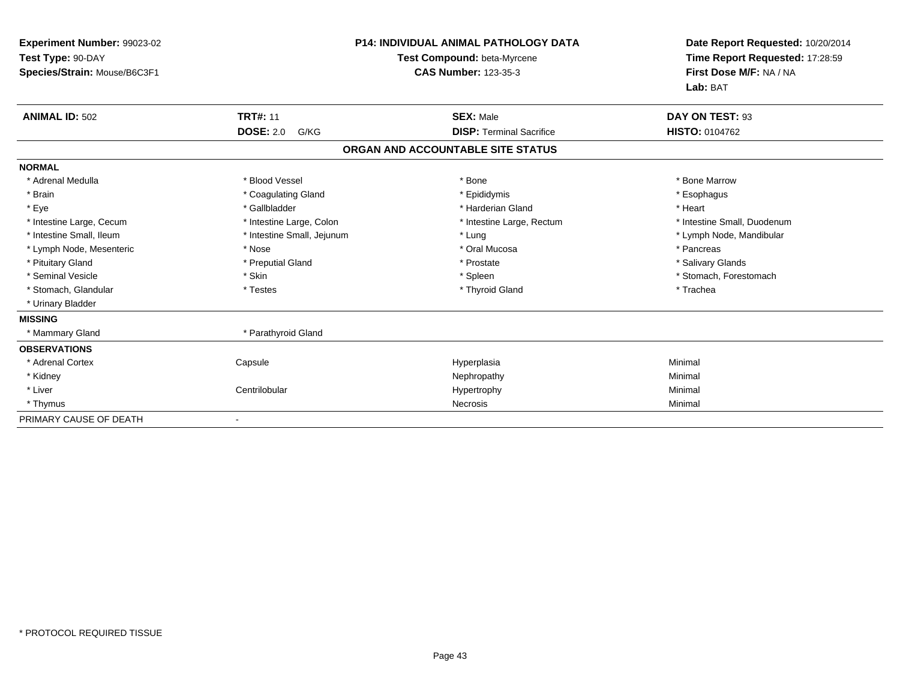| Experiment Number: 99023-02<br>Test Type: 90-DAY<br>Species/Strain: Mouse/B6C3F1 |                            | <b>P14: INDIVIDUAL ANIMAL PATHOLOGY DATA</b><br>Test Compound: beta-Myrcene<br><b>CAS Number: 123-35-3</b> | Date Report Requested: 10/20/2014<br>Time Report Requested: 17:28:59<br>First Dose M/F: NA / NA<br>Lab: BAT |
|----------------------------------------------------------------------------------|----------------------------|------------------------------------------------------------------------------------------------------------|-------------------------------------------------------------------------------------------------------------|
| <b>ANIMAL ID: 502</b>                                                            | <b>TRT#: 11</b>            | <b>SEX: Male</b>                                                                                           | DAY ON TEST: 93                                                                                             |
|                                                                                  | <b>DOSE: 2.0</b><br>G/KG   | <b>DISP: Terminal Sacrifice</b>                                                                            | HISTO: 0104762                                                                                              |
|                                                                                  |                            | ORGAN AND ACCOUNTABLE SITE STATUS                                                                          |                                                                                                             |
| <b>NORMAL</b>                                                                    |                            |                                                                                                            |                                                                                                             |
| * Adrenal Medulla                                                                | * Blood Vessel             | * Bone                                                                                                     | * Bone Marrow                                                                                               |
| * Brain                                                                          | * Coagulating Gland        | * Epididymis                                                                                               | * Esophagus                                                                                                 |
| * Eye                                                                            | * Gallbladder              | * Harderian Gland                                                                                          | * Heart                                                                                                     |
| * Intestine Large, Cecum                                                         | * Intestine Large, Colon   | * Intestine Large, Rectum                                                                                  | * Intestine Small, Duodenum                                                                                 |
| * Intestine Small, Ileum                                                         | * Intestine Small, Jejunum | * Lung                                                                                                     | * Lymph Node, Mandibular                                                                                    |
| * Lymph Node, Mesenteric                                                         | * Nose                     | * Oral Mucosa                                                                                              | * Pancreas                                                                                                  |
| * Pituitary Gland                                                                | * Preputial Gland          | * Prostate                                                                                                 | * Salivary Glands                                                                                           |
| * Seminal Vesicle                                                                | * Skin                     | * Spleen                                                                                                   | * Stomach, Forestomach                                                                                      |
| * Stomach, Glandular                                                             | * Testes                   | * Thyroid Gland                                                                                            | * Trachea                                                                                                   |
| * Urinary Bladder                                                                |                            |                                                                                                            |                                                                                                             |
| <b>MISSING</b>                                                                   |                            |                                                                                                            |                                                                                                             |
| * Mammary Gland                                                                  | * Parathyroid Gland        |                                                                                                            |                                                                                                             |
| <b>OBSERVATIONS</b>                                                              |                            |                                                                                                            |                                                                                                             |
| * Adrenal Cortex                                                                 | Capsule                    | Hyperplasia                                                                                                | Minimal                                                                                                     |
| * Kidney                                                                         |                            | Nephropathy                                                                                                | Minimal                                                                                                     |
| * Liver                                                                          | Centrilobular              | Hypertrophy                                                                                                | Minimal                                                                                                     |
| * Thymus                                                                         |                            | Necrosis                                                                                                   | Minimal                                                                                                     |
| PRIMARY CAUSE OF DEATH                                                           |                            |                                                                                                            |                                                                                                             |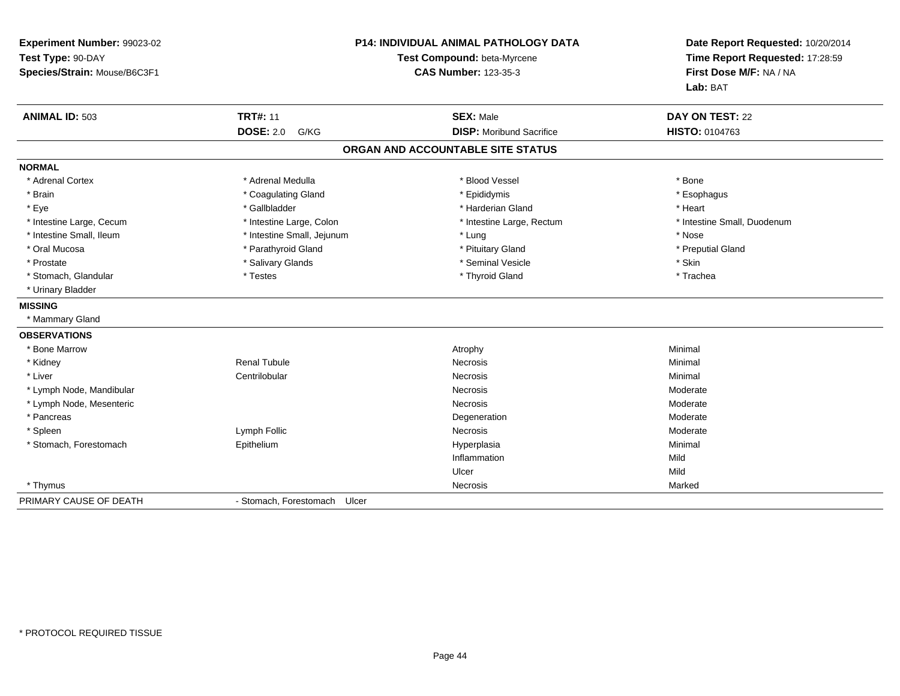| Experiment Number: 99023-02  | <b>P14: INDIVIDUAL ANIMAL PATHOLOGY DATA</b><br>Test Compound: beta-Myrcene<br><b>CAS Number: 123-35-3</b> |                                   | Date Report Requested: 10/20/2014<br>Time Report Requested: 17:28:59<br>First Dose M/F: NA / NA |
|------------------------------|------------------------------------------------------------------------------------------------------------|-----------------------------------|-------------------------------------------------------------------------------------------------|
| Test Type: 90-DAY            |                                                                                                            |                                   |                                                                                                 |
| Species/Strain: Mouse/B6C3F1 |                                                                                                            |                                   |                                                                                                 |
|                              |                                                                                                            |                                   | Lab: BAT                                                                                        |
| <b>ANIMAL ID: 503</b>        | <b>TRT#: 11</b>                                                                                            | <b>SEX: Male</b>                  | <b>DAY ON TEST: 22</b>                                                                          |
|                              | <b>DOSE: 2.0</b><br>G/KG                                                                                   | <b>DISP: Moribund Sacrifice</b>   | HISTO: 0104763                                                                                  |
|                              |                                                                                                            | ORGAN AND ACCOUNTABLE SITE STATUS |                                                                                                 |
| <b>NORMAL</b>                |                                                                                                            |                                   |                                                                                                 |
| * Adrenal Cortex             | * Adrenal Medulla                                                                                          | * Blood Vessel                    | * Bone                                                                                          |
| * Brain                      | * Coagulating Gland                                                                                        | * Epididymis                      | * Esophagus                                                                                     |
| * Eye                        | * Gallbladder                                                                                              | * Harderian Gland                 | * Heart                                                                                         |
| * Intestine Large, Cecum     | * Intestine Large, Colon                                                                                   | * Intestine Large, Rectum         | * Intestine Small, Duodenum                                                                     |
| * Intestine Small. Ileum     | * Intestine Small, Jejunum                                                                                 | * Lung                            | * Nose                                                                                          |
| * Oral Mucosa                | * Parathyroid Gland                                                                                        | * Pituitary Gland                 | * Preputial Gland                                                                               |
| * Prostate                   | * Salivary Glands                                                                                          | * Seminal Vesicle                 | * Skin                                                                                          |
| * Stomach, Glandular         | * Testes                                                                                                   | * Thyroid Gland                   | * Trachea                                                                                       |
| * Urinary Bladder            |                                                                                                            |                                   |                                                                                                 |
| <b>MISSING</b>               |                                                                                                            |                                   |                                                                                                 |
| * Mammary Gland              |                                                                                                            |                                   |                                                                                                 |
| <b>OBSERVATIONS</b>          |                                                                                                            |                                   |                                                                                                 |
| * Bone Marrow                |                                                                                                            | Atrophy                           | Minimal                                                                                         |
| * Kidney                     | <b>Renal Tubule</b>                                                                                        | Necrosis                          | Minimal                                                                                         |
| * Liver                      | Centrilobular                                                                                              | <b>Necrosis</b>                   | Minimal                                                                                         |
| * Lymph Node, Mandibular     |                                                                                                            | Necrosis                          | Moderate                                                                                        |
| * Lymph Node, Mesenteric     |                                                                                                            | Necrosis                          | Moderate                                                                                        |
| * Pancreas                   |                                                                                                            | Degeneration                      | Moderate                                                                                        |
| * Spleen                     | Lymph Follic                                                                                               | Necrosis                          | Moderate                                                                                        |
| * Stomach, Forestomach       | Epithelium                                                                                                 | Hyperplasia                       | Minimal                                                                                         |
|                              |                                                                                                            | Inflammation                      | Mild                                                                                            |
|                              |                                                                                                            | Ulcer                             | Mild                                                                                            |
| * Thymus                     |                                                                                                            | Necrosis                          | Marked                                                                                          |
| PRIMARY CAUSE OF DEATH       | - Stomach, Forestomach<br>Ulcer                                                                            |                                   |                                                                                                 |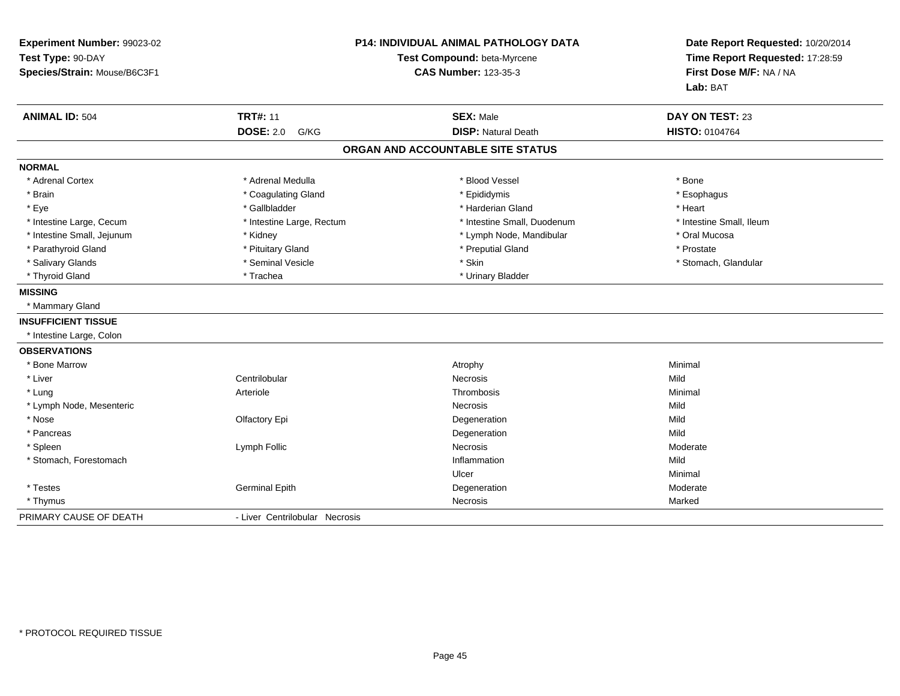| Experiment Number: 99023-02<br>Test Type: 90-DAY<br>Species/Strain: Mouse/B6C3F1 |                                | P14: INDIVIDUAL ANIMAL PATHOLOGY DATA<br>Test Compound: beta-Myrcene<br><b>CAS Number: 123-35-3</b> | Date Report Requested: 10/20/2014<br>Time Report Requested: 17:28:59<br>First Dose M/F: NA / NA<br>Lab: BAT |
|----------------------------------------------------------------------------------|--------------------------------|-----------------------------------------------------------------------------------------------------|-------------------------------------------------------------------------------------------------------------|
| <b>ANIMAL ID: 504</b>                                                            | <b>TRT#: 11</b>                | <b>SEX: Male</b>                                                                                    | DAY ON TEST: 23                                                                                             |
|                                                                                  | <b>DOSE: 2.0</b><br>G/KG       | <b>DISP: Natural Death</b>                                                                          | <b>HISTO: 0104764</b>                                                                                       |
|                                                                                  |                                | ORGAN AND ACCOUNTABLE SITE STATUS                                                                   |                                                                                                             |
| <b>NORMAL</b>                                                                    |                                |                                                                                                     |                                                                                                             |
| * Adrenal Cortex                                                                 | * Adrenal Medulla              | * Blood Vessel                                                                                      | * Bone                                                                                                      |
| * Brain                                                                          | * Coagulating Gland            | * Epididymis                                                                                        | * Esophagus                                                                                                 |
| * Eye                                                                            | * Gallbladder                  | * Harderian Gland                                                                                   | * Heart                                                                                                     |
| * Intestine Large, Cecum                                                         | * Intestine Large, Rectum      | * Intestine Small, Duodenum                                                                         | * Intestine Small. Ileum                                                                                    |
| * Intestine Small, Jejunum                                                       | * Kidney                       | * Lymph Node, Mandibular                                                                            | * Oral Mucosa                                                                                               |
| * Parathyroid Gland                                                              | * Pituitary Gland              | * Preputial Gland                                                                                   | * Prostate                                                                                                  |
| * Salivary Glands                                                                | * Seminal Vesicle              | * Skin                                                                                              | * Stomach, Glandular                                                                                        |
| * Thyroid Gland                                                                  | * Trachea                      | * Urinary Bladder                                                                                   |                                                                                                             |
| <b>MISSING</b>                                                                   |                                |                                                                                                     |                                                                                                             |
| * Mammary Gland                                                                  |                                |                                                                                                     |                                                                                                             |
| <b>INSUFFICIENT TISSUE</b>                                                       |                                |                                                                                                     |                                                                                                             |
| * Intestine Large, Colon                                                         |                                |                                                                                                     |                                                                                                             |
| <b>OBSERVATIONS</b>                                                              |                                |                                                                                                     |                                                                                                             |
| * Bone Marrow                                                                    |                                | Atrophy                                                                                             | Minimal                                                                                                     |
| * Liver                                                                          | Centrilobular                  | <b>Necrosis</b>                                                                                     | Mild                                                                                                        |
| * Lung                                                                           | Arteriole                      | Thrombosis                                                                                          | Minimal                                                                                                     |
| * Lymph Node, Mesenteric                                                         |                                | Necrosis                                                                                            | Mild                                                                                                        |
| * Nose                                                                           | Olfactory Epi                  | Degeneration                                                                                        | Mild                                                                                                        |
| * Pancreas                                                                       |                                | Degeneration                                                                                        | Mild                                                                                                        |
| * Spleen                                                                         | Lymph Follic                   | <b>Necrosis</b>                                                                                     | Moderate                                                                                                    |
| * Stomach, Forestomach                                                           |                                | Inflammation                                                                                        | Mild                                                                                                        |
|                                                                                  |                                | Ulcer                                                                                               | Minimal                                                                                                     |
| * Testes                                                                         | <b>Germinal Epith</b>          | Degeneration                                                                                        | Moderate                                                                                                    |
| * Thymus                                                                         |                                | Necrosis                                                                                            | Marked                                                                                                      |
| PRIMARY CAUSE OF DEATH                                                           | - Liver Centrilobular Necrosis |                                                                                                     |                                                                                                             |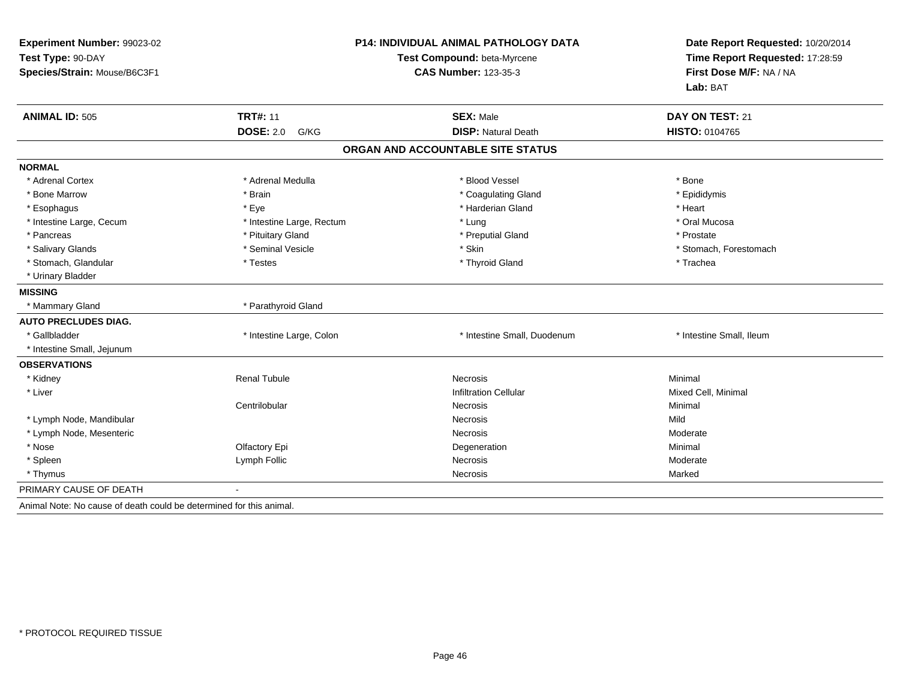| Experiment Number: 99023-02<br>Test Type: 90-DAY<br>Species/Strain: Mouse/B6C3F1 |                           | P14: INDIVIDUAL ANIMAL PATHOLOGY DATA<br>Test Compound: beta-Myrcene<br><b>CAS Number: 123-35-3</b> | Date Report Requested: 10/20/2014<br>Time Report Requested: 17:28:59<br>First Dose M/F: NA / NA<br>Lab: BAT |
|----------------------------------------------------------------------------------|---------------------------|-----------------------------------------------------------------------------------------------------|-------------------------------------------------------------------------------------------------------------|
| <b>ANIMAL ID: 505</b>                                                            | <b>TRT#: 11</b>           | <b>SEX: Male</b>                                                                                    | DAY ON TEST: 21                                                                                             |
|                                                                                  | <b>DOSE: 2.0</b><br>G/KG  | <b>DISP: Natural Death</b>                                                                          | <b>HISTO: 0104765</b>                                                                                       |
|                                                                                  |                           | ORGAN AND ACCOUNTABLE SITE STATUS                                                                   |                                                                                                             |
| <b>NORMAL</b>                                                                    |                           |                                                                                                     |                                                                                                             |
| * Adrenal Cortex                                                                 | * Adrenal Medulla         | * Blood Vessel                                                                                      | * Bone                                                                                                      |
| * Bone Marrow                                                                    | * Brain                   | * Coagulating Gland                                                                                 | * Epididymis                                                                                                |
| * Esophagus                                                                      | * Eye                     | * Harderian Gland                                                                                   | * Heart                                                                                                     |
| * Intestine Large, Cecum                                                         | * Intestine Large, Rectum | * Lung                                                                                              | * Oral Mucosa                                                                                               |
| * Pancreas                                                                       | * Pituitary Gland         | * Preputial Gland                                                                                   | * Prostate                                                                                                  |
| * Salivary Glands                                                                | * Seminal Vesicle         | * Skin                                                                                              | * Stomach, Forestomach                                                                                      |
| * Stomach, Glandular                                                             | * Testes                  | * Thyroid Gland                                                                                     | * Trachea                                                                                                   |
| * Urinary Bladder                                                                |                           |                                                                                                     |                                                                                                             |
| <b>MISSING</b>                                                                   |                           |                                                                                                     |                                                                                                             |
| * Mammary Gland                                                                  | * Parathyroid Gland       |                                                                                                     |                                                                                                             |
| <b>AUTO PRECLUDES DIAG.</b>                                                      |                           |                                                                                                     |                                                                                                             |
| * Gallbladder                                                                    | * Intestine Large, Colon  | * Intestine Small, Duodenum                                                                         | * Intestine Small, Ileum                                                                                    |
| * Intestine Small, Jejunum                                                       |                           |                                                                                                     |                                                                                                             |
| <b>OBSERVATIONS</b>                                                              |                           |                                                                                                     |                                                                                                             |
| * Kidney                                                                         | <b>Renal Tubule</b>       | <b>Necrosis</b>                                                                                     | Minimal                                                                                                     |
| * Liver                                                                          |                           | <b>Infiltration Cellular</b>                                                                        | Mixed Cell, Minimal                                                                                         |
|                                                                                  | Centrilobular             | Necrosis                                                                                            | Minimal                                                                                                     |
| * Lymph Node, Mandibular                                                         |                           | Necrosis                                                                                            | Mild                                                                                                        |
| * Lymph Node, Mesenteric                                                         |                           | <b>Necrosis</b>                                                                                     | Moderate                                                                                                    |
| * Nose                                                                           | Olfactory Epi             | Degeneration                                                                                        | Minimal                                                                                                     |
| * Spleen                                                                         | Lymph Follic              | Necrosis                                                                                            | Moderate                                                                                                    |
| * Thymus                                                                         |                           | Necrosis                                                                                            | Marked                                                                                                      |
| PRIMARY CAUSE OF DEATH                                                           |                           |                                                                                                     |                                                                                                             |
| Animal Note: No cause of death could be determined for this animal.              |                           |                                                                                                     |                                                                                                             |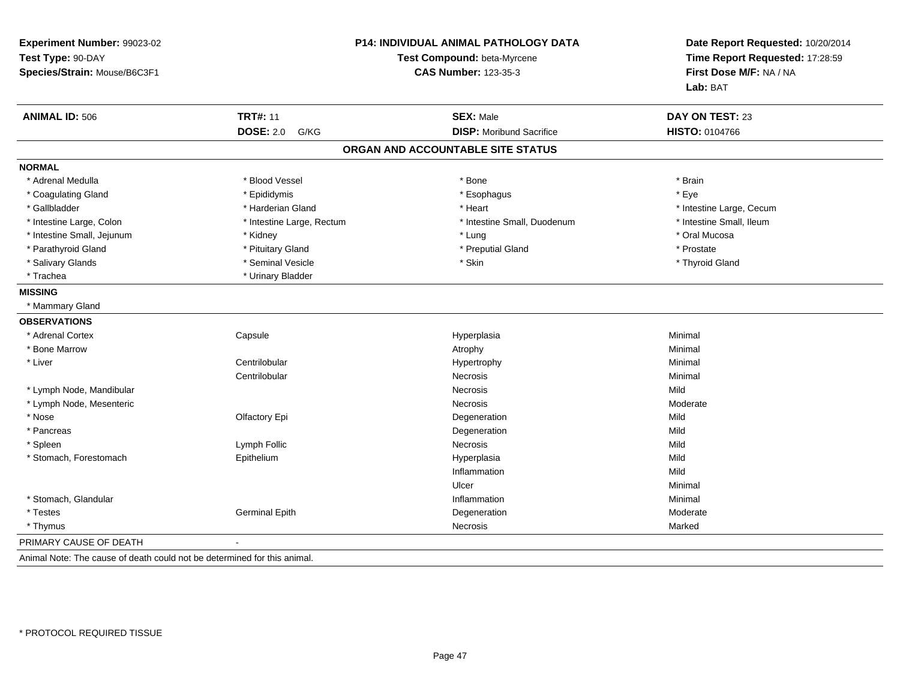| <b>TRT#: 11</b><br><b>ANIMAL ID: 506</b><br><b>SEX: Male</b><br><b>DOSE: 2.0</b><br><b>DISP:</b> Moribund Sacrifice<br>G/KG<br>ORGAN AND ACCOUNTABLE SITE STATUS<br><b>NORMAL</b><br>* Adrenal Medulla<br>* Blood Vessel<br>* Bone<br>* Coagulating Gland<br>* Epididymis<br>* Esophagus<br>* Gallbladder<br>* Harderian Gland<br>* Heart<br>* Intestine Large, Colon<br>* Intestine Small, Duodenum<br>* Intestine Large, Rectum<br>* Intestine Small, Jejunum<br>* Kidney<br>* Lung<br>* Parathyroid Gland<br>* Pituitary Gland<br>* Preputial Gland<br>* Salivary Glands<br>* Seminal Vesicle<br>* Skin<br>* Urinary Bladder<br>* Trachea<br><b>MISSING</b><br>* Mammary Gland<br><b>OBSERVATIONS</b><br>* Adrenal Cortex<br>Capsule<br>Hyperplasia |                          |
|--------------------------------------------------------------------------------------------------------------------------------------------------------------------------------------------------------------------------------------------------------------------------------------------------------------------------------------------------------------------------------------------------------------------------------------------------------------------------------------------------------------------------------------------------------------------------------------------------------------------------------------------------------------------------------------------------------------------------------------------------------|--------------------------|
|                                                                                                                                                                                                                                                                                                                                                                                                                                                                                                                                                                                                                                                                                                                                                        | DAY ON TEST: 23          |
|                                                                                                                                                                                                                                                                                                                                                                                                                                                                                                                                                                                                                                                                                                                                                        | <b>HISTO: 0104766</b>    |
|                                                                                                                                                                                                                                                                                                                                                                                                                                                                                                                                                                                                                                                                                                                                                        |                          |
|                                                                                                                                                                                                                                                                                                                                                                                                                                                                                                                                                                                                                                                                                                                                                        |                          |
|                                                                                                                                                                                                                                                                                                                                                                                                                                                                                                                                                                                                                                                                                                                                                        | * Brain                  |
|                                                                                                                                                                                                                                                                                                                                                                                                                                                                                                                                                                                                                                                                                                                                                        | * Eye                    |
|                                                                                                                                                                                                                                                                                                                                                                                                                                                                                                                                                                                                                                                                                                                                                        | * Intestine Large, Cecum |
|                                                                                                                                                                                                                                                                                                                                                                                                                                                                                                                                                                                                                                                                                                                                                        | * Intestine Small, Ileum |
|                                                                                                                                                                                                                                                                                                                                                                                                                                                                                                                                                                                                                                                                                                                                                        | * Oral Mucosa            |
|                                                                                                                                                                                                                                                                                                                                                                                                                                                                                                                                                                                                                                                                                                                                                        | * Prostate               |
|                                                                                                                                                                                                                                                                                                                                                                                                                                                                                                                                                                                                                                                                                                                                                        | * Thyroid Gland          |
|                                                                                                                                                                                                                                                                                                                                                                                                                                                                                                                                                                                                                                                                                                                                                        |                          |
|                                                                                                                                                                                                                                                                                                                                                                                                                                                                                                                                                                                                                                                                                                                                                        |                          |
|                                                                                                                                                                                                                                                                                                                                                                                                                                                                                                                                                                                                                                                                                                                                                        |                          |
|                                                                                                                                                                                                                                                                                                                                                                                                                                                                                                                                                                                                                                                                                                                                                        |                          |
|                                                                                                                                                                                                                                                                                                                                                                                                                                                                                                                                                                                                                                                                                                                                                        | Minimal                  |
| * Bone Marrow<br>Atrophy                                                                                                                                                                                                                                                                                                                                                                                                                                                                                                                                                                                                                                                                                                                               | Minimal                  |
| Centrilobular<br>* Liver<br>Hypertrophy                                                                                                                                                                                                                                                                                                                                                                                                                                                                                                                                                                                                                                                                                                                | Minimal                  |
| Centrilobular<br><b>Necrosis</b>                                                                                                                                                                                                                                                                                                                                                                                                                                                                                                                                                                                                                                                                                                                       | Minimal                  |
| * Lymph Node, Mandibular<br><b>Necrosis</b><br>Mild                                                                                                                                                                                                                                                                                                                                                                                                                                                                                                                                                                                                                                                                                                    |                          |
| * Lymph Node, Mesenteric<br>Necrosis                                                                                                                                                                                                                                                                                                                                                                                                                                                                                                                                                                                                                                                                                                                   | Moderate                 |
| * Nose<br>Olfactory Epi<br>Mild<br>Degeneration                                                                                                                                                                                                                                                                                                                                                                                                                                                                                                                                                                                                                                                                                                        |                          |
| * Pancreas<br>Mild<br>Degeneration                                                                                                                                                                                                                                                                                                                                                                                                                                                                                                                                                                                                                                                                                                                     |                          |
| * Spleen<br>Mild<br>Lymph Follic<br>Necrosis                                                                                                                                                                                                                                                                                                                                                                                                                                                                                                                                                                                                                                                                                                           |                          |
| Mild<br>* Stomach, Forestomach<br>Epithelium<br>Hyperplasia                                                                                                                                                                                                                                                                                                                                                                                                                                                                                                                                                                                                                                                                                            |                          |
| Inflammation<br>Mild                                                                                                                                                                                                                                                                                                                                                                                                                                                                                                                                                                                                                                                                                                                                   |                          |
| Ulcer                                                                                                                                                                                                                                                                                                                                                                                                                                                                                                                                                                                                                                                                                                                                                  | Minimal                  |
| * Stomach, Glandular<br>Inflammation                                                                                                                                                                                                                                                                                                                                                                                                                                                                                                                                                                                                                                                                                                                   | Minimal                  |
| * Testes<br><b>Germinal Epith</b><br>Degeneration                                                                                                                                                                                                                                                                                                                                                                                                                                                                                                                                                                                                                                                                                                      | Moderate                 |
| * Thymus<br>Necrosis                                                                                                                                                                                                                                                                                                                                                                                                                                                                                                                                                                                                                                                                                                                                   | Marked                   |
| PRIMARY CAUSE OF DEATH<br>$\blacksquare$                                                                                                                                                                                                                                                                                                                                                                                                                                                                                                                                                                                                                                                                                                               |                          |

Animal Note: The cause of death could not be determined for this animal.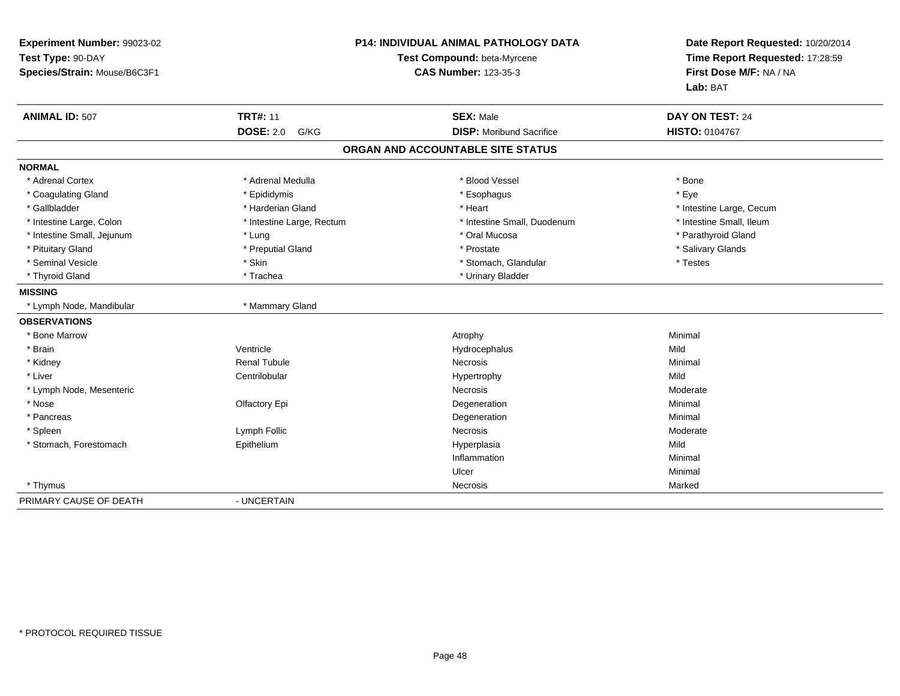| Experiment Number: 99023-02<br>Test Type: 90-DAY<br>Species/Strain: Mouse/B6C3F1 |                           | P14: INDIVIDUAL ANIMAL PATHOLOGY DATA<br>Test Compound: beta-Myrcene<br><b>CAS Number: 123-35-3</b> | Date Report Requested: 10/20/2014<br>Time Report Requested: 17:28:59<br>First Dose M/F: NA / NA<br>Lab: BAT |
|----------------------------------------------------------------------------------|---------------------------|-----------------------------------------------------------------------------------------------------|-------------------------------------------------------------------------------------------------------------|
| <b>ANIMAL ID: 507</b>                                                            | <b>TRT#: 11</b>           | <b>SEX: Male</b>                                                                                    | DAY ON TEST: 24                                                                                             |
|                                                                                  | <b>DOSE: 2.0</b><br>G/KG  | <b>DISP:</b> Moribund Sacrifice                                                                     | HISTO: 0104767                                                                                              |
|                                                                                  |                           | ORGAN AND ACCOUNTABLE SITE STATUS                                                                   |                                                                                                             |
| <b>NORMAL</b>                                                                    |                           |                                                                                                     |                                                                                                             |
| * Adrenal Cortex                                                                 | * Adrenal Medulla         | * Blood Vessel                                                                                      | * Bone                                                                                                      |
| * Coagulating Gland                                                              | * Epididymis              | * Esophagus                                                                                         | * Eve                                                                                                       |
| * Gallbladder                                                                    | * Harderian Gland         | * Heart                                                                                             | * Intestine Large, Cecum                                                                                    |
| * Intestine Large, Colon                                                         | * Intestine Large, Rectum | * Intestine Small, Duodenum                                                                         | * Intestine Small, Ileum                                                                                    |
| * Intestine Small, Jejunum                                                       | * Lung                    | * Oral Mucosa                                                                                       | * Parathyroid Gland                                                                                         |
| * Pituitary Gland                                                                | * Preputial Gland         | * Prostate                                                                                          | * Salivary Glands                                                                                           |
| * Seminal Vesicle                                                                | * Skin                    | * Stomach, Glandular                                                                                | * Testes                                                                                                    |
| * Thyroid Gland                                                                  | * Trachea                 | * Urinary Bladder                                                                                   |                                                                                                             |
| <b>MISSING</b>                                                                   |                           |                                                                                                     |                                                                                                             |
| * Lymph Node, Mandibular                                                         | * Mammary Gland           |                                                                                                     |                                                                                                             |
| <b>OBSERVATIONS</b>                                                              |                           |                                                                                                     |                                                                                                             |
| * Bone Marrow                                                                    |                           | Atrophy                                                                                             | Minimal                                                                                                     |
| * Brain                                                                          | Ventricle                 | Hydrocephalus                                                                                       | Mild                                                                                                        |
| * Kidney                                                                         | <b>Renal Tubule</b>       | Necrosis                                                                                            | Minimal                                                                                                     |
| * Liver                                                                          | Centrilobular             | Hypertrophy                                                                                         | Mild                                                                                                        |
| * Lymph Node, Mesenteric                                                         |                           | <b>Necrosis</b>                                                                                     | Moderate                                                                                                    |
| * Nose                                                                           | Olfactory Epi             | Degeneration                                                                                        | Minimal                                                                                                     |
| * Pancreas                                                                       |                           | Degeneration                                                                                        | Minimal                                                                                                     |
| * Spleen                                                                         | Lymph Follic              | Necrosis                                                                                            | Moderate                                                                                                    |
| * Stomach, Forestomach                                                           | Epithelium                | Hyperplasia                                                                                         | Mild                                                                                                        |
|                                                                                  |                           | Inflammation                                                                                        | Minimal                                                                                                     |
|                                                                                  |                           | Ulcer                                                                                               | Minimal                                                                                                     |
| * Thymus                                                                         |                           | Necrosis                                                                                            | Marked                                                                                                      |
| PRIMARY CAUSE OF DEATH                                                           | - UNCERTAIN               |                                                                                                     |                                                                                                             |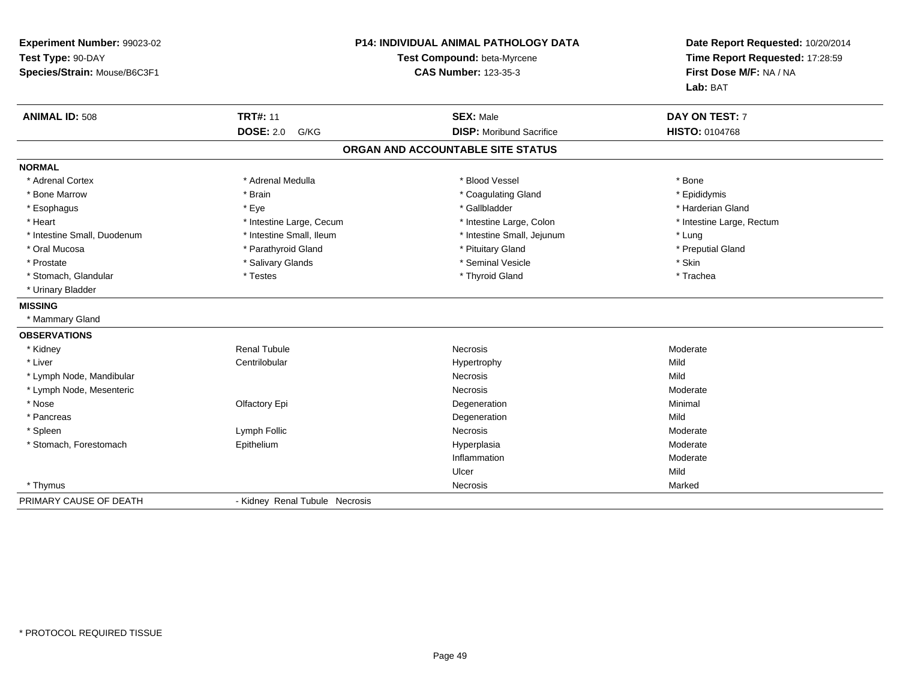| Experiment Number: 99023-02  |                                | <b>P14: INDIVIDUAL ANIMAL PATHOLOGY DATA</b>               | Date Report Requested: 10/20/2014 |
|------------------------------|--------------------------------|------------------------------------------------------------|-----------------------------------|
| Test Type: 90-DAY            |                                | Test Compound: beta-Myrcene<br><b>CAS Number: 123-35-3</b> |                                   |
| Species/Strain: Mouse/B6C3F1 |                                |                                                            |                                   |
|                              |                                |                                                            | Lab: BAT                          |
| <b>ANIMAL ID: 508</b>        | <b>TRT#: 11</b>                | <b>SEX: Male</b>                                           | DAY ON TEST: 7                    |
|                              | <b>DOSE: 2.0</b><br>G/KG       | <b>DISP: Moribund Sacrifice</b>                            | HISTO: 0104768                    |
|                              |                                | ORGAN AND ACCOUNTABLE SITE STATUS                          |                                   |
| <b>NORMAL</b>                |                                |                                                            |                                   |
| * Adrenal Cortex             | * Adrenal Medulla              | * Blood Vessel                                             | * Bone                            |
| * Bone Marrow                | * Brain                        | * Coagulating Gland                                        | * Epididymis                      |
| * Esophagus                  | * Eye                          | * Gallbladder                                              | * Harderian Gland                 |
| * Heart                      | * Intestine Large, Cecum       | * Intestine Large, Colon                                   | * Intestine Large, Rectum         |
| * Intestine Small. Duodenum  | * Intestine Small, Ileum       | * Intestine Small, Jejunum                                 | * Lung                            |
| * Oral Mucosa                | * Parathyroid Gland            | * Pituitary Gland                                          | * Preputial Gland                 |
| * Prostate                   | * Salivary Glands              | * Seminal Vesicle                                          | * Skin                            |
| * Stomach, Glandular         | * Testes                       | * Thyroid Gland                                            | * Trachea                         |
| * Urinary Bladder            |                                |                                                            |                                   |
| <b>MISSING</b>               |                                |                                                            |                                   |
| * Mammary Gland              |                                |                                                            |                                   |
| <b>OBSERVATIONS</b>          |                                |                                                            |                                   |
| * Kidney                     | <b>Renal Tubule</b>            | Necrosis                                                   | Moderate                          |
| * Liver                      | Centrilobular                  | Hypertrophy                                                | Mild                              |
| * Lymph Node, Mandibular     |                                | <b>Necrosis</b>                                            | Mild                              |
| * Lymph Node, Mesenteric     |                                | Necrosis                                                   | Moderate                          |
| * Nose                       | Olfactory Epi                  | Degeneration                                               | Minimal                           |
| * Pancreas                   |                                | Degeneration                                               | Mild                              |
| * Spleen                     | Lymph Follic                   | Necrosis                                                   | Moderate                          |
| * Stomach, Forestomach       | Epithelium                     | Hyperplasia                                                | Moderate                          |
|                              |                                | Inflammation                                               | Moderate                          |
|                              |                                | Ulcer                                                      | Mild                              |
| * Thymus                     |                                | Necrosis                                                   | Marked                            |
| PRIMARY CAUSE OF DEATH       | - Kidney Renal Tubule Necrosis |                                                            |                                   |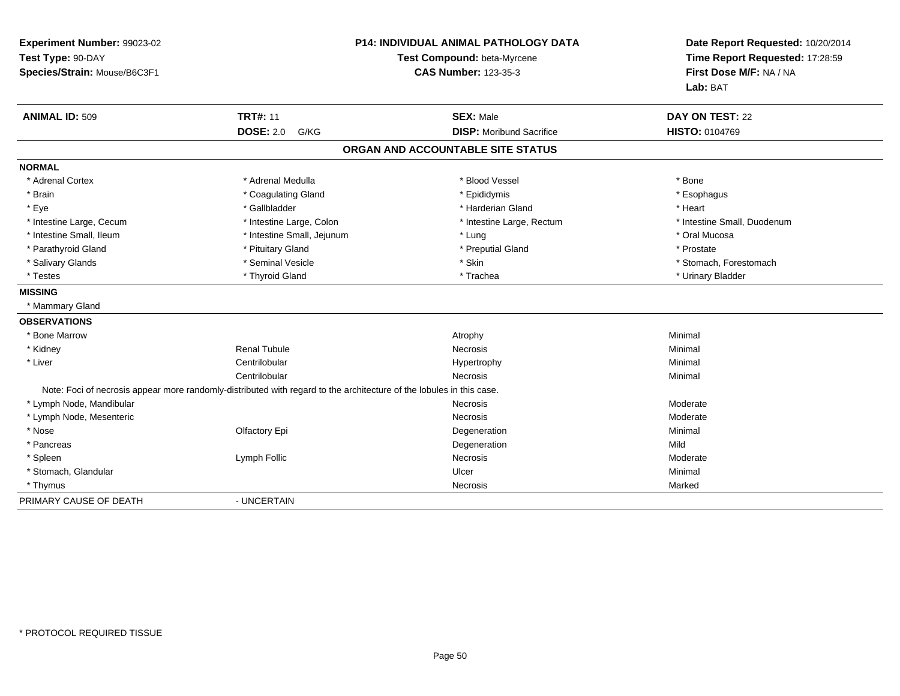| Experiment Number: 99023-02<br>Test Type: 90-DAY<br>Species/Strain: Mouse/B6C3F1 | <b>P14: INDIVIDUAL ANIMAL PATHOLOGY DATA</b><br>Test Compound: beta-Myrcene<br><b>CAS Number: 123-35-3</b>           |                                   | Date Report Requested: 10/20/2014<br>Time Report Requested: 17:28:59<br>First Dose M/F: NA / NA<br>Lab: BAT |  |
|----------------------------------------------------------------------------------|----------------------------------------------------------------------------------------------------------------------|-----------------------------------|-------------------------------------------------------------------------------------------------------------|--|
| <b>ANIMAL ID: 509</b>                                                            | <b>TRT#: 11</b>                                                                                                      | <b>SEX: Male</b>                  | DAY ON TEST: 22                                                                                             |  |
|                                                                                  | <b>DOSE: 2.0</b><br>G/KG                                                                                             | <b>DISP:</b> Moribund Sacrifice   | HISTO: 0104769                                                                                              |  |
|                                                                                  |                                                                                                                      | ORGAN AND ACCOUNTABLE SITE STATUS |                                                                                                             |  |
| <b>NORMAL</b>                                                                    |                                                                                                                      |                                   |                                                                                                             |  |
| * Adrenal Cortex                                                                 | * Adrenal Medulla                                                                                                    | * Blood Vessel                    | * Bone                                                                                                      |  |
| * Brain                                                                          | * Coagulating Gland                                                                                                  | * Epididymis                      | * Esophagus                                                                                                 |  |
| * Eye                                                                            | * Gallbladder                                                                                                        | * Harderian Gland                 | * Heart                                                                                                     |  |
| * Intestine Large, Cecum                                                         | * Intestine Large, Colon                                                                                             | * Intestine Large, Rectum         | * Intestine Small, Duodenum                                                                                 |  |
| * Intestine Small, Ileum                                                         | * Intestine Small, Jejunum                                                                                           | * Lung                            | * Oral Mucosa                                                                                               |  |
| * Parathyroid Gland                                                              | * Pituitary Gland                                                                                                    | * Preputial Gland                 | * Prostate                                                                                                  |  |
| * Salivary Glands                                                                | * Seminal Vesicle                                                                                                    | * Skin                            | * Stomach, Forestomach                                                                                      |  |
| * Testes                                                                         | * Thyroid Gland                                                                                                      | * Trachea                         | * Urinary Bladder                                                                                           |  |
| <b>MISSING</b>                                                                   |                                                                                                                      |                                   |                                                                                                             |  |
| * Mammary Gland                                                                  |                                                                                                                      |                                   |                                                                                                             |  |
| <b>OBSERVATIONS</b>                                                              |                                                                                                                      |                                   |                                                                                                             |  |
| * Bone Marrow                                                                    |                                                                                                                      | Atrophy                           | Minimal                                                                                                     |  |
| * Kidney                                                                         | <b>Renal Tubule</b>                                                                                                  | <b>Necrosis</b>                   | Minimal                                                                                                     |  |
| * Liver                                                                          | Centrilobular                                                                                                        | Hypertrophy                       | Minimal                                                                                                     |  |
|                                                                                  | Centrilobular                                                                                                        | Necrosis                          | Minimal                                                                                                     |  |
|                                                                                  | Note: Foci of necrosis appear more randomly-distributed with regard to the architecture of the lobules in this case. |                                   |                                                                                                             |  |
| * Lymph Node, Mandibular                                                         |                                                                                                                      | Necrosis                          | Moderate                                                                                                    |  |
| * Lymph Node, Mesenteric                                                         |                                                                                                                      | <b>Necrosis</b>                   | Moderate                                                                                                    |  |
| * Nose                                                                           | Olfactory Epi                                                                                                        | Degeneration                      | Minimal                                                                                                     |  |
| * Pancreas                                                                       |                                                                                                                      | Degeneration                      | Mild                                                                                                        |  |
| * Spleen                                                                         | Lymph Follic                                                                                                         | Necrosis                          | Moderate                                                                                                    |  |
| * Stomach, Glandular                                                             |                                                                                                                      | Ulcer                             | Minimal                                                                                                     |  |
| * Thymus                                                                         |                                                                                                                      | Necrosis                          | Marked                                                                                                      |  |
| PRIMARY CAUSE OF DEATH                                                           | - UNCERTAIN                                                                                                          |                                   |                                                                                                             |  |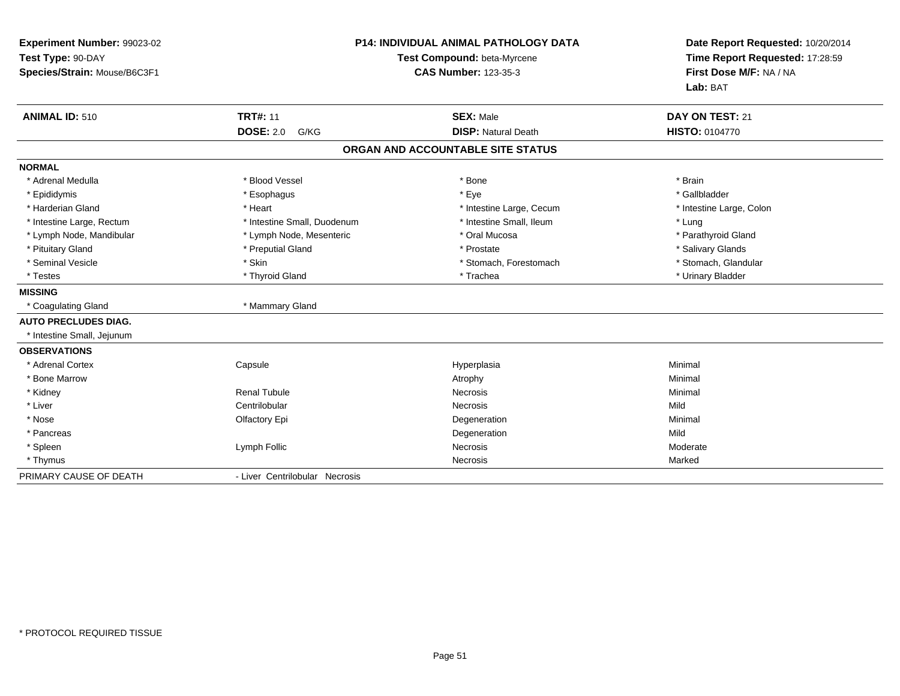| Experiment Number: 99023-02<br>Test Type: 90-DAY<br>Species/Strain: Mouse/B6C3F1 |                                | P14: INDIVIDUAL ANIMAL PATHOLOGY DATA<br>Test Compound: beta-Myrcene<br><b>CAS Number: 123-35-3</b> |                          |
|----------------------------------------------------------------------------------|--------------------------------|-----------------------------------------------------------------------------------------------------|--------------------------|
| <b>ANIMAL ID: 510</b>                                                            | <b>TRT#: 11</b>                | <b>SEX: Male</b>                                                                                    | DAY ON TEST: 21          |
|                                                                                  | <b>DOSE: 2.0</b><br>G/KG       | <b>DISP: Natural Death</b>                                                                          | <b>HISTO: 0104770</b>    |
|                                                                                  |                                | ORGAN AND ACCOUNTABLE SITE STATUS                                                                   |                          |
| <b>NORMAL</b>                                                                    |                                |                                                                                                     |                          |
| * Adrenal Medulla                                                                | * Blood Vessel                 | * Bone                                                                                              | * Brain                  |
| * Epididymis                                                                     | * Esophagus                    | * Eye                                                                                               | * Gallbladder            |
| * Harderian Gland                                                                | * Heart                        | * Intestine Large, Cecum                                                                            | * Intestine Large, Colon |
| * Intestine Large, Rectum                                                        | * Intestine Small, Duodenum    | * Intestine Small, Ileum                                                                            | * Lung                   |
| * Lymph Node, Mandibular                                                         | * Lymph Node, Mesenteric       | * Oral Mucosa                                                                                       | * Parathyroid Gland      |
| * Pituitary Gland                                                                | * Preputial Gland              | * Prostate                                                                                          | * Salivary Glands        |
| * Seminal Vesicle                                                                | * Skin                         | * Stomach, Forestomach                                                                              | * Stomach, Glandular     |
| * Testes                                                                         | * Thyroid Gland                | * Trachea                                                                                           | * Urinary Bladder        |
| <b>MISSING</b>                                                                   |                                |                                                                                                     |                          |
| * Coagulating Gland                                                              | * Mammary Gland                |                                                                                                     |                          |
| <b>AUTO PRECLUDES DIAG.</b>                                                      |                                |                                                                                                     |                          |
| * Intestine Small, Jejunum                                                       |                                |                                                                                                     |                          |
| <b>OBSERVATIONS</b>                                                              |                                |                                                                                                     |                          |
| * Adrenal Cortex                                                                 | Capsule                        | Hyperplasia                                                                                         | Minimal                  |
| * Bone Marrow                                                                    |                                | Atrophy                                                                                             | Minimal                  |
| * Kidney                                                                         | <b>Renal Tubule</b>            | <b>Necrosis</b>                                                                                     | Minimal                  |
| * Liver                                                                          | Centrilobular                  | <b>Necrosis</b>                                                                                     | Mild                     |
| * Nose                                                                           | Olfactory Epi                  | Degeneration                                                                                        | Minimal                  |
| * Pancreas                                                                       |                                | Degeneration                                                                                        | Mild                     |
| * Spleen                                                                         | Lymph Follic                   | Necrosis                                                                                            | Moderate                 |
| * Thymus                                                                         |                                | Necrosis                                                                                            | Marked                   |
| PRIMARY CAUSE OF DEATH                                                           | - Liver Centrilobular Necrosis |                                                                                                     |                          |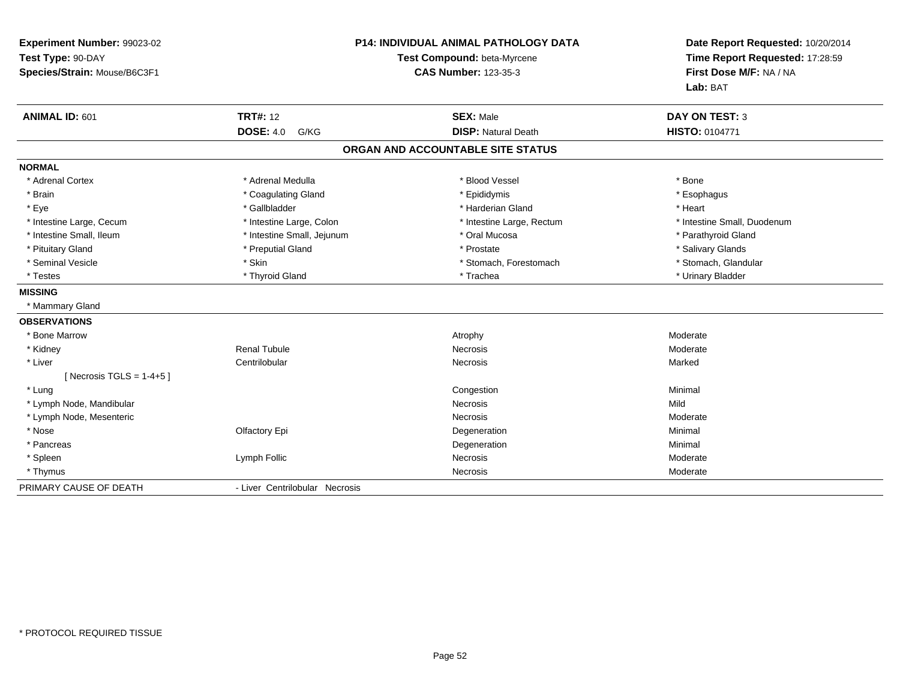| Experiment Number: 99023-02<br>Test Type: 90-DAY<br>Species/Strain: Mouse/B6C3F1 |                                | <b>P14: INDIVIDUAL ANIMAL PATHOLOGY DATA</b><br>Test Compound: beta-Myrcene<br><b>CAS Number: 123-35-3</b> | Date Report Requested: 10/20/2014<br>Time Report Requested: 17:28:59<br>First Dose M/F: NA / NA<br>Lab: BAT |
|----------------------------------------------------------------------------------|--------------------------------|------------------------------------------------------------------------------------------------------------|-------------------------------------------------------------------------------------------------------------|
| ANIMAL ID: 601                                                                   | <b>TRT#: 12</b>                | <b>SEX: Male</b>                                                                                           | <b>DAY ON TEST: 3</b>                                                                                       |
|                                                                                  | <b>DOSE: 4.0</b><br>G/KG       | <b>DISP: Natural Death</b>                                                                                 | HISTO: 0104771                                                                                              |
|                                                                                  |                                | ORGAN AND ACCOUNTABLE SITE STATUS                                                                          |                                                                                                             |
| <b>NORMAL</b>                                                                    |                                |                                                                                                            |                                                                                                             |
| * Adrenal Cortex                                                                 | * Adrenal Medulla              | * Blood Vessel                                                                                             | * Bone                                                                                                      |
| * Brain                                                                          | * Coagulating Gland            | * Epididymis                                                                                               | * Esophagus                                                                                                 |
| * Eye                                                                            | * Gallbladder                  | * Harderian Gland                                                                                          | * Heart                                                                                                     |
| * Intestine Large, Cecum                                                         | * Intestine Large, Colon       | * Intestine Large, Rectum                                                                                  | * Intestine Small, Duodenum                                                                                 |
| * Intestine Small, Ileum                                                         | * Intestine Small, Jejunum     | * Oral Mucosa                                                                                              | * Parathyroid Gland                                                                                         |
| * Pituitary Gland                                                                | * Preputial Gland              | * Prostate                                                                                                 | * Salivary Glands                                                                                           |
| * Seminal Vesicle                                                                | * Skin                         | * Stomach, Forestomach                                                                                     | * Stomach, Glandular                                                                                        |
| * Testes                                                                         | * Thyroid Gland                | * Trachea                                                                                                  | * Urinary Bladder                                                                                           |
| <b>MISSING</b>                                                                   |                                |                                                                                                            |                                                                                                             |
| * Mammary Gland                                                                  |                                |                                                                                                            |                                                                                                             |
| <b>OBSERVATIONS</b>                                                              |                                |                                                                                                            |                                                                                                             |
| * Bone Marrow                                                                    |                                | Atrophy                                                                                                    | Moderate                                                                                                    |
| * Kidney                                                                         | <b>Renal Tubule</b>            | <b>Necrosis</b>                                                                                            | Moderate                                                                                                    |
| * Liver                                                                          | Centrilobular                  | Necrosis                                                                                                   | Marked                                                                                                      |
| [Necrosis TGLS = $1-4+5$ ]                                                       |                                |                                                                                                            |                                                                                                             |
| * Lung                                                                           |                                | Congestion                                                                                                 | Minimal                                                                                                     |
| * Lymph Node, Mandibular                                                         |                                | <b>Necrosis</b>                                                                                            | Mild                                                                                                        |
| * Lymph Node, Mesenteric                                                         |                                | Necrosis                                                                                                   | Moderate                                                                                                    |
| * Nose                                                                           | Olfactory Epi                  | Degeneration                                                                                               | Minimal                                                                                                     |
| * Pancreas                                                                       |                                | Degeneration                                                                                               | Minimal                                                                                                     |
| * Spleen                                                                         | Lymph Follic                   | Necrosis                                                                                                   | Moderate                                                                                                    |
| * Thymus                                                                         |                                | Necrosis                                                                                                   | Moderate                                                                                                    |
| PRIMARY CAUSE OF DEATH                                                           | - Liver Centrilobular Necrosis |                                                                                                            |                                                                                                             |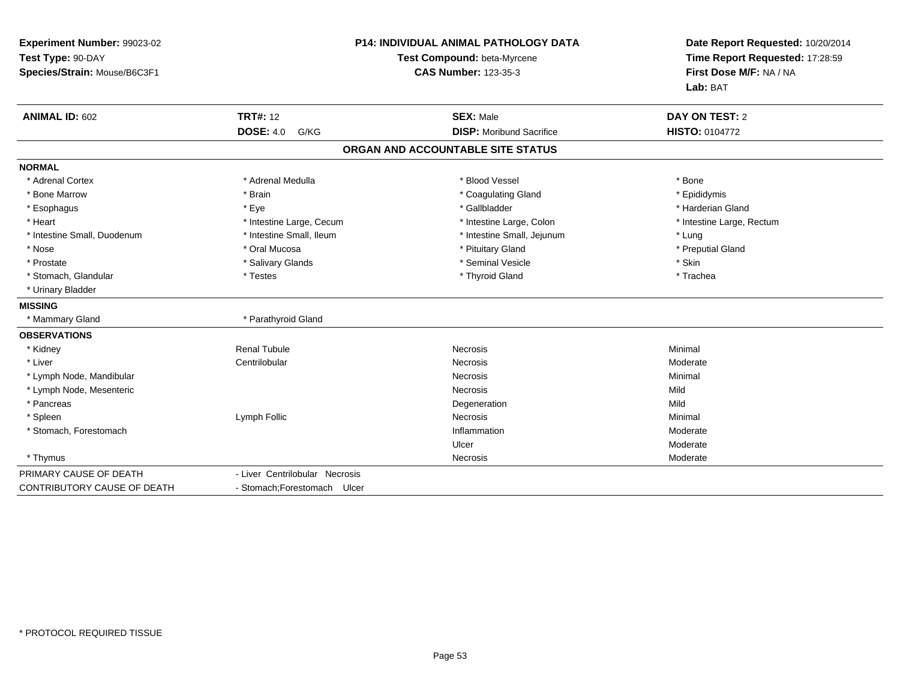| Experiment Number: 99023-02  | <b>P14: INDIVIDUAL ANIMAL PATHOLOGY DATA</b><br>Test Compound: beta-Myrcene |                                   | Date Report Requested: 10/20/2014<br>Time Report Requested: 17:28:59 |
|------------------------------|-----------------------------------------------------------------------------|-----------------------------------|----------------------------------------------------------------------|
| Test Type: 90-DAY            |                                                                             |                                   |                                                                      |
| Species/Strain: Mouse/B6C3F1 |                                                                             | <b>CAS Number: 123-35-3</b>       | First Dose M/F: NA / NA                                              |
|                              |                                                                             |                                   | Lab: BAT                                                             |
| <b>ANIMAL ID: 602</b>        | <b>TRT#: 12</b>                                                             | <b>SEX: Male</b>                  | DAY ON TEST: 2                                                       |
|                              | <b>DOSE: 4.0</b><br>G/KG                                                    | <b>DISP: Moribund Sacrifice</b>   | HISTO: 0104772                                                       |
|                              |                                                                             | ORGAN AND ACCOUNTABLE SITE STATUS |                                                                      |
| <b>NORMAL</b>                |                                                                             |                                   |                                                                      |
| * Adrenal Cortex             | * Adrenal Medulla                                                           | * Blood Vessel                    | * Bone                                                               |
| * Bone Marrow                | * Brain                                                                     | * Coagulating Gland               | * Epididymis                                                         |
| * Esophagus                  | * Eye                                                                       | * Gallbladder                     | * Harderian Gland                                                    |
| * Heart                      | * Intestine Large, Cecum                                                    | * Intestine Large, Colon          | * Intestine Large, Rectum                                            |
| * Intestine Small, Duodenum  | * Intestine Small, Ileum                                                    | * Intestine Small, Jejunum        | * Lung                                                               |
| * Nose                       | * Oral Mucosa                                                               | * Pituitary Gland                 | * Preputial Gland                                                    |
| * Prostate                   | * Salivary Glands                                                           | * Seminal Vesicle                 | * Skin                                                               |
| * Stomach, Glandular         | * Testes                                                                    | * Thyroid Gland                   | * Trachea                                                            |
| * Urinary Bladder            |                                                                             |                                   |                                                                      |
| <b>MISSING</b>               |                                                                             |                                   |                                                                      |
| * Mammary Gland              | * Parathyroid Gland                                                         |                                   |                                                                      |
| <b>OBSERVATIONS</b>          |                                                                             |                                   |                                                                      |
| * Kidney                     | <b>Renal Tubule</b>                                                         | Necrosis                          | Minimal                                                              |
| * Liver                      | Centrilobular                                                               | Necrosis                          | Moderate                                                             |
| * Lymph Node, Mandibular     |                                                                             | <b>Necrosis</b>                   | Minimal                                                              |
| * Lymph Node, Mesenteric     |                                                                             | <b>Necrosis</b>                   | Mild                                                                 |
| * Pancreas                   |                                                                             | Degeneration                      | Mild                                                                 |
| * Spleen                     | Lymph Follic                                                                | <b>Necrosis</b>                   | Minimal                                                              |
| * Stomach, Forestomach       |                                                                             | Inflammation                      | Moderate                                                             |
|                              |                                                                             | Ulcer                             | Moderate                                                             |
| * Thymus                     |                                                                             | Necrosis                          | Moderate                                                             |
| PRIMARY CAUSE OF DEATH       | - Liver Centrilobular Necrosis                                              |                                   |                                                                      |
| CONTRIBUTORY CAUSE OF DEATH  | - Stomach; Forestomach Ulcer                                                |                                   |                                                                      |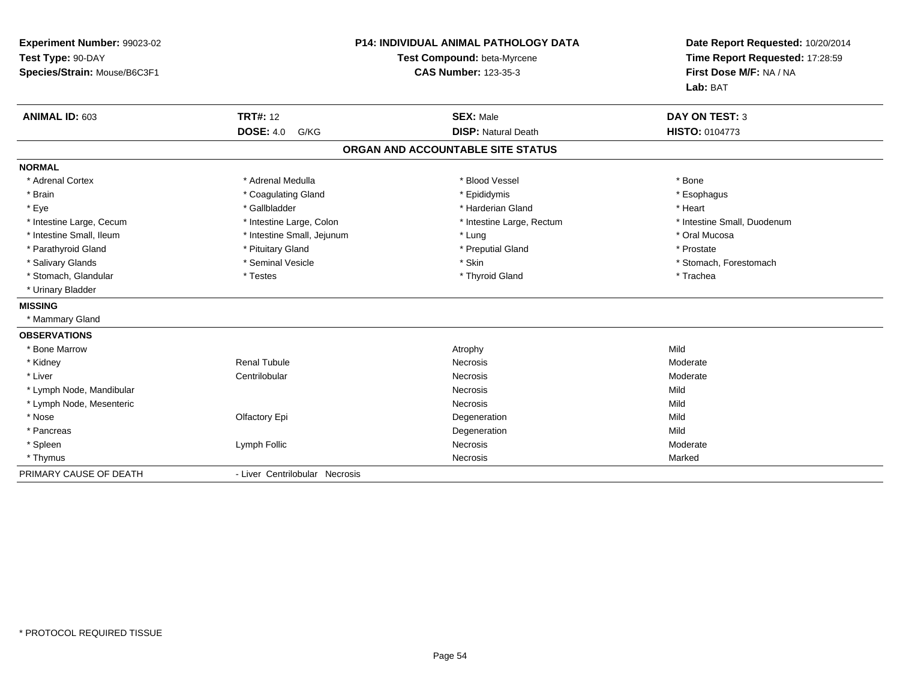| Experiment Number: 99023-02  | P14: INDIVIDUAL ANIMAL PATHOLOGY DATA |                                   | Date Report Requested: 10/20/2014                          |
|------------------------------|---------------------------------------|-----------------------------------|------------------------------------------------------------|
| Test Type: 90-DAY            |                                       | Test Compound: beta-Myrcene       |                                                            |
| Species/Strain: Mouse/B6C3F1 |                                       | <b>CAS Number: 123-35-3</b>       | Time Report Requested: 17:28:59<br>First Dose M/F: NA / NA |
|                              |                                       |                                   | Lab: BAT                                                   |
| ANIMAL ID: 603               | <b>TRT#: 12</b>                       | <b>SEX: Male</b>                  | <b>DAY ON TEST: 3</b>                                      |
|                              | <b>DOSE: 4.0</b><br>G/KG              | <b>DISP: Natural Death</b>        | <b>HISTO: 0104773</b>                                      |
|                              |                                       | ORGAN AND ACCOUNTABLE SITE STATUS |                                                            |
| <b>NORMAL</b>                |                                       |                                   |                                                            |
| * Adrenal Cortex             | * Adrenal Medulla                     | * Blood Vessel                    | * Bone                                                     |
| * Brain                      | * Coagulating Gland                   | * Epididymis                      | * Esophagus                                                |
| * Eye                        | * Gallbladder                         | * Harderian Gland                 | * Heart                                                    |
| * Intestine Large, Cecum     | * Intestine Large, Colon              | * Intestine Large, Rectum         | * Intestine Small, Duodenum                                |
| * Intestine Small, Ileum     | * Intestine Small, Jejunum            | * Lung                            | * Oral Mucosa                                              |
| * Parathyroid Gland          | * Pituitary Gland                     | * Preputial Gland                 | * Prostate                                                 |
| * Salivary Glands            | * Seminal Vesicle                     | * Skin                            | * Stomach, Forestomach                                     |
| * Stomach, Glandular         | * Testes                              | * Thyroid Gland                   | * Trachea                                                  |
| * Urinary Bladder            |                                       |                                   |                                                            |
| <b>MISSING</b>               |                                       |                                   |                                                            |
| * Mammary Gland              |                                       |                                   |                                                            |
| <b>OBSERVATIONS</b>          |                                       |                                   |                                                            |
| * Bone Marrow                |                                       | Atrophy                           | Mild                                                       |
| * Kidney                     | Renal Tubule                          | <b>Necrosis</b>                   | Moderate                                                   |
| * Liver                      | Centrilobular                         | Necrosis                          | Moderate                                                   |
| * Lymph Node, Mandibular     |                                       | Necrosis                          | Mild                                                       |
| * Lymph Node, Mesenteric     |                                       | <b>Necrosis</b>                   | Mild                                                       |
| * Nose                       | Olfactory Epi                         | Degeneration                      | Mild                                                       |
| * Pancreas                   |                                       | Degeneration                      | Mild                                                       |
| * Spleen                     | Lymph Follic                          | Necrosis                          | Moderate                                                   |
| * Thymus                     |                                       | Necrosis                          | Marked                                                     |
| PRIMARY CAUSE OF DEATH       | - Liver Centrilobular Necrosis        |                                   |                                                            |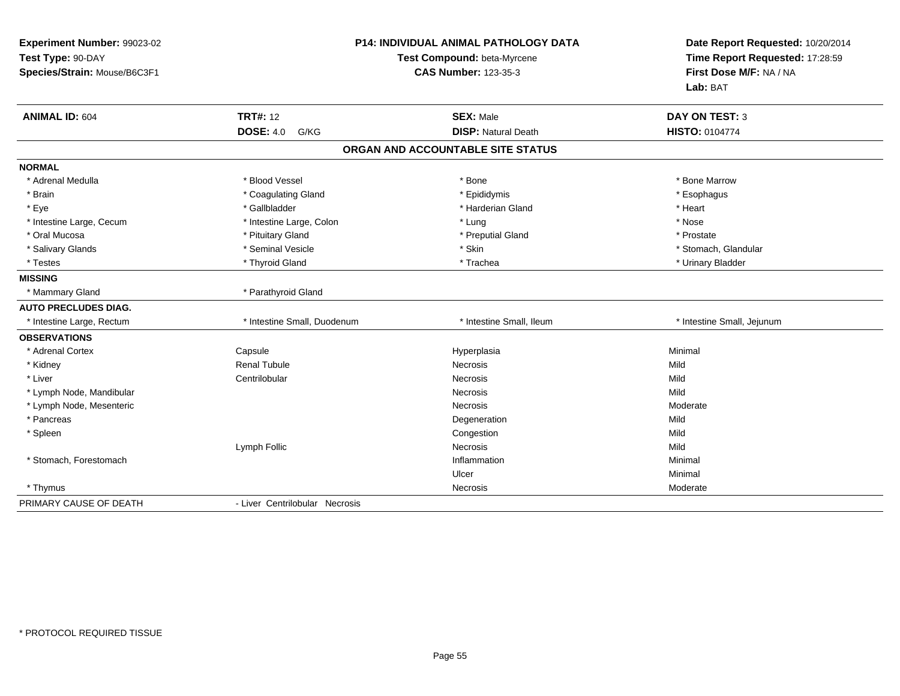| Experiment Number: 99023-02<br>Test Type: 90-DAY<br>Species/Strain: Mouse/B6C3F1 |                                | <b>P14: INDIVIDUAL ANIMAL PATHOLOGY DATA</b><br>Test Compound: beta-Myrcene<br><b>CAS Number: 123-35-3</b> | Date Report Requested: 10/20/2014<br>Time Report Requested: 17:28:59<br>First Dose M/F: NA / NA<br>Lab: BAT |
|----------------------------------------------------------------------------------|--------------------------------|------------------------------------------------------------------------------------------------------------|-------------------------------------------------------------------------------------------------------------|
| <b>ANIMAL ID: 604</b>                                                            | <b>TRT#: 12</b>                | <b>SEX: Male</b>                                                                                           | <b>DAY ON TEST: 3</b>                                                                                       |
|                                                                                  | <b>DOSE: 4.0</b><br>G/KG       | <b>DISP: Natural Death</b>                                                                                 | <b>HISTO: 0104774</b>                                                                                       |
|                                                                                  |                                | ORGAN AND ACCOUNTABLE SITE STATUS                                                                          |                                                                                                             |
| <b>NORMAL</b>                                                                    |                                |                                                                                                            |                                                                                                             |
| * Adrenal Medulla                                                                | * Blood Vessel                 | * Bone                                                                                                     | * Bone Marrow                                                                                               |
| * Brain                                                                          | * Coagulating Gland            | * Epididymis                                                                                               | * Esophagus                                                                                                 |
| * Eye                                                                            | * Gallbladder                  | * Harderian Gland                                                                                          | * Heart                                                                                                     |
| * Intestine Large, Cecum                                                         | * Intestine Large, Colon       | * Lung                                                                                                     | * Nose                                                                                                      |
| * Oral Mucosa                                                                    | * Pituitary Gland              | * Preputial Gland                                                                                          | * Prostate                                                                                                  |
| * Salivary Glands                                                                | * Seminal Vesicle              | * Skin                                                                                                     | * Stomach, Glandular                                                                                        |
| * Testes                                                                         | * Thyroid Gland                | * Trachea                                                                                                  | * Urinary Bladder                                                                                           |
| <b>MISSING</b>                                                                   |                                |                                                                                                            |                                                                                                             |
| * Mammary Gland                                                                  | * Parathyroid Gland            |                                                                                                            |                                                                                                             |
| <b>AUTO PRECLUDES DIAG.</b>                                                      |                                |                                                                                                            |                                                                                                             |
| * Intestine Large, Rectum                                                        | * Intestine Small, Duodenum    | * Intestine Small, Ileum                                                                                   | * Intestine Small, Jejunum                                                                                  |
| <b>OBSERVATIONS</b>                                                              |                                |                                                                                                            |                                                                                                             |
| * Adrenal Cortex                                                                 | Capsule                        | Hyperplasia                                                                                                | Minimal                                                                                                     |
| * Kidney                                                                         | <b>Renal Tubule</b>            | Necrosis                                                                                                   | Mild                                                                                                        |
| * Liver                                                                          | Centrilobular                  | <b>Necrosis</b>                                                                                            | Mild                                                                                                        |
| * Lymph Node, Mandibular                                                         |                                | Necrosis                                                                                                   | Mild                                                                                                        |
| * Lymph Node, Mesenteric                                                         |                                | <b>Necrosis</b>                                                                                            | Moderate                                                                                                    |
| * Pancreas                                                                       |                                | Degeneration                                                                                               | Mild                                                                                                        |
| * Spleen                                                                         |                                | Congestion                                                                                                 | Mild                                                                                                        |
|                                                                                  | Lymph Follic                   | <b>Necrosis</b>                                                                                            | Mild                                                                                                        |
| * Stomach, Forestomach                                                           |                                | Inflammation                                                                                               | Minimal                                                                                                     |
|                                                                                  |                                | Ulcer                                                                                                      | Minimal                                                                                                     |
| * Thymus                                                                         |                                | Necrosis                                                                                                   | Moderate                                                                                                    |
| PRIMARY CAUSE OF DEATH                                                           | - Liver Centrilobular Necrosis |                                                                                                            |                                                                                                             |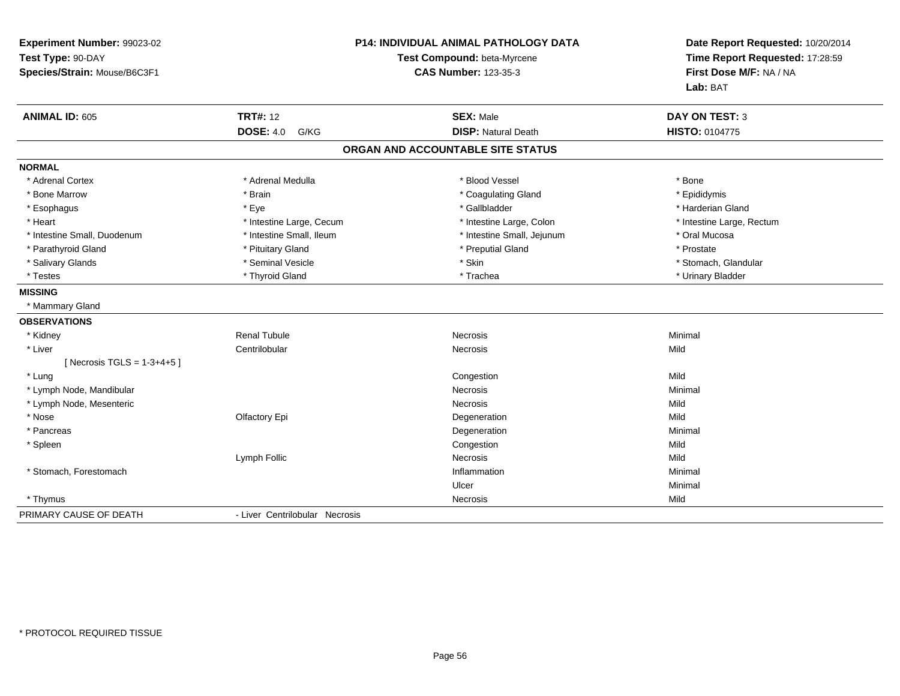| Experiment Number: 99023-02  |                                                            | <b>P14: INDIVIDUAL ANIMAL PATHOLOGY DATA</b> | Date Report Requested: 10/20/2014                          |
|------------------------------|------------------------------------------------------------|----------------------------------------------|------------------------------------------------------------|
| Test Type: 90-DAY            | Test Compound: beta-Myrcene<br><b>CAS Number: 123-35-3</b> |                                              | Time Report Requested: 17:28:59<br>First Dose M/F: NA / NA |
| Species/Strain: Mouse/B6C3F1 |                                                            |                                              |                                                            |
|                              |                                                            |                                              | Lab: BAT                                                   |
| <b>ANIMAL ID: 605</b>        | <b>TRT#: 12</b>                                            | <b>SEX: Male</b>                             | <b>DAY ON TEST: 3</b>                                      |
|                              | <b>DOSE: 4.0</b><br>G/KG                                   | <b>DISP: Natural Death</b>                   | HISTO: 0104775                                             |
|                              |                                                            | ORGAN AND ACCOUNTABLE SITE STATUS            |                                                            |
| <b>NORMAL</b>                |                                                            |                                              |                                                            |
| * Adrenal Cortex             | * Adrenal Medulla                                          | * Blood Vessel                               | * Bone                                                     |
| * Bone Marrow                | * Brain                                                    | * Coagulating Gland                          | * Epididymis                                               |
| * Esophagus                  | * Eye                                                      | * Gallbladder                                | * Harderian Gland                                          |
| * Heart                      | * Intestine Large, Cecum                                   | * Intestine Large, Colon                     | * Intestine Large, Rectum                                  |
| * Intestine Small, Duodenum  | * Intestine Small, Ileum                                   | * Intestine Small, Jejunum                   | * Oral Mucosa                                              |
| * Parathyroid Gland          | * Pituitary Gland                                          | * Preputial Gland                            | * Prostate                                                 |
| * Salivary Glands            | * Seminal Vesicle                                          | * Skin                                       | * Stomach, Glandular                                       |
| * Testes                     | * Thyroid Gland                                            | * Trachea                                    | * Urinary Bladder                                          |
| <b>MISSING</b>               |                                                            |                                              |                                                            |
| * Mammary Gland              |                                                            |                                              |                                                            |
| <b>OBSERVATIONS</b>          |                                                            |                                              |                                                            |
| * Kidney                     | <b>Renal Tubule</b>                                        | <b>Necrosis</b>                              | Minimal                                                    |
| * Liver                      | Centrilobular                                              | Necrosis                                     | Mild                                                       |
| [Necrosis TGLS = $1-3+4+5$ ] |                                                            |                                              |                                                            |
| * Lung                       |                                                            | Congestion                                   | Mild                                                       |
| * Lymph Node, Mandibular     |                                                            | Necrosis                                     | Minimal                                                    |
| * Lymph Node, Mesenteric     |                                                            | Necrosis                                     | Mild                                                       |
| * Nose                       | Olfactory Epi                                              | Degeneration                                 | Mild                                                       |
| * Pancreas                   |                                                            | Degeneration                                 | Minimal                                                    |
| * Spleen                     |                                                            | Congestion                                   | Mild                                                       |
|                              | Lymph Follic                                               | <b>Necrosis</b>                              | Mild                                                       |
| * Stomach, Forestomach       |                                                            | Inflammation                                 | Minimal                                                    |
|                              |                                                            | Ulcer                                        | Minimal                                                    |
| * Thymus                     |                                                            | Necrosis                                     | Mild                                                       |
| PRIMARY CAUSE OF DEATH       | - Liver Centrilobular Necrosis                             |                                              |                                                            |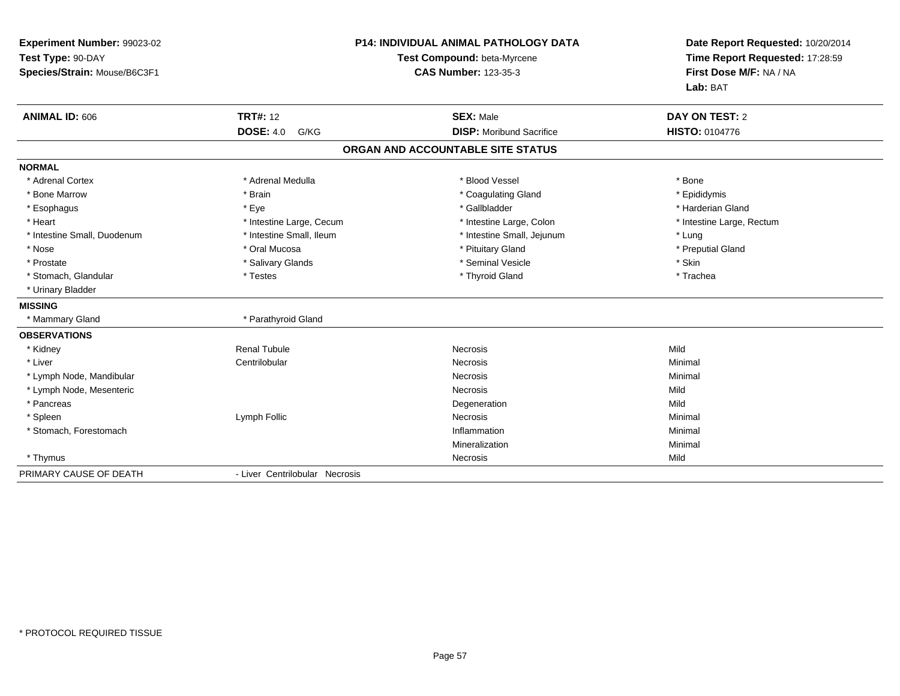| Experiment Number: 99023-02<br>Test Type: 90-DAY |                                | <b>P14: INDIVIDUAL ANIMAL PATHOLOGY DATA</b><br>Test Compound: beta-Myrcene | Date Report Requested: 10/20/2014<br>Time Report Requested: 17:28:59<br>First Dose M/F: NA / NA |
|--------------------------------------------------|--------------------------------|-----------------------------------------------------------------------------|-------------------------------------------------------------------------------------------------|
| Species/Strain: Mouse/B6C3F1                     |                                | <b>CAS Number: 123-35-3</b>                                                 |                                                                                                 |
|                                                  |                                |                                                                             | Lab: BAT                                                                                        |
| <b>ANIMAL ID: 606</b>                            | <b>TRT#: 12</b>                | <b>SEX: Male</b>                                                            | <b>DAY ON TEST: 2</b>                                                                           |
|                                                  | <b>DOSE: 4.0</b><br>G/KG       | <b>DISP:</b> Moribund Sacrifice                                             | <b>HISTO: 0104776</b>                                                                           |
|                                                  |                                | ORGAN AND ACCOUNTABLE SITE STATUS                                           |                                                                                                 |
| <b>NORMAL</b>                                    |                                |                                                                             |                                                                                                 |
| * Adrenal Cortex                                 | * Adrenal Medulla              | * Blood Vessel                                                              | * Bone                                                                                          |
| * Bone Marrow                                    | * Brain                        | * Coagulating Gland                                                         | * Epididymis                                                                                    |
| * Esophagus                                      | * Eye                          | * Gallbladder                                                               | * Harderian Gland                                                                               |
| * Heart                                          | * Intestine Large, Cecum       | * Intestine Large, Colon                                                    | * Intestine Large, Rectum                                                                       |
| * Intestine Small, Duodenum                      | * Intestine Small, Ileum       | * Intestine Small, Jejunum                                                  | * Lung                                                                                          |
| * Nose                                           | * Oral Mucosa                  | * Pituitary Gland                                                           | * Preputial Gland                                                                               |
| * Prostate                                       | * Salivary Glands              | * Seminal Vesicle                                                           | * Skin                                                                                          |
| * Stomach, Glandular                             | * Testes                       | * Thyroid Gland                                                             | * Trachea                                                                                       |
| * Urinary Bladder                                |                                |                                                                             |                                                                                                 |
| <b>MISSING</b>                                   |                                |                                                                             |                                                                                                 |
| * Mammary Gland                                  | * Parathyroid Gland            |                                                                             |                                                                                                 |
| <b>OBSERVATIONS</b>                              |                                |                                                                             |                                                                                                 |
| * Kidney                                         | <b>Renal Tubule</b>            | Necrosis                                                                    | Mild                                                                                            |
| * Liver                                          | Centrilobular                  | Necrosis                                                                    | Minimal                                                                                         |
| * Lymph Node, Mandibular                         |                                | Necrosis                                                                    | Minimal                                                                                         |
| * Lymph Node, Mesenteric                         |                                | Necrosis                                                                    | Mild                                                                                            |
| * Pancreas                                       |                                | Degeneration                                                                | Mild                                                                                            |
| * Spleen                                         | Lymph Follic                   | Necrosis                                                                    | Minimal                                                                                         |
| * Stomach, Forestomach                           |                                | Inflammation                                                                | Minimal                                                                                         |
|                                                  |                                | Mineralization                                                              | Minimal                                                                                         |
| * Thymus                                         |                                | Necrosis                                                                    | Mild                                                                                            |
| PRIMARY CAUSE OF DEATH                           | - Liver Centrilobular Necrosis |                                                                             |                                                                                                 |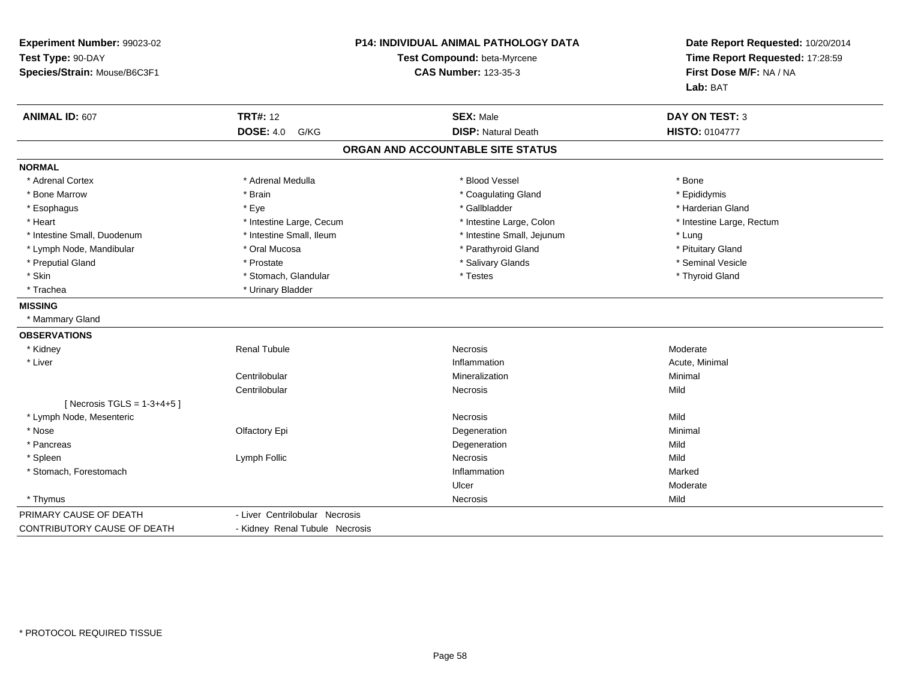| Experiment Number: 99023-02   |                                                            | P14: INDIVIDUAL ANIMAL PATHOLOGY DATA | Date Report Requested: 10/20/2014 |  |
|-------------------------------|------------------------------------------------------------|---------------------------------------|-----------------------------------|--|
| Test Type: 90-DAY             | Test Compound: beta-Myrcene<br><b>CAS Number: 123-35-3</b> |                                       | Time Report Requested: 17:28:59   |  |
| Species/Strain: Mouse/B6C3F1  |                                                            |                                       | First Dose M/F: NA / NA           |  |
|                               |                                                            |                                       | Lab: BAT                          |  |
| <b>ANIMAL ID: 607</b>         | <b>TRT#: 12</b>                                            | <b>SEX: Male</b>                      | <b>DAY ON TEST: 3</b>             |  |
|                               | <b>DOSE: 4.0</b><br>G/KG                                   | <b>DISP: Natural Death</b>            | <b>HISTO: 0104777</b>             |  |
|                               |                                                            | ORGAN AND ACCOUNTABLE SITE STATUS     |                                   |  |
| <b>NORMAL</b>                 |                                                            |                                       |                                   |  |
| * Adrenal Cortex              | * Adrenal Medulla                                          | * Blood Vessel                        | * Bone                            |  |
| * Bone Marrow                 | * Brain                                                    | * Coagulating Gland                   | * Epididymis                      |  |
| * Esophagus                   | * Eye                                                      | * Gallbladder                         | * Harderian Gland                 |  |
| * Heart                       | * Intestine Large, Cecum                                   | * Intestine Large, Colon              | * Intestine Large, Rectum         |  |
| * Intestine Small, Duodenum   | * Intestine Small, Ileum                                   | * Intestine Small, Jejunum            | * Lung                            |  |
| * Lymph Node, Mandibular      | * Oral Mucosa                                              | * Parathyroid Gland                   | * Pituitary Gland                 |  |
| * Preputial Gland             | * Prostate                                                 | * Salivary Glands                     | * Seminal Vesicle                 |  |
| * Skin                        | * Stomach, Glandular                                       | * Testes                              | * Thyroid Gland                   |  |
| * Trachea                     | * Urinary Bladder                                          |                                       |                                   |  |
| <b>MISSING</b>                |                                                            |                                       |                                   |  |
| * Mammary Gland               |                                                            |                                       |                                   |  |
| <b>OBSERVATIONS</b>           |                                                            |                                       |                                   |  |
| * Kidney                      | <b>Renal Tubule</b>                                        | <b>Necrosis</b>                       | Moderate                          |  |
| * Liver                       |                                                            | Inflammation                          | Acute, Minimal                    |  |
|                               | Centrilobular                                              | Mineralization                        | Minimal                           |  |
|                               | Centrilobular                                              | <b>Necrosis</b>                       | Mild                              |  |
| [ Necrosis TGLS = $1-3+4+5$ ] |                                                            |                                       |                                   |  |
| * Lymph Node, Mesenteric      |                                                            | <b>Necrosis</b>                       | Mild                              |  |
| * Nose                        | Olfactory Epi                                              | Degeneration                          | Minimal                           |  |
| * Pancreas                    |                                                            | Degeneration                          | Mild                              |  |
| * Spleen                      | Lymph Follic                                               | Necrosis                              | Mild                              |  |
| * Stomach, Forestomach        |                                                            | Inflammation                          | Marked                            |  |
|                               |                                                            | Ulcer                                 | Moderate                          |  |
| * Thymus                      |                                                            | Necrosis                              | Mild                              |  |
| PRIMARY CAUSE OF DEATH        | - Liver Centrilobular Necrosis                             |                                       |                                   |  |
| CONTRIBUTORY CAUSE OF DEATH   | - Kidney Renal Tubule Necrosis                             |                                       |                                   |  |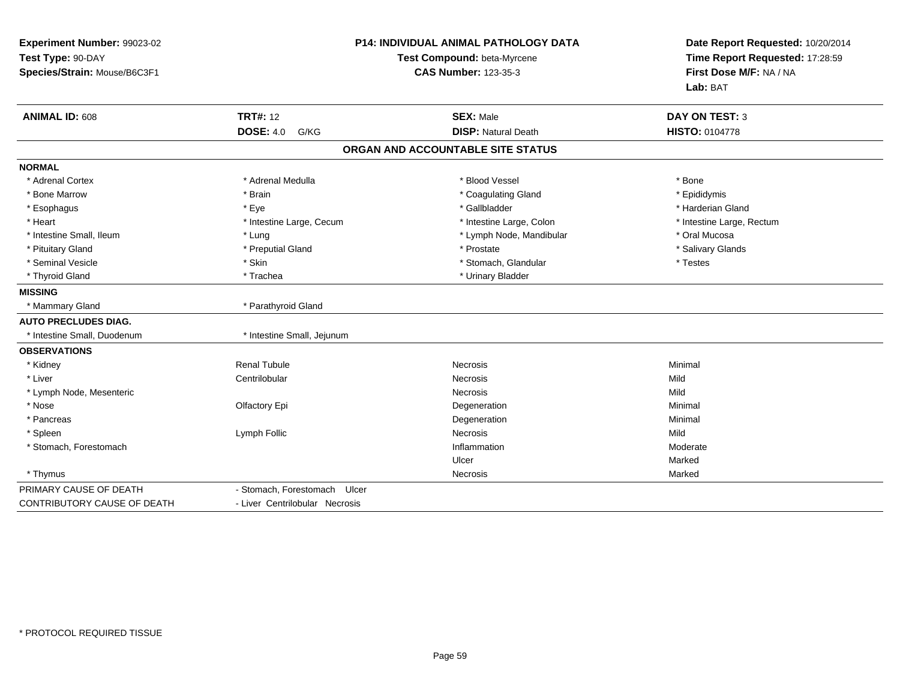| Experiment Number: 99023-02<br>Test Type: 90-DAY<br>Species/Strain: Mouse/B6C3F1 |                                 | <b>P14: INDIVIDUAL ANIMAL PATHOLOGY DATA</b><br>Test Compound: beta-Myrcene<br><b>CAS Number: 123-35-3</b> | Date Report Requested: 10/20/2014<br>Time Report Requested: 17:28:59<br>First Dose M/F: NA / NA<br>Lab: BAT |
|----------------------------------------------------------------------------------|---------------------------------|------------------------------------------------------------------------------------------------------------|-------------------------------------------------------------------------------------------------------------|
| <b>ANIMAL ID: 608</b>                                                            | <b>TRT#: 12</b>                 | <b>SEX: Male</b>                                                                                           | <b>DAY ON TEST: 3</b>                                                                                       |
|                                                                                  | <b>DOSE: 4.0</b><br>G/KG        | <b>DISP: Natural Death</b>                                                                                 | <b>HISTO: 0104778</b>                                                                                       |
|                                                                                  |                                 | ORGAN AND ACCOUNTABLE SITE STATUS                                                                          |                                                                                                             |
| <b>NORMAL</b>                                                                    |                                 |                                                                                                            |                                                                                                             |
| * Adrenal Cortex                                                                 | * Adrenal Medulla               | * Blood Vessel                                                                                             | * Bone                                                                                                      |
| * Bone Marrow                                                                    | * Brain                         | * Coagulating Gland                                                                                        | * Epididymis                                                                                                |
| * Esophagus                                                                      | * Eve                           | * Gallbladder                                                                                              | * Harderian Gland                                                                                           |
| * Heart                                                                          | * Intestine Large, Cecum        | * Intestine Large, Colon                                                                                   | * Intestine Large, Rectum                                                                                   |
| * Intestine Small, Ileum                                                         | * Lung                          | * Lymph Node, Mandibular                                                                                   | * Oral Mucosa                                                                                               |
| * Pituitary Gland                                                                | * Preputial Gland               | * Prostate                                                                                                 | * Salivary Glands                                                                                           |
| * Seminal Vesicle                                                                | * Skin                          | * Stomach, Glandular                                                                                       | * Testes                                                                                                    |
| * Thyroid Gland                                                                  | * Trachea                       | * Urinary Bladder                                                                                          |                                                                                                             |
| <b>MISSING</b>                                                                   |                                 |                                                                                                            |                                                                                                             |
| * Mammary Gland                                                                  | * Parathyroid Gland             |                                                                                                            |                                                                                                             |
| <b>AUTO PRECLUDES DIAG.</b>                                                      |                                 |                                                                                                            |                                                                                                             |
| * Intestine Small, Duodenum                                                      | * Intestine Small, Jejunum      |                                                                                                            |                                                                                                             |
| <b>OBSERVATIONS</b>                                                              |                                 |                                                                                                            |                                                                                                             |
| * Kidney                                                                         | <b>Renal Tubule</b>             | <b>Necrosis</b>                                                                                            | Minimal                                                                                                     |
| * Liver                                                                          | Centrilobular                   | Necrosis                                                                                                   | Mild                                                                                                        |
| * Lymph Node, Mesenteric                                                         |                                 | <b>Necrosis</b>                                                                                            | Mild                                                                                                        |
| * Nose                                                                           | Olfactory Epi                   | Degeneration                                                                                               | Minimal                                                                                                     |
| * Pancreas                                                                       |                                 | Degeneration                                                                                               | Minimal                                                                                                     |
| * Spleen                                                                         | Lymph Follic                    | Necrosis                                                                                                   | Mild                                                                                                        |
| * Stomach, Forestomach                                                           |                                 | Inflammation                                                                                               | Moderate                                                                                                    |
|                                                                                  |                                 | Ulcer                                                                                                      | Marked                                                                                                      |
| * Thymus                                                                         |                                 | Necrosis                                                                                                   | Marked                                                                                                      |
| PRIMARY CAUSE OF DEATH                                                           | - Stomach, Forestomach<br>Ulcer |                                                                                                            |                                                                                                             |
| CONTRIBUTORY CAUSE OF DEATH                                                      | - Liver Centrilobular Necrosis  |                                                                                                            |                                                                                                             |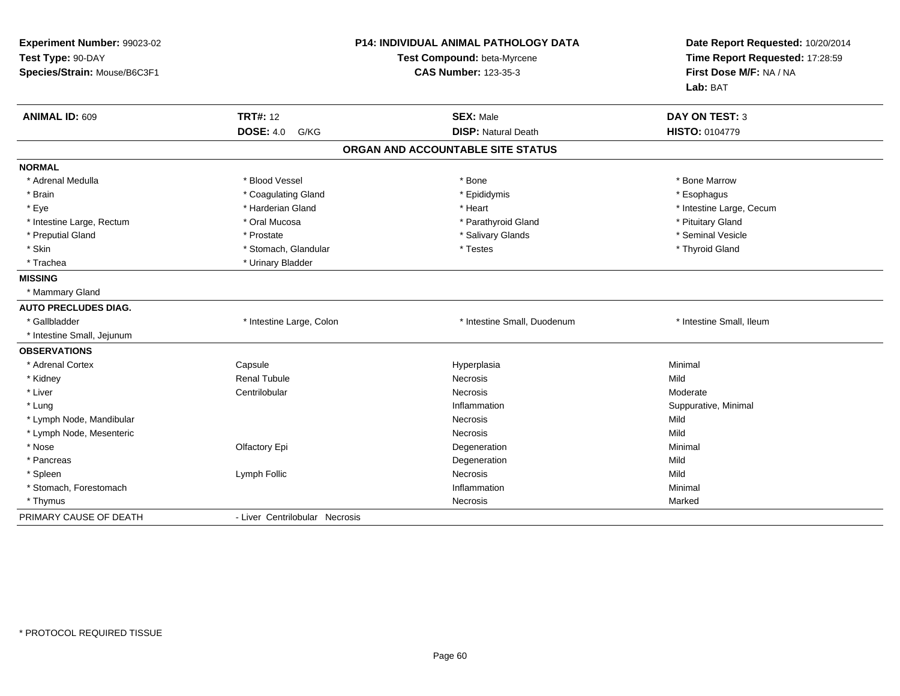| Experiment Number: 99023-02<br>Test Type: 90-DAY<br>Species/Strain: Mouse/B6C3F1 |                                | <b>P14: INDIVIDUAL ANIMAL PATHOLOGY DATA</b><br>Test Compound: beta-Myrcene<br><b>CAS Number: 123-35-3</b> | Date Report Requested: 10/20/2014<br>Time Report Requested: 17:28:59<br>First Dose M/F: NA / NA<br>Lab: BAT |
|----------------------------------------------------------------------------------|--------------------------------|------------------------------------------------------------------------------------------------------------|-------------------------------------------------------------------------------------------------------------|
| ANIMAL ID: 609                                                                   | <b>TRT#: 12</b>                | <b>SEX: Male</b>                                                                                           | <b>DAY ON TEST: 3</b>                                                                                       |
|                                                                                  | <b>DOSE: 4.0</b><br>G/KG       | <b>DISP: Natural Death</b>                                                                                 | HISTO: 0104779                                                                                              |
|                                                                                  |                                | ORGAN AND ACCOUNTABLE SITE STATUS                                                                          |                                                                                                             |
| <b>NORMAL</b>                                                                    |                                |                                                                                                            |                                                                                                             |
| * Adrenal Medulla                                                                | * Blood Vessel                 | * Bone                                                                                                     | * Bone Marrow                                                                                               |
| * Brain                                                                          | * Coagulating Gland            | * Epididymis                                                                                               | * Esophagus                                                                                                 |
| * Eye                                                                            | * Harderian Gland              | * Heart                                                                                                    | * Intestine Large, Cecum                                                                                    |
| * Intestine Large, Rectum                                                        | * Oral Mucosa                  | * Parathyroid Gland                                                                                        | * Pituitary Gland                                                                                           |
| * Preputial Gland                                                                | * Prostate                     | * Salivary Glands                                                                                          | * Seminal Vesicle                                                                                           |
| * Skin                                                                           | * Stomach, Glandular           | * Testes                                                                                                   | * Thyroid Gland                                                                                             |
| * Trachea                                                                        | * Urinary Bladder              |                                                                                                            |                                                                                                             |
| <b>MISSING</b>                                                                   |                                |                                                                                                            |                                                                                                             |
| * Mammary Gland                                                                  |                                |                                                                                                            |                                                                                                             |
| <b>AUTO PRECLUDES DIAG.</b>                                                      |                                |                                                                                                            |                                                                                                             |
| * Gallbladder                                                                    | * Intestine Large, Colon       | * Intestine Small, Duodenum                                                                                | * Intestine Small, Ileum                                                                                    |
| * Intestine Small, Jejunum                                                       |                                |                                                                                                            |                                                                                                             |
| <b>OBSERVATIONS</b>                                                              |                                |                                                                                                            |                                                                                                             |
| * Adrenal Cortex                                                                 | Capsule                        | Hyperplasia                                                                                                | Minimal                                                                                                     |
| * Kidney                                                                         | <b>Renal Tubule</b>            | <b>Necrosis</b>                                                                                            | Mild                                                                                                        |
| * Liver                                                                          | Centrilobular                  | <b>Necrosis</b>                                                                                            | Moderate                                                                                                    |
| * Lung                                                                           |                                | Inflammation                                                                                               | Suppurative, Minimal                                                                                        |
| * Lymph Node, Mandibular                                                         |                                | Necrosis                                                                                                   | Mild                                                                                                        |
| * Lymph Node, Mesenteric                                                         |                                | Necrosis                                                                                                   | Mild                                                                                                        |
| * Nose                                                                           | Olfactory Epi                  | Degeneration                                                                                               | Minimal                                                                                                     |
| * Pancreas                                                                       |                                | Degeneration                                                                                               | Mild                                                                                                        |
| * Spleen                                                                         | Lymph Follic                   | Necrosis                                                                                                   | Mild                                                                                                        |
| * Stomach, Forestomach                                                           |                                | Inflammation                                                                                               | Minimal                                                                                                     |
| * Thymus                                                                         |                                | Necrosis                                                                                                   | Marked                                                                                                      |
| PRIMARY CAUSE OF DEATH                                                           | - Liver Centrilobular Necrosis |                                                                                                            |                                                                                                             |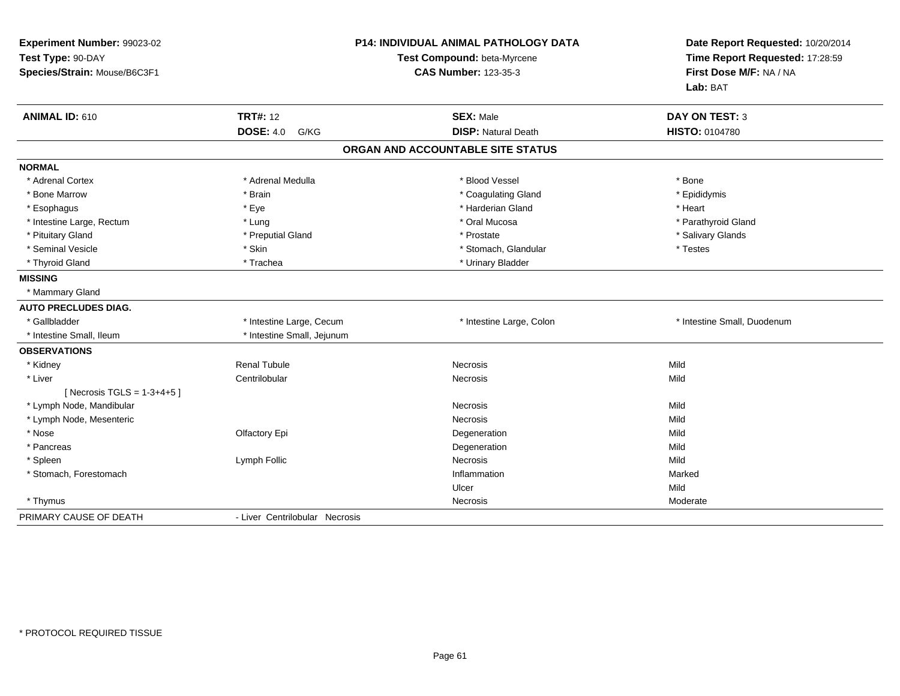| Experiment Number: 99023-02<br>Test Type: 90-DAY<br>Species/Strain: Mouse/B6C3F1 |                                | <b>P14: INDIVIDUAL ANIMAL PATHOLOGY DATA</b><br>Test Compound: beta-Myrcene<br><b>CAS Number: 123-35-3</b> | Date Report Requested: 10/20/2014<br>Time Report Requested: 17:28:59<br>First Dose M/F: NA / NA<br>Lab: BAT |
|----------------------------------------------------------------------------------|--------------------------------|------------------------------------------------------------------------------------------------------------|-------------------------------------------------------------------------------------------------------------|
| ANIMAL ID: 610                                                                   | <b>TRT#: 12</b>                | <b>SEX: Male</b>                                                                                           | <b>DAY ON TEST: 3</b>                                                                                       |
|                                                                                  | <b>DOSE: 4.0</b><br>G/KG       | <b>DISP: Natural Death</b>                                                                                 | HISTO: 0104780                                                                                              |
|                                                                                  |                                | ORGAN AND ACCOUNTABLE SITE STATUS                                                                          |                                                                                                             |
| <b>NORMAL</b>                                                                    |                                |                                                                                                            |                                                                                                             |
| * Adrenal Cortex                                                                 | * Adrenal Medulla              | * Blood Vessel                                                                                             | * Bone                                                                                                      |
| * Bone Marrow                                                                    | * Brain                        | * Coagulating Gland                                                                                        | * Epididymis                                                                                                |
| * Esophagus                                                                      | * Eye                          | * Harderian Gland                                                                                          | * Heart                                                                                                     |
| * Intestine Large, Rectum                                                        | * Lung                         | * Oral Mucosa                                                                                              | * Parathyroid Gland                                                                                         |
| * Pituitary Gland                                                                | * Preputial Gland              | * Prostate                                                                                                 | * Salivary Glands                                                                                           |
| * Seminal Vesicle                                                                | * Skin                         | * Stomach, Glandular                                                                                       | * Testes                                                                                                    |
| * Thyroid Gland                                                                  | * Trachea                      | * Urinary Bladder                                                                                          |                                                                                                             |
| <b>MISSING</b>                                                                   |                                |                                                                                                            |                                                                                                             |
| * Mammary Gland                                                                  |                                |                                                                                                            |                                                                                                             |
| <b>AUTO PRECLUDES DIAG.</b>                                                      |                                |                                                                                                            |                                                                                                             |
| * Gallbladder                                                                    | * Intestine Large, Cecum       | * Intestine Large, Colon                                                                                   | * Intestine Small, Duodenum                                                                                 |
| * Intestine Small. Ileum                                                         | * Intestine Small, Jejunum     |                                                                                                            |                                                                                                             |
| <b>OBSERVATIONS</b>                                                              |                                |                                                                                                            |                                                                                                             |
| * Kidney                                                                         | <b>Renal Tubule</b>            | Necrosis                                                                                                   | Mild                                                                                                        |
| * Liver                                                                          | Centrilobular                  | Necrosis                                                                                                   | Mild                                                                                                        |
| [ Necrosis TGLS = $1-3+4+5$ ]                                                    |                                |                                                                                                            |                                                                                                             |
| * Lymph Node, Mandibular                                                         |                                | Necrosis                                                                                                   | Mild                                                                                                        |
| * Lymph Node, Mesenteric                                                         |                                | Necrosis                                                                                                   | Mild                                                                                                        |
| * Nose                                                                           | Olfactory Epi                  | Degeneration                                                                                               | Mild                                                                                                        |
| * Pancreas                                                                       |                                | Degeneration                                                                                               | Mild                                                                                                        |
| * Spleen                                                                         | Lymph Follic                   | Necrosis                                                                                                   | Mild                                                                                                        |
| * Stomach, Forestomach                                                           |                                | Inflammation                                                                                               | Marked                                                                                                      |
|                                                                                  |                                | Ulcer                                                                                                      | Mild                                                                                                        |
| * Thymus                                                                         |                                | Necrosis                                                                                                   | Moderate                                                                                                    |
| PRIMARY CAUSE OF DEATH                                                           | - Liver Centrilobular Necrosis |                                                                                                            |                                                                                                             |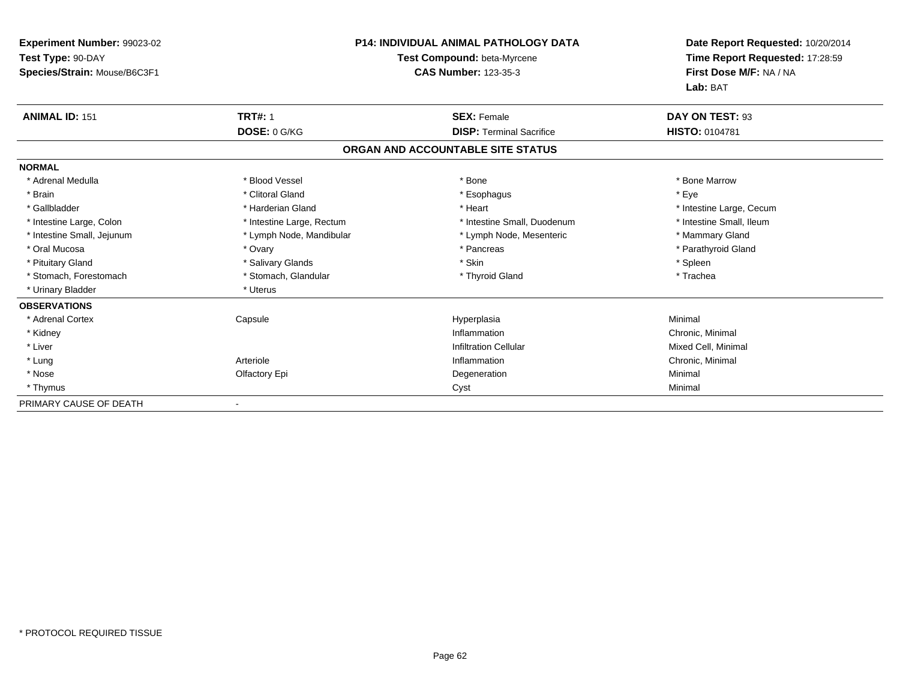| <b>Experiment Number: 99023-02</b><br>Test Type: 90-DAY<br>Species/Strain: Mouse/B6C3F1 |                           | <b>P14: INDIVIDUAL ANIMAL PATHOLOGY DATA</b><br>Test Compound: beta-Myrcene<br><b>CAS Number: 123-35-3</b> | Date Report Requested: 10/20/2014<br>Time Report Requested: 17:28:59<br>First Dose M/F: NA / NA<br>Lab: BAT |
|-----------------------------------------------------------------------------------------|---------------------------|------------------------------------------------------------------------------------------------------------|-------------------------------------------------------------------------------------------------------------|
| <b>ANIMAL ID: 151</b>                                                                   | <b>TRT#: 1</b>            | <b>SEX: Female</b>                                                                                         | DAY ON TEST: 93                                                                                             |
|                                                                                         | DOSE: 0 G/KG              | <b>DISP: Terminal Sacrifice</b>                                                                            | <b>HISTO: 0104781</b>                                                                                       |
|                                                                                         |                           | ORGAN AND ACCOUNTABLE SITE STATUS                                                                          |                                                                                                             |
| <b>NORMAL</b>                                                                           |                           |                                                                                                            |                                                                                                             |
| * Adrenal Medulla                                                                       | * Blood Vessel            | * Bone                                                                                                     | * Bone Marrow                                                                                               |
| * Brain                                                                                 | * Clitoral Gland          | * Esophagus                                                                                                | * Eye                                                                                                       |
| * Gallbladder                                                                           | * Harderian Gland         | * Heart                                                                                                    | * Intestine Large, Cecum                                                                                    |
| * Intestine Large, Colon                                                                | * Intestine Large, Rectum | * Intestine Small, Duodenum                                                                                | * Intestine Small, Ileum                                                                                    |
| * Intestine Small, Jejunum                                                              | * Lymph Node, Mandibular  | * Lymph Node, Mesenteric                                                                                   | * Mammary Gland                                                                                             |
| * Oral Mucosa                                                                           | * Ovary                   | * Pancreas                                                                                                 | * Parathyroid Gland                                                                                         |
| * Pituitary Gland                                                                       | * Salivary Glands         | * Skin                                                                                                     | * Spleen                                                                                                    |
| * Stomach, Forestomach                                                                  | * Stomach, Glandular      | * Thyroid Gland                                                                                            | * Trachea                                                                                                   |
| * Urinary Bladder                                                                       | * Uterus                  |                                                                                                            |                                                                                                             |
| <b>OBSERVATIONS</b>                                                                     |                           |                                                                                                            |                                                                                                             |
| * Adrenal Cortex                                                                        | Capsule                   | Hyperplasia                                                                                                | Minimal                                                                                                     |
| * Kidney                                                                                |                           | Inflammation                                                                                               | Chronic, Minimal                                                                                            |
| * Liver                                                                                 |                           | <b>Infiltration Cellular</b>                                                                               | Mixed Cell, Minimal                                                                                         |
| * Lung                                                                                  | Arteriole                 | Inflammation                                                                                               | Chronic, Minimal                                                                                            |
| * Nose                                                                                  | Olfactory Epi             | Degeneration                                                                                               | Minimal                                                                                                     |
| * Thymus                                                                                |                           | Cyst                                                                                                       | Minimal                                                                                                     |
| PRIMARY CAUSE OF DEATH                                                                  |                           |                                                                                                            |                                                                                                             |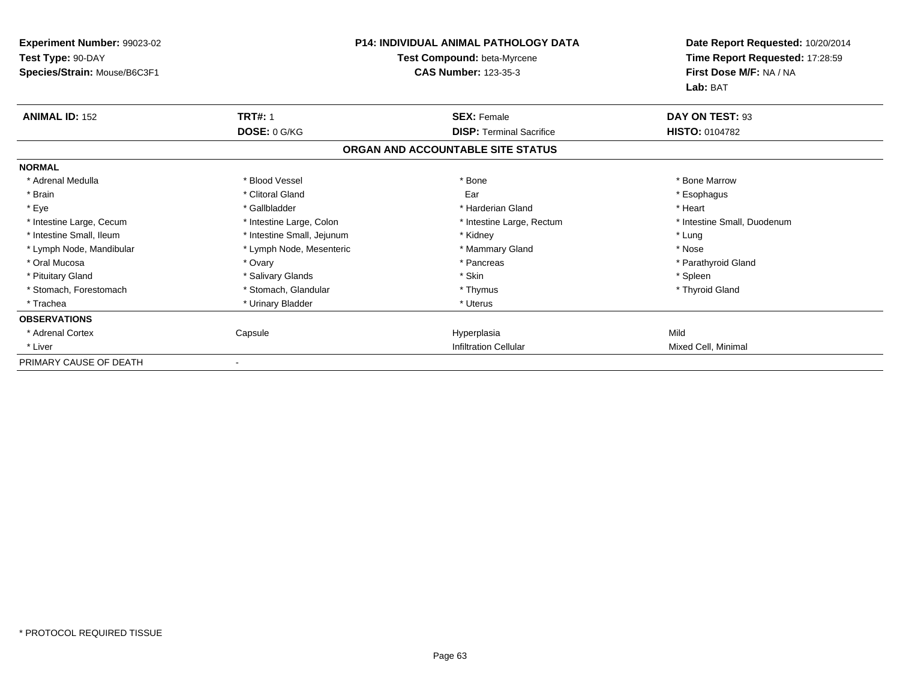| Experiment Number: 99023-02<br>Test Type: 90-DAY<br>Species/Strain: Mouse/B6C3F1 |                            | <b>P14: INDIVIDUAL ANIMAL PATHOLOGY DATA</b><br>Test Compound: beta-Myrcene<br><b>CAS Number: 123-35-3</b> | Date Report Requested: 10/20/2014<br>Time Report Requested: 17:28:59<br>First Dose M/F: NA / NA<br>Lab: BAT |
|----------------------------------------------------------------------------------|----------------------------|------------------------------------------------------------------------------------------------------------|-------------------------------------------------------------------------------------------------------------|
| <b>ANIMAL ID: 152</b>                                                            | <b>TRT#: 1</b>             | <b>SEX: Female</b>                                                                                         | DAY ON TEST: 93                                                                                             |
|                                                                                  | DOSE: 0 G/KG               | <b>DISP: Terminal Sacrifice</b>                                                                            | HISTO: 0104782                                                                                              |
|                                                                                  |                            | ORGAN AND ACCOUNTABLE SITE STATUS                                                                          |                                                                                                             |
| <b>NORMAL</b>                                                                    |                            |                                                                                                            |                                                                                                             |
| * Adrenal Medulla                                                                | * Blood Vessel             | * Bone                                                                                                     | * Bone Marrow                                                                                               |
| * Brain                                                                          | * Clitoral Gland           | Ear                                                                                                        | * Esophagus                                                                                                 |
| * Eye                                                                            | * Gallbladder              | * Harderian Gland                                                                                          | * Heart                                                                                                     |
| * Intestine Large, Cecum                                                         | * Intestine Large, Colon   | * Intestine Large, Rectum                                                                                  | * Intestine Small, Duodenum                                                                                 |
| * Intestine Small, Ileum                                                         | * Intestine Small, Jejunum | * Kidney                                                                                                   | * Lung                                                                                                      |
| * Lymph Node, Mandibular                                                         | * Lymph Node, Mesenteric   | * Mammary Gland                                                                                            | * Nose                                                                                                      |
| * Oral Mucosa                                                                    | * Ovary                    | * Pancreas                                                                                                 | * Parathyroid Gland                                                                                         |
| * Pituitary Gland                                                                | * Salivary Glands          | * Skin                                                                                                     | * Spleen                                                                                                    |
| * Stomach, Forestomach                                                           | * Stomach, Glandular       | * Thymus                                                                                                   | * Thyroid Gland                                                                                             |
| * Trachea                                                                        | * Urinary Bladder          | * Uterus                                                                                                   |                                                                                                             |
| <b>OBSERVATIONS</b>                                                              |                            |                                                                                                            |                                                                                                             |
| * Adrenal Cortex                                                                 | Capsule                    | Hyperplasia                                                                                                | Mild                                                                                                        |
| * Liver                                                                          |                            | <b>Infiltration Cellular</b>                                                                               | Mixed Cell, Minimal                                                                                         |
| PRIMARY CAUSE OF DEATH                                                           |                            |                                                                                                            |                                                                                                             |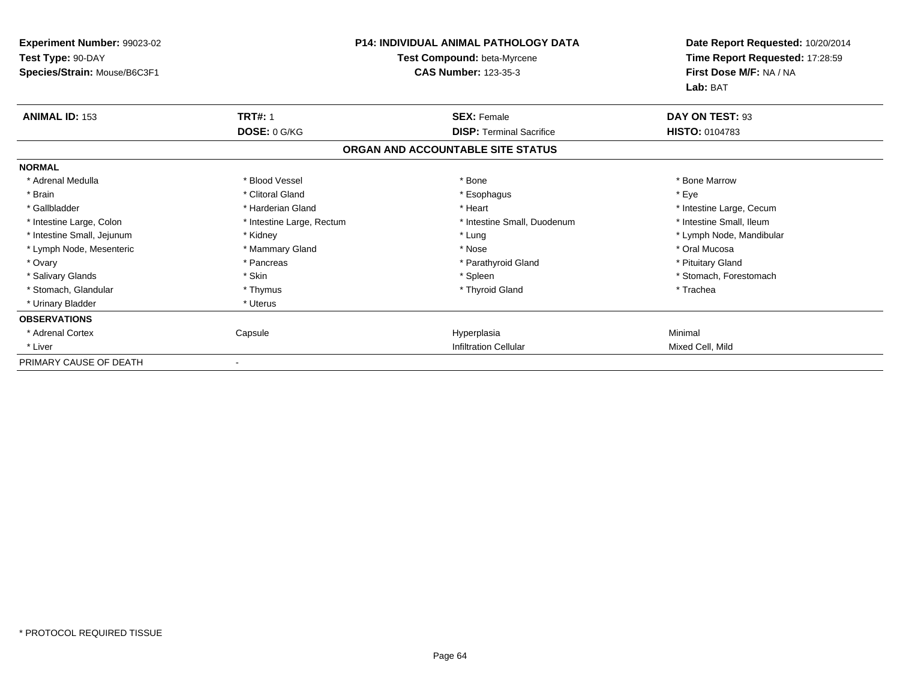| Experiment Number: 99023-02<br>Test Type: 90-DAY<br>Species/Strain: Mouse/B6C3F1 |                                | <b>P14: INDIVIDUAL ANIMAL PATHOLOGY DATA</b><br>Test Compound: beta-Myrcene<br><b>CAS Number: 123-35-3</b> | Date Report Requested: 10/20/2014<br>Time Report Requested: 17:28:59<br>First Dose M/F: NA / NA<br>Lab: BAT |
|----------------------------------------------------------------------------------|--------------------------------|------------------------------------------------------------------------------------------------------------|-------------------------------------------------------------------------------------------------------------|
| <b>ANIMAL ID: 153</b>                                                            | <b>TRT#: 1</b><br>DOSE: 0 G/KG | <b>SEX: Female</b><br><b>DISP:</b> Terminal Sacrifice                                                      | DAY ON TEST: 93<br>HISTO: 0104783                                                                           |
|                                                                                  |                                | ORGAN AND ACCOUNTABLE SITE STATUS                                                                          |                                                                                                             |
| <b>NORMAL</b>                                                                    |                                |                                                                                                            |                                                                                                             |
| * Adrenal Medulla                                                                | * Blood Vessel                 | * Bone                                                                                                     | * Bone Marrow                                                                                               |
| * Brain                                                                          | * Clitoral Gland               | * Esophagus                                                                                                | * Eye                                                                                                       |
| * Gallbladder                                                                    | * Harderian Gland              | * Heart                                                                                                    | * Intestine Large, Cecum                                                                                    |
| * Intestine Large, Colon                                                         | * Intestine Large, Rectum      | * Intestine Small, Duodenum                                                                                | * Intestine Small, Ileum                                                                                    |
| * Intestine Small, Jejunum                                                       | * Kidney                       | * Lung                                                                                                     | * Lymph Node, Mandibular                                                                                    |
| * Lymph Node, Mesenteric                                                         | * Mammary Gland                | * Nose                                                                                                     | * Oral Mucosa                                                                                               |
| * Ovary                                                                          | * Pancreas                     | * Parathyroid Gland                                                                                        | * Pituitary Gland                                                                                           |
| * Salivary Glands                                                                | * Skin                         | * Spleen                                                                                                   | * Stomach, Forestomach                                                                                      |
| * Stomach, Glandular                                                             | * Thymus                       | * Thyroid Gland                                                                                            | * Trachea                                                                                                   |
| * Urinary Bladder                                                                | * Uterus                       |                                                                                                            |                                                                                                             |
| <b>OBSERVATIONS</b>                                                              |                                |                                                                                                            |                                                                                                             |
| * Adrenal Cortex                                                                 | Capsule                        | Hyperplasia                                                                                                | Minimal                                                                                                     |
| * Liver                                                                          |                                | <b>Infiltration Cellular</b>                                                                               | Mixed Cell, Mild                                                                                            |
| PRIMARY CAUSE OF DEATH                                                           |                                |                                                                                                            |                                                                                                             |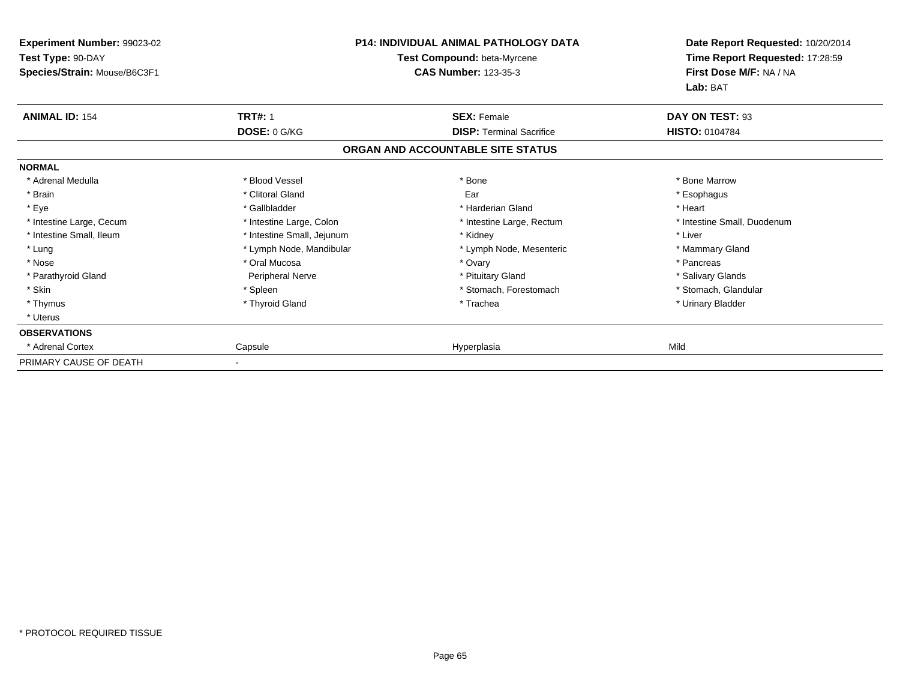| <b>Experiment Number: 99023-02</b><br>Test Type: 90-DAY<br>Species/Strain: Mouse/B6C3F1 |                            | <b>P14: INDIVIDUAL ANIMAL PATHOLOGY DATA</b><br>Test Compound: beta-Myrcene<br><b>CAS Number: 123-35-3</b> | Date Report Requested: 10/20/2014<br>Time Report Requested: 17:28:59<br>First Dose M/F: NA / NA |
|-----------------------------------------------------------------------------------------|----------------------------|------------------------------------------------------------------------------------------------------------|-------------------------------------------------------------------------------------------------|
| <b>ANIMAL ID: 154</b>                                                                   | <b>TRT#: 1</b>             | <b>SEX: Female</b>                                                                                         | Lab: BAT<br>DAY ON TEST: 93                                                                     |
|                                                                                         | DOSE: 0 G/KG               | <b>DISP:</b> Terminal Sacrifice                                                                            | <b>HISTO: 0104784</b>                                                                           |
|                                                                                         |                            | ORGAN AND ACCOUNTABLE SITE STATUS                                                                          |                                                                                                 |
| <b>NORMAL</b>                                                                           |                            |                                                                                                            |                                                                                                 |
| * Adrenal Medulla                                                                       | * Blood Vessel             | * Bone                                                                                                     | * Bone Marrow                                                                                   |
| * Brain                                                                                 | * Clitoral Gland           | Ear                                                                                                        | * Esophagus                                                                                     |
| * Eye                                                                                   | * Gallbladder              | * Harderian Gland                                                                                          | * Heart                                                                                         |
| * Intestine Large, Cecum                                                                | * Intestine Large, Colon   | * Intestine Large, Rectum                                                                                  | * Intestine Small, Duodenum                                                                     |
| * Intestine Small, Ileum                                                                | * Intestine Small, Jejunum | * Kidney                                                                                                   | * Liver                                                                                         |
| * Lung                                                                                  | * Lymph Node, Mandibular   | * Lymph Node, Mesenteric                                                                                   | * Mammary Gland                                                                                 |
| * Nose                                                                                  | * Oral Mucosa              | * Ovary                                                                                                    | * Pancreas                                                                                      |
| * Parathyroid Gland                                                                     | Peripheral Nerve           | * Pituitary Gland                                                                                          | * Salivary Glands                                                                               |
| * Skin                                                                                  | * Spleen                   | * Stomach, Forestomach                                                                                     | * Stomach, Glandular                                                                            |
| * Thymus                                                                                | * Thyroid Gland            | * Trachea                                                                                                  | * Urinary Bladder                                                                               |
| * Uterus                                                                                |                            |                                                                                                            |                                                                                                 |
| <b>OBSERVATIONS</b>                                                                     |                            |                                                                                                            |                                                                                                 |
| * Adrenal Cortex                                                                        | Capsule                    | Hyperplasia                                                                                                | Mild                                                                                            |
| PRIMARY CAUSE OF DEATH                                                                  |                            |                                                                                                            |                                                                                                 |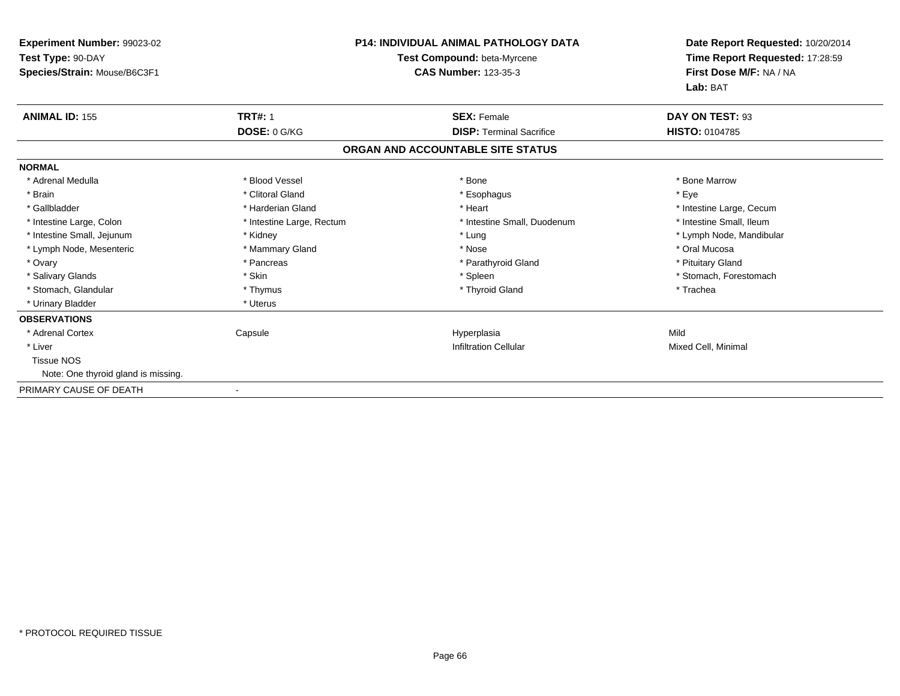| <b>Experiment Number: 99023-02</b><br>Test Type: 90-DAY<br>Species/Strain: Mouse/B6C3F1 |                           | <b>P14: INDIVIDUAL ANIMAL PATHOLOGY DATA</b><br>Test Compound: beta-Myrcene<br><b>CAS Number: 123-35-3</b> | Date Report Requested: 10/20/2014<br>Time Report Requested: 17:28:59<br>First Dose M/F: NA / NA<br>Lab: BAT |
|-----------------------------------------------------------------------------------------|---------------------------|------------------------------------------------------------------------------------------------------------|-------------------------------------------------------------------------------------------------------------|
| <b>ANIMAL ID: 155</b>                                                                   | <b>TRT#: 1</b>            | <b>SEX: Female</b>                                                                                         | DAY ON TEST: 93                                                                                             |
|                                                                                         | DOSE: 0 G/KG              | <b>DISP: Terminal Sacrifice</b>                                                                            | <b>HISTO: 0104785</b>                                                                                       |
|                                                                                         |                           | ORGAN AND ACCOUNTABLE SITE STATUS                                                                          |                                                                                                             |
| <b>NORMAL</b>                                                                           |                           |                                                                                                            |                                                                                                             |
| * Adrenal Medulla                                                                       | * Blood Vessel            | * Bone                                                                                                     | * Bone Marrow                                                                                               |
| * Brain                                                                                 | * Clitoral Gland          | * Esophagus                                                                                                | * Eve                                                                                                       |
| * Gallbladder                                                                           | * Harderian Gland         | * Heart                                                                                                    | * Intestine Large, Cecum                                                                                    |
| * Intestine Large, Colon                                                                | * Intestine Large, Rectum | * Intestine Small, Duodenum                                                                                | * Intestine Small. Ileum                                                                                    |
| * Intestine Small, Jejunum                                                              | * Kidney                  | * Lung                                                                                                     | * Lymph Node, Mandibular                                                                                    |
| * Lymph Node, Mesenteric                                                                | * Mammary Gland           | * Nose                                                                                                     | * Oral Mucosa                                                                                               |
| * Ovary                                                                                 | * Pancreas                | * Parathyroid Gland                                                                                        | * Pituitary Gland                                                                                           |
| * Salivary Glands                                                                       | * Skin                    | * Spleen                                                                                                   | * Stomach, Forestomach                                                                                      |
| * Stomach, Glandular                                                                    | * Thymus                  | * Thyroid Gland                                                                                            | * Trachea                                                                                                   |
| * Urinary Bladder                                                                       | * Uterus                  |                                                                                                            |                                                                                                             |
| <b>OBSERVATIONS</b>                                                                     |                           |                                                                                                            |                                                                                                             |
| * Adrenal Cortex                                                                        | Capsule                   | Hyperplasia                                                                                                | Mild                                                                                                        |
| * Liver                                                                                 |                           | <b>Infiltration Cellular</b>                                                                               | Mixed Cell, Minimal                                                                                         |
| <b>Tissue NOS</b>                                                                       |                           |                                                                                                            |                                                                                                             |
| Note: One thyroid gland is missing.                                                     |                           |                                                                                                            |                                                                                                             |
| PRIMARY CAUSE OF DEATH                                                                  | $\blacksquare$            |                                                                                                            |                                                                                                             |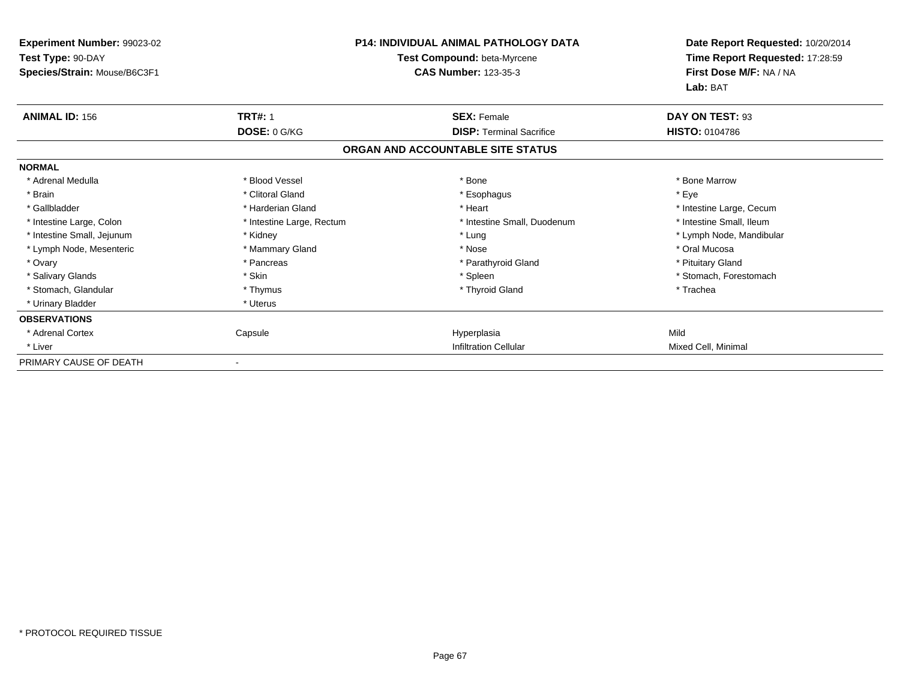| Experiment Number: 99023-02<br>Test Type: 90-DAY<br>Species/Strain: Mouse/B6C3F1 |                           | <b>P14: INDIVIDUAL ANIMAL PATHOLOGY DATA</b><br>Test Compound: beta-Myrcene<br><b>CAS Number: 123-35-3</b> | Date Report Requested: 10/20/2014<br>Time Report Requested: 17:28:59<br>First Dose M/F: NA / NA<br>Lab: BAT |
|----------------------------------------------------------------------------------|---------------------------|------------------------------------------------------------------------------------------------------------|-------------------------------------------------------------------------------------------------------------|
| <b>ANIMAL ID: 156</b>                                                            | <b>TRT#: 1</b>            | <b>SEX: Female</b>                                                                                         | DAY ON TEST: 93                                                                                             |
|                                                                                  | DOSE: 0 G/KG              | <b>DISP: Terminal Sacrifice</b>                                                                            | HISTO: 0104786                                                                                              |
|                                                                                  |                           | ORGAN AND ACCOUNTABLE SITE STATUS                                                                          |                                                                                                             |
| <b>NORMAL</b>                                                                    |                           |                                                                                                            |                                                                                                             |
| * Adrenal Medulla                                                                | * Blood Vessel            | * Bone                                                                                                     | * Bone Marrow                                                                                               |
| * Brain                                                                          | * Clitoral Gland          | * Esophagus                                                                                                | * Eye                                                                                                       |
| * Gallbladder                                                                    | * Harderian Gland         | * Heart                                                                                                    | * Intestine Large, Cecum                                                                                    |
| * Intestine Large, Colon                                                         | * Intestine Large, Rectum | * Intestine Small, Duodenum                                                                                | * Intestine Small, Ileum                                                                                    |
| * Intestine Small, Jejunum                                                       | * Kidney                  | * Lung                                                                                                     | * Lymph Node, Mandibular                                                                                    |
| * Lymph Node, Mesenteric                                                         | * Mammary Gland           | * Nose                                                                                                     | * Oral Mucosa                                                                                               |
| * Ovary                                                                          | * Pancreas                | * Parathyroid Gland                                                                                        | * Pituitary Gland                                                                                           |
| * Salivary Glands                                                                | * Skin                    | * Spleen                                                                                                   | * Stomach, Forestomach                                                                                      |
| * Stomach, Glandular                                                             | * Thymus                  | * Thyroid Gland                                                                                            | * Trachea                                                                                                   |
| * Urinary Bladder                                                                | * Uterus                  |                                                                                                            |                                                                                                             |
| <b>OBSERVATIONS</b>                                                              |                           |                                                                                                            |                                                                                                             |
| * Adrenal Cortex                                                                 | Capsule                   | Hyperplasia                                                                                                | Mild                                                                                                        |
| * Liver                                                                          |                           | <b>Infiltration Cellular</b>                                                                               | Mixed Cell, Minimal                                                                                         |
| PRIMARY CAUSE OF DEATH                                                           |                           |                                                                                                            |                                                                                                             |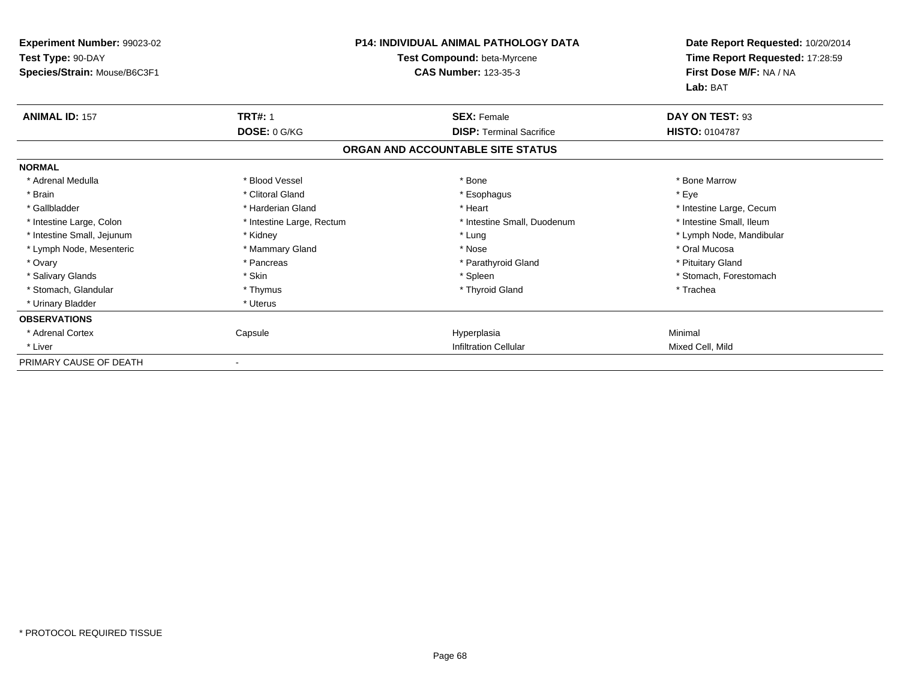| Experiment Number: 99023-02<br>Test Type: 90-DAY<br>Species/Strain: Mouse/B6C3F1 |                           | P14: INDIVIDUAL ANIMAL PATHOLOGY DATA<br>Test Compound: beta-Myrcene<br><b>CAS Number: 123-35-3</b> | Date Report Requested: 10/20/2014<br>Time Report Requested: 17:28:59<br>First Dose M/F: NA / NA<br>Lab: BAT |
|----------------------------------------------------------------------------------|---------------------------|-----------------------------------------------------------------------------------------------------|-------------------------------------------------------------------------------------------------------------|
| <b>ANIMAL ID: 157</b>                                                            | <b>TRT#: 1</b>            | <b>SEX: Female</b>                                                                                  | DAY ON TEST: 93                                                                                             |
|                                                                                  | DOSE: 0 G/KG              | <b>DISP: Terminal Sacrifice</b>                                                                     | HISTO: 0104787                                                                                              |
|                                                                                  |                           | ORGAN AND ACCOUNTABLE SITE STATUS                                                                   |                                                                                                             |
| <b>NORMAL</b>                                                                    |                           |                                                                                                     |                                                                                                             |
| * Adrenal Medulla                                                                | * Blood Vessel            | * Bone                                                                                              | * Bone Marrow                                                                                               |
| * Brain                                                                          | * Clitoral Gland          | * Esophagus                                                                                         | * Eye                                                                                                       |
| * Gallbladder                                                                    | * Harderian Gland         | * Heart                                                                                             | * Intestine Large, Cecum                                                                                    |
| * Intestine Large, Colon                                                         | * Intestine Large, Rectum | * Intestine Small, Duodenum                                                                         | * Intestine Small, Ileum                                                                                    |
| * Intestine Small, Jejunum                                                       | * Kidney                  | * Lung                                                                                              | * Lymph Node, Mandibular                                                                                    |
| * Lymph Node, Mesenteric                                                         | * Mammary Gland           | * Nose                                                                                              | * Oral Mucosa                                                                                               |
| * Ovary                                                                          | * Pancreas                | * Parathyroid Gland                                                                                 | * Pituitary Gland                                                                                           |
| * Salivary Glands                                                                | * Skin                    | * Spleen                                                                                            | * Stomach, Forestomach                                                                                      |
| * Stomach, Glandular                                                             | * Thymus                  | * Thyroid Gland                                                                                     | * Trachea                                                                                                   |
| * Urinary Bladder                                                                | * Uterus                  |                                                                                                     |                                                                                                             |
| <b>OBSERVATIONS</b>                                                              |                           |                                                                                                     |                                                                                                             |
| * Adrenal Cortex                                                                 | Capsule                   | Hyperplasia                                                                                         | Minimal                                                                                                     |
| * Liver                                                                          |                           | <b>Infiltration Cellular</b>                                                                        | Mixed Cell, Mild                                                                                            |
| PRIMARY CAUSE OF DEATH                                                           |                           |                                                                                                     |                                                                                                             |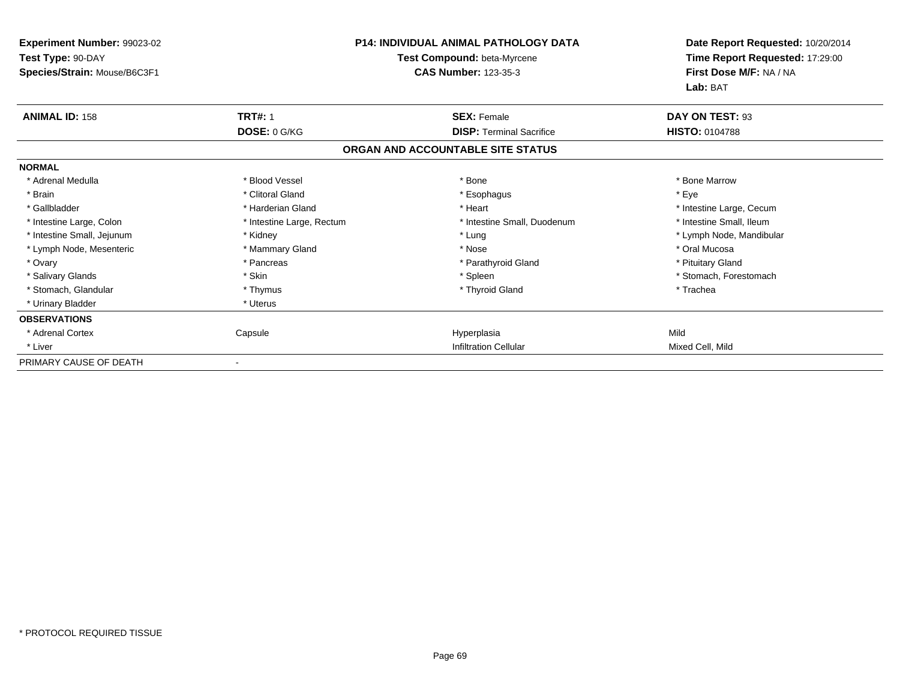| <b>Experiment Number: 99023-02</b><br>Test Type: 90-DAY<br>Species/Strain: Mouse/B6C3F1 |                           | <b>P14: INDIVIDUAL ANIMAL PATHOLOGY DATA</b><br>Test Compound: beta-Myrcene<br><b>CAS Number: 123-35-3</b> | Date Report Requested: 10/20/2014<br>Time Report Requested: 17:29:00<br>First Dose M/F: NA / NA<br>Lab: BAT |
|-----------------------------------------------------------------------------------------|---------------------------|------------------------------------------------------------------------------------------------------------|-------------------------------------------------------------------------------------------------------------|
| <b>ANIMAL ID: 158</b>                                                                   | <b>TRT#: 1</b>            | <b>SEX: Female</b>                                                                                         | DAY ON TEST: 93                                                                                             |
|                                                                                         | DOSE: 0 G/KG              | <b>DISP:</b> Terminal Sacrifice                                                                            | HISTO: 0104788                                                                                              |
|                                                                                         |                           | ORGAN AND ACCOUNTABLE SITE STATUS                                                                          |                                                                                                             |
| <b>NORMAL</b>                                                                           |                           |                                                                                                            |                                                                                                             |
| * Adrenal Medulla                                                                       | * Blood Vessel            | * Bone                                                                                                     | * Bone Marrow                                                                                               |
| * Brain                                                                                 | * Clitoral Gland          | * Esophagus                                                                                                | * Eye                                                                                                       |
| * Gallbladder                                                                           | * Harderian Gland         | * Heart                                                                                                    | * Intestine Large, Cecum                                                                                    |
| * Intestine Large, Colon                                                                | * Intestine Large, Rectum | * Intestine Small, Duodenum                                                                                | * Intestine Small, Ileum                                                                                    |
| * Intestine Small, Jejunum                                                              | * Kidney                  | * Lung                                                                                                     | * Lymph Node, Mandibular                                                                                    |
| * Lymph Node, Mesenteric                                                                | * Mammary Gland           | * Nose                                                                                                     | * Oral Mucosa                                                                                               |
| * Ovary                                                                                 | * Pancreas                | * Parathyroid Gland                                                                                        | * Pituitary Gland                                                                                           |
| * Salivary Glands                                                                       | * Skin                    | * Spleen                                                                                                   | * Stomach, Forestomach                                                                                      |
| * Stomach, Glandular                                                                    | * Thymus                  | * Thyroid Gland                                                                                            | * Trachea                                                                                                   |
| * Urinary Bladder                                                                       | * Uterus                  |                                                                                                            |                                                                                                             |
| <b>OBSERVATIONS</b>                                                                     |                           |                                                                                                            |                                                                                                             |
| * Adrenal Cortex                                                                        | Capsule                   | Hyperplasia                                                                                                | Mild                                                                                                        |
| * Liver                                                                                 |                           | <b>Infiltration Cellular</b>                                                                               | Mixed Cell, Mild                                                                                            |
| PRIMARY CAUSE OF DEATH                                                                  |                           |                                                                                                            |                                                                                                             |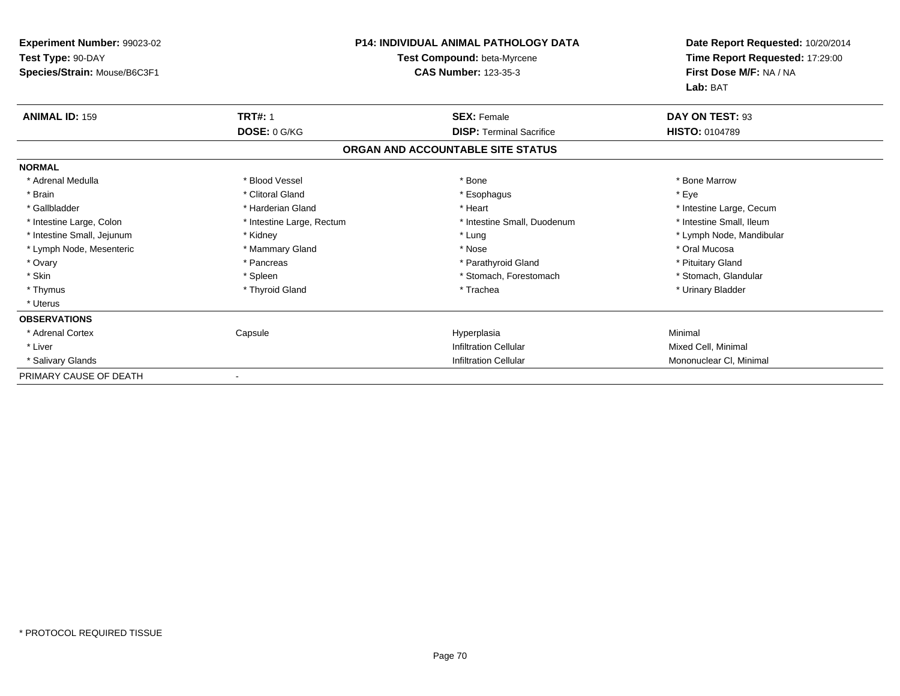| <b>Experiment Number: 99023-02</b>                |                           | <b>P14: INDIVIDUAL ANIMAL PATHOLOGY DATA</b>               | Date Report Requested: 10/20/2014<br>Time Report Requested: 17:29:00 |
|---------------------------------------------------|---------------------------|------------------------------------------------------------|----------------------------------------------------------------------|
| Test Type: 90-DAY<br>Species/Strain: Mouse/B6C3F1 |                           | Test Compound: beta-Myrcene<br><b>CAS Number: 123-35-3</b> | First Dose M/F: NA / NA<br>Lab: BAT                                  |
| <b>ANIMAL ID: 159</b>                             | <b>TRT#: 1</b>            | <b>SEX: Female</b>                                         | DAY ON TEST: 93                                                      |
|                                                   | DOSE: 0 G/KG              | <b>DISP: Terminal Sacrifice</b>                            | <b>HISTO: 0104789</b>                                                |
|                                                   |                           | ORGAN AND ACCOUNTABLE SITE STATUS                          |                                                                      |
| <b>NORMAL</b>                                     |                           |                                                            |                                                                      |
| * Adrenal Medulla                                 | * Blood Vessel            | * Bone                                                     | * Bone Marrow                                                        |
| * Brain                                           | * Clitoral Gland          | * Esophagus                                                | * Eye                                                                |
| * Gallbladder                                     | * Harderian Gland         | * Heart                                                    | * Intestine Large, Cecum                                             |
| * Intestine Large, Colon                          | * Intestine Large, Rectum | * Intestine Small, Duodenum                                | * Intestine Small, Ileum                                             |
| * Intestine Small, Jejunum                        | * Kidney                  | * Lung                                                     | * Lymph Node, Mandibular                                             |
| * Lymph Node, Mesenteric                          | * Mammary Gland           | * Nose                                                     | * Oral Mucosa                                                        |
| * Ovary                                           | * Pancreas                | * Parathyroid Gland                                        | * Pituitary Gland                                                    |
| * Skin                                            | * Spleen                  | * Stomach, Forestomach                                     | * Stomach, Glandular                                                 |
| * Thymus                                          | * Thyroid Gland           | * Trachea                                                  | * Urinary Bladder                                                    |
| * Uterus                                          |                           |                                                            |                                                                      |
| <b>OBSERVATIONS</b>                               |                           |                                                            |                                                                      |
| * Adrenal Cortex                                  | Capsule                   | Hyperplasia                                                | Minimal                                                              |
| * Liver                                           |                           | <b>Infiltration Cellular</b>                               | Mixed Cell, Minimal                                                  |
| * Salivary Glands                                 |                           | <b>Infiltration Cellular</b>                               | Mononuclear CI, Minimal                                              |
| PRIMARY CAUSE OF DEATH                            | $\overline{\phantom{a}}$  |                                                            |                                                                      |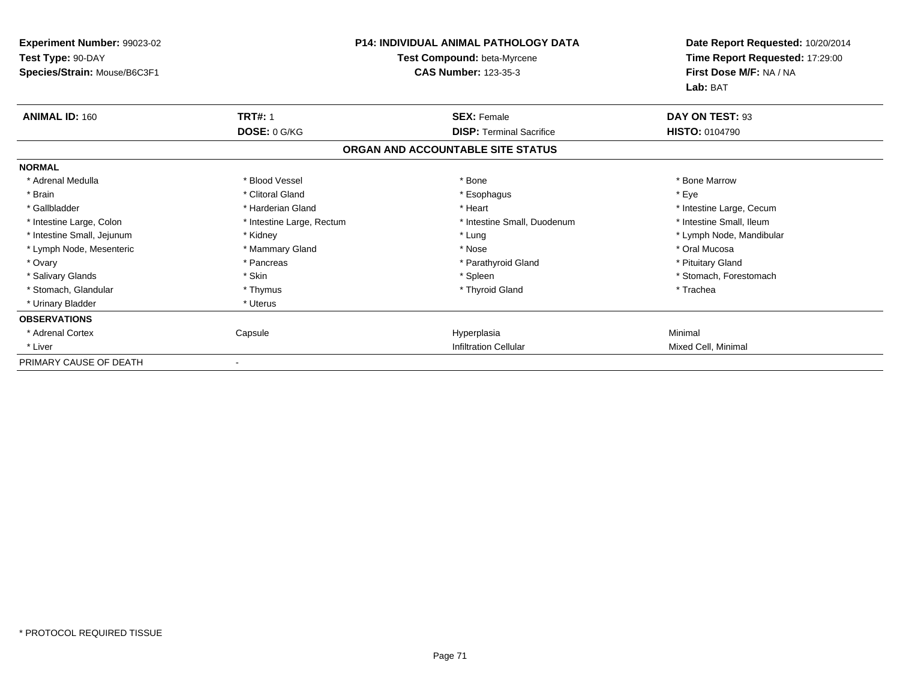| Experiment Number: 99023-02<br>Test Type: 90-DAY<br>Species/Strain: Mouse/B6C3F1 |                                | <b>P14: INDIVIDUAL ANIMAL PATHOLOGY DATA</b><br>Test Compound: beta-Myrcene<br><b>CAS Number: 123-35-3</b> | Date Report Requested: 10/20/2014<br>Time Report Requested: 17:29:00<br>First Dose M/F: NA / NA<br>Lab: BAT |
|----------------------------------------------------------------------------------|--------------------------------|------------------------------------------------------------------------------------------------------------|-------------------------------------------------------------------------------------------------------------|
| <b>ANIMAL ID: 160</b>                                                            | <b>TRT#: 1</b><br>DOSE: 0 G/KG | <b>SEX: Female</b><br><b>DISP:</b> Terminal Sacrifice                                                      | DAY ON TEST: 93<br><b>HISTO: 0104790</b>                                                                    |
|                                                                                  |                                | ORGAN AND ACCOUNTABLE SITE STATUS                                                                          |                                                                                                             |
| <b>NORMAL</b>                                                                    |                                |                                                                                                            |                                                                                                             |
| * Adrenal Medulla                                                                | * Blood Vessel                 | * Bone                                                                                                     | * Bone Marrow                                                                                               |
| * Brain                                                                          | * Clitoral Gland               | * Esophagus                                                                                                | * Eye                                                                                                       |
| * Gallbladder                                                                    | * Harderian Gland              | * Heart                                                                                                    | * Intestine Large, Cecum                                                                                    |
| * Intestine Large, Colon                                                         | * Intestine Large, Rectum      | * Intestine Small, Duodenum                                                                                | * Intestine Small, Ileum                                                                                    |
| * Intestine Small, Jejunum                                                       | * Kidney                       | * Lung                                                                                                     | * Lymph Node, Mandibular                                                                                    |
| * Lymph Node, Mesenteric                                                         | * Mammary Gland                | * Nose                                                                                                     | * Oral Mucosa                                                                                               |
| * Ovary                                                                          | * Pancreas                     | * Parathyroid Gland                                                                                        | * Pituitary Gland                                                                                           |
| * Salivary Glands                                                                | * Skin                         | * Spleen                                                                                                   | * Stomach, Forestomach                                                                                      |
| * Stomach, Glandular                                                             | * Thymus                       | * Thyroid Gland                                                                                            | * Trachea                                                                                                   |
| * Urinary Bladder                                                                | * Uterus                       |                                                                                                            |                                                                                                             |
| <b>OBSERVATIONS</b>                                                              |                                |                                                                                                            |                                                                                                             |
| * Adrenal Cortex                                                                 | Capsule                        | Hyperplasia                                                                                                | Minimal                                                                                                     |
| * Liver                                                                          |                                | <b>Infiltration Cellular</b>                                                                               | Mixed Cell, Minimal                                                                                         |
| PRIMARY CAUSE OF DEATH                                                           |                                |                                                                                                            |                                                                                                             |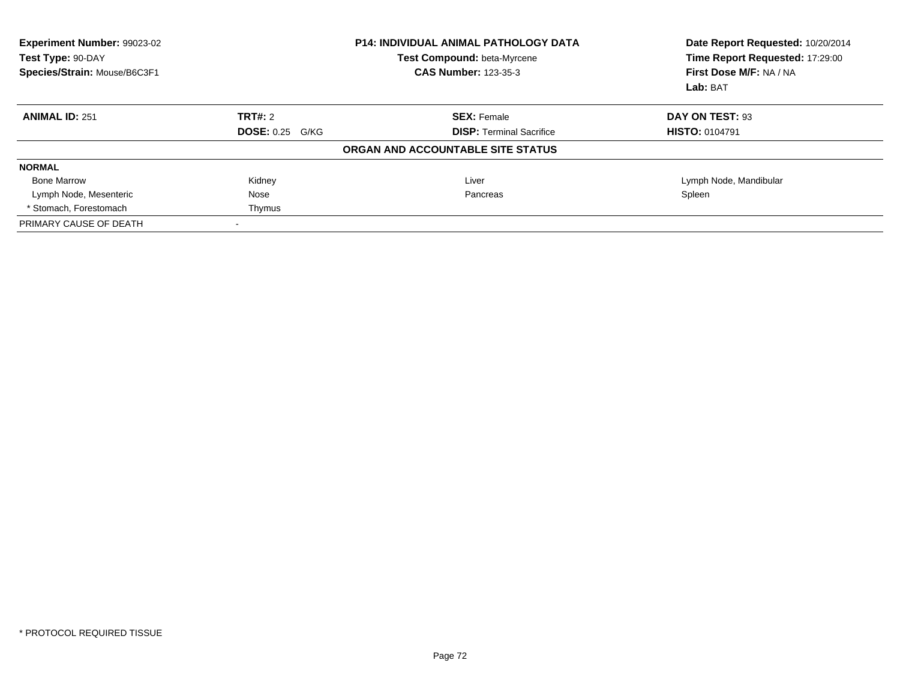| Experiment Number: 99023-02<br>Test Type: 90-DAY<br>Species/Strain: Mouse/B6C3F1 | <b>P14: INDIVIDUAL ANIMAL PATHOLOGY DATA</b><br>Test Compound: beta-Myrcene<br><b>CAS Number: 123-35-3</b> |                                   | Date Report Requested: 10/20/2014<br>Time Report Requested: 17:29:00<br>First Dose M/F: NA / NA<br>Lab: BAT |
|----------------------------------------------------------------------------------|------------------------------------------------------------------------------------------------------------|-----------------------------------|-------------------------------------------------------------------------------------------------------------|
| <b>ANIMAL ID: 251</b>                                                            | TRT#: 2                                                                                                    | <b>SEX: Female</b>                | DAY ON TEST: 93                                                                                             |
|                                                                                  | <b>DOSE: 0.25 G/KG</b>                                                                                     | <b>DISP:</b> Terminal Sacrifice   | <b>HISTO: 0104791</b>                                                                                       |
|                                                                                  |                                                                                                            | ORGAN AND ACCOUNTABLE SITE STATUS |                                                                                                             |
| <b>NORMAL</b>                                                                    |                                                                                                            |                                   |                                                                                                             |
| <b>Bone Marrow</b>                                                               | Kidney                                                                                                     | Liver                             | Lymph Node, Mandibular                                                                                      |
| Lymph Node, Mesenteric                                                           | Nose                                                                                                       | Pancreas                          | Spleen                                                                                                      |
| * Stomach. Forestomach                                                           | Thymus                                                                                                     |                                   |                                                                                                             |
| PRIMARY CAUSE OF DEATH                                                           |                                                                                                            |                                   |                                                                                                             |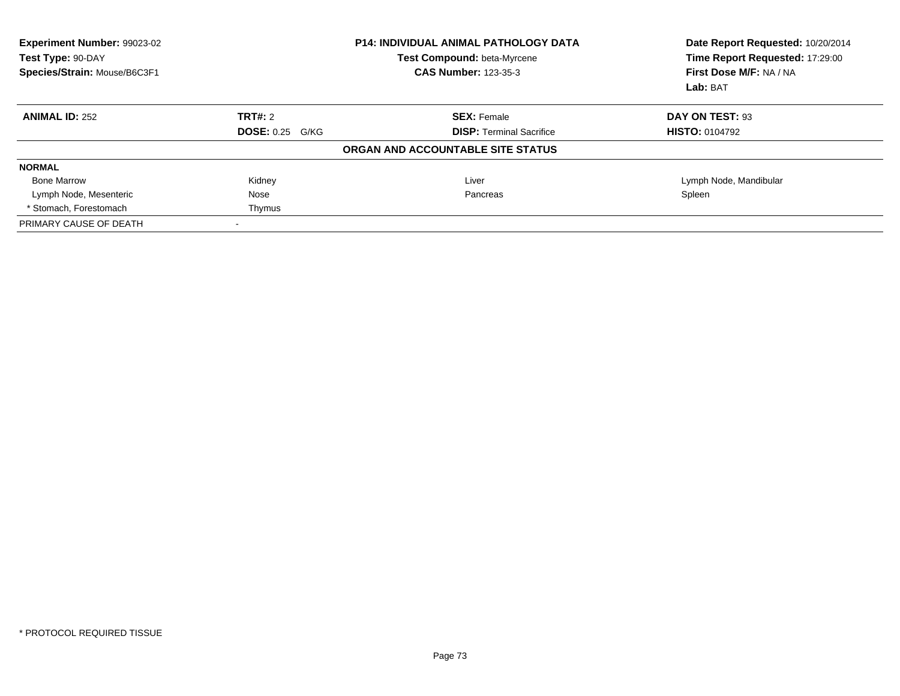| Experiment Number: 99023-02<br>Test Type: 90-DAY<br>Species/Strain: Mouse/B6C3F1 |                        | <b>P14: INDIVIDUAL ANIMAL PATHOLOGY DATA</b><br>Test Compound: beta-Myrcene<br><b>CAS Number: 123-35-3</b> | Date Report Requested: 10/20/2014<br>Time Report Requested: 17:29:00<br>First Dose M/F: NA / NA<br>Lab: BAT |
|----------------------------------------------------------------------------------|------------------------|------------------------------------------------------------------------------------------------------------|-------------------------------------------------------------------------------------------------------------|
| <b>ANIMAL ID: 252</b>                                                            | TRT#: 2                | <b>SEX: Female</b>                                                                                         | DAY ON TEST: 93                                                                                             |
|                                                                                  | <b>DOSE: 0.25 G/KG</b> | <b>DISP:</b> Terminal Sacrifice                                                                            | <b>HISTO: 0104792</b>                                                                                       |
|                                                                                  |                        | ORGAN AND ACCOUNTABLE SITE STATUS                                                                          |                                                                                                             |
| <b>NORMAL</b>                                                                    |                        |                                                                                                            |                                                                                                             |
| <b>Bone Marrow</b>                                                               | Kidney                 | Liver                                                                                                      | Lymph Node, Mandibular                                                                                      |
| Lymph Node, Mesenteric                                                           | Nose                   | Pancreas                                                                                                   | Spleen                                                                                                      |
| * Stomach. Forestomach                                                           | Thymus                 |                                                                                                            |                                                                                                             |
| PRIMARY CAUSE OF DEATH                                                           |                        |                                                                                                            |                                                                                                             |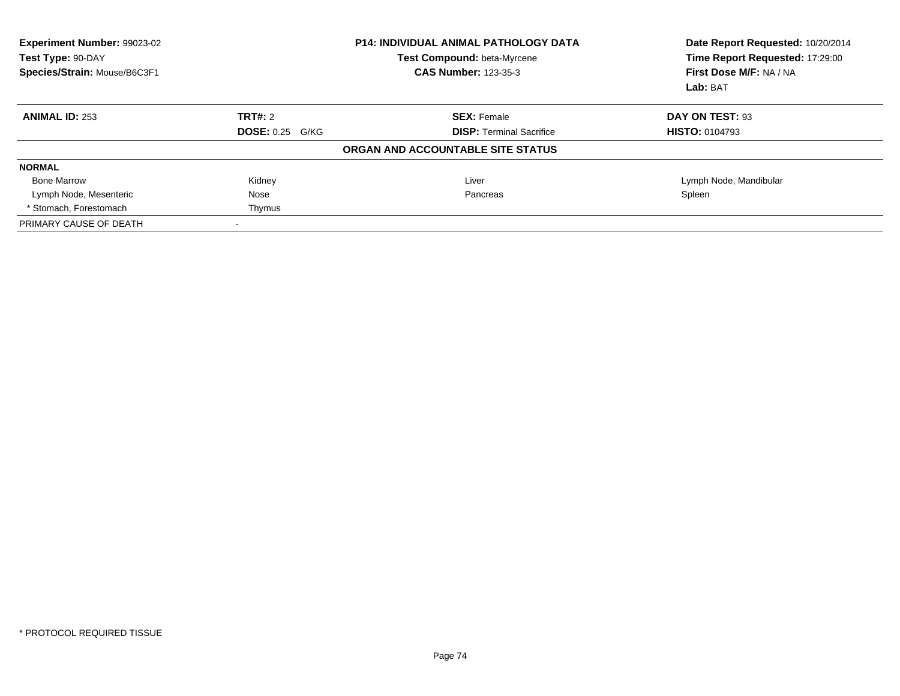| Experiment Number: 99023-02<br>Test Type: 90-DAY<br>Species/Strain: Mouse/B6C3F1 |                        | <b>P14: INDIVIDUAL ANIMAL PATHOLOGY DATA</b><br>Test Compound: beta-Myrcene<br><b>CAS Number: 123-35-3</b> | Date Report Requested: 10/20/2014<br>Time Report Requested: 17:29:00<br>First Dose M/F: NA / NA<br>Lab: BAT |
|----------------------------------------------------------------------------------|------------------------|------------------------------------------------------------------------------------------------------------|-------------------------------------------------------------------------------------------------------------|
| <b>ANIMAL ID: 253</b>                                                            | TRT#: 2                | <b>SEX: Female</b>                                                                                         | DAY ON TEST: 93                                                                                             |
|                                                                                  | <b>DOSE: 0.25 G/KG</b> | <b>DISP:</b> Terminal Sacrifice                                                                            | <b>HISTO: 0104793</b>                                                                                       |
|                                                                                  |                        | ORGAN AND ACCOUNTABLE SITE STATUS                                                                          |                                                                                                             |
| <b>NORMAL</b>                                                                    |                        |                                                                                                            |                                                                                                             |
| <b>Bone Marrow</b>                                                               | Kidney                 | Liver                                                                                                      | Lymph Node, Mandibular                                                                                      |
| Lymph Node, Mesenteric                                                           | Nose                   | Pancreas                                                                                                   | Spleen                                                                                                      |
| * Stomach. Forestomach                                                           | Thymus                 |                                                                                                            |                                                                                                             |
| PRIMARY CAUSE OF DEATH                                                           |                        |                                                                                                            |                                                                                                             |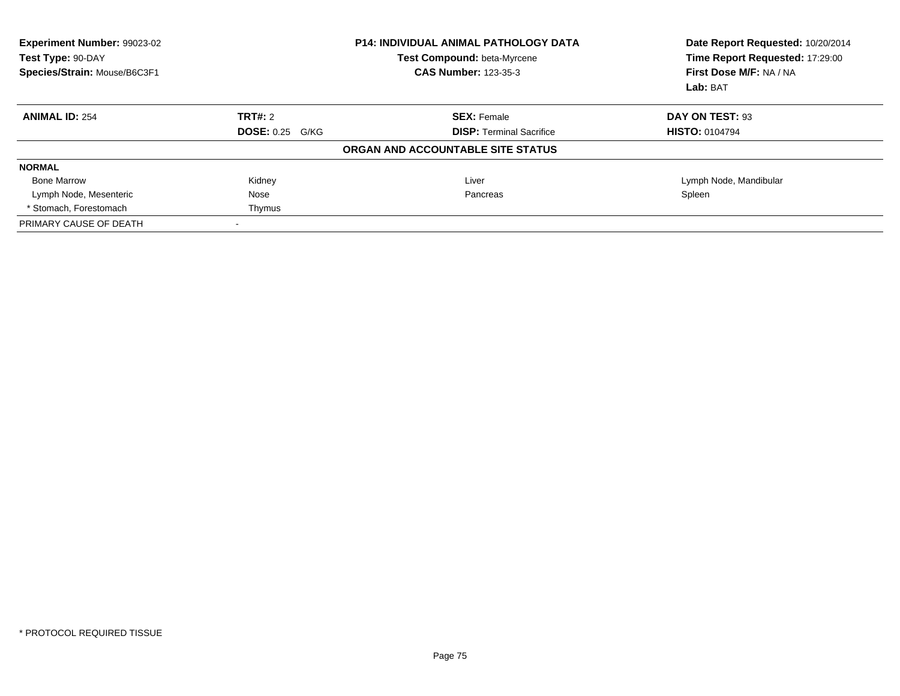| Experiment Number: 99023-02<br>Test Type: 90-DAY<br>Species/Strain: Mouse/B6C3F1 |                        | <b>P14: INDIVIDUAL ANIMAL PATHOLOGY DATA</b><br>Test Compound: beta-Myrcene<br><b>CAS Number: 123-35-3</b> | Date Report Requested: 10/20/2014<br>Time Report Requested: 17:29:00<br>First Dose M/F: NA / NA<br>Lab: BAT |
|----------------------------------------------------------------------------------|------------------------|------------------------------------------------------------------------------------------------------------|-------------------------------------------------------------------------------------------------------------|
| <b>ANIMAL ID: 254</b>                                                            | TRT#: 2                | <b>SEX: Female</b>                                                                                         | DAY ON TEST: 93                                                                                             |
|                                                                                  | <b>DOSE: 0.25 G/KG</b> | <b>DISP:</b> Terminal Sacrifice                                                                            | <b>HISTO: 0104794</b>                                                                                       |
|                                                                                  |                        | ORGAN AND ACCOUNTABLE SITE STATUS                                                                          |                                                                                                             |
| <b>NORMAL</b>                                                                    |                        |                                                                                                            |                                                                                                             |
| <b>Bone Marrow</b>                                                               | Kidney                 | Liver                                                                                                      | Lymph Node, Mandibular                                                                                      |
| Lymph Node, Mesenteric                                                           | Nose                   | Pancreas                                                                                                   | Spleen                                                                                                      |
| * Stomach. Forestomach                                                           | Thymus                 |                                                                                                            |                                                                                                             |
| PRIMARY CAUSE OF DEATH                                                           |                        |                                                                                                            |                                                                                                             |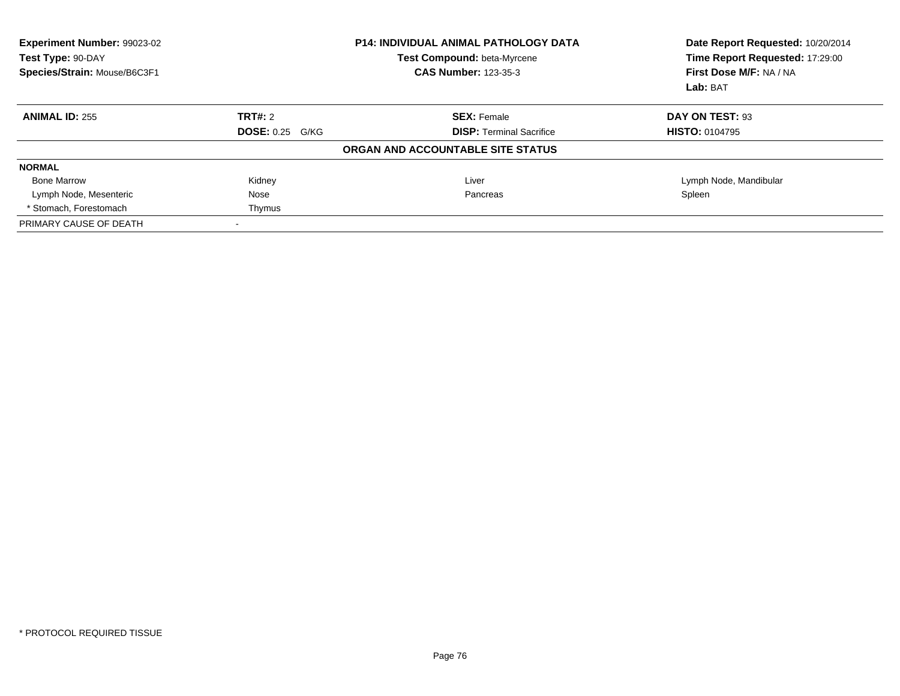| Experiment Number: 99023-02<br>Test Type: 90-DAY<br>Species/Strain: Mouse/B6C3F1 |                        | <b>P14: INDIVIDUAL ANIMAL PATHOLOGY DATA</b><br>Test Compound: beta-Myrcene<br><b>CAS Number: 123-35-3</b> | Date Report Requested: 10/20/2014<br>Time Report Requested: 17:29:00<br>First Dose M/F: NA / NA<br>Lab: BAT |
|----------------------------------------------------------------------------------|------------------------|------------------------------------------------------------------------------------------------------------|-------------------------------------------------------------------------------------------------------------|
| <b>ANIMAL ID: 255</b>                                                            | TRT#: 2                | <b>SEX: Female</b>                                                                                         | DAY ON TEST: 93                                                                                             |
|                                                                                  | <b>DOSE: 0.25 G/KG</b> | <b>DISP:</b> Terminal Sacrifice                                                                            | <b>HISTO: 0104795</b>                                                                                       |
|                                                                                  |                        | ORGAN AND ACCOUNTABLE SITE STATUS                                                                          |                                                                                                             |
| <b>NORMAL</b>                                                                    |                        |                                                                                                            |                                                                                                             |
| <b>Bone Marrow</b>                                                               | Kidney                 | Liver                                                                                                      | Lymph Node, Mandibular                                                                                      |
| Lymph Node, Mesenteric                                                           | Nose                   | Pancreas                                                                                                   | Spleen                                                                                                      |
| * Stomach. Forestomach                                                           | Thymus                 |                                                                                                            |                                                                                                             |
| PRIMARY CAUSE OF DEATH                                                           |                        |                                                                                                            |                                                                                                             |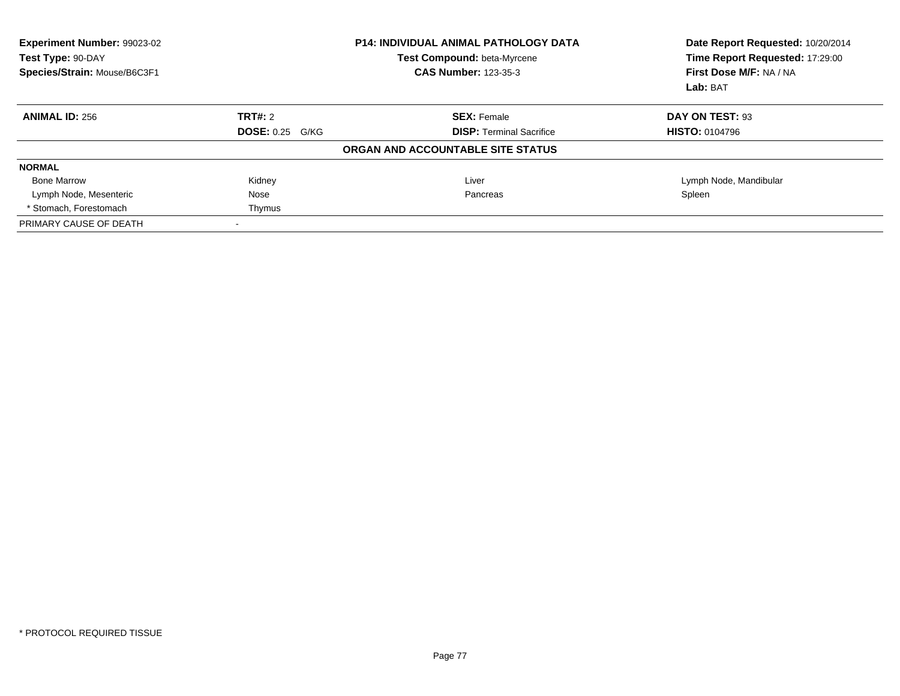| Experiment Number: 99023-02<br>Test Type: 90-DAY<br>Species/Strain: Mouse/B6C3F1 |                        | <b>P14: INDIVIDUAL ANIMAL PATHOLOGY DATA</b><br>Test Compound: beta-Myrcene<br><b>CAS Number: 123-35-3</b> | Date Report Requested: 10/20/2014<br>Time Report Requested: 17:29:00<br>First Dose M/F: NA / NA<br>Lab: BAT |
|----------------------------------------------------------------------------------|------------------------|------------------------------------------------------------------------------------------------------------|-------------------------------------------------------------------------------------------------------------|
| <b>ANIMAL ID: 256</b>                                                            | TRT#: 2                | <b>SEX: Female</b>                                                                                         | DAY ON TEST: 93                                                                                             |
|                                                                                  | <b>DOSE: 0.25 G/KG</b> | <b>DISP:</b> Terminal Sacrifice                                                                            | <b>HISTO: 0104796</b>                                                                                       |
|                                                                                  |                        | ORGAN AND ACCOUNTABLE SITE STATUS                                                                          |                                                                                                             |
| <b>NORMAL</b>                                                                    |                        |                                                                                                            |                                                                                                             |
| <b>Bone Marrow</b>                                                               | Kidney                 | Liver                                                                                                      | Lymph Node, Mandibular                                                                                      |
| Lymph Node, Mesenteric                                                           | Nose                   | Pancreas                                                                                                   | Spleen                                                                                                      |
| * Stomach. Forestomach                                                           | Thymus                 |                                                                                                            |                                                                                                             |
| PRIMARY CAUSE OF DEATH                                                           |                        |                                                                                                            |                                                                                                             |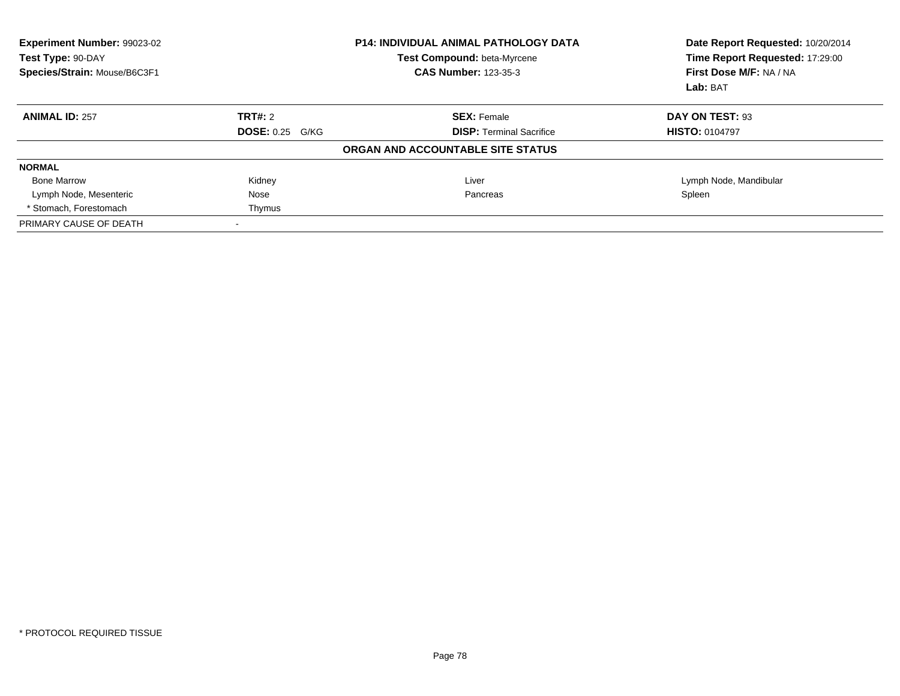| Experiment Number: 99023-02<br>Test Type: 90-DAY<br>Species/Strain: Mouse/B6C3F1 |                        | <b>P14: INDIVIDUAL ANIMAL PATHOLOGY DATA</b><br>Test Compound: beta-Myrcene<br><b>CAS Number: 123-35-3</b> | Date Report Requested: 10/20/2014<br>Time Report Requested: 17:29:00<br>First Dose M/F: NA / NA<br>Lab: BAT |
|----------------------------------------------------------------------------------|------------------------|------------------------------------------------------------------------------------------------------------|-------------------------------------------------------------------------------------------------------------|
| <b>ANIMAL ID: 257</b>                                                            | TRT#: 2                | <b>SEX: Female</b>                                                                                         | DAY ON TEST: 93                                                                                             |
|                                                                                  | <b>DOSE: 0.25 G/KG</b> | <b>DISP:</b> Terminal Sacrifice                                                                            | <b>HISTO: 0104797</b>                                                                                       |
|                                                                                  |                        | ORGAN AND ACCOUNTABLE SITE STATUS                                                                          |                                                                                                             |
| <b>NORMAL</b>                                                                    |                        |                                                                                                            |                                                                                                             |
| <b>Bone Marrow</b>                                                               | Kidney                 | Liver                                                                                                      | Lymph Node, Mandibular                                                                                      |
| Lymph Node, Mesenteric                                                           | Nose                   | Pancreas                                                                                                   | Spleen                                                                                                      |
| * Stomach. Forestomach                                                           | Thymus                 |                                                                                                            |                                                                                                             |
| PRIMARY CAUSE OF DEATH                                                           |                        |                                                                                                            |                                                                                                             |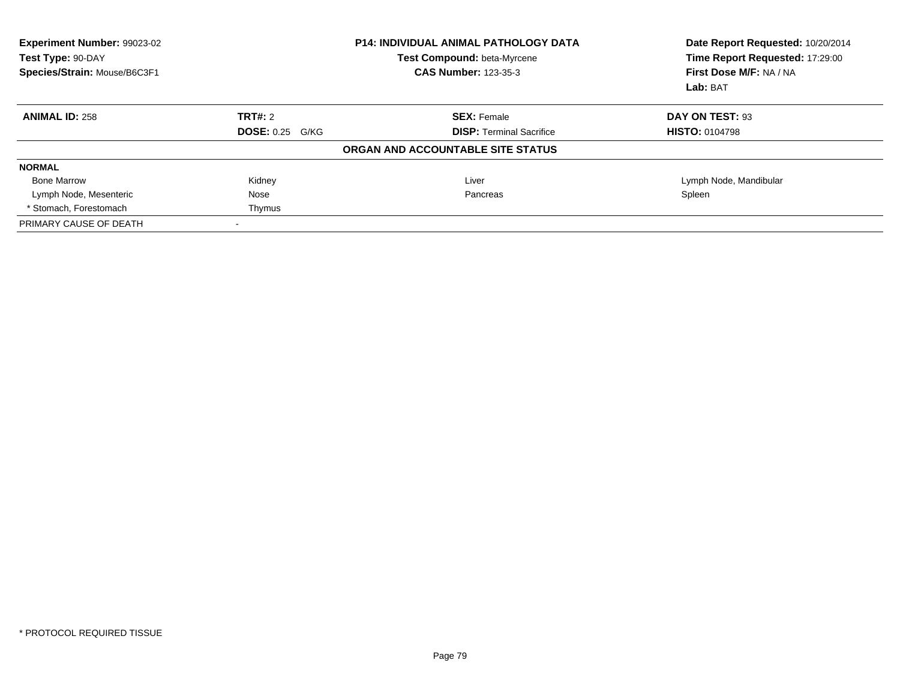| Experiment Number: 99023-02<br>Test Type: 90-DAY<br>Species/Strain: Mouse/B6C3F1 |                        | <b>P14: INDIVIDUAL ANIMAL PATHOLOGY DATA</b><br>Test Compound: beta-Myrcene<br><b>CAS Number: 123-35-3</b> | Date Report Requested: 10/20/2014<br>Time Report Requested: 17:29:00<br>First Dose M/F: NA / NA<br>Lab: BAT |
|----------------------------------------------------------------------------------|------------------------|------------------------------------------------------------------------------------------------------------|-------------------------------------------------------------------------------------------------------------|
| <b>ANIMAL ID: 258</b>                                                            | TRT#: 2                | <b>SEX: Female</b>                                                                                         | DAY ON TEST: 93                                                                                             |
|                                                                                  | <b>DOSE: 0.25 G/KG</b> | <b>DISP:</b> Terminal Sacrifice                                                                            | <b>HISTO: 0104798</b>                                                                                       |
|                                                                                  |                        | ORGAN AND ACCOUNTABLE SITE STATUS                                                                          |                                                                                                             |
| <b>NORMAL</b>                                                                    |                        |                                                                                                            |                                                                                                             |
| <b>Bone Marrow</b>                                                               | Kidney                 | Liver                                                                                                      | Lymph Node, Mandibular                                                                                      |
| Lymph Node, Mesenteric                                                           | Nose                   | Pancreas                                                                                                   | Spleen                                                                                                      |
| * Stomach. Forestomach                                                           | Thymus                 |                                                                                                            |                                                                                                             |
| PRIMARY CAUSE OF DEATH                                                           |                        |                                                                                                            |                                                                                                             |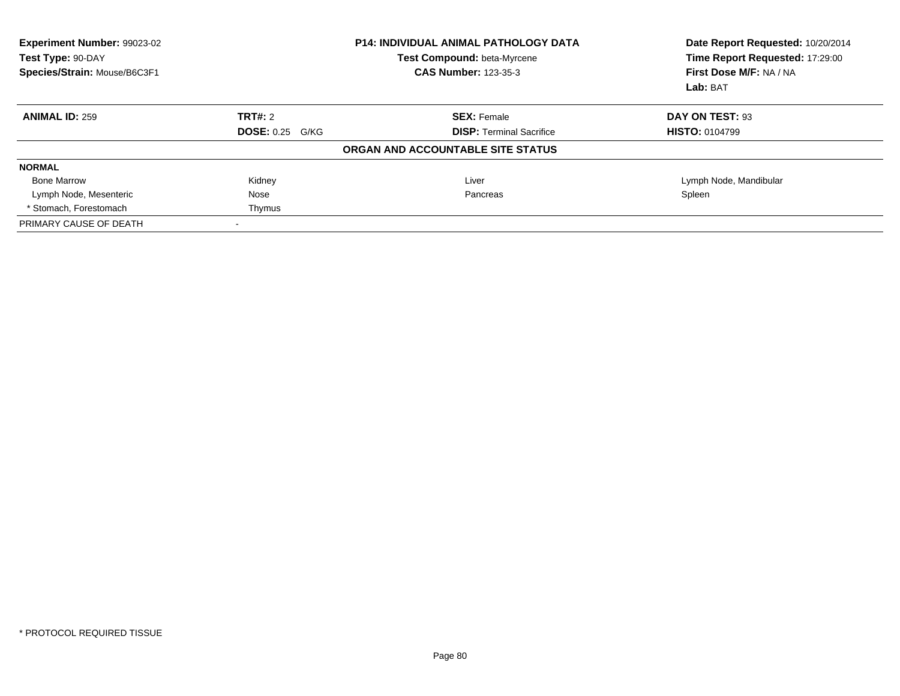| Experiment Number: 99023-02<br>Test Type: 90-DAY<br>Species/Strain: Mouse/B6C3F1 |                        | <b>P14: INDIVIDUAL ANIMAL PATHOLOGY DATA</b><br>Test Compound: beta-Myrcene<br><b>CAS Number: 123-35-3</b> | Date Report Requested: 10/20/2014<br>Time Report Requested: 17:29:00<br>First Dose M/F: NA / NA<br>Lab: BAT |
|----------------------------------------------------------------------------------|------------------------|------------------------------------------------------------------------------------------------------------|-------------------------------------------------------------------------------------------------------------|
| <b>ANIMAL ID: 259</b>                                                            | TRT#: 2                | <b>SEX: Female</b>                                                                                         | DAY ON TEST: 93                                                                                             |
|                                                                                  | <b>DOSE: 0.25 G/KG</b> | <b>DISP:</b> Terminal Sacrifice                                                                            | <b>HISTO: 0104799</b>                                                                                       |
|                                                                                  |                        | ORGAN AND ACCOUNTABLE SITE STATUS                                                                          |                                                                                                             |
| <b>NORMAL</b>                                                                    |                        |                                                                                                            |                                                                                                             |
| <b>Bone Marrow</b>                                                               | Kidney                 | Liver                                                                                                      | Lymph Node, Mandibular                                                                                      |
| Lymph Node, Mesenteric                                                           | Nose                   | Pancreas                                                                                                   | Spleen                                                                                                      |
| * Stomach. Forestomach                                                           | Thymus                 |                                                                                                            |                                                                                                             |
| PRIMARY CAUSE OF DEATH                                                           |                        |                                                                                                            |                                                                                                             |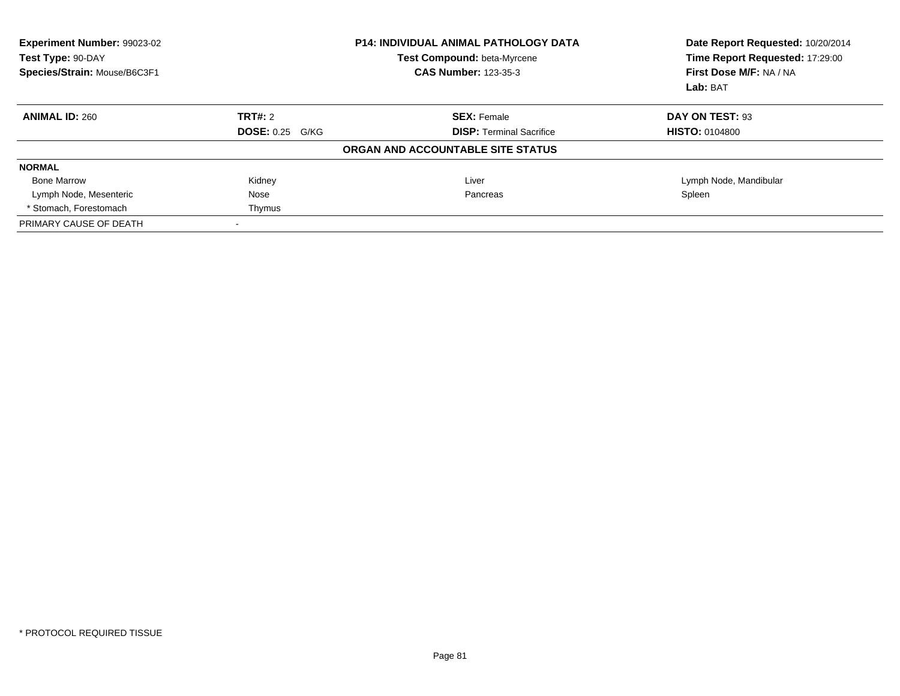| Experiment Number: 99023-02<br>Test Type: 90-DAY<br>Species/Strain: Mouse/B6C3F1 |                        | <b>P14: INDIVIDUAL ANIMAL PATHOLOGY DATA</b><br>Test Compound: beta-Myrcene<br><b>CAS Number: 123-35-3</b> | Date Report Requested: 10/20/2014<br>Time Report Requested: 17:29:00<br>First Dose M/F: NA / NA<br>Lab: BAT |
|----------------------------------------------------------------------------------|------------------------|------------------------------------------------------------------------------------------------------------|-------------------------------------------------------------------------------------------------------------|
| <b>ANIMAL ID: 260</b>                                                            | TRT#: 2                | <b>SEX: Female</b>                                                                                         | DAY ON TEST: 93                                                                                             |
|                                                                                  | <b>DOSE: 0.25 G/KG</b> | <b>DISP:</b> Terminal Sacrifice                                                                            | <b>HISTO: 0104800</b>                                                                                       |
|                                                                                  |                        | ORGAN AND ACCOUNTABLE SITE STATUS                                                                          |                                                                                                             |
| <b>NORMAL</b>                                                                    |                        |                                                                                                            |                                                                                                             |
| <b>Bone Marrow</b>                                                               | Kidney                 | Liver                                                                                                      | Lymph Node, Mandibular                                                                                      |
| Lymph Node, Mesenteric                                                           | Nose                   | Pancreas                                                                                                   | Spleen                                                                                                      |
| * Stomach. Forestomach                                                           | Thymus                 |                                                                                                            |                                                                                                             |
| PRIMARY CAUSE OF DEATH                                                           |                        |                                                                                                            |                                                                                                             |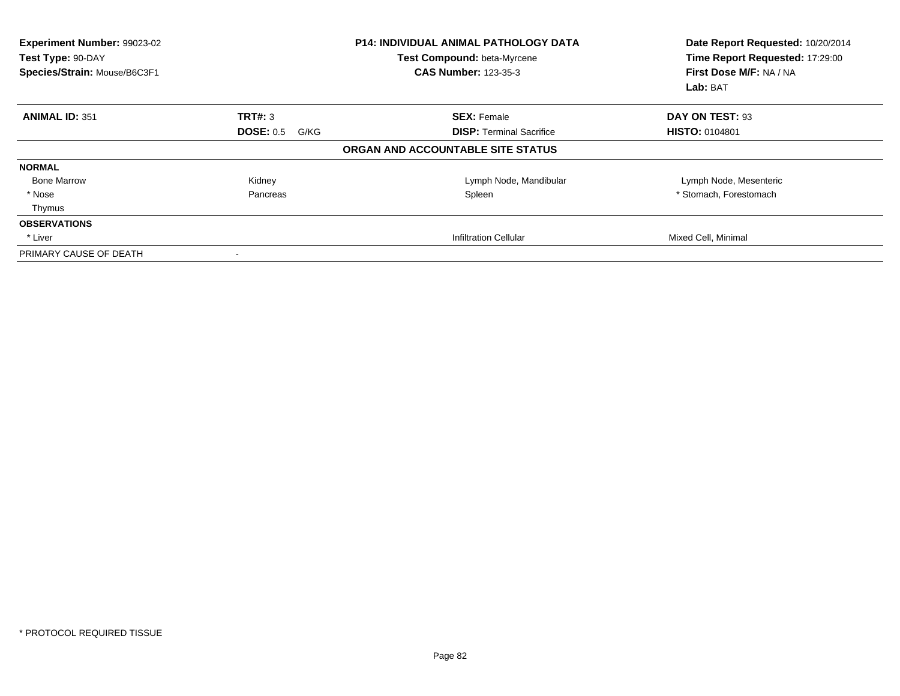| <b>Experiment Number: 99023-02</b><br>Test Type: 90-DAY<br>Species/Strain: Mouse/B6C3F1 |                   | <b>P14: INDIVIDUAL ANIMAL PATHOLOGY DATA</b><br>Test Compound: beta-Myrcene<br><b>CAS Number: 123-35-3</b> | Date Report Requested: 10/20/2014<br>Time Report Requested: 17:29:00<br>First Dose M/F: NA / NA<br>Lab: BAT |
|-----------------------------------------------------------------------------------------|-------------------|------------------------------------------------------------------------------------------------------------|-------------------------------------------------------------------------------------------------------------|
| <b>ANIMAL ID: 351</b>                                                                   | TRT#: 3           | <b>SEX: Female</b>                                                                                         | DAY ON TEST: 93                                                                                             |
|                                                                                         | DOSE: 0.5<br>G/KG | <b>DISP:</b> Terminal Sacrifice                                                                            | <b>HISTO: 0104801</b>                                                                                       |
|                                                                                         |                   | ORGAN AND ACCOUNTABLE SITE STATUS                                                                          |                                                                                                             |
| <b>NORMAL</b>                                                                           |                   |                                                                                                            |                                                                                                             |
| <b>Bone Marrow</b>                                                                      | Kidney            | Lymph Node, Mandibular                                                                                     | Lymph Node, Mesenteric                                                                                      |
| * Nose                                                                                  | Pancreas          | Spleen                                                                                                     | * Stomach, Forestomach                                                                                      |
| Thymus                                                                                  |                   |                                                                                                            |                                                                                                             |
| <b>OBSERVATIONS</b>                                                                     |                   |                                                                                                            |                                                                                                             |
| * Liver                                                                                 |                   | Infiltration Cellular                                                                                      | Mixed Cell, Minimal                                                                                         |
| PRIMARY CAUSE OF DEATH                                                                  |                   |                                                                                                            |                                                                                                             |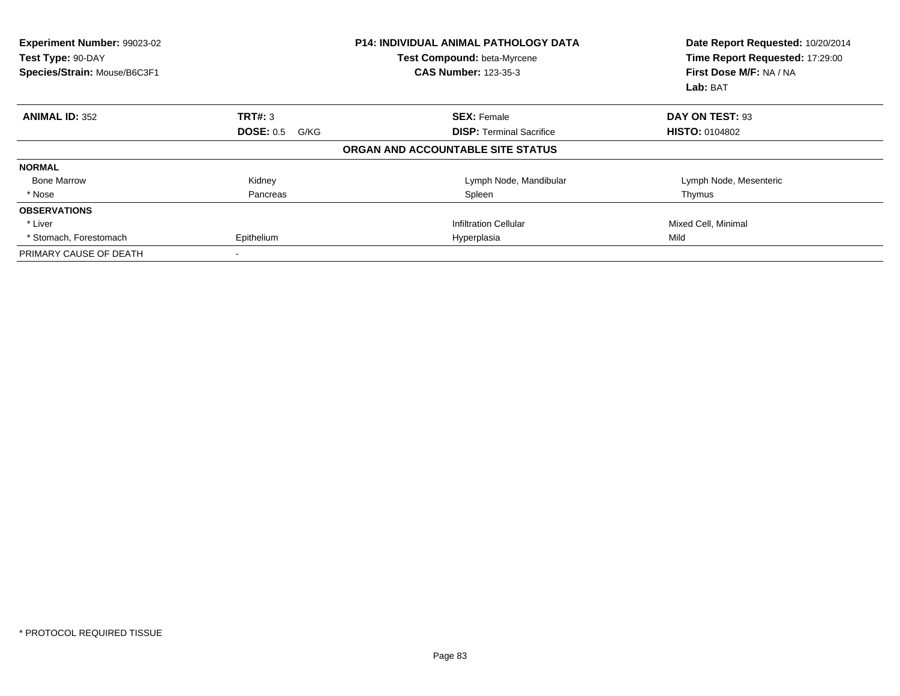| Experiment Number: 99023-02<br>Test Type: 90-DAY<br>Species/Strain: Mouse/B6C3F1 |                          | <b>P14: INDIVIDUAL ANIMAL PATHOLOGY DATA</b><br>Test Compound: beta-Myrcene<br><b>CAS Number: 123-35-3</b> | Date Report Requested: 10/20/2014<br>Time Report Requested: 17:29:00<br>First Dose M/F: NA / NA<br>Lab: BAT |
|----------------------------------------------------------------------------------|--------------------------|------------------------------------------------------------------------------------------------------------|-------------------------------------------------------------------------------------------------------------|
| <b>ANIMAL ID: 352</b>                                                            | TRT#: 3                  | <b>SEX: Female</b>                                                                                         | DAY ON TEST: 93                                                                                             |
|                                                                                  | <b>DOSE: 0.5</b><br>G/KG | <b>DISP:</b> Terminal Sacrifice                                                                            | <b>HISTO: 0104802</b>                                                                                       |
|                                                                                  |                          | ORGAN AND ACCOUNTABLE SITE STATUS                                                                          |                                                                                                             |
| <b>NORMAL</b>                                                                    |                          |                                                                                                            |                                                                                                             |
| <b>Bone Marrow</b>                                                               | Kidney                   | Lymph Node, Mandibular                                                                                     | Lymph Node, Mesenteric                                                                                      |
| * Nose                                                                           | Pancreas                 | Spleen                                                                                                     | Thymus                                                                                                      |
| <b>OBSERVATIONS</b>                                                              |                          |                                                                                                            |                                                                                                             |
| * Liver                                                                          |                          | <b>Infiltration Cellular</b>                                                                               | Mixed Cell, Minimal                                                                                         |
| * Stomach, Forestomach                                                           | Epithelium               | Hyperplasia                                                                                                | Mild                                                                                                        |
| PRIMARY CAUSE OF DEATH                                                           |                          |                                                                                                            |                                                                                                             |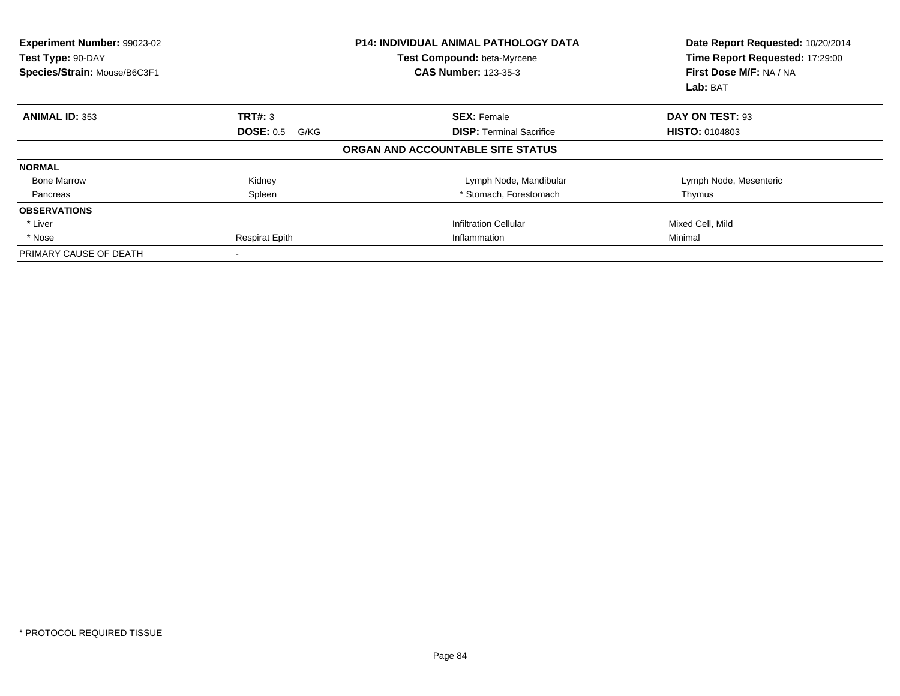| Experiment Number: 99023-02<br>Test Type: 90-DAY<br>Species/Strain: Mouse/B6C3F1 |                          | <b>P14: INDIVIDUAL ANIMAL PATHOLOGY DATA</b><br>Test Compound: beta-Myrcene<br><b>CAS Number: 123-35-3</b> | Date Report Requested: 10/20/2014<br>Time Report Requested: 17:29:00<br>First Dose M/F: NA / NA<br>Lab: BAT |
|----------------------------------------------------------------------------------|--------------------------|------------------------------------------------------------------------------------------------------------|-------------------------------------------------------------------------------------------------------------|
| <b>ANIMAL ID: 353</b>                                                            | TRT#: 3                  | <b>SEX: Female</b>                                                                                         | DAY ON TEST: 93                                                                                             |
|                                                                                  | <b>DOSE: 0.5</b><br>G/KG | <b>DISP:</b> Terminal Sacrifice                                                                            | <b>HISTO: 0104803</b>                                                                                       |
|                                                                                  |                          | ORGAN AND ACCOUNTABLE SITE STATUS                                                                          |                                                                                                             |
| <b>NORMAL</b>                                                                    |                          |                                                                                                            |                                                                                                             |
| <b>Bone Marrow</b>                                                               | Kidney                   | Lymph Node, Mandibular                                                                                     | Lymph Node, Mesenteric                                                                                      |
| Pancreas                                                                         | Spleen                   | * Stomach, Forestomach                                                                                     | Thymus                                                                                                      |
| <b>OBSERVATIONS</b>                                                              |                          |                                                                                                            |                                                                                                             |
| * Liver                                                                          |                          | <b>Infiltration Cellular</b>                                                                               | Mixed Cell, Mild                                                                                            |
| * Nose                                                                           | <b>Respirat Epith</b>    | Inflammation                                                                                               | Minimal                                                                                                     |
| PRIMARY CAUSE OF DEATH                                                           |                          |                                                                                                            |                                                                                                             |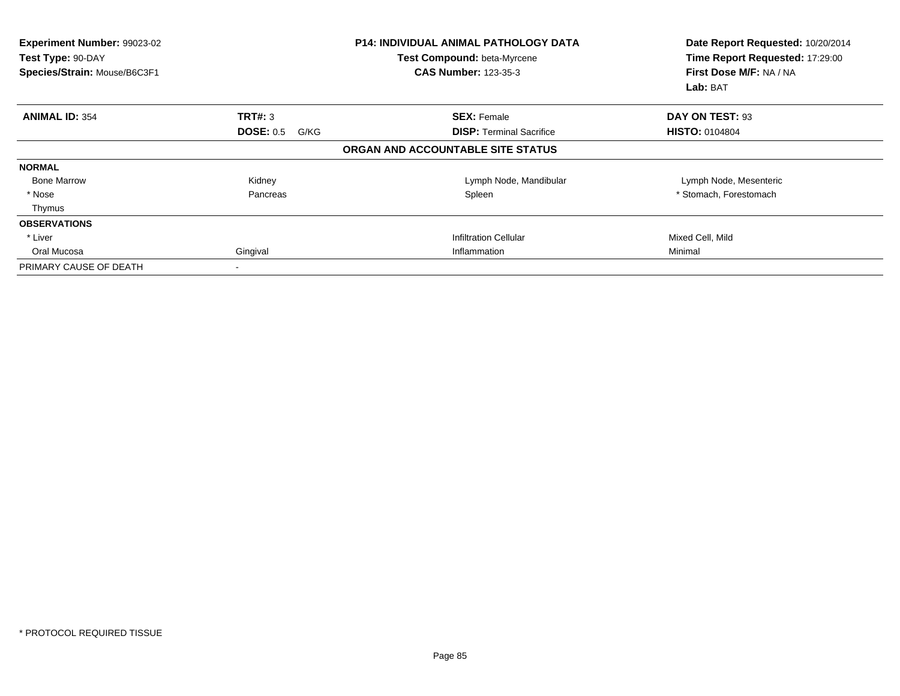| Experiment Number: 99023-02<br>Test Type: 90-DAY<br>Species/Strain: Mouse/B6C3F1 |                          | <b>P14: INDIVIDUAL ANIMAL PATHOLOGY DATA</b><br>Test Compound: beta-Myrcene<br><b>CAS Number: 123-35-3</b> | Date Report Requested: 10/20/2014<br>Time Report Requested: 17:29:00<br>First Dose M/F: NA / NA<br>Lab: BAT |
|----------------------------------------------------------------------------------|--------------------------|------------------------------------------------------------------------------------------------------------|-------------------------------------------------------------------------------------------------------------|
| <b>ANIMAL ID: 354</b>                                                            | TRT#: 3                  | <b>SEX: Female</b>                                                                                         | DAY ON TEST: 93                                                                                             |
|                                                                                  | <b>DOSE: 0.5</b><br>G/KG | <b>DISP: Terminal Sacrifice</b>                                                                            | <b>HISTO: 0104804</b>                                                                                       |
|                                                                                  |                          | ORGAN AND ACCOUNTABLE SITE STATUS                                                                          |                                                                                                             |
| <b>NORMAL</b>                                                                    |                          |                                                                                                            |                                                                                                             |
| <b>Bone Marrow</b>                                                               | Kidney                   | Lymph Node, Mandibular                                                                                     | Lymph Node, Mesenteric                                                                                      |
| * Nose                                                                           | Pancreas                 | Spleen                                                                                                     | * Stomach, Forestomach                                                                                      |
| Thymus                                                                           |                          |                                                                                                            |                                                                                                             |
| <b>OBSERVATIONS</b>                                                              |                          |                                                                                                            |                                                                                                             |
| * Liver                                                                          |                          | <b>Infiltration Cellular</b>                                                                               | Mixed Cell, Mild                                                                                            |
| Oral Mucosa                                                                      | Gingival                 | Inflammation                                                                                               | Minimal                                                                                                     |
| PRIMARY CAUSE OF DEATH                                                           |                          |                                                                                                            |                                                                                                             |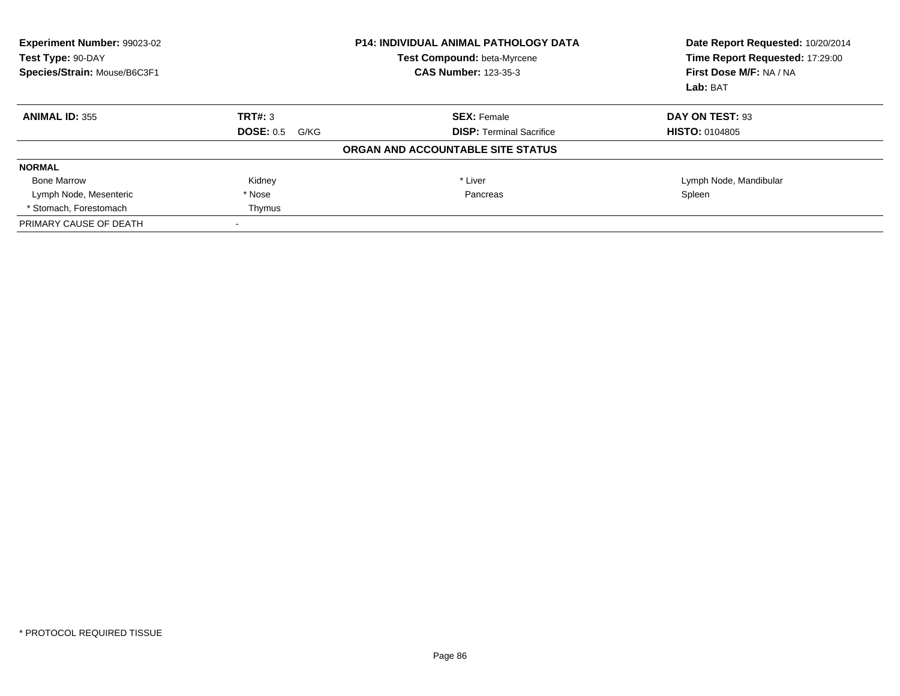| <b>Experiment Number: 99023-02</b><br>Test Type: 90-DAY<br>Species/Strain: Mouse/B6C3F1 |                          | <b>P14: INDIVIDUAL ANIMAL PATHOLOGY DATA</b><br>Test Compound: beta-Myrcene<br><b>CAS Number: 123-35-3</b> | Date Report Requested: 10/20/2014<br>Time Report Requested: 17:29:00<br>First Dose M/F: NA / NA<br>Lab: BAT |
|-----------------------------------------------------------------------------------------|--------------------------|------------------------------------------------------------------------------------------------------------|-------------------------------------------------------------------------------------------------------------|
| <b>ANIMAL ID: 355</b>                                                                   | TRT#: 3                  | <b>SEX: Female</b>                                                                                         | DAY ON TEST: 93                                                                                             |
|                                                                                         | <b>DOSE: 0.5</b><br>G/KG | <b>DISP:</b> Terminal Sacrifice                                                                            | <b>HISTO: 0104805</b>                                                                                       |
|                                                                                         |                          | ORGAN AND ACCOUNTABLE SITE STATUS                                                                          |                                                                                                             |
| <b>NORMAL</b>                                                                           |                          |                                                                                                            |                                                                                                             |
| <b>Bone Marrow</b>                                                                      | Kidney                   | * Liver                                                                                                    | Lymph Node, Mandibular                                                                                      |
| Lymph Node, Mesenteric                                                                  | * Nose                   | Pancreas                                                                                                   | Spleen                                                                                                      |
| * Stomach. Forestomach                                                                  | Thymus                   |                                                                                                            |                                                                                                             |
| PRIMARY CAUSE OF DEATH                                                                  |                          |                                                                                                            |                                                                                                             |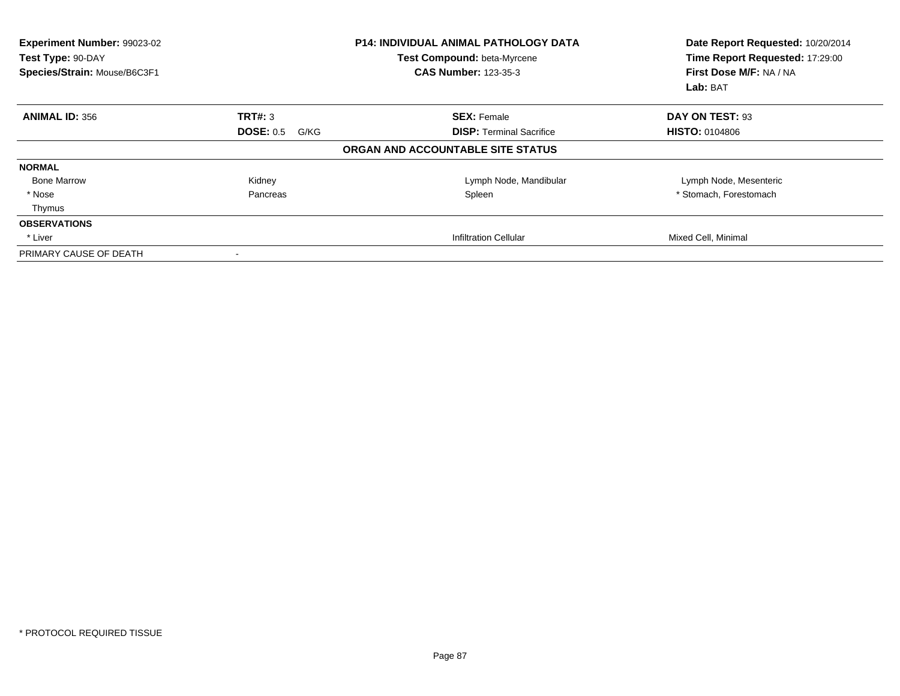| <b>Experiment Number: 99023-02</b><br>Test Type: 90-DAY<br>Species/Strain: Mouse/B6C3F1 |                   | <b>P14: INDIVIDUAL ANIMAL PATHOLOGY DATA</b><br>Test Compound: beta-Myrcene<br><b>CAS Number: 123-35-3</b> | Date Report Requested: 10/20/2014<br>Time Report Requested: 17:29:00<br>First Dose M/F: NA / NA<br>Lab: BAT |
|-----------------------------------------------------------------------------------------|-------------------|------------------------------------------------------------------------------------------------------------|-------------------------------------------------------------------------------------------------------------|
| <b>ANIMAL ID: 356</b>                                                                   | TRT#: 3           | <b>SEX: Female</b>                                                                                         | DAY ON TEST: 93                                                                                             |
|                                                                                         | DOSE: 0.5<br>G/KG | <b>DISP:</b> Terminal Sacrifice                                                                            | <b>HISTO: 0104806</b>                                                                                       |
|                                                                                         |                   | ORGAN AND ACCOUNTABLE SITE STATUS                                                                          |                                                                                                             |
| <b>NORMAL</b>                                                                           |                   |                                                                                                            |                                                                                                             |
| <b>Bone Marrow</b>                                                                      | Kidney            | Lymph Node, Mandibular                                                                                     | Lymph Node, Mesenteric                                                                                      |
| * Nose                                                                                  | Pancreas          | Spleen                                                                                                     | * Stomach, Forestomach                                                                                      |
| Thymus                                                                                  |                   |                                                                                                            |                                                                                                             |
| <b>OBSERVATIONS</b>                                                                     |                   |                                                                                                            |                                                                                                             |
| * Liver                                                                                 |                   | Infiltration Cellular                                                                                      | Mixed Cell, Minimal                                                                                         |
| PRIMARY CAUSE OF DEATH                                                                  |                   |                                                                                                            |                                                                                                             |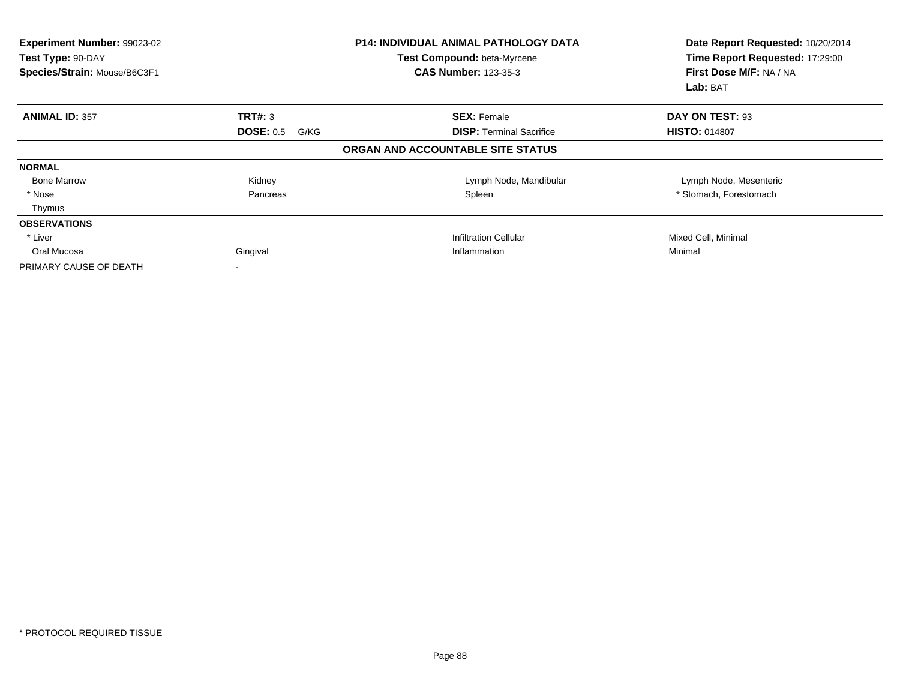| Experiment Number: 99023-02<br>Test Type: 90-DAY<br>Species/Strain: Mouse/B6C3F1 |                          | <b>P14: INDIVIDUAL ANIMAL PATHOLOGY DATA</b><br>Test Compound: beta-Myrcene<br><b>CAS Number: 123-35-3</b> | Date Report Requested: 10/20/2014<br>Time Report Requested: 17:29:00<br>First Dose M/F: NA / NA<br>Lab: BAT |
|----------------------------------------------------------------------------------|--------------------------|------------------------------------------------------------------------------------------------------------|-------------------------------------------------------------------------------------------------------------|
| <b>ANIMAL ID: 357</b>                                                            | TRT#: 3                  | <b>SEX: Female</b>                                                                                         | DAY ON TEST: 93                                                                                             |
|                                                                                  | <b>DOSE: 0.5</b><br>G/KG | <b>DISP: Terminal Sacrifice</b>                                                                            | <b>HISTO: 014807</b>                                                                                        |
|                                                                                  |                          | ORGAN AND ACCOUNTABLE SITE STATUS                                                                          |                                                                                                             |
| <b>NORMAL</b>                                                                    |                          |                                                                                                            |                                                                                                             |
| <b>Bone Marrow</b>                                                               | Kidney                   | Lymph Node, Mandibular                                                                                     | Lymph Node, Mesenteric                                                                                      |
| * Nose                                                                           | Pancreas                 | Spleen                                                                                                     | * Stomach, Forestomach                                                                                      |
| Thymus                                                                           |                          |                                                                                                            |                                                                                                             |
| <b>OBSERVATIONS</b>                                                              |                          |                                                                                                            |                                                                                                             |
| * Liver                                                                          |                          | <b>Infiltration Cellular</b>                                                                               | Mixed Cell, Minimal                                                                                         |
| Oral Mucosa                                                                      | Gingival                 | Inflammation                                                                                               | Minimal                                                                                                     |
| PRIMARY CAUSE OF DEATH                                                           |                          |                                                                                                            |                                                                                                             |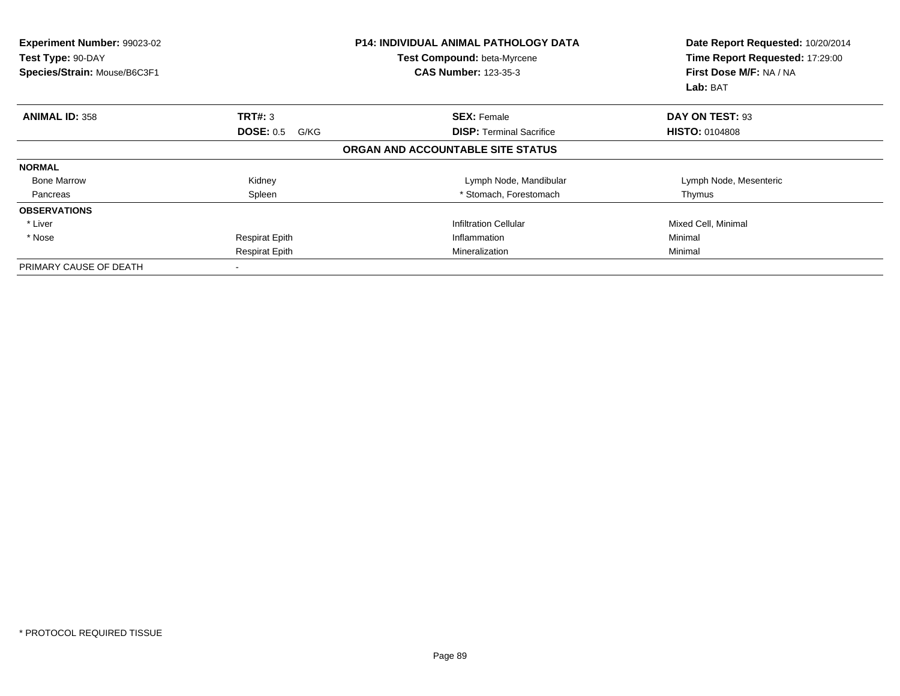| Experiment Number: 99023-02<br>Test Type: 90-DAY<br>Species/Strain: Mouse/B6C3F1 | <b>P14: INDIVIDUAL ANIMAL PATHOLOGY DATA</b><br>Test Compound: beta-Myrcene<br><b>CAS Number: 123-35-3</b> |                                   | Date Report Requested: 10/20/2014<br>Time Report Requested: 17:29:00<br>First Dose M/F: NA / NA<br>Lab: BAT |  |
|----------------------------------------------------------------------------------|------------------------------------------------------------------------------------------------------------|-----------------------------------|-------------------------------------------------------------------------------------------------------------|--|
| <b>ANIMAL ID: 358</b>                                                            | TRT#: 3                                                                                                    | <b>SEX: Female</b>                | DAY ON TEST: 93                                                                                             |  |
|                                                                                  | <b>DOSE: 0.5</b><br>G/KG                                                                                   | <b>DISP:</b> Terminal Sacrifice   | <b>HISTO: 0104808</b>                                                                                       |  |
|                                                                                  |                                                                                                            | ORGAN AND ACCOUNTABLE SITE STATUS |                                                                                                             |  |
| <b>NORMAL</b>                                                                    |                                                                                                            |                                   |                                                                                                             |  |
| <b>Bone Marrow</b>                                                               | Kidney                                                                                                     | Lymph Node, Mandibular            | Lymph Node, Mesenteric                                                                                      |  |
| Pancreas                                                                         | Spleen                                                                                                     | * Stomach, Forestomach            | Thymus                                                                                                      |  |
| <b>OBSERVATIONS</b>                                                              |                                                                                                            |                                   |                                                                                                             |  |
| * Liver                                                                          |                                                                                                            | <b>Infiltration Cellular</b>      | Mixed Cell, Minimal                                                                                         |  |
| * Nose                                                                           | <b>Respirat Epith</b>                                                                                      | Inflammation                      | Minimal                                                                                                     |  |
|                                                                                  | <b>Respirat Epith</b>                                                                                      | Mineralization                    | Minimal                                                                                                     |  |
| PRIMARY CAUSE OF DEATH                                                           |                                                                                                            |                                   |                                                                                                             |  |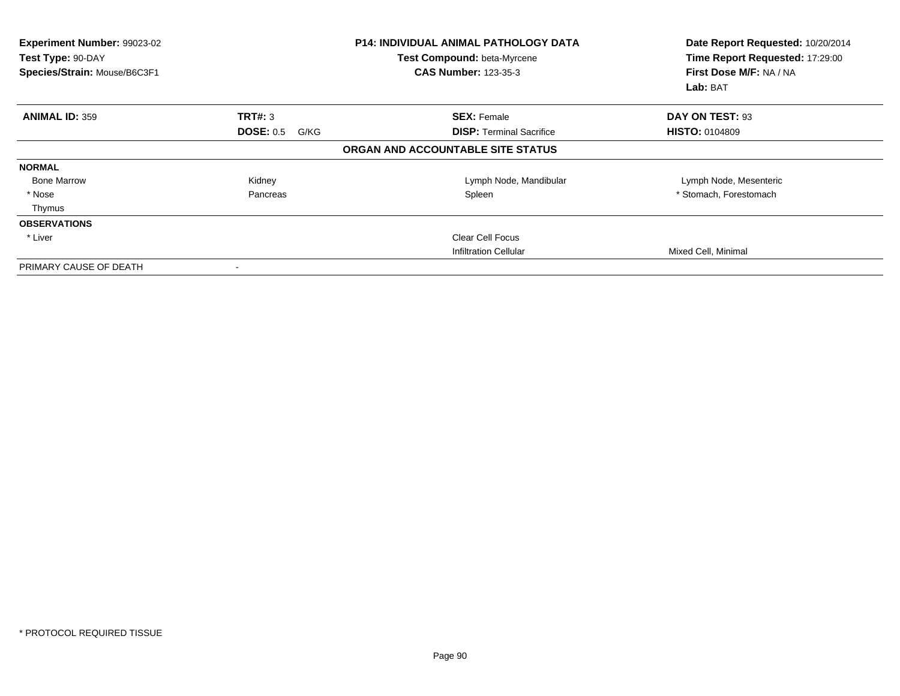| Experiment Number: 99023-02<br>Test Type: 90-DAY<br>Species/Strain: Mouse/B6C3F1 |                          | <b>P14: INDIVIDUAL ANIMAL PATHOLOGY DATA</b><br>Test Compound: beta-Myrcene<br><b>CAS Number: 123-35-3</b> | Date Report Requested: 10/20/2014<br>Time Report Requested: 17:29:00<br>First Dose M/F: NA / NA<br>Lab: BAT |
|----------------------------------------------------------------------------------|--------------------------|------------------------------------------------------------------------------------------------------------|-------------------------------------------------------------------------------------------------------------|
| <b>ANIMAL ID: 359</b>                                                            | TRT#: 3                  | <b>SEX: Female</b>                                                                                         | DAY ON TEST: 93                                                                                             |
|                                                                                  | <b>DOSE: 0.5</b><br>G/KG | <b>DISP:</b> Terminal Sacrifice                                                                            | <b>HISTO: 0104809</b>                                                                                       |
|                                                                                  |                          | ORGAN AND ACCOUNTABLE SITE STATUS                                                                          |                                                                                                             |
| <b>NORMAL</b>                                                                    |                          |                                                                                                            |                                                                                                             |
| <b>Bone Marrow</b>                                                               | Kidney                   | Lymph Node, Mandibular                                                                                     | Lymph Node, Mesenteric                                                                                      |
| * Nose                                                                           | Pancreas                 | Spleen                                                                                                     | * Stomach, Forestomach                                                                                      |
| Thymus                                                                           |                          |                                                                                                            |                                                                                                             |
| <b>OBSERVATIONS</b>                                                              |                          |                                                                                                            |                                                                                                             |
| * Liver                                                                          |                          | <b>Clear Cell Focus</b>                                                                                    |                                                                                                             |
|                                                                                  |                          | <b>Infiltration Cellular</b>                                                                               | Mixed Cell, Minimal                                                                                         |
| PRIMARY CAUSE OF DEATH                                                           |                          |                                                                                                            |                                                                                                             |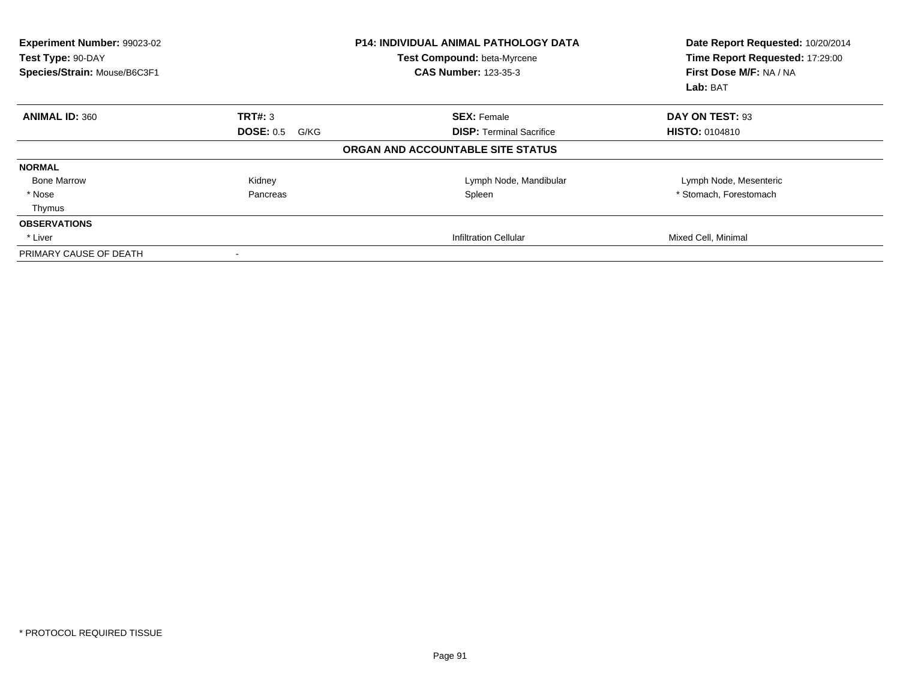| <b>Experiment Number: 99023-02</b><br>Test Type: 90-DAY<br>Species/Strain: Mouse/B6C3F1 |                   | <b>P14: INDIVIDUAL ANIMAL PATHOLOGY DATA</b><br>Test Compound: beta-Myrcene<br><b>CAS Number: 123-35-3</b> | Date Report Requested: 10/20/2014<br>Time Report Requested: 17:29:00<br>First Dose M/F: NA / NA<br>Lab: BAT |
|-----------------------------------------------------------------------------------------|-------------------|------------------------------------------------------------------------------------------------------------|-------------------------------------------------------------------------------------------------------------|
| <b>ANIMAL ID: 360</b>                                                                   | TRT#: 3           | <b>SEX: Female</b>                                                                                         | DAY ON TEST: 93                                                                                             |
|                                                                                         | DOSE: 0.5<br>G/KG | <b>DISP:</b> Terminal Sacrifice                                                                            | <b>HISTO: 0104810</b>                                                                                       |
|                                                                                         |                   | ORGAN AND ACCOUNTABLE SITE STATUS                                                                          |                                                                                                             |
| <b>NORMAL</b>                                                                           |                   |                                                                                                            |                                                                                                             |
| <b>Bone Marrow</b>                                                                      | Kidney            | Lymph Node, Mandibular                                                                                     | Lymph Node, Mesenteric                                                                                      |
| * Nose                                                                                  | Pancreas          | Spleen                                                                                                     | * Stomach, Forestomach                                                                                      |
| Thymus                                                                                  |                   |                                                                                                            |                                                                                                             |
| <b>OBSERVATIONS</b>                                                                     |                   |                                                                                                            |                                                                                                             |
| * Liver                                                                                 |                   | Infiltration Cellular                                                                                      | Mixed Cell, Minimal                                                                                         |
| PRIMARY CAUSE OF DEATH                                                                  |                   |                                                                                                            |                                                                                                             |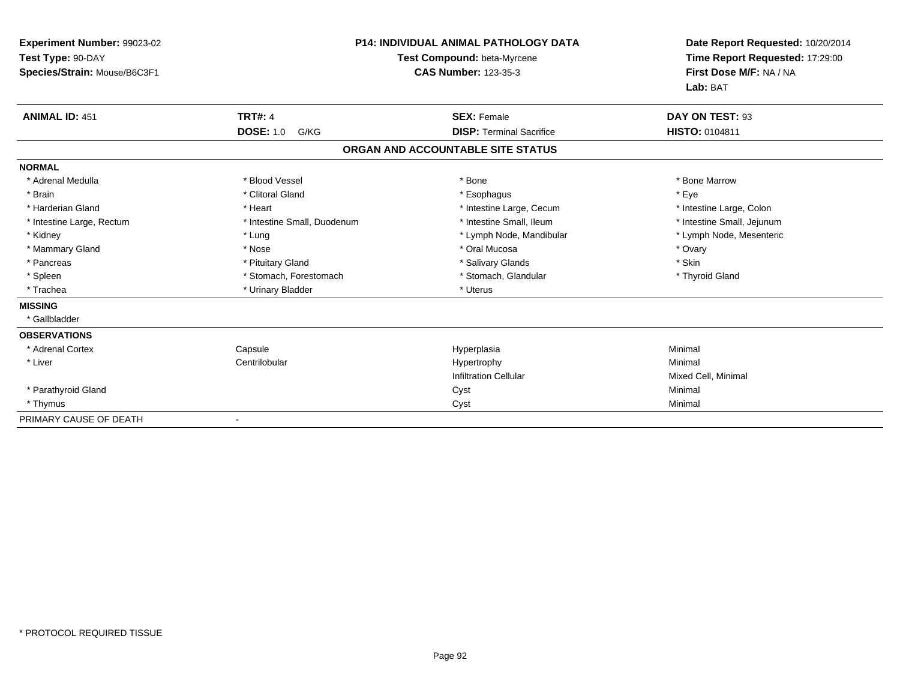| Experiment Number: 99023-02<br>Test Type: 90-DAY<br>Species/Strain: Mouse/B6C3F1 |                                    | <b>P14: INDIVIDUAL ANIMAL PATHOLOGY DATA</b><br>Test Compound: beta-Myrcene<br><b>CAS Number: 123-35-3</b> | Date Report Requested: 10/20/2014<br>Time Report Requested: 17:29:00<br>First Dose M/F: NA / NA<br>Lab: BAT |
|----------------------------------------------------------------------------------|------------------------------------|------------------------------------------------------------------------------------------------------------|-------------------------------------------------------------------------------------------------------------|
| <b>ANIMAL ID: 451</b>                                                            | <b>TRT#: 4</b><br><b>DOSE: 1.0</b> | <b>SEX: Female</b>                                                                                         | DAY ON TEST: 93                                                                                             |
|                                                                                  | G/KG                               | <b>DISP: Terminal Sacrifice</b>                                                                            | HISTO: 0104811                                                                                              |
|                                                                                  |                                    | ORGAN AND ACCOUNTABLE SITE STATUS                                                                          |                                                                                                             |
| <b>NORMAL</b>                                                                    |                                    |                                                                                                            |                                                                                                             |
| * Adrenal Medulla                                                                | * Blood Vessel                     | * Bone                                                                                                     | * Bone Marrow                                                                                               |
| * Brain                                                                          | * Clitoral Gland                   | * Esophagus                                                                                                | * Eye                                                                                                       |
| * Harderian Gland                                                                | * Heart                            | * Intestine Large, Cecum                                                                                   | * Intestine Large, Colon                                                                                    |
| * Intestine Large, Rectum                                                        | * Intestine Small, Duodenum        | * Intestine Small, Ileum                                                                                   | * Intestine Small, Jejunum                                                                                  |
| * Kidney                                                                         | * Lung                             | * Lymph Node, Mandibular                                                                                   | * Lymph Node, Mesenteric                                                                                    |
| * Mammary Gland                                                                  | * Nose                             | * Oral Mucosa                                                                                              | * Ovary                                                                                                     |
| * Pancreas                                                                       | * Pituitary Gland                  | * Salivary Glands                                                                                          | * Skin                                                                                                      |
| * Spleen                                                                         | * Stomach, Forestomach             | * Stomach, Glandular                                                                                       | * Thyroid Gland                                                                                             |
| * Trachea                                                                        | * Urinary Bladder                  | * Uterus                                                                                                   |                                                                                                             |
| <b>MISSING</b>                                                                   |                                    |                                                                                                            |                                                                                                             |
| * Gallbladder                                                                    |                                    |                                                                                                            |                                                                                                             |
| <b>OBSERVATIONS</b>                                                              |                                    |                                                                                                            |                                                                                                             |
| * Adrenal Cortex                                                                 | Capsule                            | Hyperplasia                                                                                                | Minimal                                                                                                     |
| * Liver                                                                          | Centrilobular                      | Hypertrophy                                                                                                | Minimal                                                                                                     |
|                                                                                  |                                    | <b>Infiltration Cellular</b>                                                                               | Mixed Cell, Minimal                                                                                         |
| * Parathyroid Gland                                                              |                                    | Cyst                                                                                                       | Minimal                                                                                                     |
| * Thymus                                                                         |                                    | Cyst                                                                                                       | Minimal                                                                                                     |
| PRIMARY CAUSE OF DEATH                                                           |                                    |                                                                                                            |                                                                                                             |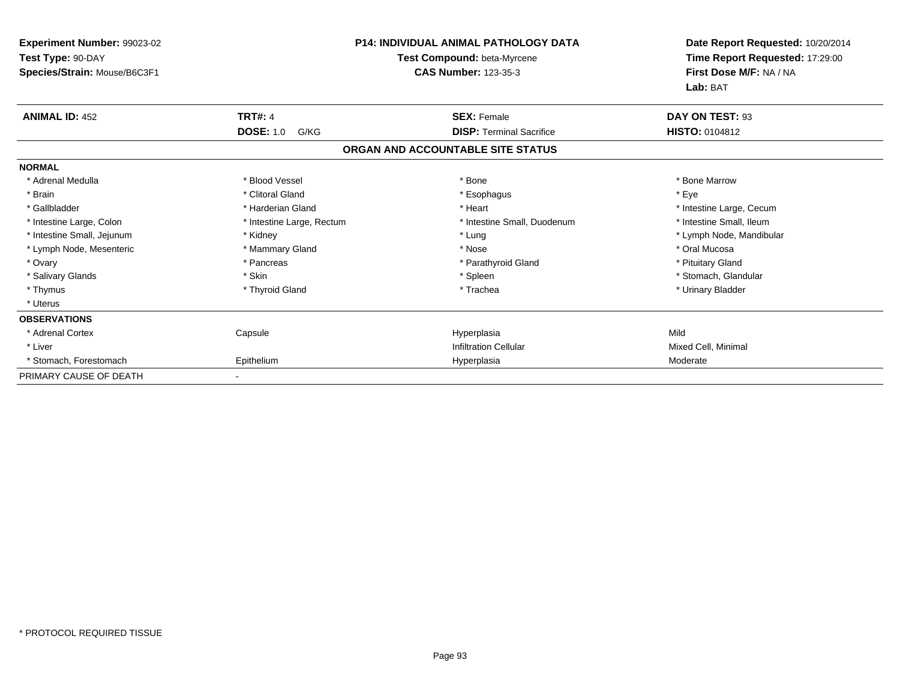| <b>Experiment Number: 99023-02</b><br>Test Type: 90-DAY<br>Species/Strain: Mouse/B6C3F1 | <b>P14: INDIVIDUAL ANIMAL PATHOLOGY DATA</b><br>Test Compound: beta-Myrcene<br><b>CAS Number: 123-35-3</b> |                                   | Date Report Requested: 10/20/2014<br>Time Report Requested: 17:29:00<br>First Dose M/F: NA / NA |
|-----------------------------------------------------------------------------------------|------------------------------------------------------------------------------------------------------------|-----------------------------------|-------------------------------------------------------------------------------------------------|
|                                                                                         |                                                                                                            |                                   | Lab: BAT                                                                                        |
| <b>ANIMAL ID: 452</b>                                                                   | <b>TRT#: 4</b>                                                                                             | <b>SEX: Female</b>                | DAY ON TEST: 93                                                                                 |
|                                                                                         | <b>DOSE: 1.0</b><br>G/KG                                                                                   | <b>DISP: Terminal Sacrifice</b>   | HISTO: 0104812                                                                                  |
|                                                                                         |                                                                                                            | ORGAN AND ACCOUNTABLE SITE STATUS |                                                                                                 |
| <b>NORMAL</b>                                                                           |                                                                                                            |                                   |                                                                                                 |
| * Adrenal Medulla                                                                       | * Blood Vessel                                                                                             | * Bone                            | * Bone Marrow                                                                                   |
| * Brain                                                                                 | * Clitoral Gland                                                                                           | * Esophagus                       | * Eye                                                                                           |
| * Gallbladder                                                                           | * Harderian Gland                                                                                          | * Heart                           | * Intestine Large, Cecum                                                                        |
| * Intestine Large, Colon                                                                | * Intestine Large, Rectum                                                                                  | * Intestine Small, Duodenum       | * Intestine Small, Ileum                                                                        |
| * Intestine Small, Jejunum                                                              | * Kidney                                                                                                   | * Lung                            | * Lymph Node, Mandibular                                                                        |
| * Lymph Node, Mesenteric                                                                | * Mammary Gland                                                                                            | * Nose                            | * Oral Mucosa                                                                                   |
| * Ovary                                                                                 | * Pancreas                                                                                                 | * Parathyroid Gland               | * Pituitary Gland                                                                               |
| * Salivary Glands                                                                       | * Skin                                                                                                     | * Spleen                          | * Stomach, Glandular                                                                            |
| * Thymus                                                                                | * Thyroid Gland                                                                                            | * Trachea                         | * Urinary Bladder                                                                               |
| * Uterus                                                                                |                                                                                                            |                                   |                                                                                                 |
| <b>OBSERVATIONS</b>                                                                     |                                                                                                            |                                   |                                                                                                 |
| * Adrenal Cortex                                                                        | Capsule                                                                                                    | Hyperplasia                       | Mild                                                                                            |
| * Liver                                                                                 |                                                                                                            | <b>Infiltration Cellular</b>      | Mixed Cell, Minimal                                                                             |
| * Stomach, Forestomach                                                                  | Epithelium                                                                                                 | Hyperplasia                       | Moderate                                                                                        |
| PRIMARY CAUSE OF DEATH                                                                  |                                                                                                            |                                   |                                                                                                 |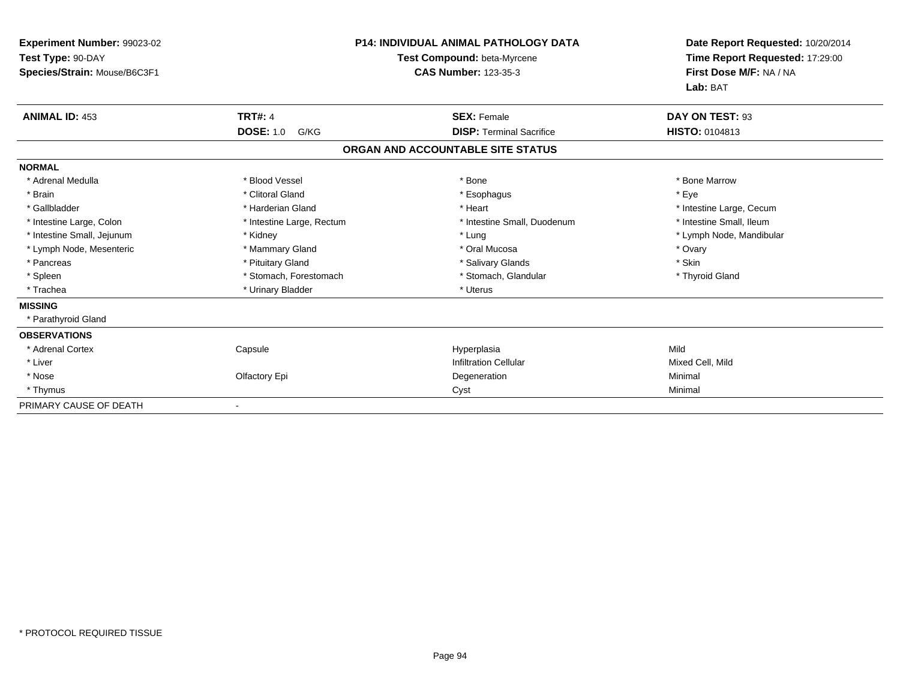| Experiment Number: 99023-02<br>Test Type: 90-DAY<br>Species/Strain: Mouse/B6C3F1 |                           | <b>P14: INDIVIDUAL ANIMAL PATHOLOGY DATA</b><br>Test Compound: beta-Myrcene<br><b>CAS Number: 123-35-3</b> | Date Report Requested: 10/20/2014<br>Time Report Requested: 17:29:00<br>First Dose M/F: NA / NA<br>Lab: BAT |
|----------------------------------------------------------------------------------|---------------------------|------------------------------------------------------------------------------------------------------------|-------------------------------------------------------------------------------------------------------------|
| <b>ANIMAL ID: 453</b>                                                            | <b>TRT#: 4</b>            | <b>SEX: Female</b>                                                                                         | DAY ON TEST: 93                                                                                             |
|                                                                                  | <b>DOSE: 1.0</b><br>G/KG  | <b>DISP: Terminal Sacrifice</b>                                                                            | HISTO: 0104813                                                                                              |
|                                                                                  |                           | ORGAN AND ACCOUNTABLE SITE STATUS                                                                          |                                                                                                             |
| <b>NORMAL</b>                                                                    |                           |                                                                                                            |                                                                                                             |
| * Adrenal Medulla                                                                | * Blood Vessel            | * Bone                                                                                                     | * Bone Marrow                                                                                               |
| * Brain                                                                          | * Clitoral Gland          | * Esophagus                                                                                                | * Eye                                                                                                       |
| * Gallbladder                                                                    | * Harderian Gland         | * Heart                                                                                                    | * Intestine Large, Cecum                                                                                    |
| * Intestine Large, Colon                                                         | * Intestine Large, Rectum | * Intestine Small, Duodenum                                                                                | * Intestine Small, Ileum                                                                                    |
| * Intestine Small, Jejunum                                                       | * Kidney                  | * Lung                                                                                                     | * Lymph Node, Mandibular                                                                                    |
| * Lymph Node, Mesenteric                                                         | * Mammary Gland           | * Oral Mucosa                                                                                              | * Ovary                                                                                                     |
| * Pancreas                                                                       | * Pituitary Gland         | * Salivary Glands                                                                                          | * Skin                                                                                                      |
| * Spleen                                                                         | * Stomach, Forestomach    | * Stomach, Glandular                                                                                       | * Thyroid Gland                                                                                             |
| * Trachea                                                                        | * Urinary Bladder         | * Uterus                                                                                                   |                                                                                                             |
| <b>MISSING</b>                                                                   |                           |                                                                                                            |                                                                                                             |
| * Parathyroid Gland                                                              |                           |                                                                                                            |                                                                                                             |
| <b>OBSERVATIONS</b>                                                              |                           |                                                                                                            |                                                                                                             |
| * Adrenal Cortex                                                                 | Capsule                   | Hyperplasia                                                                                                | Mild                                                                                                        |
| * Liver                                                                          |                           | <b>Infiltration Cellular</b>                                                                               | Mixed Cell, Mild                                                                                            |
| * Nose                                                                           | Olfactory Epi             | Degeneration                                                                                               | Minimal                                                                                                     |
| * Thymus                                                                         |                           | Cyst                                                                                                       | Minimal                                                                                                     |
| PRIMARY CAUSE OF DEATH                                                           |                           |                                                                                                            |                                                                                                             |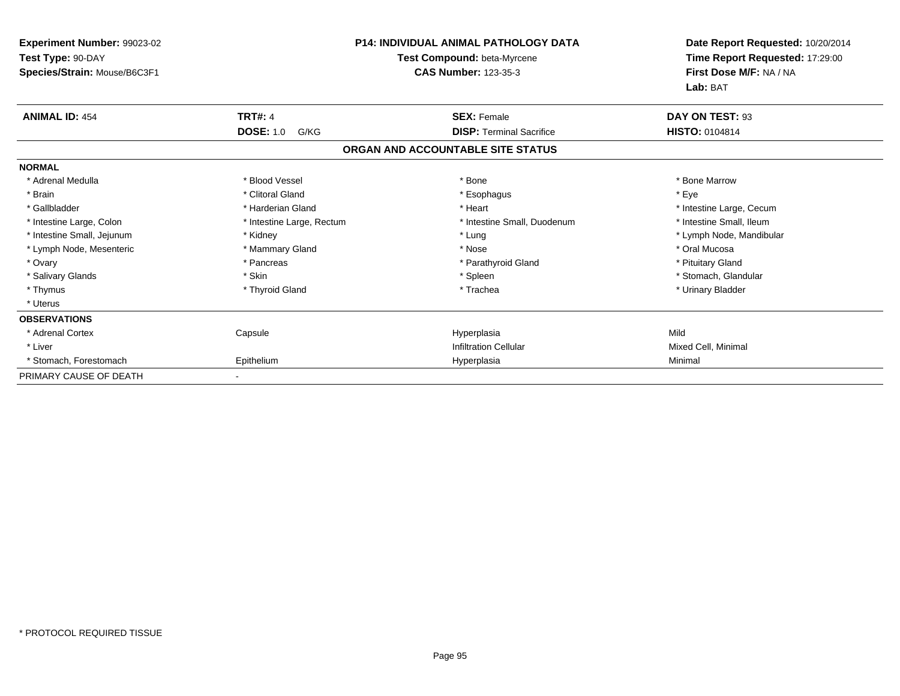| Experiment Number: 99023-02                       |                           | <b>P14: INDIVIDUAL ANIMAL PATHOLOGY DATA</b>               | Date Report Requested: 10/20/2014                                      |  |
|---------------------------------------------------|---------------------------|------------------------------------------------------------|------------------------------------------------------------------------|--|
| Test Type: 90-DAY<br>Species/Strain: Mouse/B6C3F1 |                           | Test Compound: beta-Myrcene<br><b>CAS Number: 123-35-3</b> | Time Report Requested: 17:29:00<br>First Dose M/F: NA / NA<br>Lab: BAT |  |
| <b>ANIMAL ID: 454</b>                             | <b>TRT#: 4</b>            | <b>SEX: Female</b>                                         | DAY ON TEST: 93                                                        |  |
|                                                   | <b>DOSE: 1.0</b><br>G/KG  | <b>DISP: Terminal Sacrifice</b>                            | <b>HISTO: 0104814</b>                                                  |  |
|                                                   |                           | ORGAN AND ACCOUNTABLE SITE STATUS                          |                                                                        |  |
| <b>NORMAL</b>                                     |                           |                                                            |                                                                        |  |
| * Adrenal Medulla                                 | * Blood Vessel            | * Bone                                                     | * Bone Marrow                                                          |  |
| * Brain                                           | * Clitoral Gland          | * Esophagus                                                | * Eye                                                                  |  |
| * Gallbladder                                     | * Harderian Gland         | * Heart                                                    | * Intestine Large, Cecum                                               |  |
| * Intestine Large, Colon                          | * Intestine Large, Rectum | * Intestine Small, Duodenum                                | * Intestine Small, Ileum                                               |  |
| * Intestine Small, Jejunum                        | * Kidney                  | * Lung                                                     | * Lymph Node, Mandibular                                               |  |
| * Lymph Node, Mesenteric                          | * Mammary Gland           | * Nose                                                     | * Oral Mucosa                                                          |  |
| * Ovary                                           | * Pancreas                | * Parathyroid Gland                                        | * Pituitary Gland                                                      |  |
| * Salivary Glands                                 | * Skin                    | * Spleen                                                   | * Stomach, Glandular                                                   |  |
| * Thymus                                          | * Thyroid Gland           | * Trachea                                                  | * Urinary Bladder                                                      |  |
| * Uterus                                          |                           |                                                            |                                                                        |  |
| <b>OBSERVATIONS</b>                               |                           |                                                            |                                                                        |  |
| * Adrenal Cortex                                  | Capsule                   | Hyperplasia                                                | Mild                                                                   |  |
| * Liver                                           |                           | <b>Infiltration Cellular</b>                               | Mixed Cell, Minimal                                                    |  |
| * Stomach, Forestomach                            | Epithelium                | Hyperplasia                                                | Minimal                                                                |  |
| PRIMARY CAUSE OF DEATH                            |                           |                                                            |                                                                        |  |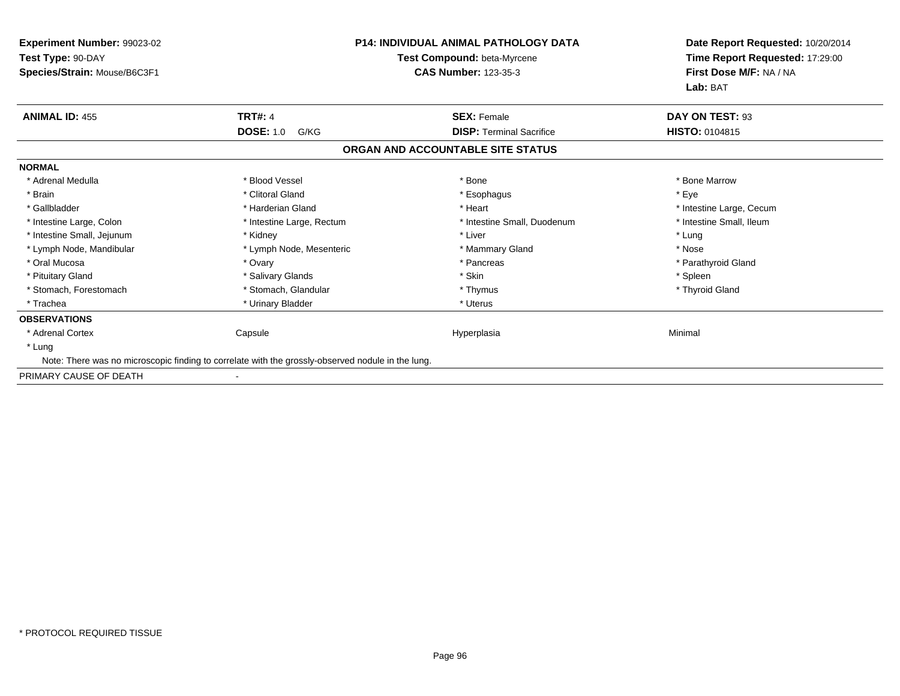| Experiment Number: 99023-02<br>Test Type: 90-DAY | <b>P14: INDIVIDUAL ANIMAL PATHOLOGY DATA</b><br>Test Compound: beta-Myrcene                       |                                   | Date Report Requested: 10/20/2014<br>Time Report Requested: 17:29:00 |
|--------------------------------------------------|---------------------------------------------------------------------------------------------------|-----------------------------------|----------------------------------------------------------------------|
| Species/Strain: Mouse/B6C3F1                     |                                                                                                   | <b>CAS Number: 123-35-3</b>       | First Dose M/F: NA / NA<br>Lab: BAT                                  |
| <b>ANIMAL ID: 455</b>                            | <b>TRT#: 4</b>                                                                                    | <b>SEX: Female</b>                | DAY ON TEST: 93                                                      |
|                                                  | <b>DOSE: 1.0</b><br>G/KG                                                                          | <b>DISP:</b> Terminal Sacrifice   | <b>HISTO: 0104815</b>                                                |
|                                                  |                                                                                                   | ORGAN AND ACCOUNTABLE SITE STATUS |                                                                      |
| <b>NORMAL</b>                                    |                                                                                                   |                                   |                                                                      |
| * Adrenal Medulla                                | * Blood Vessel                                                                                    | * Bone                            | * Bone Marrow                                                        |
| * Brain                                          | * Clitoral Gland                                                                                  | * Esophagus                       | * Eye                                                                |
| * Gallbladder                                    | * Harderian Gland                                                                                 | * Heart                           | * Intestine Large, Cecum                                             |
| * Intestine Large, Colon                         | * Intestine Large, Rectum                                                                         | * Intestine Small, Duodenum       | * Intestine Small, Ileum                                             |
| * Intestine Small, Jejunum                       | * Kidney                                                                                          | * Liver                           | * Lung                                                               |
| * Lymph Node, Mandibular                         | * Lymph Node, Mesenteric                                                                          | * Mammary Gland                   | * Nose                                                               |
| * Oral Mucosa                                    | * Ovary                                                                                           | * Pancreas                        | * Parathyroid Gland                                                  |
| * Pituitary Gland                                | * Salivary Glands                                                                                 | * Skin                            | * Spleen                                                             |
| * Stomach, Forestomach                           | * Stomach, Glandular                                                                              | * Thymus                          | * Thyroid Gland                                                      |
| * Trachea                                        | * Urinary Bladder                                                                                 | * Uterus                          |                                                                      |
| <b>OBSERVATIONS</b>                              |                                                                                                   |                                   |                                                                      |
| * Adrenal Cortex                                 | Capsule                                                                                           | Hyperplasia                       | Minimal                                                              |
| * Lung                                           |                                                                                                   |                                   |                                                                      |
|                                                  | Note: There was no microscopic finding to correlate with the grossly-observed nodule in the lung. |                                   |                                                                      |
| PRIMARY CAUSE OF DEATH                           |                                                                                                   |                                   |                                                                      |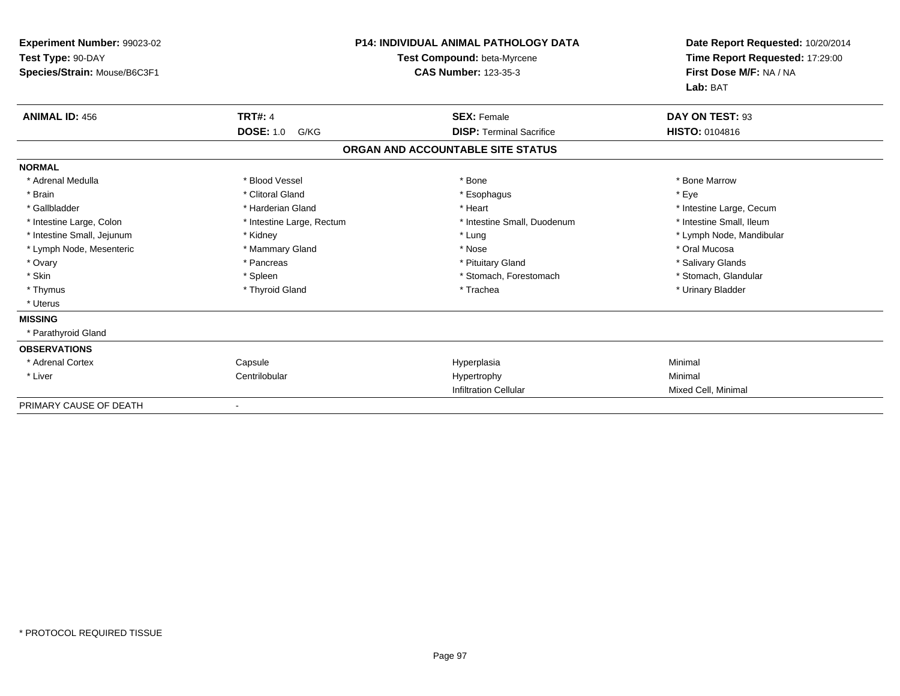| Experiment Number: 99023-02<br>Test Type: 90-DAY<br>Species/Strain: Mouse/B6C3F1 |                           | <b>P14: INDIVIDUAL ANIMAL PATHOLOGY DATA</b><br>Test Compound: beta-Myrcene<br><b>CAS Number: 123-35-3</b> | Date Report Requested: 10/20/2014<br>Time Report Requested: 17:29:00<br>First Dose M/F: NA / NA<br>Lab: BAT |
|----------------------------------------------------------------------------------|---------------------------|------------------------------------------------------------------------------------------------------------|-------------------------------------------------------------------------------------------------------------|
| <b>ANIMAL ID: 456</b>                                                            | <b>TRT#: 4</b>            | <b>SEX: Female</b>                                                                                         | DAY ON TEST: 93                                                                                             |
|                                                                                  | <b>DOSE: 1.0</b><br>G/KG  | <b>DISP: Terminal Sacrifice</b>                                                                            | <b>HISTO: 0104816</b>                                                                                       |
|                                                                                  |                           | ORGAN AND ACCOUNTABLE SITE STATUS                                                                          |                                                                                                             |
| <b>NORMAL</b>                                                                    |                           |                                                                                                            |                                                                                                             |
| * Adrenal Medulla                                                                | * Blood Vessel            | * Bone                                                                                                     | * Bone Marrow                                                                                               |
| * Brain                                                                          | * Clitoral Gland          | * Esophagus                                                                                                | * Eye                                                                                                       |
| * Gallbladder                                                                    | * Harderian Gland         | * Heart                                                                                                    | * Intestine Large, Cecum                                                                                    |
| * Intestine Large, Colon                                                         | * Intestine Large, Rectum | * Intestine Small, Duodenum                                                                                | * Intestine Small, Ileum                                                                                    |
| * Intestine Small, Jejunum                                                       | * Kidney                  | * Lung                                                                                                     | * Lymph Node, Mandibular                                                                                    |
| * Lymph Node, Mesenteric                                                         | * Mammary Gland           | * Nose                                                                                                     | * Oral Mucosa                                                                                               |
| * Ovary                                                                          | * Pancreas                | * Pituitary Gland                                                                                          | * Salivary Glands                                                                                           |
| * Skin                                                                           | * Spleen                  | * Stomach, Forestomach                                                                                     | * Stomach, Glandular                                                                                        |
| * Thymus                                                                         | * Thyroid Gland           | * Trachea                                                                                                  | * Urinary Bladder                                                                                           |
| * Uterus                                                                         |                           |                                                                                                            |                                                                                                             |
| <b>MISSING</b>                                                                   |                           |                                                                                                            |                                                                                                             |
| * Parathyroid Gland                                                              |                           |                                                                                                            |                                                                                                             |
| <b>OBSERVATIONS</b>                                                              |                           |                                                                                                            |                                                                                                             |
| * Adrenal Cortex                                                                 | Capsule                   | Hyperplasia                                                                                                | Minimal                                                                                                     |
| * Liver                                                                          | Centrilobular             | Hypertrophy                                                                                                | Minimal                                                                                                     |
|                                                                                  |                           | <b>Infiltration Cellular</b>                                                                               | Mixed Cell, Minimal                                                                                         |
| PRIMARY CAUSE OF DEATH                                                           |                           |                                                                                                            |                                                                                                             |

-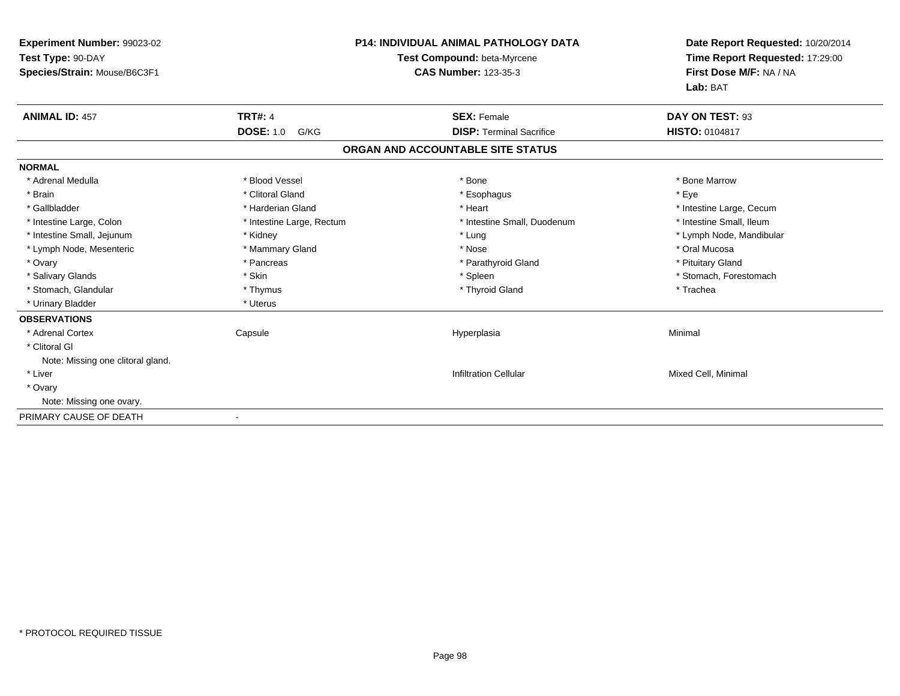| <b>Experiment Number: 99023-02</b><br>Test Type: 90-DAY<br>Species/Strain: Mouse/B6C3F1 |                           | <b>P14: INDIVIDUAL ANIMAL PATHOLOGY DATA</b><br>Test Compound: beta-Myrcene<br><b>CAS Number: 123-35-3</b> | Date Report Requested: 10/20/2014<br>Time Report Requested: 17:29:00<br>First Dose M/F: NA / NA<br>Lab: BAT |
|-----------------------------------------------------------------------------------------|---------------------------|------------------------------------------------------------------------------------------------------------|-------------------------------------------------------------------------------------------------------------|
| <b>ANIMAL ID: 457</b>                                                                   | <b>TRT#: 4</b>            | <b>SEX: Female</b>                                                                                         | DAY ON TEST: 93                                                                                             |
|                                                                                         | <b>DOSE: 1.0</b><br>G/KG  | <b>DISP: Terminal Sacrifice</b>                                                                            | <b>HISTO: 0104817</b>                                                                                       |
|                                                                                         |                           | ORGAN AND ACCOUNTABLE SITE STATUS                                                                          |                                                                                                             |
| <b>NORMAL</b>                                                                           |                           |                                                                                                            |                                                                                                             |
| * Adrenal Medulla                                                                       | * Blood Vessel            | * Bone                                                                                                     | * Bone Marrow                                                                                               |
| * Brain                                                                                 | * Clitoral Gland          | * Esophagus                                                                                                | * Eye                                                                                                       |
| * Gallbladder                                                                           | * Harderian Gland         | * Heart                                                                                                    | * Intestine Large, Cecum                                                                                    |
| * Intestine Large, Colon                                                                | * Intestine Large, Rectum | * Intestine Small, Duodenum                                                                                | * Intestine Small, Ileum                                                                                    |
| * Intestine Small, Jejunum                                                              | * Kidney                  | * Lung                                                                                                     | * Lymph Node, Mandibular                                                                                    |
| * Lymph Node, Mesenteric                                                                | * Mammary Gland           | * Nose                                                                                                     | * Oral Mucosa                                                                                               |
| * Ovary                                                                                 | * Pancreas                | * Parathyroid Gland                                                                                        | * Pituitary Gland                                                                                           |
| * Salivary Glands                                                                       | * Skin                    | * Spleen                                                                                                   | * Stomach, Forestomach                                                                                      |
| * Stomach, Glandular                                                                    | * Thymus                  | * Thyroid Gland                                                                                            | * Trachea                                                                                                   |
| * Urinary Bladder                                                                       | * Uterus                  |                                                                                                            |                                                                                                             |
| <b>OBSERVATIONS</b>                                                                     |                           |                                                                                                            |                                                                                                             |
| * Adrenal Cortex                                                                        | Capsule                   | Hyperplasia                                                                                                | Minimal                                                                                                     |
| * Clitoral GI                                                                           |                           |                                                                                                            |                                                                                                             |
| Note: Missing one clitoral gland.                                                       |                           |                                                                                                            |                                                                                                             |
| * Liver                                                                                 |                           | <b>Infiltration Cellular</b>                                                                               | Mixed Cell, Minimal                                                                                         |
| * Ovary                                                                                 |                           |                                                                                                            |                                                                                                             |
| Note: Missing one ovary.                                                                |                           |                                                                                                            |                                                                                                             |
| PRIMARY CAUSE OF DEATH                                                                  |                           |                                                                                                            |                                                                                                             |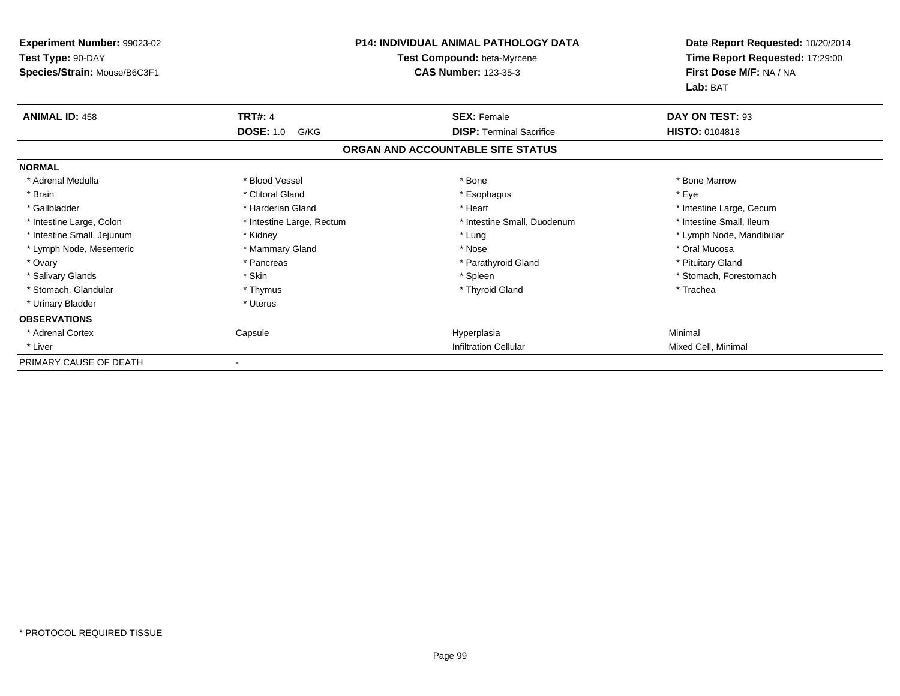| Experiment Number: 99023-02<br>Test Type: 90-DAY<br>Species/Strain: Mouse/B6C3F1 | <b>P14: INDIVIDUAL ANIMAL PATHOLOGY DATA</b><br>Test Compound: beta-Myrcene<br><b>CAS Number: 123-35-3</b> |                                   | Lab: BAT                 | Date Report Requested: 10/20/2014<br>Time Report Requested: 17:29:00<br>First Dose M/F: NA / NA |
|----------------------------------------------------------------------------------|------------------------------------------------------------------------------------------------------------|-----------------------------------|--------------------------|-------------------------------------------------------------------------------------------------|
| <b>ANIMAL ID: 458</b>                                                            | <b>TRT#: 4</b>                                                                                             | <b>SEX: Female</b>                | DAY ON TEST: 93          |                                                                                                 |
|                                                                                  | <b>DOSE: 1.0</b><br>G/KG                                                                                   | <b>DISP: Terminal Sacrifice</b>   | <b>HISTO: 0104818</b>    |                                                                                                 |
|                                                                                  |                                                                                                            | ORGAN AND ACCOUNTABLE SITE STATUS |                          |                                                                                                 |
| <b>NORMAL</b>                                                                    |                                                                                                            |                                   |                          |                                                                                                 |
| * Adrenal Medulla                                                                | * Blood Vessel                                                                                             | * Bone                            | * Bone Marrow            |                                                                                                 |
| * Brain                                                                          | * Clitoral Gland                                                                                           | * Esophagus                       | * Eye                    |                                                                                                 |
| * Gallbladder                                                                    | * Harderian Gland                                                                                          | * Heart                           | * Intestine Large, Cecum |                                                                                                 |
| * Intestine Large, Colon                                                         | * Intestine Large, Rectum                                                                                  | * Intestine Small, Duodenum       | * Intestine Small, Ileum |                                                                                                 |
| * Intestine Small, Jejunum                                                       | * Kidney                                                                                                   | * Lung                            | * Lymph Node, Mandibular |                                                                                                 |
| * Lymph Node, Mesenteric                                                         | * Mammary Gland                                                                                            | * Nose                            | * Oral Mucosa            |                                                                                                 |
| * Ovary                                                                          | * Pancreas                                                                                                 | * Parathyroid Gland               | * Pituitary Gland        |                                                                                                 |
| * Salivary Glands                                                                | * Skin                                                                                                     | * Spleen                          | * Stomach, Forestomach   |                                                                                                 |
| * Stomach. Glandular                                                             | * Thymus                                                                                                   | * Thyroid Gland                   | * Trachea                |                                                                                                 |
| * Urinary Bladder                                                                | * Uterus                                                                                                   |                                   |                          |                                                                                                 |
| <b>OBSERVATIONS</b>                                                              |                                                                                                            |                                   |                          |                                                                                                 |
| * Adrenal Cortex                                                                 | Capsule                                                                                                    | Hyperplasia                       | Minimal                  |                                                                                                 |
| * Liver                                                                          |                                                                                                            | <b>Infiltration Cellular</b>      | Mixed Cell, Minimal      |                                                                                                 |
| PRIMARY CAUSE OF DEATH                                                           |                                                                                                            |                                   |                          |                                                                                                 |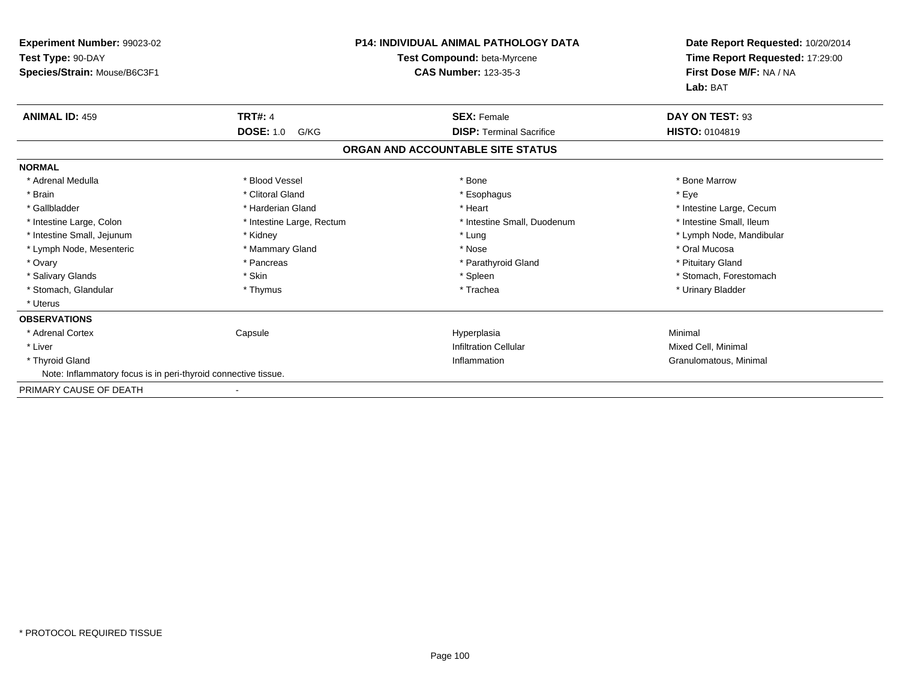| Experiment Number: 99023-02                                    |                           | P14: INDIVIDUAL ANIMAL PATHOLOGY DATA | Date Report Requested: 10/20/2014 |
|----------------------------------------------------------------|---------------------------|---------------------------------------|-----------------------------------|
| Test Type: 90-DAY                                              |                           | Test Compound: beta-Myrcene           | Time Report Requested: 17:29:00   |
| Species/Strain: Mouse/B6C3F1                                   |                           | <b>CAS Number: 123-35-3</b>           | First Dose M/F: NA / NA           |
|                                                                |                           |                                       | Lab: BAT                          |
| <b>ANIMAL ID: 459</b>                                          | <b>TRT#: 4</b>            | <b>SEX: Female</b>                    | DAY ON TEST: 93                   |
|                                                                | <b>DOSE: 1.0</b><br>G/KG  | <b>DISP: Terminal Sacrifice</b>       | HISTO: 0104819                    |
|                                                                |                           | ORGAN AND ACCOUNTABLE SITE STATUS     |                                   |
| <b>NORMAL</b>                                                  |                           |                                       |                                   |
| * Adrenal Medulla                                              | * Blood Vessel            | * Bone                                | * Bone Marrow                     |
| * Brain                                                        | * Clitoral Gland          | * Esophagus                           | * Eye                             |
| * Gallbladder                                                  | * Harderian Gland         | * Heart                               | * Intestine Large, Cecum          |
| * Intestine Large, Colon                                       | * Intestine Large, Rectum | * Intestine Small, Duodenum           | * Intestine Small, Ileum          |
| * Intestine Small, Jejunum                                     | * Kidney                  | * Lung                                | * Lymph Node, Mandibular          |
| * Lymph Node, Mesenteric                                       | * Mammary Gland           | * Nose                                | * Oral Mucosa                     |
| * Ovary                                                        | * Pancreas                | * Parathyroid Gland                   | * Pituitary Gland                 |
| * Salivary Glands                                              | * Skin                    | * Spleen                              | * Stomach, Forestomach            |
| * Stomach, Glandular                                           | * Thymus                  | * Trachea                             | * Urinary Bladder                 |
| * Uterus                                                       |                           |                                       |                                   |
| <b>OBSERVATIONS</b>                                            |                           |                                       |                                   |
| * Adrenal Cortex                                               | Capsule                   | Hyperplasia                           | Minimal                           |
| * Liver                                                        |                           | <b>Infiltration Cellular</b>          | Mixed Cell, Minimal               |
| * Thyroid Gland                                                |                           | Inflammation                          | Granulomatous, Minimal            |
| Note: Inflammatory focus is in peri-thyroid connective tissue. |                           |                                       |                                   |
| PRIMARY CAUSE OF DEATH                                         |                           |                                       |                                   |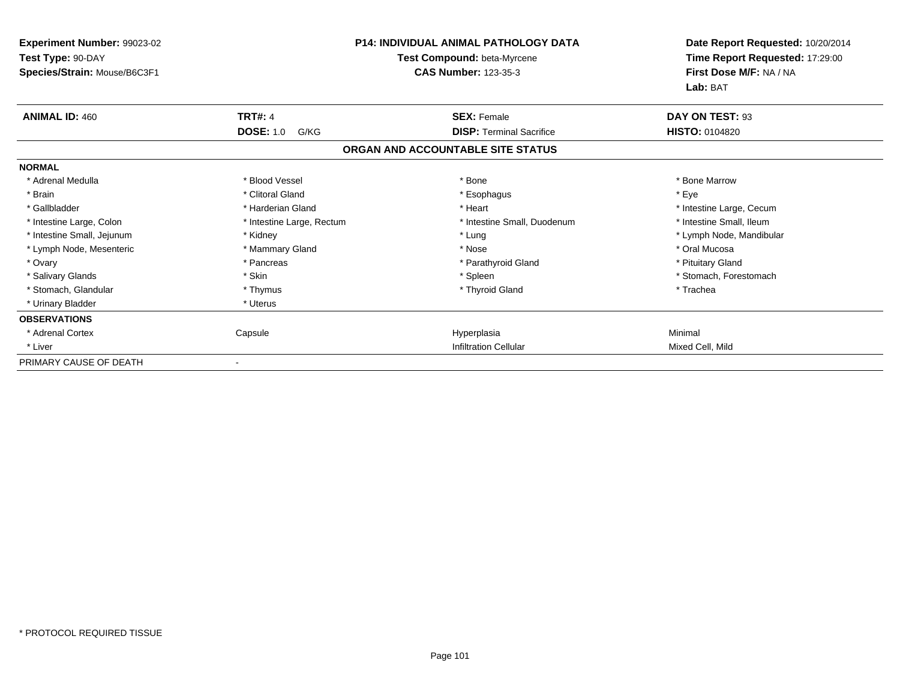| Experiment Number: 99023-02<br>Test Type: 90-DAY<br>Species/Strain: Mouse/B6C3F1 | <b>P14: INDIVIDUAL ANIMAL PATHOLOGY DATA</b><br>Test Compound: beta-Myrcene<br><b>CAS Number: 123-35-3</b> |                                   | Date Report Requested: 10/20/2014<br>Time Report Requested: 17:29:00<br>First Dose M/F: NA / NA<br>Lab: BAT |
|----------------------------------------------------------------------------------|------------------------------------------------------------------------------------------------------------|-----------------------------------|-------------------------------------------------------------------------------------------------------------|
| <b>ANIMAL ID: 460</b>                                                            | <b>TRT#: 4</b>                                                                                             | <b>SEX: Female</b>                | DAY ON TEST: 93                                                                                             |
|                                                                                  | <b>DOSE: 1.0</b><br>G/KG                                                                                   | <b>DISP: Terminal Sacrifice</b>   | HISTO: 0104820                                                                                              |
|                                                                                  |                                                                                                            | ORGAN AND ACCOUNTABLE SITE STATUS |                                                                                                             |
| <b>NORMAL</b>                                                                    |                                                                                                            |                                   |                                                                                                             |
| * Adrenal Medulla                                                                | * Blood Vessel                                                                                             | * Bone                            | * Bone Marrow                                                                                               |
| * Brain                                                                          | * Clitoral Gland                                                                                           | * Esophagus                       | * Eye                                                                                                       |
| * Gallbladder                                                                    | * Harderian Gland                                                                                          | * Heart                           | * Intestine Large, Cecum                                                                                    |
| * Intestine Large, Colon                                                         | * Intestine Large, Rectum                                                                                  | * Intestine Small, Duodenum       | * Intestine Small, Ileum                                                                                    |
| * Intestine Small, Jejunum                                                       | * Kidney                                                                                                   | * Lung                            | * Lymph Node, Mandibular                                                                                    |
| * Lymph Node, Mesenteric                                                         | * Mammary Gland                                                                                            | * Nose                            | * Oral Mucosa                                                                                               |
| * Ovary                                                                          | * Pancreas                                                                                                 | * Parathyroid Gland               | * Pituitary Gland                                                                                           |
| * Salivary Glands                                                                | * Skin                                                                                                     | * Spleen                          | * Stomach, Forestomach                                                                                      |
| * Stomach, Glandular                                                             | * Thymus                                                                                                   | * Thyroid Gland                   | * Trachea                                                                                                   |
| * Urinary Bladder                                                                | * Uterus                                                                                                   |                                   |                                                                                                             |
| <b>OBSERVATIONS</b>                                                              |                                                                                                            |                                   |                                                                                                             |
| * Adrenal Cortex                                                                 | Capsule                                                                                                    | Hyperplasia                       | Minimal                                                                                                     |
| * Liver                                                                          |                                                                                                            | <b>Infiltration Cellular</b>      | Mixed Cell, Mild                                                                                            |
| PRIMARY CAUSE OF DEATH                                                           |                                                                                                            |                                   |                                                                                                             |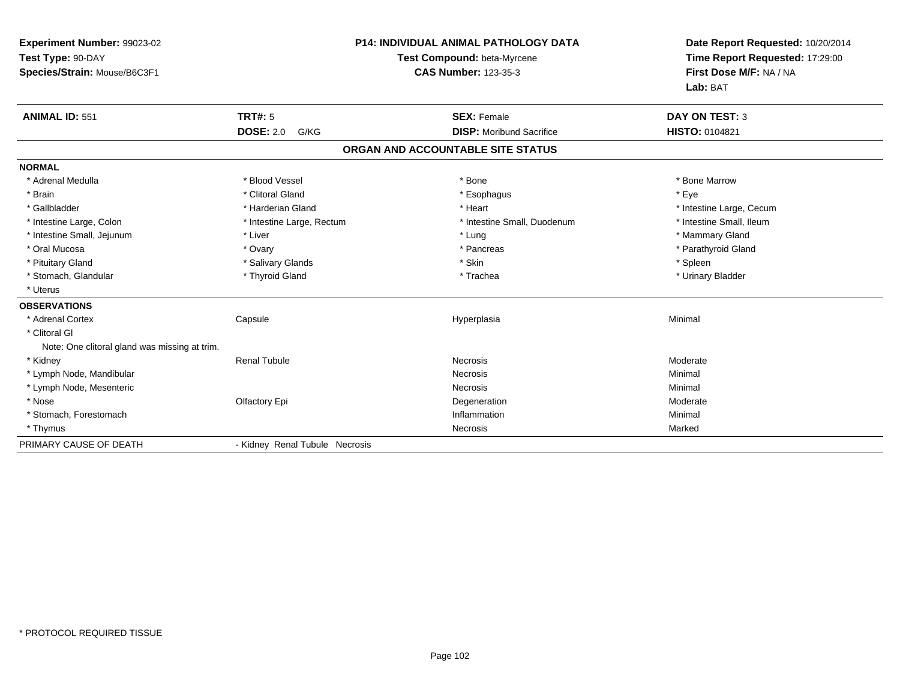| Experiment Number: 99023-02                   | <b>P14: INDIVIDUAL ANIMAL PATHOLOGY DATA</b> |                                   | Date Report Requested: 10/20/2014 |
|-----------------------------------------------|----------------------------------------------|-----------------------------------|-----------------------------------|
| Test Type: 90-DAY                             |                                              | Test Compound: beta-Myrcene       | Time Report Requested: 17:29:00   |
| Species/Strain: Mouse/B6C3F1                  |                                              | <b>CAS Number: 123-35-3</b>       | First Dose M/F: NA / NA           |
|                                               |                                              |                                   | Lab: BAT                          |
| <b>ANIMAL ID: 551</b>                         | <b>TRT#: 5</b>                               | <b>SEX: Female</b>                | <b>DAY ON TEST: 3</b>             |
|                                               | <b>DOSE: 2.0</b><br>G/KG                     | <b>DISP:</b> Moribund Sacrifice   | HISTO: 0104821                    |
|                                               |                                              | ORGAN AND ACCOUNTABLE SITE STATUS |                                   |
| <b>NORMAL</b>                                 |                                              |                                   |                                   |
| * Adrenal Medulla                             | * Blood Vessel                               | * Bone                            | * Bone Marrow                     |
| * Brain                                       | * Clitoral Gland                             | * Esophagus                       | * Eve                             |
| * Gallbladder                                 | * Harderian Gland                            | * Heart                           | * Intestine Large, Cecum          |
| * Intestine Large, Colon                      | * Intestine Large, Rectum                    | * Intestine Small, Duodenum       | * Intestine Small, Ileum          |
| * Intestine Small, Jejunum                    | * Liver                                      | * Lung                            | * Mammary Gland                   |
| * Oral Mucosa                                 | * Ovary                                      | * Pancreas                        | * Parathyroid Gland               |
| * Pituitary Gland                             | * Salivary Glands                            | * Skin                            | * Spleen                          |
| * Stomach, Glandular                          | * Thyroid Gland                              | * Trachea                         | * Urinary Bladder                 |
| * Uterus                                      |                                              |                                   |                                   |
| <b>OBSERVATIONS</b>                           |                                              |                                   |                                   |
| * Adrenal Cortex                              | Capsule                                      | Hyperplasia                       | Minimal                           |
| * Clitoral GI                                 |                                              |                                   |                                   |
| Note: One clitoral gland was missing at trim. |                                              |                                   |                                   |
| * Kidney                                      | <b>Renal Tubule</b>                          | <b>Necrosis</b>                   | Moderate                          |
| * Lymph Node, Mandibular                      |                                              | Necrosis                          | Minimal                           |
| * Lymph Node, Mesenteric                      |                                              | <b>Necrosis</b>                   | Minimal                           |
| * Nose                                        | Olfactory Epi                                | Degeneration                      | Moderate                          |
| * Stomach, Forestomach                        |                                              | Inflammation                      | Minimal                           |
| * Thymus                                      |                                              | Necrosis                          | Marked                            |
| PRIMARY CAUSE OF DEATH                        | - Kidney Renal Tubule Necrosis               |                                   |                                   |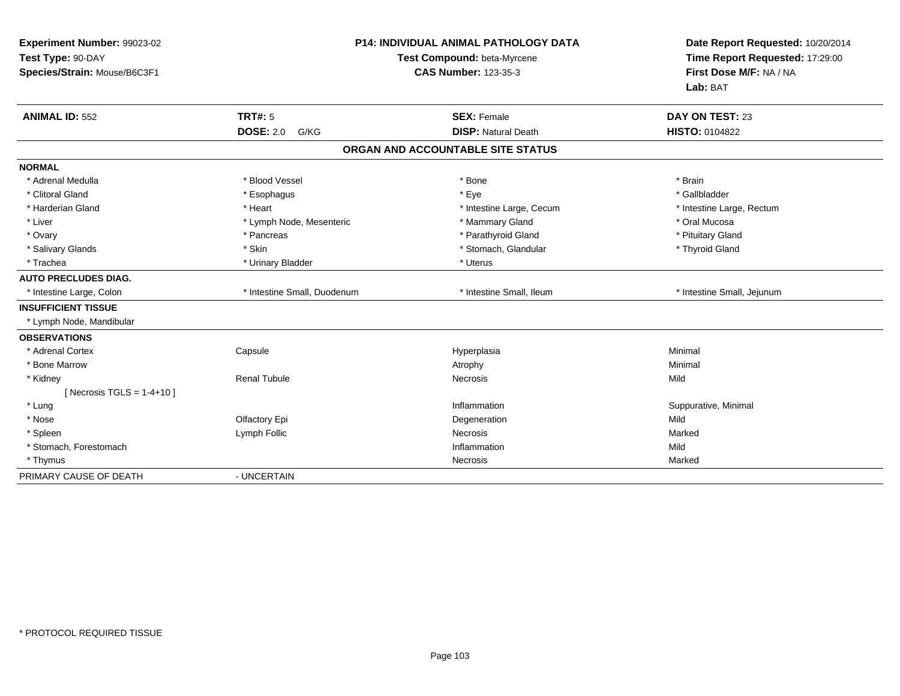| Experiment Number: 99023-02<br>Test Type: 90-DAY<br>Species/Strain: Mouse/B6C3F1 | <b>P14: INDIVIDUAL ANIMAL PATHOLOGY DATA</b><br>Test Compound: beta-Myrcene<br><b>CAS Number: 123-35-3</b> |                                   | Date Report Requested: 10/20/2014<br>Time Report Requested: 17:29:00<br>First Dose M/F: NA / NA<br>Lab: BAT |
|----------------------------------------------------------------------------------|------------------------------------------------------------------------------------------------------------|-----------------------------------|-------------------------------------------------------------------------------------------------------------|
| <b>ANIMAL ID: 552</b>                                                            | <b>TRT#: 5</b>                                                                                             | <b>SEX: Female</b>                | DAY ON TEST: 23                                                                                             |
|                                                                                  | <b>DOSE: 2.0</b><br>G/KG                                                                                   | <b>DISP: Natural Death</b>        | <b>HISTO: 0104822</b>                                                                                       |
|                                                                                  |                                                                                                            | ORGAN AND ACCOUNTABLE SITE STATUS |                                                                                                             |
| <b>NORMAL</b>                                                                    |                                                                                                            |                                   |                                                                                                             |
| * Adrenal Medulla                                                                | * Blood Vessel                                                                                             | * Bone                            | * Brain                                                                                                     |
| * Clitoral Gland                                                                 | * Esophagus                                                                                                | * Eye                             | * Gallbladder                                                                                               |
| * Harderian Gland                                                                | * Heart                                                                                                    | * Intestine Large, Cecum          | * Intestine Large, Rectum                                                                                   |
| * Liver                                                                          | * Lymph Node, Mesenteric                                                                                   | * Mammary Gland                   | * Oral Mucosa                                                                                               |
| * Ovary                                                                          | * Pancreas                                                                                                 | * Parathyroid Gland               | * Pituitary Gland                                                                                           |
| * Salivary Glands                                                                | * Skin                                                                                                     | * Stomach, Glandular              | * Thyroid Gland                                                                                             |
| * Trachea                                                                        | * Urinary Bladder                                                                                          | * Uterus                          |                                                                                                             |
| <b>AUTO PRECLUDES DIAG.</b>                                                      |                                                                                                            |                                   |                                                                                                             |
| * Intestine Large, Colon                                                         | * Intestine Small, Duodenum                                                                                | * Intestine Small. Ileum          | * Intestine Small, Jejunum                                                                                  |
| <b>INSUFFICIENT TISSUE</b>                                                       |                                                                                                            |                                   |                                                                                                             |
| * Lymph Node, Mandibular                                                         |                                                                                                            |                                   |                                                                                                             |
| <b>OBSERVATIONS</b>                                                              |                                                                                                            |                                   |                                                                                                             |
| * Adrenal Cortex                                                                 | Capsule                                                                                                    | Hyperplasia                       | Minimal                                                                                                     |
| * Bone Marrow                                                                    |                                                                                                            | Atrophy                           | Minimal                                                                                                     |
| * Kidney                                                                         | <b>Renal Tubule</b>                                                                                        | Necrosis                          | Mild                                                                                                        |
| [ Necrosis TGLS = $1-4+10$ ]                                                     |                                                                                                            |                                   |                                                                                                             |
| * Lung                                                                           |                                                                                                            | Inflammation                      | Suppurative, Minimal                                                                                        |
| * Nose                                                                           | Olfactory Epi                                                                                              | Degeneration                      | Mild                                                                                                        |
| * Spleen                                                                         | Lymph Follic                                                                                               | Necrosis                          | Marked                                                                                                      |
| * Stomach, Forestomach                                                           |                                                                                                            | Inflammation                      | Mild                                                                                                        |
| * Thymus                                                                         |                                                                                                            | Necrosis                          | Marked                                                                                                      |
| PRIMARY CAUSE OF DEATH                                                           | - UNCERTAIN                                                                                                |                                   |                                                                                                             |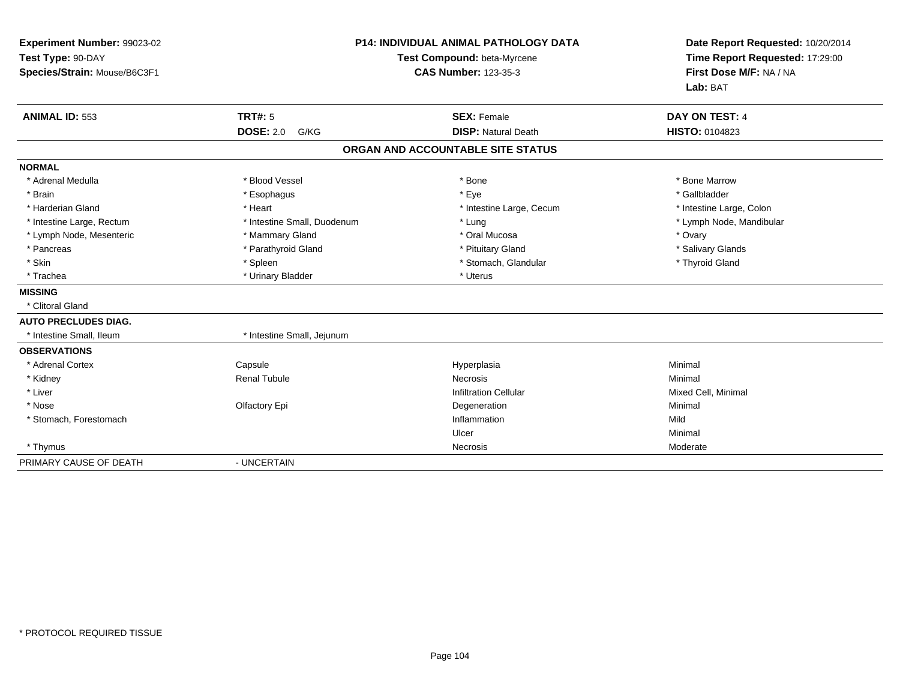| Experiment Number: 99023-02<br>Test Type: 90-DAY<br>Species/Strain: Mouse/B6C3F1 |                             | <b>P14: INDIVIDUAL ANIMAL PATHOLOGY DATA</b><br>Test Compound: beta-Myrcene<br><b>CAS Number: 123-35-3</b> | Date Report Requested: 10/20/2014<br>Time Report Requested: 17:29:00<br>First Dose M/F: NA / NA<br>Lab: BAT |
|----------------------------------------------------------------------------------|-----------------------------|------------------------------------------------------------------------------------------------------------|-------------------------------------------------------------------------------------------------------------|
| <b>ANIMAL ID: 553</b>                                                            | <b>TRT#: 5</b>              | <b>SEX: Female</b>                                                                                         | DAY ON TEST: 4                                                                                              |
|                                                                                  | <b>DOSE: 2.0</b><br>G/KG    | <b>DISP: Natural Death</b>                                                                                 | <b>HISTO: 0104823</b>                                                                                       |
|                                                                                  |                             | ORGAN AND ACCOUNTABLE SITE STATUS                                                                          |                                                                                                             |
| <b>NORMAL</b>                                                                    |                             |                                                                                                            |                                                                                                             |
| * Adrenal Medulla                                                                | * Blood Vessel              | * Bone                                                                                                     | * Bone Marrow                                                                                               |
| * Brain                                                                          | * Esophagus                 | * Eye                                                                                                      | * Gallbladder                                                                                               |
| * Harderian Gland                                                                | * Heart                     | * Intestine Large, Cecum                                                                                   | * Intestine Large, Colon                                                                                    |
| * Intestine Large, Rectum                                                        | * Intestine Small, Duodenum | * Lung                                                                                                     | * Lymph Node, Mandibular                                                                                    |
| * Lymph Node, Mesenteric                                                         | * Mammary Gland             | * Oral Mucosa                                                                                              | * Ovary                                                                                                     |
| * Pancreas                                                                       | * Parathyroid Gland         | * Pituitary Gland                                                                                          | * Salivary Glands                                                                                           |
| * Skin                                                                           | * Spleen                    | * Stomach, Glandular                                                                                       | * Thyroid Gland                                                                                             |
| * Trachea                                                                        | * Urinary Bladder           | * Uterus                                                                                                   |                                                                                                             |
| <b>MISSING</b>                                                                   |                             |                                                                                                            |                                                                                                             |
| * Clitoral Gland                                                                 |                             |                                                                                                            |                                                                                                             |
| <b>AUTO PRECLUDES DIAG.</b>                                                      |                             |                                                                                                            |                                                                                                             |
| * Intestine Small, Ileum                                                         | * Intestine Small, Jejunum  |                                                                                                            |                                                                                                             |
| <b>OBSERVATIONS</b>                                                              |                             |                                                                                                            |                                                                                                             |
| * Adrenal Cortex                                                                 | Capsule                     | Hyperplasia                                                                                                | Minimal                                                                                                     |
| * Kidney                                                                         | <b>Renal Tubule</b>         | <b>Necrosis</b>                                                                                            | Minimal                                                                                                     |
| * Liver                                                                          |                             | <b>Infiltration Cellular</b>                                                                               | Mixed Cell, Minimal                                                                                         |
| * Nose                                                                           | Olfactory Epi               | Degeneration                                                                                               | Minimal                                                                                                     |
| * Stomach, Forestomach                                                           |                             | Inflammation                                                                                               | Mild                                                                                                        |
|                                                                                  |                             | Ulcer                                                                                                      | Minimal                                                                                                     |
| * Thymus                                                                         |                             | Necrosis                                                                                                   | Moderate                                                                                                    |
| PRIMARY CAUSE OF DEATH                                                           | - UNCERTAIN                 |                                                                                                            |                                                                                                             |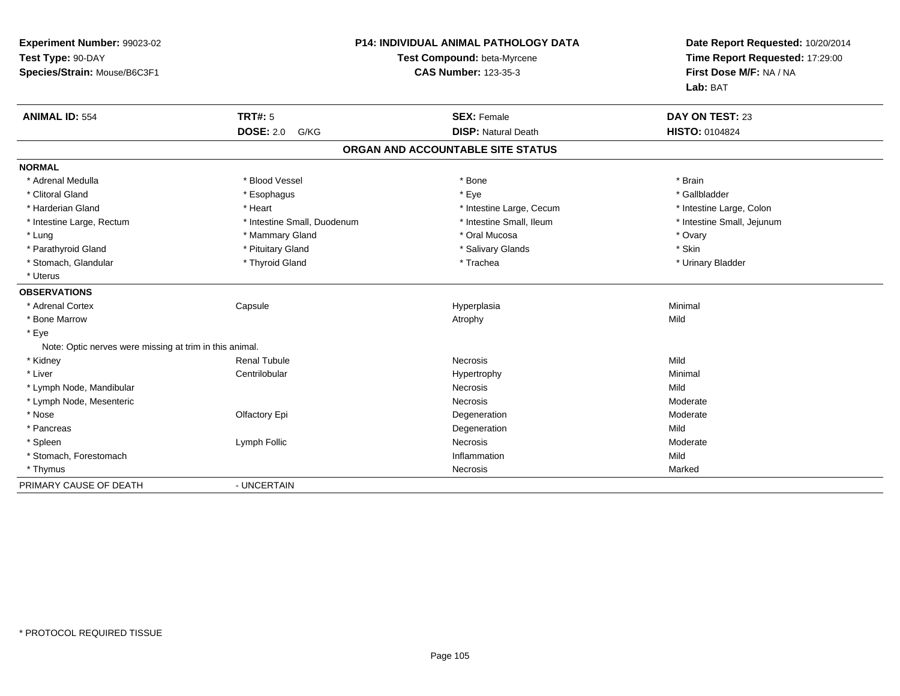| Experiment Number: 99023-02                             |                             | <b>P14: INDIVIDUAL ANIMAL PATHOLOGY DATA</b> | Date Report Requested: 10/20/2014 |
|---------------------------------------------------------|-----------------------------|----------------------------------------------|-----------------------------------|
| Test Type: 90-DAY                                       |                             | <b>Test Compound: beta-Myrcene</b>           | Time Report Requested: 17:29:00   |
| Species/Strain: Mouse/B6C3F1                            |                             | <b>CAS Number: 123-35-3</b>                  | First Dose M/F: NA / NA           |
|                                                         |                             |                                              | Lab: BAT                          |
| <b>ANIMAL ID: 554</b>                                   | <b>TRT#: 5</b>              | <b>SEX: Female</b>                           | DAY ON TEST: 23                   |
|                                                         | <b>DOSE: 2.0</b><br>G/KG    | <b>DISP: Natural Death</b>                   | <b>HISTO: 0104824</b>             |
|                                                         |                             | ORGAN AND ACCOUNTABLE SITE STATUS            |                                   |
| <b>NORMAL</b>                                           |                             |                                              |                                   |
| * Adrenal Medulla                                       | * Blood Vessel              | * Bone                                       | * Brain                           |
| * Clitoral Gland                                        | * Esophagus                 | * Eye                                        | * Gallbladder                     |
| * Harderian Gland                                       | * Heart                     | * Intestine Large, Cecum                     | * Intestine Large, Colon          |
| * Intestine Large, Rectum                               | * Intestine Small, Duodenum | * Intestine Small, Ileum                     | * Intestine Small, Jejunum        |
| * Lung                                                  | * Mammary Gland             | * Oral Mucosa                                | * Ovary                           |
| * Parathyroid Gland                                     | * Pituitary Gland           | * Salivary Glands                            | * Skin                            |
| * Stomach, Glandular                                    | * Thyroid Gland             | * Trachea                                    | * Urinary Bladder                 |
| * Uterus                                                |                             |                                              |                                   |
| <b>OBSERVATIONS</b>                                     |                             |                                              |                                   |
| * Adrenal Cortex                                        | Capsule                     | Hyperplasia                                  | Minimal                           |
| * Bone Marrow                                           |                             | Atrophy                                      | Mild                              |
| * Eye                                                   |                             |                                              |                                   |
| Note: Optic nerves were missing at trim in this animal. |                             |                                              |                                   |
| * Kidney                                                | <b>Renal Tubule</b>         | Necrosis                                     | Mild                              |
| * Liver                                                 | Centrilobular               | Hypertrophy                                  | Minimal                           |
| * Lymph Node, Mandibular                                |                             | <b>Necrosis</b>                              | Mild                              |
| * Lymph Node, Mesenteric                                |                             | <b>Necrosis</b>                              | Moderate                          |
| * Nose                                                  | Olfactory Epi               | Degeneration                                 | Moderate                          |
| * Pancreas                                              |                             | Degeneration                                 | Mild                              |
| * Spleen                                                | Lymph Follic                | Necrosis                                     | Moderate                          |
| * Stomach, Forestomach                                  |                             | Inflammation                                 | Mild                              |
| * Thymus                                                |                             | <b>Necrosis</b>                              | Marked                            |
| PRIMARY CAUSE OF DEATH                                  | - UNCERTAIN                 |                                              |                                   |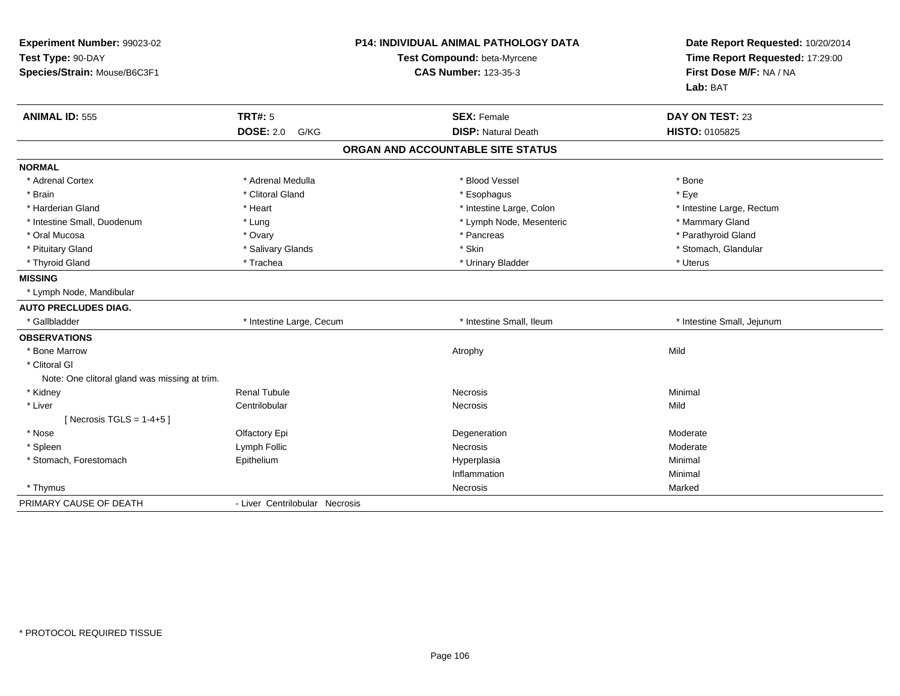| Experiment Number: 99023-02<br>Test Type: 90-DAY<br>Species/Strain: Mouse/B6C3F1 |                                     | <b>P14: INDIVIDUAL ANIMAL PATHOLOGY DATA</b><br>Test Compound: beta-Myrcene<br><b>CAS Number: 123-35-3</b> | Date Report Requested: 10/20/2014<br>Time Report Requested: 17:29:00<br>First Dose M/F: NA / NA<br>Lab: BAT |
|----------------------------------------------------------------------------------|-------------------------------------|------------------------------------------------------------------------------------------------------------|-------------------------------------------------------------------------------------------------------------|
| <b>ANIMAL ID: 555</b>                                                            | TRT#: 5<br><b>DOSE: 2.0</b><br>G/KG | <b>SEX: Female</b><br><b>DISP: Natural Death</b>                                                           | DAY ON TEST: 23<br>HISTO: 0105825                                                                           |
|                                                                                  |                                     | ORGAN AND ACCOUNTABLE SITE STATUS                                                                          |                                                                                                             |
|                                                                                  |                                     |                                                                                                            |                                                                                                             |
| <b>NORMAL</b>                                                                    |                                     |                                                                                                            |                                                                                                             |
| * Adrenal Cortex                                                                 | * Adrenal Medulla                   | * Blood Vessel                                                                                             | * Bone                                                                                                      |
| * Brain                                                                          | * Clitoral Gland                    | * Esophagus                                                                                                | * Eve                                                                                                       |
| * Harderian Gland                                                                | * Heart                             | * Intestine Large, Colon                                                                                   | * Intestine Large, Rectum                                                                                   |
| * Intestine Small, Duodenum                                                      | * Lung                              | * Lymph Node, Mesenteric                                                                                   | * Mammary Gland                                                                                             |
| * Oral Mucosa                                                                    | * Ovary                             | * Pancreas                                                                                                 | * Parathyroid Gland                                                                                         |
| * Pituitary Gland                                                                | * Salivary Glands                   | * Skin                                                                                                     | * Stomach, Glandular                                                                                        |
| * Thyroid Gland                                                                  | * Trachea                           | * Urinary Bladder                                                                                          | * Uterus                                                                                                    |
| <b>MISSING</b>                                                                   |                                     |                                                                                                            |                                                                                                             |
| * Lymph Node, Mandibular                                                         |                                     |                                                                                                            |                                                                                                             |
| <b>AUTO PRECLUDES DIAG.</b>                                                      |                                     |                                                                                                            |                                                                                                             |
| * Gallbladder                                                                    | * Intestine Large, Cecum            | * Intestine Small, Ileum                                                                                   | * Intestine Small, Jejunum                                                                                  |
| <b>OBSERVATIONS</b>                                                              |                                     |                                                                                                            |                                                                                                             |
| * Bone Marrow                                                                    |                                     | Atrophy                                                                                                    | Mild                                                                                                        |
| * Clitoral GI                                                                    |                                     |                                                                                                            |                                                                                                             |
| Note: One clitoral gland was missing at trim.                                    |                                     |                                                                                                            |                                                                                                             |
| * Kidney                                                                         | <b>Renal Tubule</b>                 | <b>Necrosis</b>                                                                                            | Minimal                                                                                                     |
| * Liver                                                                          | Centrilobular                       | <b>Necrosis</b>                                                                                            | Mild                                                                                                        |
| [ Necrosis TGLS = $1-4+5$ ]                                                      |                                     |                                                                                                            |                                                                                                             |
| * Nose                                                                           | Olfactory Epi                       | Degeneration                                                                                               | Moderate                                                                                                    |
| * Spleen                                                                         | Lymph Follic                        | Necrosis                                                                                                   | Moderate                                                                                                    |
| * Stomach, Forestomach                                                           | Epithelium                          | Hyperplasia                                                                                                | Minimal                                                                                                     |
|                                                                                  |                                     | Inflammation                                                                                               | Minimal                                                                                                     |
| * Thymus                                                                         |                                     | Necrosis                                                                                                   | Marked                                                                                                      |
| PRIMARY CAUSE OF DEATH                                                           | - Liver Centrilobular Necrosis      |                                                                                                            |                                                                                                             |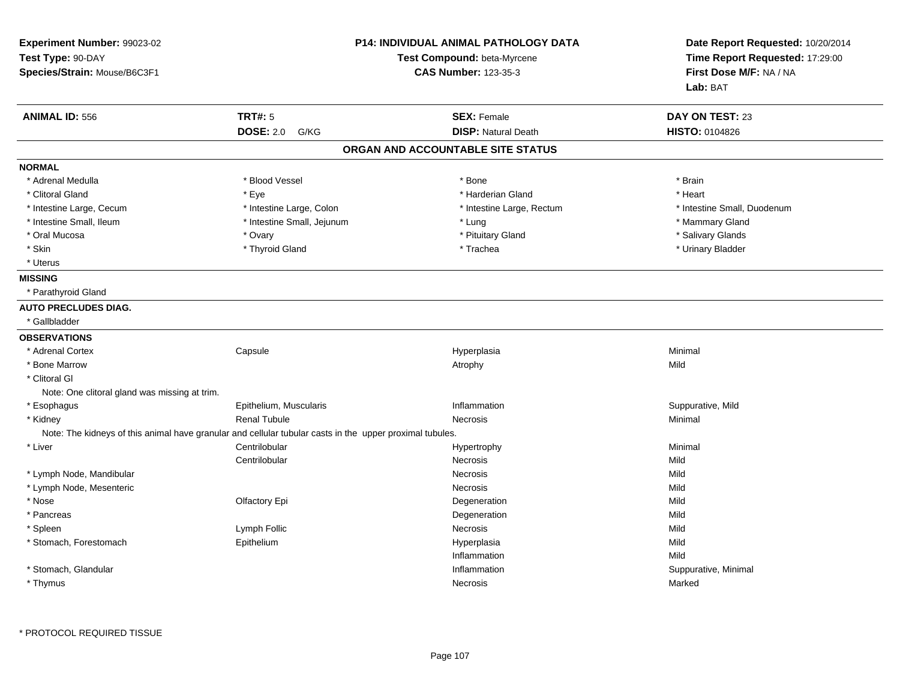| Experiment Number: 99023-02<br>Test Type: 90-DAY<br>Species/Strain: Mouse/B6C3F1 |                                                                                                          | <b>P14: INDIVIDUAL ANIMAL PATHOLOGY DATA</b><br>Test Compound: beta-Myrcene<br><b>CAS Number: 123-35-3</b> | Date Report Requested: 10/20/2014<br>Time Report Requested: 17:29:00<br>First Dose M/F: NA / NA<br>Lab: BAT |
|----------------------------------------------------------------------------------|----------------------------------------------------------------------------------------------------------|------------------------------------------------------------------------------------------------------------|-------------------------------------------------------------------------------------------------------------|
| <b>ANIMAL ID: 556</b>                                                            | <b>TRT#: 5</b>                                                                                           | <b>SEX: Female</b>                                                                                         | <b>DAY ON TEST: 23</b>                                                                                      |
|                                                                                  | <b>DOSE: 2.0 G/KG</b>                                                                                    | <b>DISP: Natural Death</b>                                                                                 | <b>HISTO: 0104826</b>                                                                                       |
|                                                                                  |                                                                                                          | ORGAN AND ACCOUNTABLE SITE STATUS                                                                          |                                                                                                             |
| <b>NORMAL</b>                                                                    |                                                                                                          |                                                                                                            |                                                                                                             |
| * Adrenal Medulla                                                                | * Blood Vessel                                                                                           | * Bone                                                                                                     | * Brain                                                                                                     |
| * Clitoral Gland                                                                 | * Eye                                                                                                    | * Harderian Gland                                                                                          | * Heart                                                                                                     |
| * Intestine Large, Cecum                                                         | * Intestine Large, Colon                                                                                 | * Intestine Large, Rectum                                                                                  | * Intestine Small, Duodenum                                                                                 |
| * Intestine Small, Ileum                                                         | * Intestine Small, Jejunum                                                                               | * Lung                                                                                                     | * Mammary Gland                                                                                             |
| * Oral Mucosa                                                                    | * Ovary                                                                                                  | * Pituitary Gland                                                                                          | * Salivary Glands                                                                                           |
| * Skin                                                                           | * Thyroid Gland                                                                                          | * Trachea                                                                                                  | * Urinary Bladder                                                                                           |
| * Uterus                                                                         |                                                                                                          |                                                                                                            |                                                                                                             |
| <b>MISSING</b>                                                                   |                                                                                                          |                                                                                                            |                                                                                                             |
| * Parathyroid Gland                                                              |                                                                                                          |                                                                                                            |                                                                                                             |
| <b>AUTO PRECLUDES DIAG.</b>                                                      |                                                                                                          |                                                                                                            |                                                                                                             |
| * Gallbladder                                                                    |                                                                                                          |                                                                                                            |                                                                                                             |
| <b>OBSERVATIONS</b>                                                              |                                                                                                          |                                                                                                            |                                                                                                             |
| * Adrenal Cortex                                                                 | Capsule                                                                                                  | Hyperplasia                                                                                                | Minimal                                                                                                     |
| * Bone Marrow                                                                    |                                                                                                          | Atrophy                                                                                                    | Mild                                                                                                        |
| * Clitoral GI                                                                    |                                                                                                          |                                                                                                            |                                                                                                             |
| Note: One clitoral gland was missing at trim.                                    |                                                                                                          |                                                                                                            |                                                                                                             |
| * Esophagus                                                                      | Epithelium, Muscularis                                                                                   | Inflammation                                                                                               | Suppurative, Mild                                                                                           |
| * Kidney                                                                         | <b>Renal Tubule</b>                                                                                      | Necrosis                                                                                                   | Minimal                                                                                                     |
|                                                                                  | Note: The kidneys of this animal have granular and cellular tubular casts in the upper proximal tubules. |                                                                                                            |                                                                                                             |
| * Liver                                                                          | Centrilobular                                                                                            | Hypertrophy                                                                                                | Minimal                                                                                                     |
|                                                                                  | Centrilobular                                                                                            | Necrosis                                                                                                   | Mild                                                                                                        |
| * Lymph Node, Mandibular                                                         |                                                                                                          | Necrosis                                                                                                   | Mild                                                                                                        |
| * Lymph Node, Mesenteric                                                         |                                                                                                          | Necrosis                                                                                                   | Mild                                                                                                        |
| * Nose                                                                           | Olfactory Epi                                                                                            | Degeneration                                                                                               | Mild                                                                                                        |
| * Pancreas                                                                       |                                                                                                          | Degeneration                                                                                               | Mild                                                                                                        |
| * Spleen                                                                         | Lymph Follic                                                                                             | <b>Necrosis</b>                                                                                            | Mild                                                                                                        |
| * Stomach, Forestomach                                                           | Epithelium                                                                                               | Hyperplasia                                                                                                | Mild                                                                                                        |
|                                                                                  |                                                                                                          | Inflammation                                                                                               | Mild                                                                                                        |
| * Stomach, Glandular                                                             |                                                                                                          | Inflammation                                                                                               | Suppurative, Minimal                                                                                        |
| * Thymus                                                                         |                                                                                                          | Necrosis                                                                                                   | Marked                                                                                                      |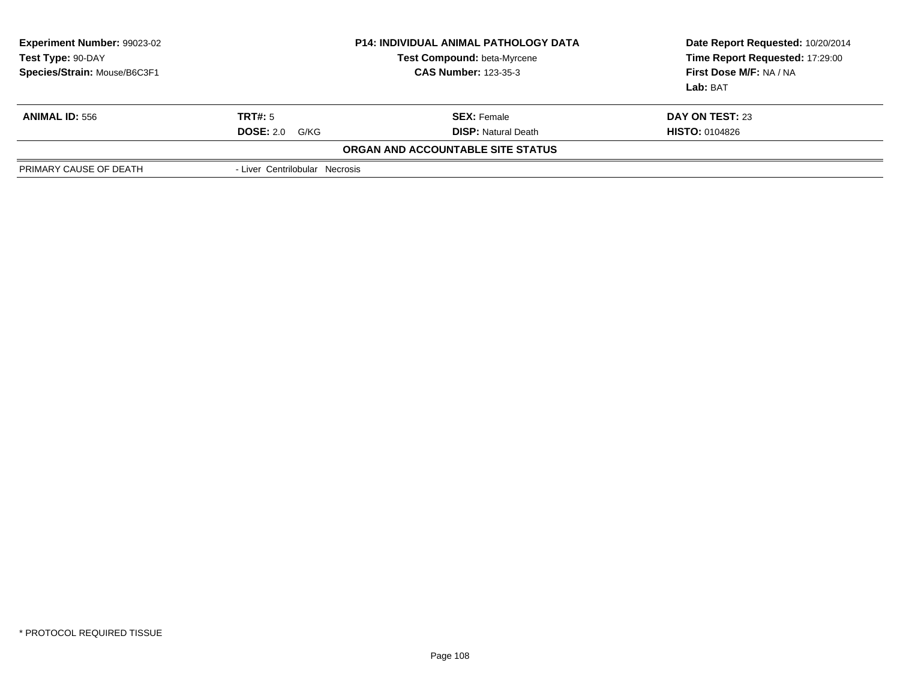| <b>Experiment Number: 99023-02</b><br>Test Type: 90-DAY<br>Species/Strain: Mouse/B6C3F1 |                                | <b>P14: INDIVIDUAL ANIMAL PATHOLOGY DATA</b><br>Test Compound: beta-Myrcene<br><b>CAS Number: 123-35-3</b> | Date Report Requested: 10/20/2014<br>Time Report Requested: 17:29:00<br><b>First Dose M/F: NA / NA</b><br>Lab: BAT |
|-----------------------------------------------------------------------------------------|--------------------------------|------------------------------------------------------------------------------------------------------------|--------------------------------------------------------------------------------------------------------------------|
| <b>ANIMAL ID: 556</b>                                                                   | TRT#: 5                        | <b>SEX:</b> Female                                                                                         | DAY ON TEST: 23                                                                                                    |
|                                                                                         | <b>DOSE: 2.0</b><br>G/KG       | <b>DISP:</b> Natural Death                                                                                 | <b>HISTO: 0104826</b>                                                                                              |
|                                                                                         |                                | ORGAN AND ACCOUNTABLE SITE STATUS                                                                          |                                                                                                                    |
| PRIMARY CAUSE OF DEATH                                                                  | - Liver Centrilobular Necrosis |                                                                                                            |                                                                                                                    |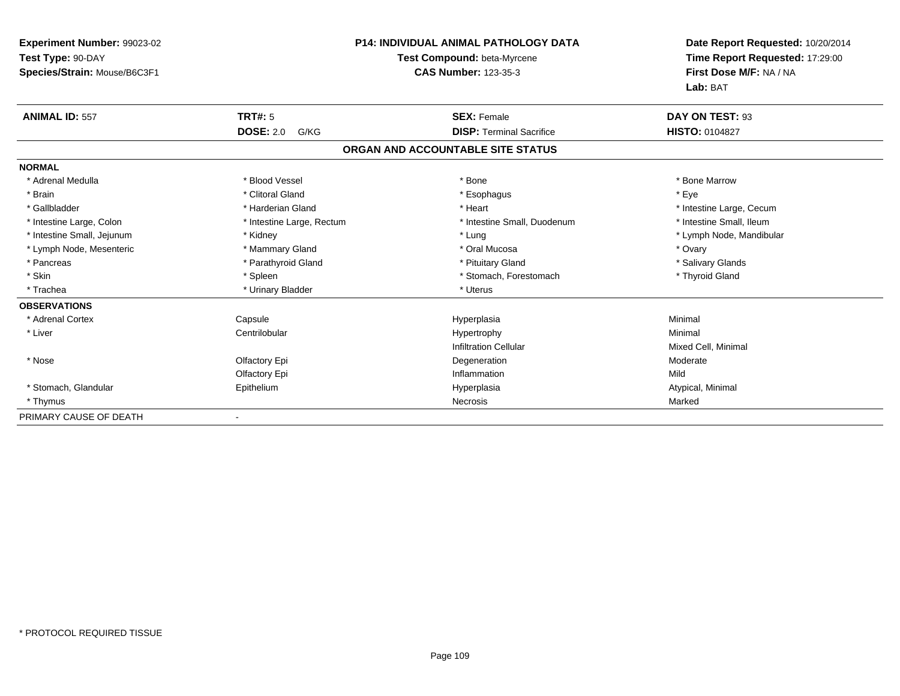| Experiment Number: 99023-02  |                           | <b>P14: INDIVIDUAL ANIMAL PATHOLOGY DATA</b> | Date Report Requested: 10/20/2014                          |  |
|------------------------------|---------------------------|----------------------------------------------|------------------------------------------------------------|--|
| Test Type: 90-DAY            |                           | Test Compound: beta-Myrcene                  | Time Report Requested: 17:29:00<br>First Dose M/F: NA / NA |  |
| Species/Strain: Mouse/B6C3F1 |                           | <b>CAS Number: 123-35-3</b>                  |                                                            |  |
|                              |                           |                                              | Lab: BAT                                                   |  |
| <b>ANIMAL ID: 557</b>        | <b>TRT#: 5</b>            | <b>SEX: Female</b>                           | DAY ON TEST: 93                                            |  |
|                              | <b>DOSE: 2.0</b><br>G/KG  | <b>DISP: Terminal Sacrifice</b>              | <b>HISTO: 0104827</b>                                      |  |
|                              |                           | ORGAN AND ACCOUNTABLE SITE STATUS            |                                                            |  |
| <b>NORMAL</b>                |                           |                                              |                                                            |  |
| * Adrenal Medulla            | * Blood Vessel            | * Bone                                       | * Bone Marrow                                              |  |
| * Brain                      | * Clitoral Gland          | * Esophagus                                  | * Eye                                                      |  |
| * Gallbladder                | * Harderian Gland         | * Heart                                      | * Intestine Large, Cecum                                   |  |
| * Intestine Large, Colon     | * Intestine Large, Rectum | * Intestine Small. Duodenum                  | * Intestine Small, Ileum                                   |  |
| * Intestine Small, Jejunum   | * Kidney                  | * Lung                                       | * Lymph Node, Mandibular                                   |  |
| * Lymph Node, Mesenteric     | * Mammary Gland           | * Oral Mucosa                                | * Ovary                                                    |  |
| * Pancreas                   | * Parathyroid Gland       | * Pituitary Gland                            | * Salivary Glands                                          |  |
| * Skin                       | * Spleen                  | * Stomach, Forestomach                       | * Thyroid Gland                                            |  |
| * Trachea                    | * Urinary Bladder         | * Uterus                                     |                                                            |  |
| <b>OBSERVATIONS</b>          |                           |                                              |                                                            |  |
| * Adrenal Cortex             | Capsule                   | Hyperplasia                                  | Minimal                                                    |  |
| * Liver                      | Centrilobular             | Hypertrophy                                  | Minimal                                                    |  |
|                              |                           | <b>Infiltration Cellular</b>                 | Mixed Cell, Minimal                                        |  |
| * Nose                       | Olfactory Epi             | Degeneration                                 | Moderate                                                   |  |
|                              | Olfactory Epi             | Inflammation                                 | Mild                                                       |  |
| * Stomach, Glandular         | Epithelium                | Hyperplasia                                  | Atypical, Minimal                                          |  |
| * Thymus                     |                           | <b>Necrosis</b>                              | Marked                                                     |  |
| PRIMARY CAUSE OF DEATH       |                           |                                              |                                                            |  |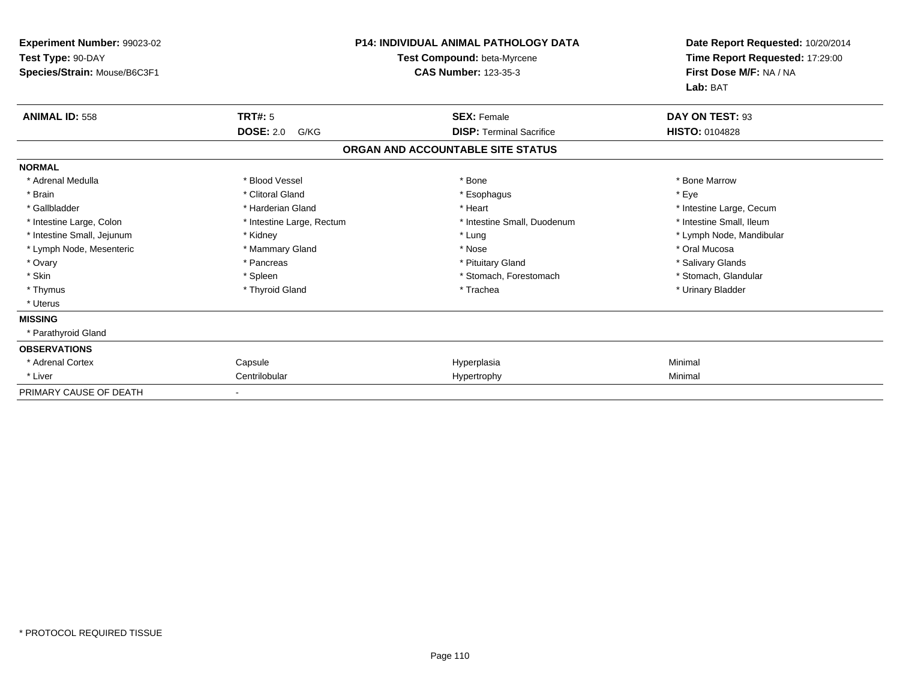| Experiment Number: 99023-02<br>Test Type: 90-DAY<br>Species/Strain: Mouse/B6C3F1 | <b>P14: INDIVIDUAL ANIMAL PATHOLOGY DATA</b><br>Test Compound: beta-Myrcene<br><b>CAS Number: 123-35-3</b> |                                   | Date Report Requested: 10/20/2014<br>Time Report Requested: 17:29:00<br>First Dose M/F: NA / NA<br>Lab: BAT |
|----------------------------------------------------------------------------------|------------------------------------------------------------------------------------------------------------|-----------------------------------|-------------------------------------------------------------------------------------------------------------|
| <b>ANIMAL ID: 558</b>                                                            | TRT#: 5                                                                                                    | <b>SEX: Female</b>                | DAY ON TEST: 93                                                                                             |
|                                                                                  | <b>DOSE: 2.0</b><br>G/KG                                                                                   | <b>DISP: Terminal Sacrifice</b>   | <b>HISTO: 0104828</b>                                                                                       |
|                                                                                  |                                                                                                            | ORGAN AND ACCOUNTABLE SITE STATUS |                                                                                                             |
| <b>NORMAL</b>                                                                    |                                                                                                            |                                   |                                                                                                             |
| * Adrenal Medulla                                                                | * Blood Vessel                                                                                             | * Bone                            | * Bone Marrow                                                                                               |
| * Brain                                                                          | * Clitoral Gland                                                                                           | * Esophagus                       | * Eve                                                                                                       |
| * Gallbladder                                                                    | * Harderian Gland                                                                                          | * Heart                           | * Intestine Large, Cecum                                                                                    |
| * Intestine Large, Colon                                                         | * Intestine Large, Rectum                                                                                  | * Intestine Small, Duodenum       | * Intestine Small, Ileum                                                                                    |
| * Intestine Small, Jejunum                                                       | * Kidney                                                                                                   | * Lung                            | * Lymph Node, Mandibular                                                                                    |
| * Lymph Node, Mesenteric                                                         | * Mammary Gland                                                                                            | * Nose                            | * Oral Mucosa                                                                                               |
| * Ovary                                                                          | * Pancreas                                                                                                 | * Pituitary Gland                 | * Salivary Glands                                                                                           |
| * Skin                                                                           | * Spleen                                                                                                   | * Stomach, Forestomach            | * Stomach, Glandular                                                                                        |
| * Thymus                                                                         | * Thyroid Gland                                                                                            | * Trachea                         | * Urinary Bladder                                                                                           |
| * Uterus                                                                         |                                                                                                            |                                   |                                                                                                             |
| <b>MISSING</b>                                                                   |                                                                                                            |                                   |                                                                                                             |
| * Parathyroid Gland                                                              |                                                                                                            |                                   |                                                                                                             |
| <b>OBSERVATIONS</b>                                                              |                                                                                                            |                                   |                                                                                                             |
| * Adrenal Cortex                                                                 | Capsule                                                                                                    | Hyperplasia                       | Minimal                                                                                                     |
| * Liver                                                                          | Centrilobular                                                                                              | Hypertrophy                       | Minimal                                                                                                     |
| PRIMARY CAUSE OF DEATH                                                           |                                                                                                            |                                   |                                                                                                             |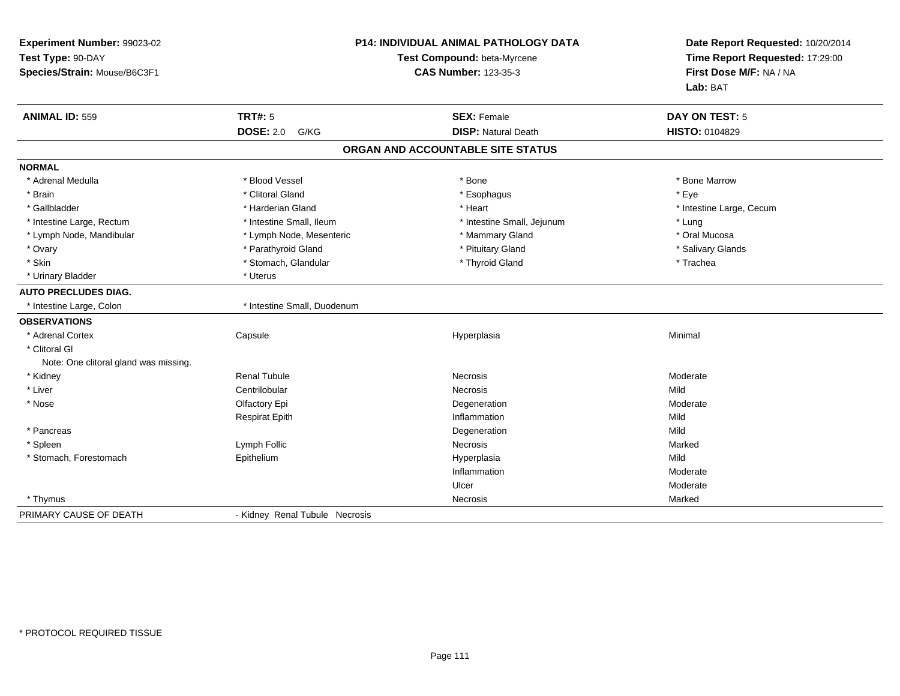| Experiment Number: 99023-02<br>Test Type: 90-DAY<br>Species/Strain: Mouse/B6C3F1 |                                | <b>P14: INDIVIDUAL ANIMAL PATHOLOGY DATA</b><br>Test Compound: beta-Myrcene<br><b>CAS Number: 123-35-3</b> | Date Report Requested: 10/20/2014<br>Time Report Requested: 17:29:00<br>First Dose M/F: NA / NA<br>Lab: BAT |
|----------------------------------------------------------------------------------|--------------------------------|------------------------------------------------------------------------------------------------------------|-------------------------------------------------------------------------------------------------------------|
| <b>ANIMAL ID: 559</b>                                                            | <b>TRT#: 5</b>                 | <b>SEX: Female</b>                                                                                         | <b>DAY ON TEST: 5</b>                                                                                       |
|                                                                                  | <b>DOSE: 2.0</b><br>G/KG       | <b>DISP: Natural Death</b>                                                                                 | HISTO: 0104829                                                                                              |
|                                                                                  |                                | ORGAN AND ACCOUNTABLE SITE STATUS                                                                          |                                                                                                             |
| <b>NORMAL</b>                                                                    |                                |                                                                                                            |                                                                                                             |
| * Adrenal Medulla                                                                | * Blood Vessel                 | * Bone                                                                                                     | * Bone Marrow                                                                                               |
| * Brain                                                                          | * Clitoral Gland               | * Esophagus                                                                                                | * Eye                                                                                                       |
| * Gallbladder                                                                    | * Harderian Gland              | * Heart                                                                                                    | * Intestine Large, Cecum                                                                                    |
| * Intestine Large, Rectum                                                        | * Intestine Small, Ileum       | * Intestine Small, Jejunum                                                                                 | * Lung                                                                                                      |
| * Lymph Node, Mandibular                                                         | * Lymph Node, Mesenteric       | * Mammary Gland                                                                                            | * Oral Mucosa                                                                                               |
| * Ovary                                                                          | * Parathyroid Gland            | * Pituitary Gland                                                                                          | * Salivary Glands                                                                                           |
| * Skin                                                                           | * Stomach, Glandular           | * Thyroid Gland                                                                                            | * Trachea                                                                                                   |
| * Urinary Bladder                                                                | * Uterus                       |                                                                                                            |                                                                                                             |
| <b>AUTO PRECLUDES DIAG.</b>                                                      |                                |                                                                                                            |                                                                                                             |
| * Intestine Large, Colon                                                         | * Intestine Small, Duodenum    |                                                                                                            |                                                                                                             |
| <b>OBSERVATIONS</b>                                                              |                                |                                                                                                            |                                                                                                             |
| * Adrenal Cortex                                                                 | Capsule                        | Hyperplasia                                                                                                | Minimal                                                                                                     |
| * Clitoral GI                                                                    |                                |                                                                                                            |                                                                                                             |
| Note: One clitoral gland was missing.                                            |                                |                                                                                                            |                                                                                                             |
| * Kidney                                                                         | <b>Renal Tubule</b>            | <b>Necrosis</b>                                                                                            | Moderate                                                                                                    |
| * Liver                                                                          | Centrilobular                  | <b>Necrosis</b>                                                                                            | Mild                                                                                                        |
| * Nose                                                                           | Olfactory Epi                  | Degeneration                                                                                               | Moderate                                                                                                    |
|                                                                                  | <b>Respirat Epith</b>          | Inflammation                                                                                               | Mild                                                                                                        |
| * Pancreas                                                                       |                                | Degeneration                                                                                               | Mild                                                                                                        |
| * Spleen                                                                         | Lymph Follic                   | Necrosis                                                                                                   | Marked                                                                                                      |
| * Stomach, Forestomach                                                           | Epithelium                     | Hyperplasia                                                                                                | Mild                                                                                                        |
|                                                                                  |                                | Inflammation                                                                                               | Moderate                                                                                                    |
|                                                                                  |                                | Ulcer                                                                                                      | Moderate                                                                                                    |
| * Thymus                                                                         |                                | Necrosis                                                                                                   | Marked                                                                                                      |
| PRIMARY CAUSE OF DEATH                                                           | - Kidney Renal Tubule Necrosis |                                                                                                            |                                                                                                             |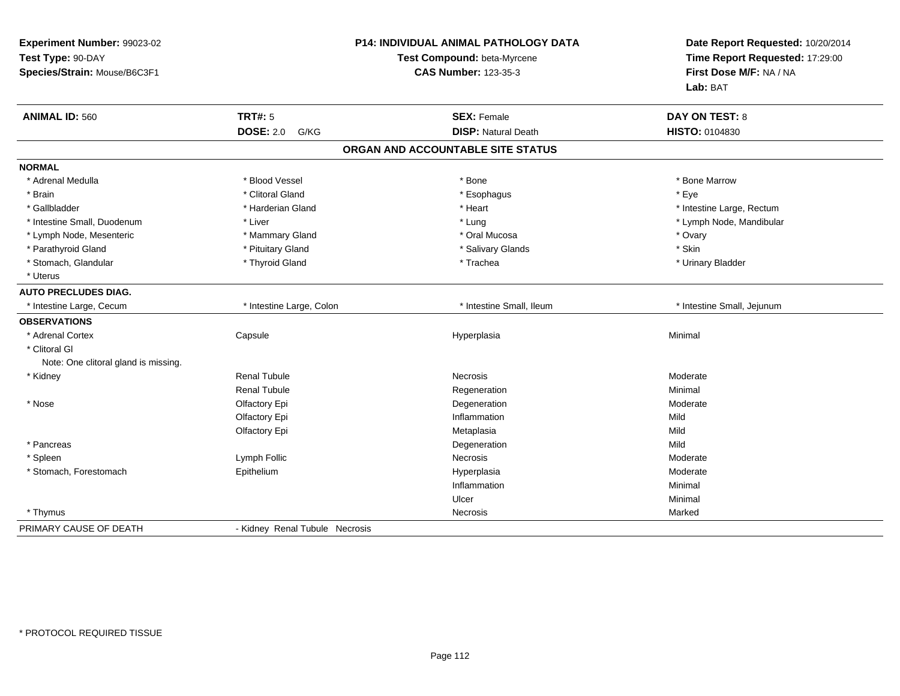| Experiment Number: 99023-02<br>Test Type: 90-DAY<br>Species/Strain: Mouse/B6C3F1 |                                | <b>P14: INDIVIDUAL ANIMAL PATHOLOGY DATA</b><br>Test Compound: beta-Myrcene<br><b>CAS Number: 123-35-3</b> | Date Report Requested: 10/20/2014<br>Time Report Requested: 17:29:00<br>First Dose M/F: NA / NA<br>Lab: BAT |
|----------------------------------------------------------------------------------|--------------------------------|------------------------------------------------------------------------------------------------------------|-------------------------------------------------------------------------------------------------------------|
| <b>ANIMAL ID: 560</b>                                                            | <b>TRT#: 5</b>                 | <b>SEX: Female</b>                                                                                         | <b>DAY ON TEST: 8</b>                                                                                       |
|                                                                                  | <b>DOSE: 2.0</b><br>G/KG       | <b>DISP: Natural Death</b>                                                                                 | HISTO: 0104830                                                                                              |
|                                                                                  |                                | ORGAN AND ACCOUNTABLE SITE STATUS                                                                          |                                                                                                             |
| <b>NORMAL</b>                                                                    |                                |                                                                                                            |                                                                                                             |
| * Adrenal Medulla                                                                | * Blood Vessel                 | * Bone                                                                                                     | * Bone Marrow                                                                                               |
| * Brain                                                                          | * Clitoral Gland               | * Esophagus                                                                                                | * Eye                                                                                                       |
| * Gallbladder                                                                    | * Harderian Gland              | * Heart                                                                                                    | * Intestine Large, Rectum                                                                                   |
| * Intestine Small, Duodenum                                                      | * Liver                        | * Lung                                                                                                     | * Lymph Node, Mandibular                                                                                    |
| * Lymph Node, Mesenteric                                                         | * Mammary Gland                | * Oral Mucosa                                                                                              | * Ovary                                                                                                     |
| * Parathyroid Gland                                                              | * Pituitary Gland              | * Salivary Glands                                                                                          | * Skin                                                                                                      |
| * Stomach, Glandular                                                             | * Thyroid Gland                | * Trachea                                                                                                  | * Urinary Bladder                                                                                           |
| * Uterus                                                                         |                                |                                                                                                            |                                                                                                             |
| <b>AUTO PRECLUDES DIAG.</b>                                                      |                                |                                                                                                            |                                                                                                             |
| * Intestine Large, Cecum                                                         | * Intestine Large, Colon       | * Intestine Small, Ileum                                                                                   | * Intestine Small, Jejunum                                                                                  |
| <b>OBSERVATIONS</b>                                                              |                                |                                                                                                            |                                                                                                             |
| * Adrenal Cortex                                                                 | Capsule                        | Hyperplasia                                                                                                | Minimal                                                                                                     |
| * Clitoral GI                                                                    |                                |                                                                                                            |                                                                                                             |
| Note: One clitoral gland is missing.                                             |                                |                                                                                                            |                                                                                                             |
| * Kidney                                                                         | <b>Renal Tubule</b>            | Necrosis                                                                                                   | Moderate                                                                                                    |
|                                                                                  | <b>Renal Tubule</b>            | Regeneration                                                                                               | Minimal                                                                                                     |
| * Nose                                                                           | Olfactory Epi                  | Degeneration                                                                                               | Moderate                                                                                                    |
|                                                                                  | Olfactory Epi                  | Inflammation                                                                                               | Mild                                                                                                        |
|                                                                                  | Olfactory Epi                  | Metaplasia                                                                                                 | Mild                                                                                                        |
| * Pancreas                                                                       |                                | Degeneration                                                                                               | Mild                                                                                                        |
| * Spleen                                                                         | Lymph Follic                   | <b>Necrosis</b>                                                                                            | Moderate                                                                                                    |
| * Stomach, Forestomach                                                           | Epithelium                     | Hyperplasia                                                                                                | Moderate                                                                                                    |
|                                                                                  |                                | Inflammation                                                                                               | Minimal                                                                                                     |
|                                                                                  |                                | Ulcer                                                                                                      | Minimal                                                                                                     |
| * Thymus                                                                         |                                | Necrosis                                                                                                   | Marked                                                                                                      |
| PRIMARY CAUSE OF DEATH                                                           | - Kidney Renal Tubule Necrosis |                                                                                                            |                                                                                                             |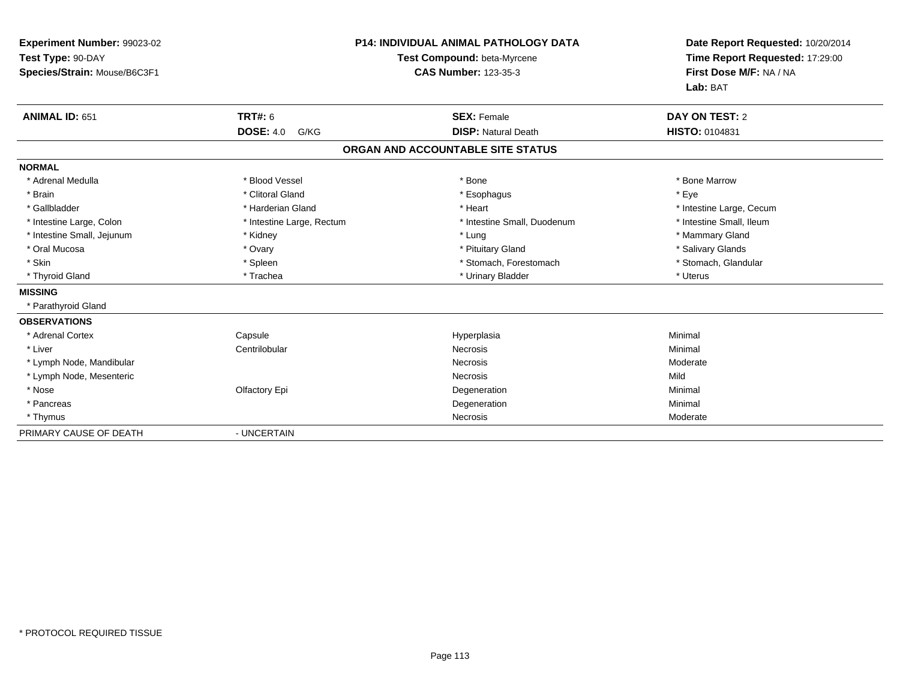| Experiment Number: 99023-02<br>Test Type: 90-DAY<br>Species/Strain: Mouse/B6C3F1<br><b>ANIMAL ID: 651</b> | <b>TRT#: 6</b>            | <b>P14: INDIVIDUAL ANIMAL PATHOLOGY DATA</b><br>Test Compound: beta-Myrcene<br><b>CAS Number: 123-35-3</b><br><b>SEX: Female</b> | Date Report Requested: 10/20/2014<br>Time Report Requested: 17:29:00<br>First Dose M/F: NA / NA<br>Lab: BAT<br><b>DAY ON TEST: 2</b> |
|-----------------------------------------------------------------------------------------------------------|---------------------------|----------------------------------------------------------------------------------------------------------------------------------|--------------------------------------------------------------------------------------------------------------------------------------|
|                                                                                                           | <b>DOSE: 4.0</b><br>G/KG  | <b>DISP: Natural Death</b>                                                                                                       | <b>HISTO: 0104831</b>                                                                                                                |
|                                                                                                           |                           | ORGAN AND ACCOUNTABLE SITE STATUS                                                                                                |                                                                                                                                      |
| <b>NORMAL</b>                                                                                             |                           |                                                                                                                                  |                                                                                                                                      |
| * Adrenal Medulla                                                                                         | * Blood Vessel            | * Bone                                                                                                                           | * Bone Marrow                                                                                                                        |
| * Brain                                                                                                   | * Clitoral Gland          | * Esophagus                                                                                                                      | * Eye                                                                                                                                |
| * Gallbladder                                                                                             | * Harderian Gland         | * Heart                                                                                                                          | * Intestine Large, Cecum                                                                                                             |
| * Intestine Large, Colon                                                                                  | * Intestine Large, Rectum | * Intestine Small, Duodenum                                                                                                      | * Intestine Small, Ileum                                                                                                             |
| * Intestine Small, Jejunum                                                                                | * Kidney                  | * Lung                                                                                                                           | * Mammary Gland                                                                                                                      |
| * Oral Mucosa                                                                                             | * Ovary                   | * Pituitary Gland                                                                                                                | * Salivary Glands                                                                                                                    |
| * Skin                                                                                                    | * Spleen                  | * Stomach, Forestomach                                                                                                           | * Stomach, Glandular                                                                                                                 |
| * Thyroid Gland                                                                                           | * Trachea                 | * Urinary Bladder                                                                                                                | * Uterus                                                                                                                             |
| <b>MISSING</b>                                                                                            |                           |                                                                                                                                  |                                                                                                                                      |
| * Parathyroid Gland                                                                                       |                           |                                                                                                                                  |                                                                                                                                      |
| <b>OBSERVATIONS</b>                                                                                       |                           |                                                                                                                                  |                                                                                                                                      |
| * Adrenal Cortex                                                                                          | Capsule                   | Hyperplasia                                                                                                                      | Minimal                                                                                                                              |
| * Liver                                                                                                   | Centrilobular             | <b>Necrosis</b>                                                                                                                  | Minimal                                                                                                                              |
| * Lymph Node, Mandibular                                                                                  |                           | <b>Necrosis</b>                                                                                                                  | Moderate                                                                                                                             |
| * Lymph Node, Mesenteric                                                                                  |                           | <b>Necrosis</b>                                                                                                                  | Mild                                                                                                                                 |
| * Nose                                                                                                    | Olfactory Epi             | Degeneration                                                                                                                     | Minimal                                                                                                                              |
| * Pancreas                                                                                                |                           | Degeneration                                                                                                                     | Minimal                                                                                                                              |
| * Thymus                                                                                                  |                           | Necrosis                                                                                                                         | Moderate                                                                                                                             |
| PRIMARY CAUSE OF DEATH                                                                                    | - UNCERTAIN               |                                                                                                                                  |                                                                                                                                      |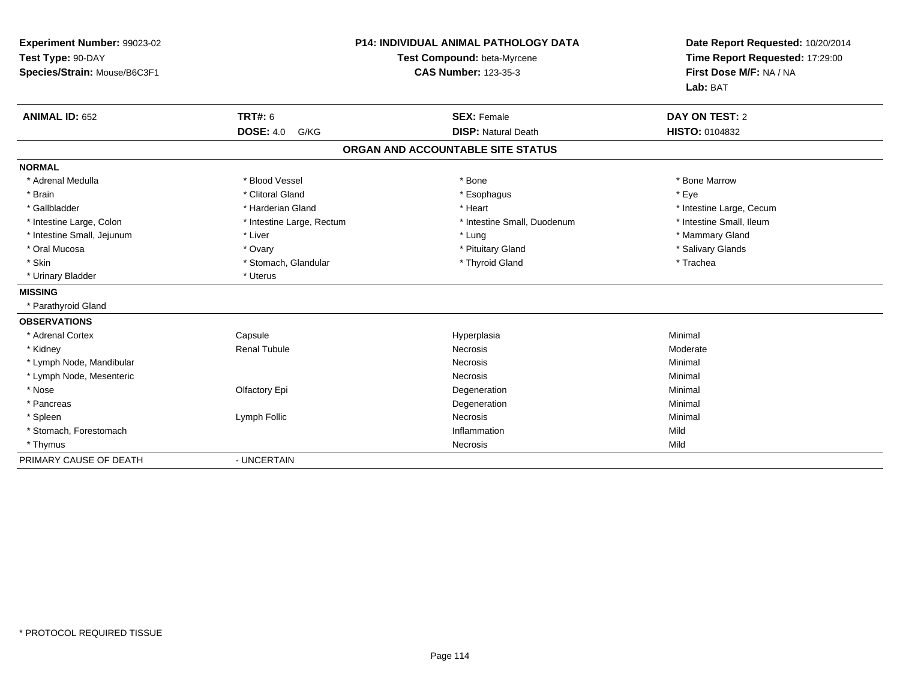| Experiment Number: 99023-02<br>Test Type: 90-DAY<br>Species/Strain: Mouse/B6C3F1 |                           | P14: INDIVIDUAL ANIMAL PATHOLOGY DATA<br>Test Compound: beta-Myrcene<br><b>CAS Number: 123-35-3</b> | Date Report Requested: 10/20/2014<br>Time Report Requested: 17:29:00<br>First Dose M/F: NA / NA<br>Lab: BAT |
|----------------------------------------------------------------------------------|---------------------------|-----------------------------------------------------------------------------------------------------|-------------------------------------------------------------------------------------------------------------|
| <b>ANIMAL ID: 652</b>                                                            | <b>TRT#: 6</b>            | <b>SEX: Female</b>                                                                                  | <b>DAY ON TEST: 2</b>                                                                                       |
|                                                                                  | <b>DOSE: 4.0</b><br>G/KG  | <b>DISP: Natural Death</b>                                                                          | <b>HISTO: 0104832</b>                                                                                       |
|                                                                                  |                           | ORGAN AND ACCOUNTABLE SITE STATUS                                                                   |                                                                                                             |
| <b>NORMAL</b>                                                                    |                           |                                                                                                     |                                                                                                             |
| * Adrenal Medulla                                                                | * Blood Vessel            | * Bone                                                                                              | * Bone Marrow                                                                                               |
| * Brain                                                                          | * Clitoral Gland          | * Esophagus                                                                                         | * Eye                                                                                                       |
| * Gallbladder                                                                    | * Harderian Gland         | * Heart                                                                                             | * Intestine Large, Cecum                                                                                    |
| * Intestine Large, Colon                                                         | * Intestine Large, Rectum | * Intestine Small, Duodenum                                                                         | * Intestine Small, Ileum                                                                                    |
| * Intestine Small, Jejunum                                                       | * Liver                   | * Lung                                                                                              | * Mammary Gland                                                                                             |
| * Oral Mucosa                                                                    | * Ovary                   | * Pituitary Gland                                                                                   | * Salivary Glands                                                                                           |
| * Skin                                                                           | * Stomach, Glandular      | * Thyroid Gland                                                                                     | * Trachea                                                                                                   |
| * Urinary Bladder                                                                | * Uterus                  |                                                                                                     |                                                                                                             |
| <b>MISSING</b>                                                                   |                           |                                                                                                     |                                                                                                             |
| * Parathyroid Gland                                                              |                           |                                                                                                     |                                                                                                             |
| <b>OBSERVATIONS</b>                                                              |                           |                                                                                                     |                                                                                                             |
| * Adrenal Cortex                                                                 | Capsule                   | Hyperplasia                                                                                         | Minimal                                                                                                     |
| * Kidney                                                                         | <b>Renal Tubule</b>       | <b>Necrosis</b>                                                                                     | Moderate                                                                                                    |
| * Lymph Node, Mandibular                                                         |                           | <b>Necrosis</b>                                                                                     | Minimal                                                                                                     |
| * Lymph Node, Mesenteric                                                         |                           | <b>Necrosis</b>                                                                                     | Minimal                                                                                                     |
| * Nose                                                                           | Olfactory Epi             | Degeneration                                                                                        | Minimal                                                                                                     |
| * Pancreas                                                                       |                           | Degeneration                                                                                        | Minimal                                                                                                     |
| * Spleen                                                                         | Lymph Follic              | <b>Necrosis</b>                                                                                     | Minimal                                                                                                     |
| * Stomach, Forestomach                                                           |                           | Inflammation                                                                                        | Mild                                                                                                        |
| * Thymus                                                                         |                           | Necrosis                                                                                            | Mild                                                                                                        |
| PRIMARY CAUSE OF DEATH                                                           | - UNCERTAIN               |                                                                                                     |                                                                                                             |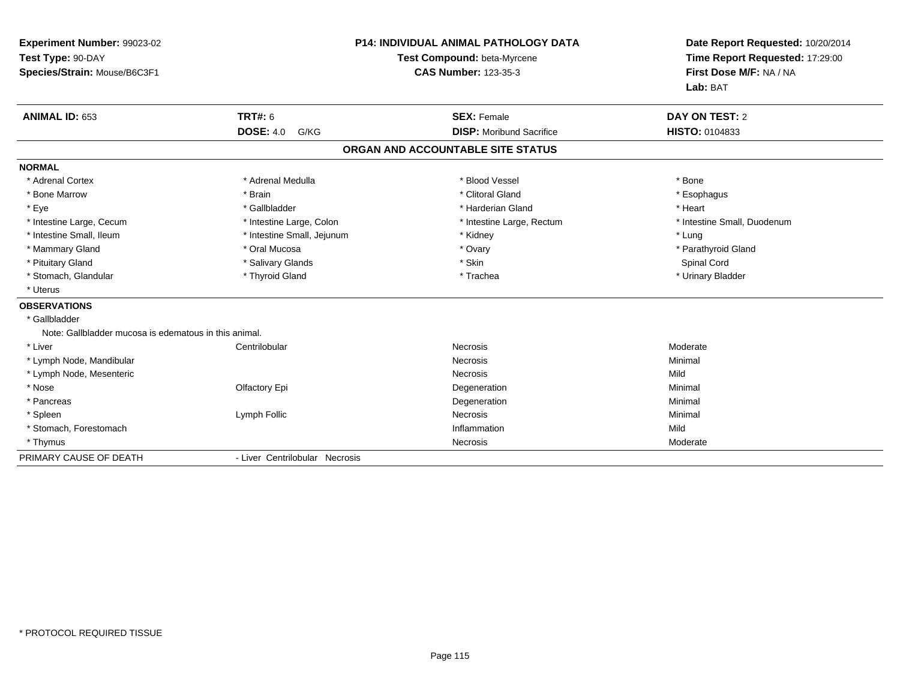| Experiment Number: 99023-02                           |                                | <b>P14: INDIVIDUAL ANIMAL PATHOLOGY DATA</b> | Date Report Requested: 10/20/2014 |
|-------------------------------------------------------|--------------------------------|----------------------------------------------|-----------------------------------|
| Test Type: 90-DAY                                     |                                | Test Compound: beta-Myrcene                  | Time Report Requested: 17:29:00   |
| Species/Strain: Mouse/B6C3F1                          |                                | <b>CAS Number: 123-35-3</b>                  | First Dose M/F: NA / NA           |
|                                                       |                                |                                              | Lab: BAT                          |
| <b>ANIMAL ID: 653</b>                                 | <b>TRT#: 6</b>                 | <b>SEX: Female</b>                           | DAY ON TEST: 2                    |
|                                                       | <b>DOSE: 4.0</b><br>G/KG       | <b>DISP:</b> Moribund Sacrifice              | HISTO: 0104833                    |
|                                                       |                                | ORGAN AND ACCOUNTABLE SITE STATUS            |                                   |
| <b>NORMAL</b>                                         |                                |                                              |                                   |
| * Adrenal Cortex                                      | * Adrenal Medulla              | * Blood Vessel                               | * Bone                            |
| * Bone Marrow                                         | * Brain                        | * Clitoral Gland                             | * Esophagus                       |
| * Eye                                                 | * Gallbladder                  | * Harderian Gland                            | * Heart                           |
| * Intestine Large, Cecum                              | * Intestine Large, Colon       | * Intestine Large, Rectum                    | * Intestine Small, Duodenum       |
| * Intestine Small, Ileum                              | * Intestine Small, Jejunum     | * Kidney                                     | * Lung                            |
| * Mammary Gland                                       | * Oral Mucosa                  | * Ovary                                      | * Parathyroid Gland               |
| * Pituitary Gland                                     | * Salivary Glands              | * Skin                                       | Spinal Cord                       |
| * Stomach, Glandular                                  | * Thyroid Gland                | * Trachea                                    | * Urinary Bladder                 |
| * Uterus                                              |                                |                                              |                                   |
| <b>OBSERVATIONS</b>                                   |                                |                                              |                                   |
| * Gallbladder                                         |                                |                                              |                                   |
| Note: Gallbladder mucosa is edematous in this animal. |                                |                                              |                                   |
| * Liver                                               | Centrilobular                  | <b>Necrosis</b>                              | Moderate                          |
| * Lymph Node, Mandibular                              |                                | Necrosis                                     | Minimal                           |
| * Lymph Node, Mesenteric                              |                                | <b>Necrosis</b>                              | Mild                              |
| * Nose                                                | Olfactory Epi                  | Degeneration                                 | Minimal                           |
| * Pancreas                                            |                                | Degeneration                                 | Minimal                           |
| * Spleen                                              | Lymph Follic                   | <b>Necrosis</b>                              | Minimal                           |
| * Stomach, Forestomach                                |                                | Inflammation                                 | Mild                              |
| * Thymus                                              |                                | Necrosis                                     | Moderate                          |
| PRIMARY CAUSE OF DEATH                                | - Liver Centrilobular Necrosis |                                              |                                   |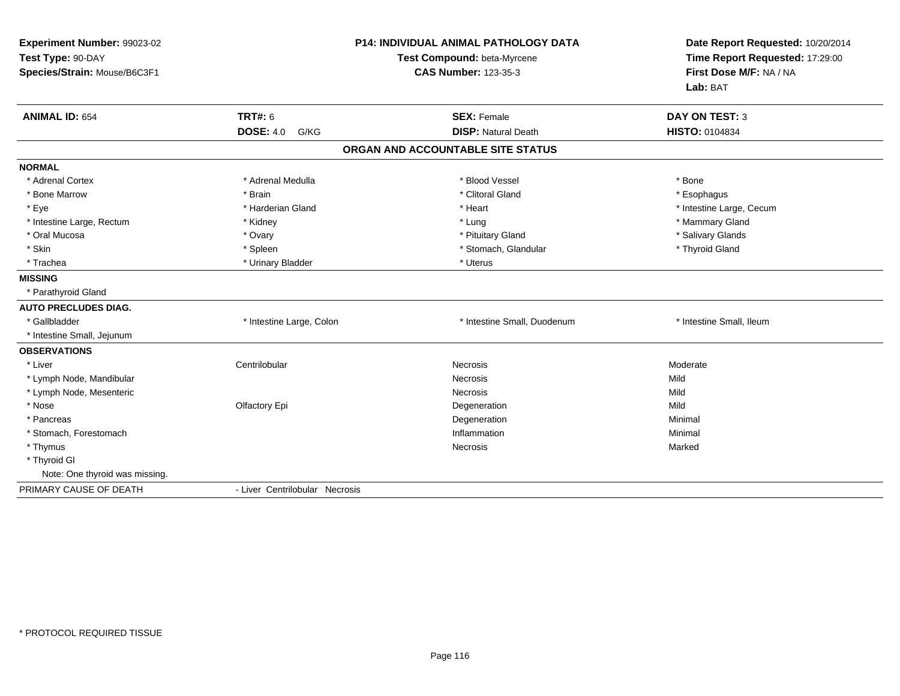| Experiment Number: 99023-02<br>Test Type: 90-DAY<br>Species/Strain: Mouse/B6C3F1 |                                | P14: INDIVIDUAL ANIMAL PATHOLOGY DATA<br>Test Compound: beta-Myrcene<br><b>CAS Number: 123-35-3</b> | Date Report Requested: 10/20/2014<br>Time Report Requested: 17:29:00<br>First Dose M/F: NA / NA<br>Lab: BAT |
|----------------------------------------------------------------------------------|--------------------------------|-----------------------------------------------------------------------------------------------------|-------------------------------------------------------------------------------------------------------------|
| <b>ANIMAL ID: 654</b>                                                            | <b>TRT#: 6</b>                 | <b>SEX: Female</b>                                                                                  | <b>DAY ON TEST: 3</b>                                                                                       |
|                                                                                  | <b>DOSE: 4.0</b><br>G/KG       | <b>DISP: Natural Death</b>                                                                          | HISTO: 0104834                                                                                              |
|                                                                                  |                                | ORGAN AND ACCOUNTABLE SITE STATUS                                                                   |                                                                                                             |
| <b>NORMAL</b>                                                                    |                                |                                                                                                     |                                                                                                             |
| * Adrenal Cortex                                                                 | * Adrenal Medulla              | * Blood Vessel                                                                                      | * Bone                                                                                                      |
| * Bone Marrow                                                                    | * Brain                        | * Clitoral Gland                                                                                    | * Esophagus                                                                                                 |
| * Eye                                                                            | * Harderian Gland              | * Heart                                                                                             | * Intestine Large, Cecum                                                                                    |
| * Intestine Large, Rectum                                                        | * Kidney                       | * Lung                                                                                              | * Mammary Gland                                                                                             |
| * Oral Mucosa                                                                    | * Ovary                        | * Pituitary Gland                                                                                   | * Salivary Glands                                                                                           |
| * Skin                                                                           | * Spleen                       | * Stomach, Glandular                                                                                | * Thyroid Gland                                                                                             |
| * Trachea                                                                        | * Urinary Bladder              | * Uterus                                                                                            |                                                                                                             |
| <b>MISSING</b>                                                                   |                                |                                                                                                     |                                                                                                             |
| * Parathyroid Gland                                                              |                                |                                                                                                     |                                                                                                             |
| <b>AUTO PRECLUDES DIAG.</b>                                                      |                                |                                                                                                     |                                                                                                             |
| * Gallbladder                                                                    | * Intestine Large, Colon       | * Intestine Small, Duodenum                                                                         | * Intestine Small, Ileum                                                                                    |
| * Intestine Small, Jejunum                                                       |                                |                                                                                                     |                                                                                                             |
| <b>OBSERVATIONS</b>                                                              |                                |                                                                                                     |                                                                                                             |
| * Liver                                                                          | Centrilobular                  | Necrosis                                                                                            | Moderate                                                                                                    |
| * Lymph Node, Mandibular                                                         |                                | <b>Necrosis</b>                                                                                     | Mild                                                                                                        |
| * Lymph Node, Mesenteric                                                         |                                | Necrosis                                                                                            | Mild                                                                                                        |
| * Nose                                                                           | Olfactory Epi                  | Degeneration                                                                                        | Mild                                                                                                        |
| * Pancreas                                                                       |                                | Degeneration                                                                                        | Minimal                                                                                                     |
| * Stomach, Forestomach                                                           |                                | Inflammation                                                                                        | Minimal                                                                                                     |
| * Thymus                                                                         |                                | Necrosis                                                                                            | Marked                                                                                                      |
| * Thyroid GI                                                                     |                                |                                                                                                     |                                                                                                             |
| Note: One thyroid was missing.                                                   |                                |                                                                                                     |                                                                                                             |
| PRIMARY CAUSE OF DEATH                                                           | - Liver Centrilobular Necrosis |                                                                                                     |                                                                                                             |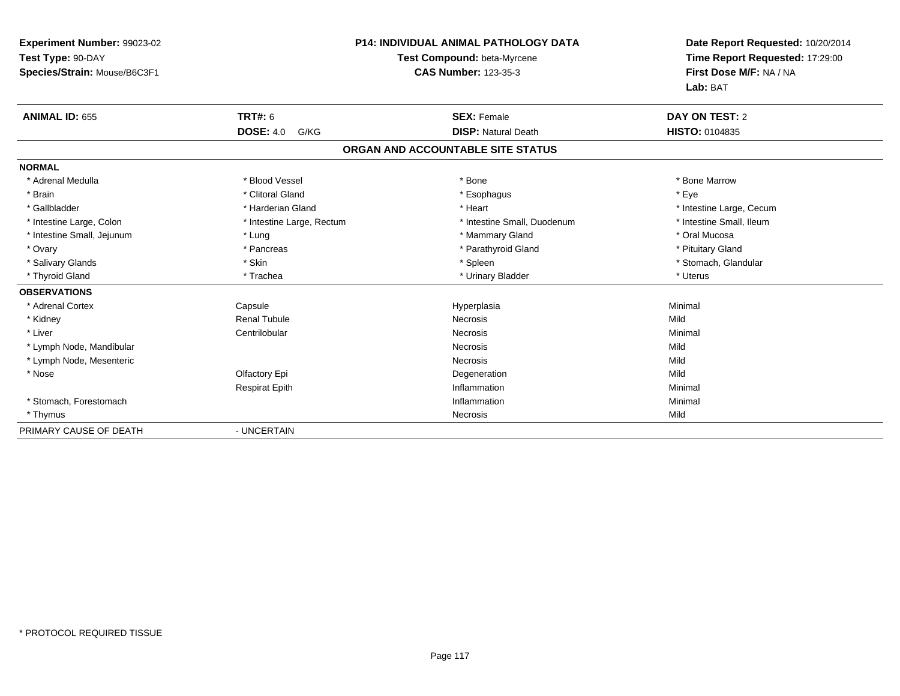| Experiment Number: 99023-02  | <b>P14: INDIVIDUAL ANIMAL PATHOLOGY DATA</b> |                                   | Date Report Requested: 10/20/2014 |  |
|------------------------------|----------------------------------------------|-----------------------------------|-----------------------------------|--|
| Test Type: 90-DAY            |                                              | Test Compound: beta-Myrcene       | Time Report Requested: 17:29:00   |  |
| Species/Strain: Mouse/B6C3F1 |                                              | <b>CAS Number: 123-35-3</b>       | First Dose M/F: NA / NA           |  |
|                              |                                              |                                   | Lab: BAT                          |  |
| <b>ANIMAL ID: 655</b>        | <b>TRT#: 6</b>                               | <b>SEX: Female</b>                | DAY ON TEST: 2                    |  |
|                              | <b>DOSE: 4.0</b><br>G/KG                     | <b>DISP: Natural Death</b>        | HISTO: 0104835                    |  |
|                              |                                              | ORGAN AND ACCOUNTABLE SITE STATUS |                                   |  |
| <b>NORMAL</b>                |                                              |                                   |                                   |  |
| * Adrenal Medulla            | * Blood Vessel                               | * Bone                            | * Bone Marrow                     |  |
| * Brain                      | * Clitoral Gland                             | * Esophagus                       | * Eye                             |  |
| * Gallbladder                | * Harderian Gland                            | * Heart                           | * Intestine Large, Cecum          |  |
| * Intestine Large, Colon     | * Intestine Large, Rectum                    | * Intestine Small, Duodenum       | * Intestine Small, Ileum          |  |
| * Intestine Small, Jejunum   | * Lung                                       | * Mammary Gland                   | * Oral Mucosa                     |  |
| * Ovary                      | * Pancreas                                   | * Parathyroid Gland               | * Pituitary Gland                 |  |
| * Salivary Glands            | * Skin                                       | * Spleen                          | * Stomach, Glandular              |  |
| * Thyroid Gland              | * Trachea                                    | * Urinary Bladder                 | * Uterus                          |  |
| <b>OBSERVATIONS</b>          |                                              |                                   |                                   |  |
| * Adrenal Cortex             | Capsule                                      | Hyperplasia                       | Minimal                           |  |
| * Kidney                     | <b>Renal Tubule</b>                          | <b>Necrosis</b>                   | Mild                              |  |
| * Liver                      | Centrilobular                                | Necrosis                          | Minimal                           |  |
| * Lymph Node, Mandibular     |                                              | Necrosis                          | Mild                              |  |
| * Lymph Node, Mesenteric     |                                              | <b>Necrosis</b>                   | Mild                              |  |
| * Nose                       | Olfactory Epi                                | Degeneration                      | Mild                              |  |
|                              | <b>Respirat Epith</b>                        | Inflammation                      | Minimal                           |  |
| * Stomach, Forestomach       |                                              | Inflammation                      | Minimal                           |  |
| * Thymus                     |                                              | Necrosis                          | Mild                              |  |
| PRIMARY CAUSE OF DEATH       | - UNCERTAIN                                  |                                   |                                   |  |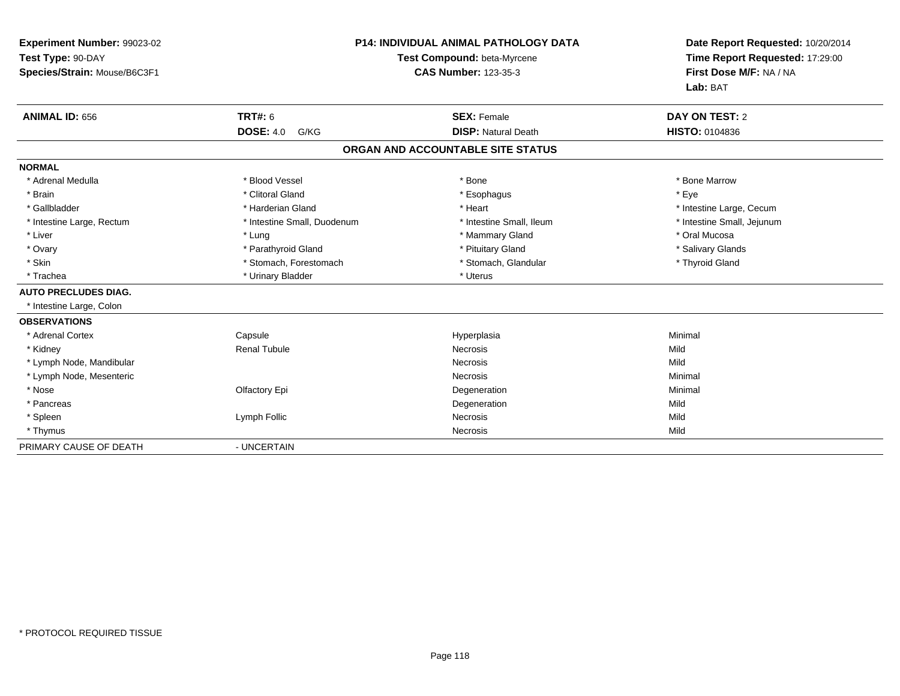| Experiment Number: 99023-02<br>Test Type: 90-DAY<br>Species/Strain: Mouse/B6C3F1 |                             | <b>P14: INDIVIDUAL ANIMAL PATHOLOGY DATA</b><br>Test Compound: beta-Myrcene<br><b>CAS Number: 123-35-3</b> | Date Report Requested: 10/20/2014<br>Time Report Requested: 17:29:00<br>First Dose M/F: NA / NA<br>Lab: BAT |
|----------------------------------------------------------------------------------|-----------------------------|------------------------------------------------------------------------------------------------------------|-------------------------------------------------------------------------------------------------------------|
| <b>ANIMAL ID: 656</b>                                                            | <b>TRT#: 6</b>              | <b>SEX: Female</b>                                                                                         | <b>DAY ON TEST: 2</b>                                                                                       |
|                                                                                  | <b>DOSE: 4.0</b><br>G/KG    | <b>DISP: Natural Death</b>                                                                                 | HISTO: 0104836                                                                                              |
|                                                                                  |                             | ORGAN AND ACCOUNTABLE SITE STATUS                                                                          |                                                                                                             |
| <b>NORMAL</b>                                                                    |                             |                                                                                                            |                                                                                                             |
| * Adrenal Medulla                                                                | * Blood Vessel              | * Bone                                                                                                     | * Bone Marrow                                                                                               |
| * Brain                                                                          | * Clitoral Gland            | * Esophagus                                                                                                | * Eve                                                                                                       |
| * Gallbladder                                                                    | * Harderian Gland           | * Heart                                                                                                    | * Intestine Large, Cecum                                                                                    |
| * Intestine Large, Rectum                                                        | * Intestine Small, Duodenum | * Intestine Small. Ileum                                                                                   | * Intestine Small, Jejunum                                                                                  |
| * Liver                                                                          | * Lung                      | * Mammary Gland                                                                                            | * Oral Mucosa                                                                                               |
| * Ovary                                                                          | * Parathyroid Gland         | * Pituitary Gland                                                                                          | * Salivary Glands                                                                                           |
| * Skin                                                                           | * Stomach, Forestomach      | * Stomach, Glandular                                                                                       | * Thyroid Gland                                                                                             |
| * Trachea                                                                        | * Urinary Bladder           | * Uterus                                                                                                   |                                                                                                             |
| <b>AUTO PRECLUDES DIAG.</b>                                                      |                             |                                                                                                            |                                                                                                             |
| * Intestine Large, Colon                                                         |                             |                                                                                                            |                                                                                                             |
| <b>OBSERVATIONS</b>                                                              |                             |                                                                                                            |                                                                                                             |
| * Adrenal Cortex                                                                 | Capsule                     | Hyperplasia                                                                                                | Minimal                                                                                                     |
| * Kidney                                                                         | <b>Renal Tubule</b>         | <b>Necrosis</b>                                                                                            | Mild                                                                                                        |
| * Lymph Node, Mandibular                                                         |                             | <b>Necrosis</b>                                                                                            | Mild                                                                                                        |
| * Lymph Node, Mesenteric                                                         |                             | <b>Necrosis</b>                                                                                            | Minimal                                                                                                     |
| * Nose                                                                           | Olfactory Epi               | Degeneration                                                                                               | Minimal                                                                                                     |
| * Pancreas                                                                       |                             | Degeneration                                                                                               | Mild                                                                                                        |
| * Spleen                                                                         | Lymph Follic                | Necrosis                                                                                                   | Mild                                                                                                        |
| * Thymus                                                                         |                             | Necrosis                                                                                                   | Mild                                                                                                        |
| PRIMARY CAUSE OF DEATH                                                           | - UNCERTAIN                 |                                                                                                            |                                                                                                             |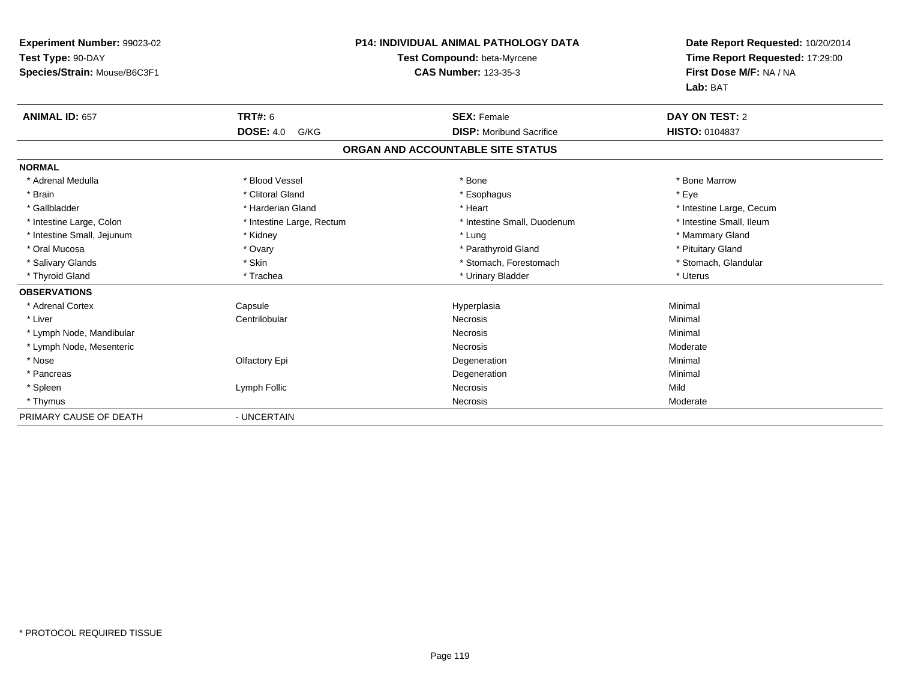| Experiment Number: 99023-02  |                           | <b>P14: INDIVIDUAL ANIMAL PATHOLOGY DATA</b> | Date Report Requested: 10/20/2014 |
|------------------------------|---------------------------|----------------------------------------------|-----------------------------------|
| Test Type: 90-DAY            |                           | Test Compound: beta-Myrcene                  | Time Report Requested: 17:29:00   |
| Species/Strain: Mouse/B6C3F1 |                           | <b>CAS Number: 123-35-3</b>                  | First Dose M/F: NA / NA           |
|                              |                           |                                              | Lab: BAT                          |
| <b>ANIMAL ID: 657</b>        | <b>TRT#: 6</b>            | <b>SEX: Female</b>                           | DAY ON TEST: 2                    |
|                              | <b>DOSE: 4.0</b><br>G/KG  | <b>DISP:</b> Moribund Sacrifice              | HISTO: 0104837                    |
|                              |                           | ORGAN AND ACCOUNTABLE SITE STATUS            |                                   |
| <b>NORMAL</b>                |                           |                                              |                                   |
| * Adrenal Medulla            | * Blood Vessel            | * Bone                                       | * Bone Marrow                     |
| * Brain                      | * Clitoral Gland          | * Esophagus                                  | * Eye                             |
| * Gallbladder                | * Harderian Gland         | * Heart                                      | * Intestine Large, Cecum          |
| * Intestine Large, Colon     | * Intestine Large, Rectum | * Intestine Small, Duodenum                  | * Intestine Small, Ileum          |
| * Intestine Small, Jejunum   | * Kidney                  | * Lung                                       | * Mammary Gland                   |
| * Oral Mucosa                | * Ovary                   | * Parathyroid Gland                          | * Pituitary Gland                 |
| * Salivary Glands            | * Skin                    | * Stomach, Forestomach                       | * Stomach, Glandular              |
| * Thyroid Gland              | * Trachea                 | * Urinary Bladder                            | * Uterus                          |
| <b>OBSERVATIONS</b>          |                           |                                              |                                   |
| * Adrenal Cortex             | Capsule                   | Hyperplasia                                  | Minimal                           |
| * Liver                      | Centrilobular             | Necrosis                                     | Minimal                           |
| * Lymph Node, Mandibular     |                           | Necrosis                                     | Minimal                           |
| * Lymph Node, Mesenteric     |                           | Necrosis                                     | Moderate                          |
| * Nose                       | Olfactory Epi             | Degeneration                                 | Minimal                           |
| * Pancreas                   |                           | Degeneration                                 | Minimal                           |
| * Spleen                     | Lymph Follic              | Necrosis                                     | Mild                              |
| * Thymus                     |                           | Necrosis                                     | Moderate                          |
| PRIMARY CAUSE OF DEATH       | - UNCERTAIN               |                                              |                                   |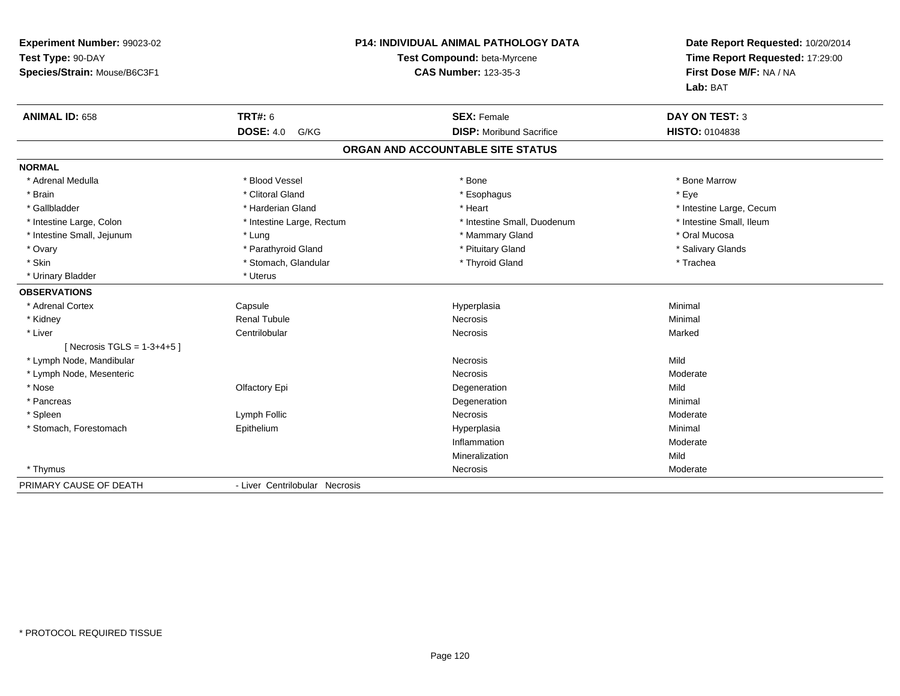| Experiment Number: 99023-02   |                                | P14: INDIVIDUAL ANIMAL PATHOLOGY DATA | Date Report Requested: 10/20/2014<br>Time Report Requested: 17:29:00 |  |
|-------------------------------|--------------------------------|---------------------------------------|----------------------------------------------------------------------|--|
| Test Type: 90-DAY             | Test Compound: beta-Myrcene    |                                       |                                                                      |  |
| Species/Strain: Mouse/B6C3F1  |                                | <b>CAS Number: 123-35-3</b>           | First Dose M/F: NA / NA                                              |  |
|                               |                                |                                       | Lab: BAT                                                             |  |
| <b>ANIMAL ID: 658</b>         | <b>TRT#: 6</b>                 | <b>SEX: Female</b>                    | <b>DAY ON TEST: 3</b>                                                |  |
|                               | <b>DOSE: 4.0</b><br>G/KG       | <b>DISP:</b> Moribund Sacrifice       | HISTO: 0104838                                                       |  |
|                               |                                | ORGAN AND ACCOUNTABLE SITE STATUS     |                                                                      |  |
| <b>NORMAL</b>                 |                                |                                       |                                                                      |  |
| * Adrenal Medulla             | * Blood Vessel                 | * Bone                                | * Bone Marrow                                                        |  |
| * Brain                       | * Clitoral Gland               | * Esophagus                           | * Eye                                                                |  |
| * Gallbladder                 | * Harderian Gland              | * Heart                               | * Intestine Large, Cecum                                             |  |
| * Intestine Large, Colon      | * Intestine Large, Rectum      | * Intestine Small, Duodenum           | * Intestine Small, Ileum                                             |  |
| * Intestine Small, Jejunum    | * Lung                         | * Mammary Gland                       | * Oral Mucosa                                                        |  |
| * Ovary                       | * Parathyroid Gland            | * Pituitary Gland                     | * Salivary Glands                                                    |  |
| * Skin                        | * Stomach, Glandular           | * Thyroid Gland                       | * Trachea                                                            |  |
| * Urinary Bladder             | * Uterus                       |                                       |                                                                      |  |
| <b>OBSERVATIONS</b>           |                                |                                       |                                                                      |  |
| * Adrenal Cortex              | Capsule                        | Hyperplasia                           | Minimal                                                              |  |
| * Kidney                      | <b>Renal Tubule</b>            | Necrosis                              | Minimal                                                              |  |
| * Liver                       | Centrilobular                  | Necrosis                              | Marked                                                               |  |
| [ Necrosis TGLS = $1-3+4+5$ ] |                                |                                       |                                                                      |  |
| * Lymph Node, Mandibular      |                                | Necrosis                              | Mild                                                                 |  |
| * Lymph Node, Mesenteric      |                                | <b>Necrosis</b>                       | Moderate                                                             |  |
| * Nose                        | Olfactory Epi                  | Degeneration                          | Mild                                                                 |  |
| * Pancreas                    |                                | Degeneration                          | Minimal                                                              |  |
| * Spleen                      | Lymph Follic                   | <b>Necrosis</b>                       | Moderate                                                             |  |
| * Stomach, Forestomach        | Epithelium                     | Hyperplasia                           | Minimal                                                              |  |
|                               |                                | Inflammation                          | Moderate                                                             |  |
|                               |                                | Mineralization                        | Mild                                                                 |  |
| * Thymus                      |                                | Necrosis                              | Moderate                                                             |  |
| PRIMARY CAUSE OF DEATH        | - Liver Centrilobular Necrosis |                                       |                                                                      |  |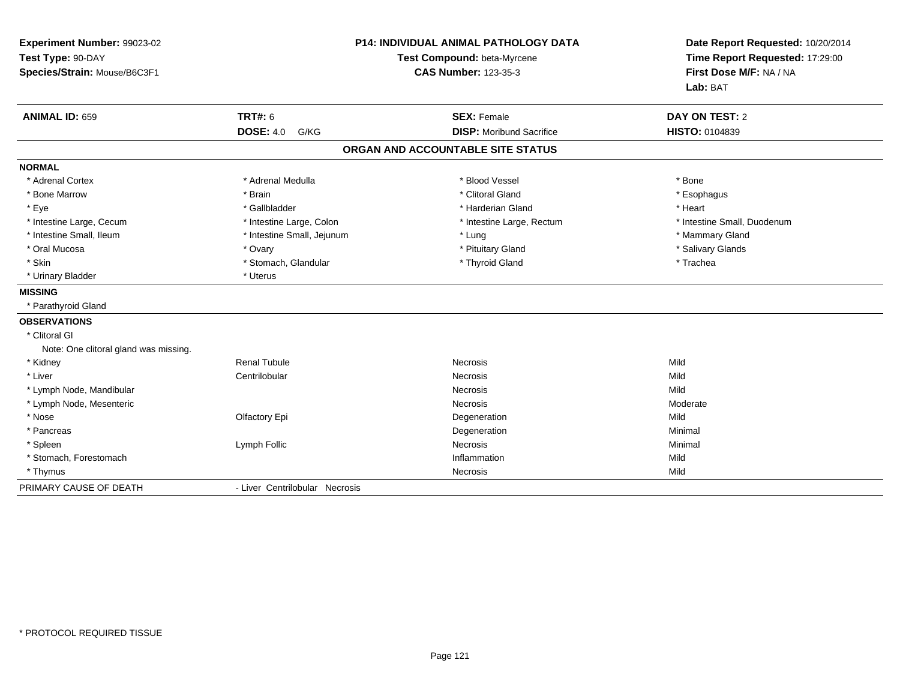| Experiment Number: 99023-02<br>Test Type: 90-DAY<br>Species/Strain: Mouse/B6C3F1 |                                | <b>P14: INDIVIDUAL ANIMAL PATHOLOGY DATA</b><br>Test Compound: beta-Myrcene<br><b>CAS Number: 123-35-3</b> | Date Report Requested: 10/20/2014<br>Time Report Requested: 17:29:00<br>First Dose M/F: NA / NA<br>Lab: BAT |
|----------------------------------------------------------------------------------|--------------------------------|------------------------------------------------------------------------------------------------------------|-------------------------------------------------------------------------------------------------------------|
| <b>ANIMAL ID: 659</b>                                                            | <b>TRT#: 6</b>                 | <b>SEX: Female</b>                                                                                         | DAY ON TEST: 2                                                                                              |
|                                                                                  | <b>DOSE: 4.0</b><br>G/KG       | <b>DISP:</b> Moribund Sacrifice                                                                            | HISTO: 0104839                                                                                              |
|                                                                                  |                                | ORGAN AND ACCOUNTABLE SITE STATUS                                                                          |                                                                                                             |
| <b>NORMAL</b>                                                                    |                                |                                                                                                            |                                                                                                             |
| * Adrenal Cortex                                                                 | * Adrenal Medulla              | * Blood Vessel                                                                                             | * Bone                                                                                                      |
| * Bone Marrow                                                                    | * Brain                        | * Clitoral Gland                                                                                           | * Esophagus                                                                                                 |
| * Eye                                                                            | * Gallbladder                  | * Harderian Gland                                                                                          | * Heart                                                                                                     |
| * Intestine Large, Cecum                                                         | * Intestine Large, Colon       | * Intestine Large, Rectum                                                                                  | * Intestine Small, Duodenum                                                                                 |
| * Intestine Small, Ileum                                                         | * Intestine Small, Jejunum     | * Lung                                                                                                     | * Mammary Gland                                                                                             |
| * Oral Mucosa                                                                    | * Ovary                        | * Pituitary Gland                                                                                          | * Salivary Glands                                                                                           |
| * Skin                                                                           | * Stomach, Glandular           | * Thyroid Gland                                                                                            | * Trachea                                                                                                   |
| * Urinary Bladder                                                                | * Uterus                       |                                                                                                            |                                                                                                             |
| <b>MISSING</b>                                                                   |                                |                                                                                                            |                                                                                                             |
| * Parathyroid Gland                                                              |                                |                                                                                                            |                                                                                                             |
| <b>OBSERVATIONS</b>                                                              |                                |                                                                                                            |                                                                                                             |
| * Clitoral GI                                                                    |                                |                                                                                                            |                                                                                                             |
| Note: One clitoral gland was missing.                                            |                                |                                                                                                            |                                                                                                             |
| * Kidney                                                                         | <b>Renal Tubule</b>            | <b>Necrosis</b>                                                                                            | Mild                                                                                                        |
| * Liver                                                                          | Centrilobular                  | Necrosis                                                                                                   | Mild                                                                                                        |
| * Lymph Node, Mandibular                                                         |                                | <b>Necrosis</b>                                                                                            | Mild                                                                                                        |
| * Lymph Node, Mesenteric                                                         |                                | Necrosis                                                                                                   | Moderate                                                                                                    |
| * Nose                                                                           | Olfactory Epi                  | Degeneration                                                                                               | Mild                                                                                                        |
| * Pancreas                                                                       |                                | Degeneration                                                                                               | Minimal                                                                                                     |
| * Spleen                                                                         | Lymph Follic                   | Necrosis                                                                                                   | Minimal                                                                                                     |
| * Stomach, Forestomach                                                           |                                | Inflammation                                                                                               | Mild                                                                                                        |
| * Thymus                                                                         |                                | Necrosis                                                                                                   | Mild                                                                                                        |
| PRIMARY CAUSE OF DEATH                                                           | - Liver Centrilobular Necrosis |                                                                                                            |                                                                                                             |